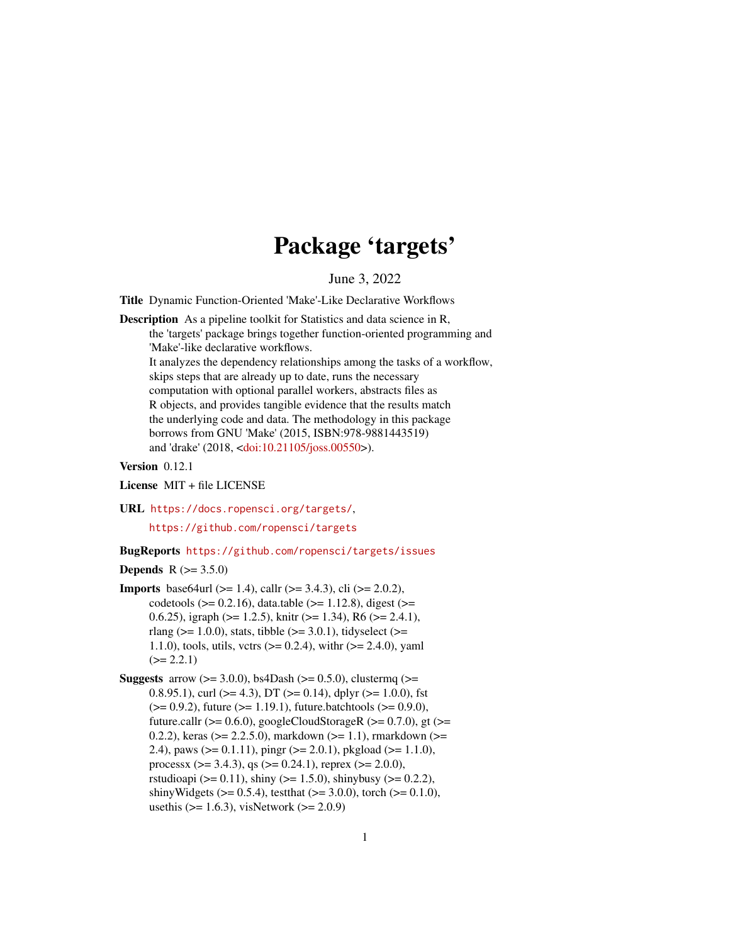# Package 'targets'

June 3, 2022

<span id="page-0-0"></span>Title Dynamic Function-Oriented 'Make'-Like Declarative Workflows

Description As a pipeline toolkit for Statistics and data science in R, the 'targets' package brings together function-oriented programming and 'Make'-like declarative workflows. It analyzes the dependency relationships among the tasks of a workflow, skips steps that are already up to date, runs the necessary computation with optional parallel workers, abstracts files as R objects, and provides tangible evidence that the results match the underlying code and data. The methodology in this package borrows from GNU 'Make' (2015, ISBN:978-9881443519) and 'drake' (2018, [<doi:10.21105/joss.00550>](https://doi.org/10.21105/joss.00550)).

Version 0.12.1

License MIT + file LICENSE

URL <https://docs.ropensci.org/targets/>, <https://github.com/ropensci/targets>

BugReports <https://github.com/ropensci/targets/issues>

**Depends** R  $(>= 3.5.0)$ 

- **Imports** base64url ( $>= 1.4$ ), callr ( $>= 3.4.3$ ), cli ( $>= 2.0.2$ ), codetools ( $>= 0.2.16$ ), data.table ( $>= 1.12.8$ ), digest ( $>=$ 0.6.25), igraph ( $>= 1.2.5$ ), knitr ( $>= 1.34$ ), R6 ( $>= 2.4.1$ ), rlang ( $>= 1.0.0$ ), stats, tibble ( $>= 3.0.1$ ), tidyselect ( $>=$ 1.1.0), tools, utils, vctrs  $(>= 0.2.4)$ , with  $(>= 2.4.0)$ , yaml  $(>= 2.2.1)$
- **Suggests** arrow ( $>= 3.0.0$ ), bs4Dash ( $>= 0.5.0$ ), clustermq ( $>=$ 0.8.95.1), curl ( $>= 4.3$ ), DT ( $>= 0.14$ ), dplyr ( $>= 1.0.0$ ), fst  $(>= 0.9.2)$ , future  $(>= 1.19.1)$ , future.batchtools  $(>= 0.9.0)$ , future.callr ( $>= 0.6.0$ ), googleCloudStorageR ( $>= 0.7.0$ ), gt ( $>=$ 0.2.2), keras ( $> = 2.2.5.0$ ), markdown ( $>= 1.1$ ), rmarkdown ( $>=$ 2.4), paws ( $>= 0.1.11$ ), pingr ( $>= 2.0.1$ ), pkgload ( $>= 1.1.0$ ), processx ( $> = 3.4.3$ ), qs ( $> = 0.24.1$ ), reprex ( $> = 2.0.0$ ), rstudioapi ( $> = 0.11$ ), shiny ( $> = 1.5.0$ ), shinybusy ( $> = 0.2.2$ ), shinyWidgets ( $>= 0.5.4$ ), testthat ( $>= 3.0.0$ ), torch ( $>= 0.1.0$ ), usethis  $(>= 1.6.3)$ , visNetwork  $(>= 2.0.9)$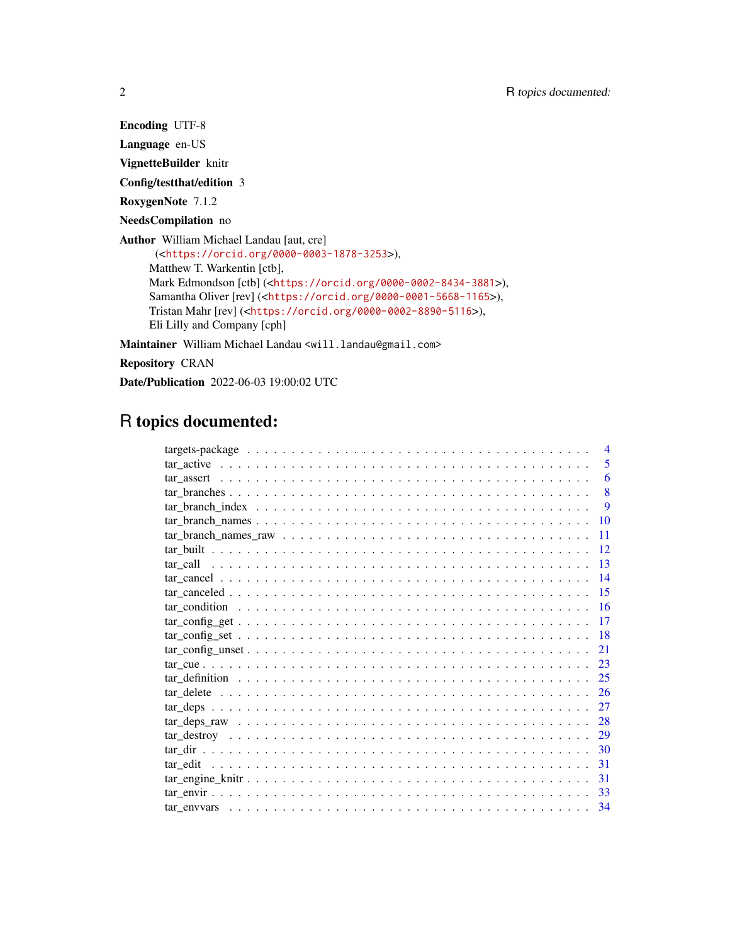Encoding UTF-8

Language en-US

VignetteBuilder knitr

Config/testthat/edition 3

RoxygenNote 7.1.2

NeedsCompilation no

Author William Michael Landau [aut, cre] (<<https://orcid.org/0000-0003-1878-3253>>), Matthew T. Warkentin [ctb], Mark Edmondson [ctb] (<<https://orcid.org/0000-0002-8434-3881>>), Samantha Oliver [rev] (<<https://orcid.org/0000-0001-5668-1165>>), Tristan Mahr [rev] (<<https://orcid.org/0000-0002-8890-5116>>), Eli Lilly and Company [cph]

Maintainer William Michael Landau <will.landau@gmail.com>

Repository CRAN

Date/Publication 2022-06-03 19:00:02 UTC

# R topics documented:

| $\overline{\mathcal{A}}$ |
|--------------------------|
| 5                        |
| 6                        |
| 8                        |
| 9                        |
| 10                       |
| 11                       |
| 12                       |
| 13                       |
| -14                      |
| 15                       |
| -16                      |
| 17                       |
| -18                      |
| 21                       |
| 23                       |
| 25                       |
| 26                       |
| 27                       |
| 28                       |
| 29                       |
| 30                       |
| 31                       |
| 31                       |
| 33                       |
|                          |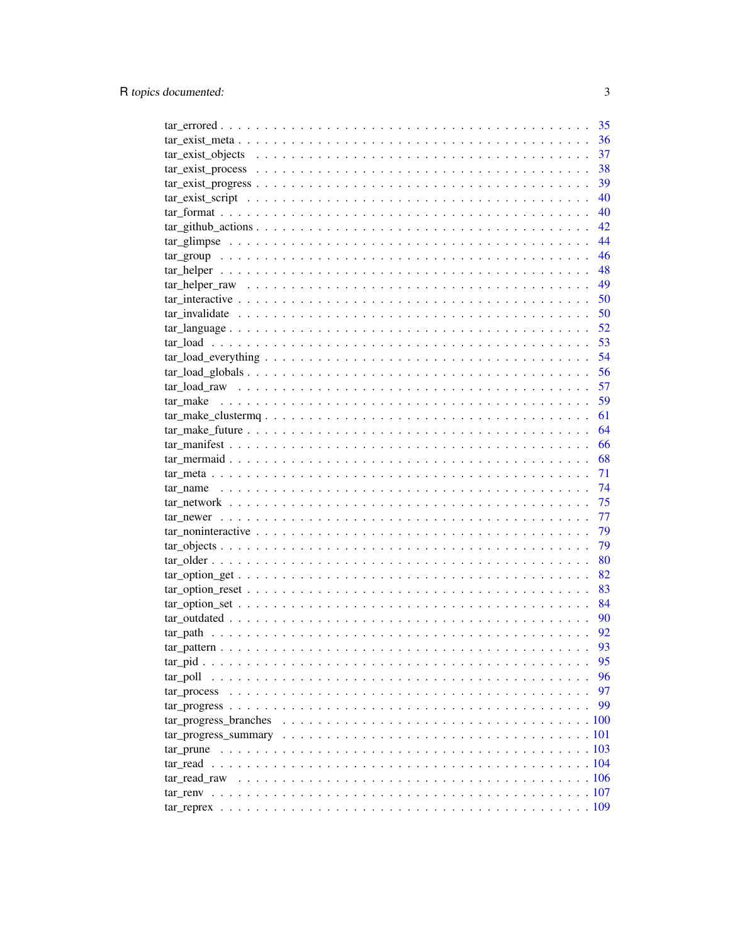|                                                                                                                         | 35   |
|-------------------------------------------------------------------------------------------------------------------------|------|
|                                                                                                                         | 36   |
|                                                                                                                         | 37   |
|                                                                                                                         | 38   |
| $\text{tar\_exist\_progress} \dots \dots \dots \dots \dots \dots \dots \dots \dots \dots \dots \dots \dots \dots \dots$ | 39   |
|                                                                                                                         | 40   |
|                                                                                                                         | 40   |
|                                                                                                                         | 42   |
|                                                                                                                         | 44   |
|                                                                                                                         | 46   |
|                                                                                                                         | - 48 |
|                                                                                                                         | - 49 |
|                                                                                                                         | 50   |
|                                                                                                                         | 50   |
| $\text{tar\_language} \dots \dots \dots \dots \dots \dots \dots \dots \dots \dots \dots \dots \dots \dots \dots \dots$  | 52   |
|                                                                                                                         | 53   |
|                                                                                                                         | 54   |
|                                                                                                                         | 56   |
|                                                                                                                         | 57   |
|                                                                                                                         | 59   |
|                                                                                                                         | 61   |
|                                                                                                                         | 64   |
|                                                                                                                         | 66   |
|                                                                                                                         | 68   |
|                                                                                                                         | 71   |
|                                                                                                                         | 74   |
|                                                                                                                         | 75   |
|                                                                                                                         |      |
|                                                                                                                         | 77   |
|                                                                                                                         | 79   |
|                                                                                                                         | 79   |
|                                                                                                                         | 80   |
|                                                                                                                         | 82   |
|                                                                                                                         | 83   |
|                                                                                                                         | 84   |
|                                                                                                                         | 90   |
|                                                                                                                         | 92   |
|                                                                                                                         | 93   |
|                                                                                                                         | 95   |
| tar poll                                                                                                                | 96   |
| tar process                                                                                                             | 97   |
|                                                                                                                         | 99   |
| tar progress branches                                                                                                   |      |
|                                                                                                                         |      |
|                                                                                                                         |      |
|                                                                                                                         |      |
|                                                                                                                         |      |
|                                                                                                                         |      |
|                                                                                                                         |      |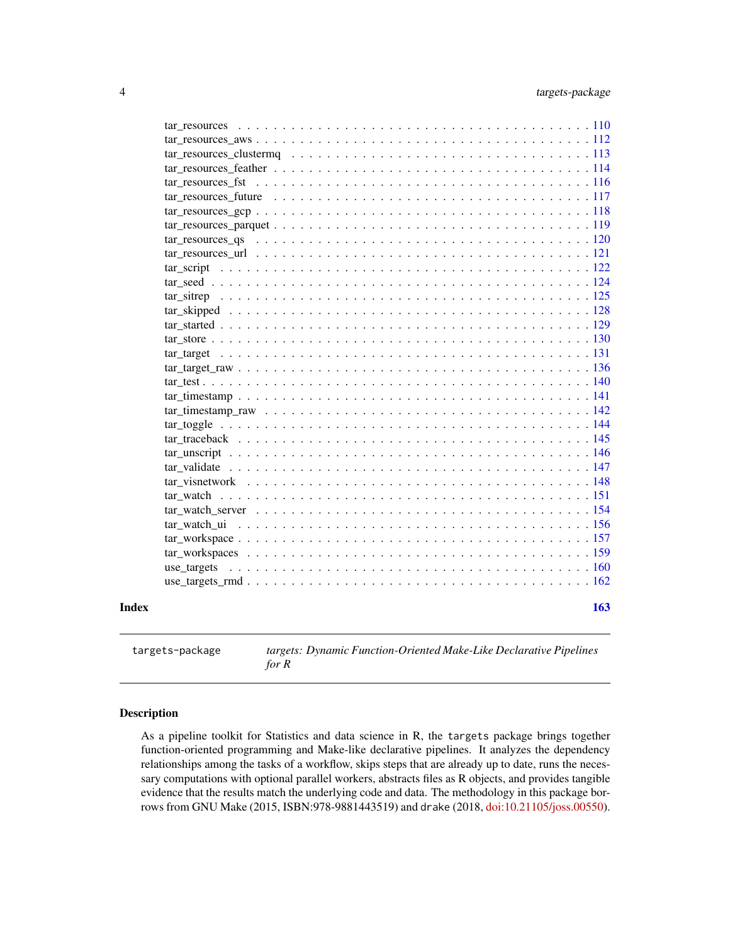<span id="page-3-0"></span>

| Index | 163                                                                                                                                                     |
|-------|---------------------------------------------------------------------------------------------------------------------------------------------------------|
|       |                                                                                                                                                         |
|       | use targets                                                                                                                                             |
|       |                                                                                                                                                         |
|       |                                                                                                                                                         |
|       |                                                                                                                                                         |
|       |                                                                                                                                                         |
|       |                                                                                                                                                         |
|       |                                                                                                                                                         |
|       |                                                                                                                                                         |
|       |                                                                                                                                                         |
|       | tar traceback $\ldots$ , $\ldots$ , $\ldots$ , $\ldots$ , $\ldots$ , $\ldots$ , $\ldots$ , $\ldots$ , $\ldots$ , $\ldots$ , $\ldots$ , $\ldots$ , $145$ |
|       |                                                                                                                                                         |
|       |                                                                                                                                                         |
|       |                                                                                                                                                         |
|       |                                                                                                                                                         |
|       |                                                                                                                                                         |
|       |                                                                                                                                                         |
|       |                                                                                                                                                         |
|       |                                                                                                                                                         |
|       |                                                                                                                                                         |
|       |                                                                                                                                                         |
|       |                                                                                                                                                         |
|       | $\arccos 122$                                                                                                                                           |
|       |                                                                                                                                                         |
|       |                                                                                                                                                         |
|       |                                                                                                                                                         |
|       |                                                                                                                                                         |
|       |                                                                                                                                                         |
|       |                                                                                                                                                         |
|       |                                                                                                                                                         |
|       |                                                                                                                                                         |
|       |                                                                                                                                                         |
|       |                                                                                                                                                         |

targets-package *targets: Dynamic Function-Oriented Make-Like Declarative Pipelines for R*

# Description

As a pipeline toolkit for Statistics and data science in R, the targets package brings together function-oriented programming and Make-like declarative pipelines. It analyzes the dependency relationships among the tasks of a workflow, skips steps that are already up to date, runs the necessary computations with optional parallel workers, abstracts files as R objects, and provides tangible evidence that the results match the underlying code and data. The methodology in this package borrows from GNU Make (2015, ISBN:978-9881443519) and drake (2018, [doi:10.21105/joss.00550\)](https://doi.org/10.21105/joss.00550).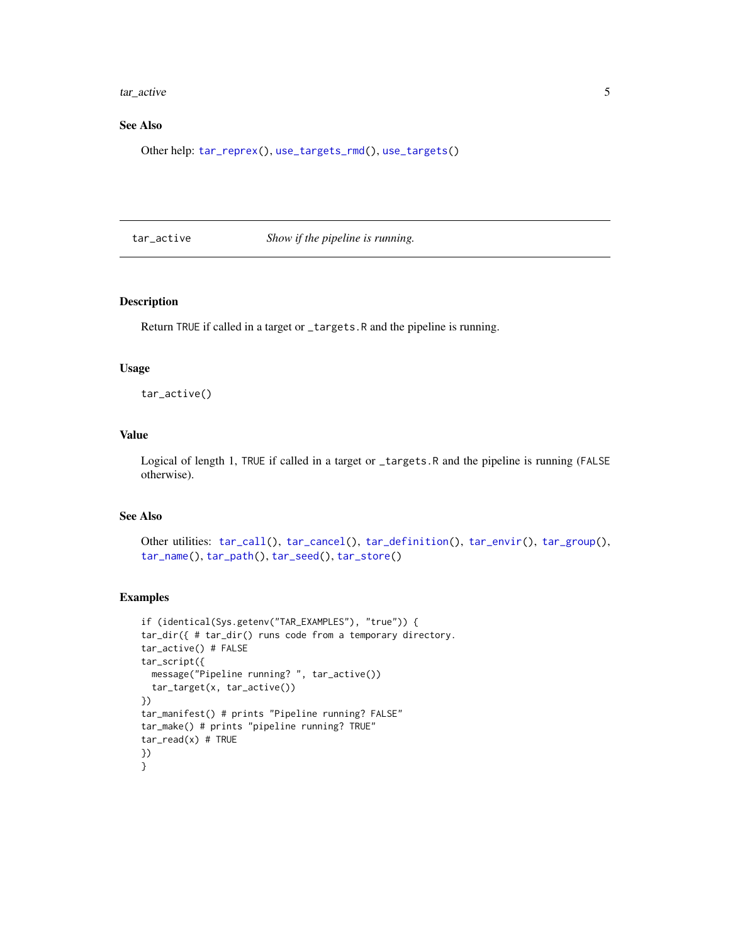<span id="page-4-0"></span>tar\_active 5

# See Also

Other help: [tar\\_reprex\(](#page-108-1)), [use\\_targets\\_rmd\(](#page-161-1)), [use\\_targets\(](#page-159-1))

<span id="page-4-1"></span>tar\_active *Show if the pipeline is running.*

# Description

Return TRUE if called in a target or \_targets.R and the pipeline is running.

# Usage

tar\_active()

# Value

Logical of length 1, TRUE if called in a target or \_targets.R and the pipeline is running (FALSE otherwise).

# See Also

```
Other utilities: tar_call(), tar_cancel(), tar_definition(), tar_envir(), tar_group(),
tar_name(), tar_path(), tar_seed(), tar_store()
```
# Examples

```
if (identical(Sys.getenv("TAR_EXAMPLES"), "true")) {
tar_dir({ # tar_dir() runs code from a temporary directory.
tar_active() # FALSE
tar_script({
  message("Pipeline running? ", tar_active())
  tar_target(x, tar_active())
})
tar_manifest() # prints "Pipeline running? FALSE"
tar_make() # prints "pipeline running? TRUE"
tar\_read(x) # TRUE
})
}
```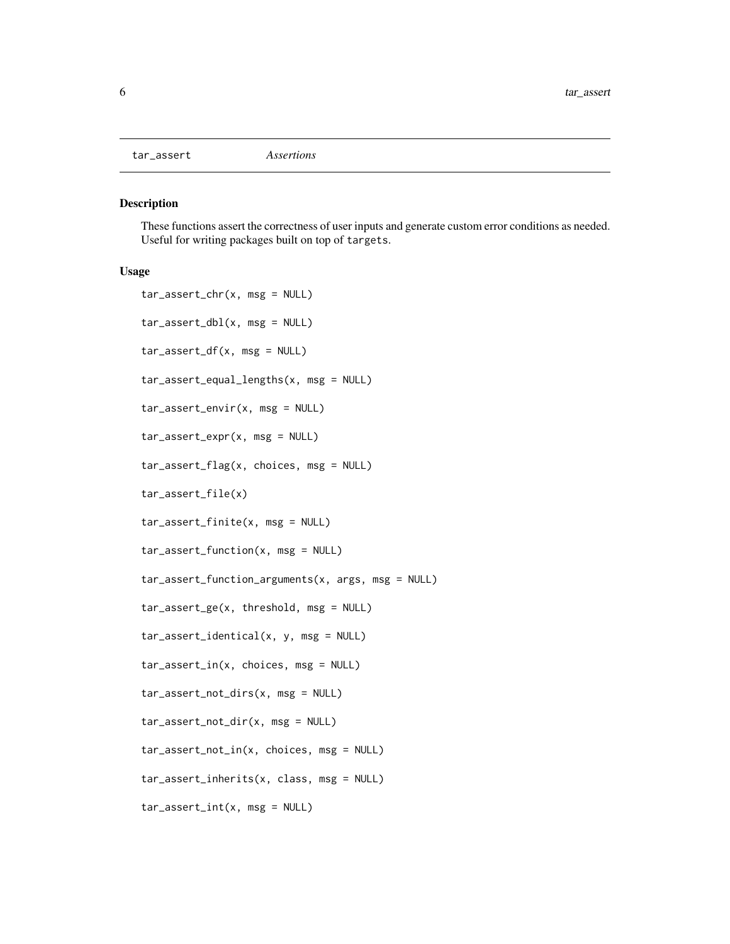<span id="page-5-1"></span><span id="page-5-0"></span>

#### Description

These functions assert the correctness of user inputs and generate custom error conditions as needed. Useful for writing packages built on top of targets.

```
tar_assert_chr(x, msg = NULL)
tar_assert_dbl(x, msg = NULL)
tar_assert_df(x, msg = NULL)
tar_assert_equal_lengths(x, msg = NULL)
tar_assert_envir(x, msg = NULL)
tar_assert_expr(x, msg = NULL)
tar_assert_flag(x, choices, msg = NULL)
tar_assert_file(x)
tar_assert_finite(x, msg = NULL)
tar_assert_function(x, msg = NULL)
tar_assert_function_arguments(x, args, msg = NULL)
tar_assert_ge(x, threshold, msg = NULL)
tar_assert_identical(x, y, msg = NULL)
tar_assert_in(x, choices, msg = NULL)
tar_assert_not_dirs(x, msg = NULL)
tar_assert_not_dir(x, msg = NULL)
tar_assert_not_in(x, choices, msg = NULL)
tar_assert_inherits(x, class, msg = NULL)
tar_assert_int(x, msg = NULL)
```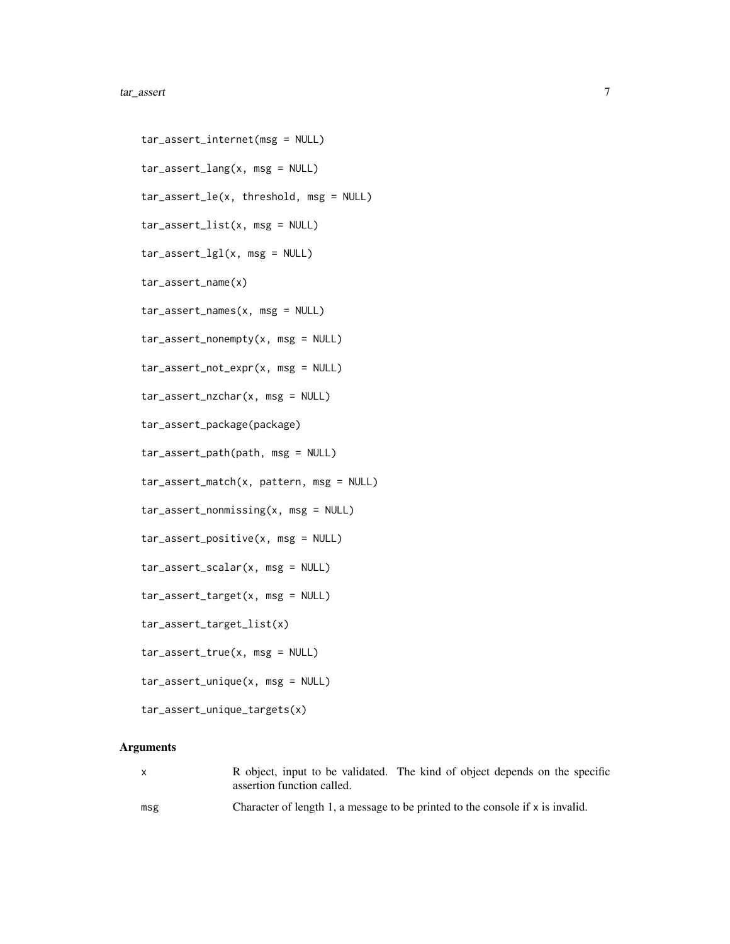#### tar\_assert 7

tar\_assert\_internet(msg = NULL) tar\_assert\_lang(x, msg = NULL) tar\_assert\_le(x, threshold, msg = NULL) tar\_assert\_list(x, msg = NULL) tar\_assert\_lgl(x, msg = NULL) tar\_assert\_name(x) tar\_assert\_names(x, msg = NULL) tar\_assert\_nonempty(x, msg = NULL) tar\_assert\_not\_expr(x, msg = NULL) tar\_assert\_nzchar(x, msg = NULL) tar\_assert\_package(package) tar\_assert\_path(path, msg = NULL) tar\_assert\_match(x, pattern, msg = NULL) tar\_assert\_nonmissing(x, msg = NULL) tar\_assert\_positive(x, msg = NULL) tar\_assert\_scalar(x, msg = NULL) tar\_assert\_target(x, msg = NULL) tar\_assert\_target\_list(x) tar\_assert\_true(x, msg = NULL) tar\_assert\_unique(x, msg = NULL)

tar\_assert\_unique\_targets(x)

# Arguments

| $\mathsf{x}$ | R object, input to be validated. The kind of object depends on the specific<br>assertion function called. |
|--------------|-----------------------------------------------------------------------------------------------------------|
| msg          | Character of length 1, a message to be printed to the console if $x$ is invalid.                          |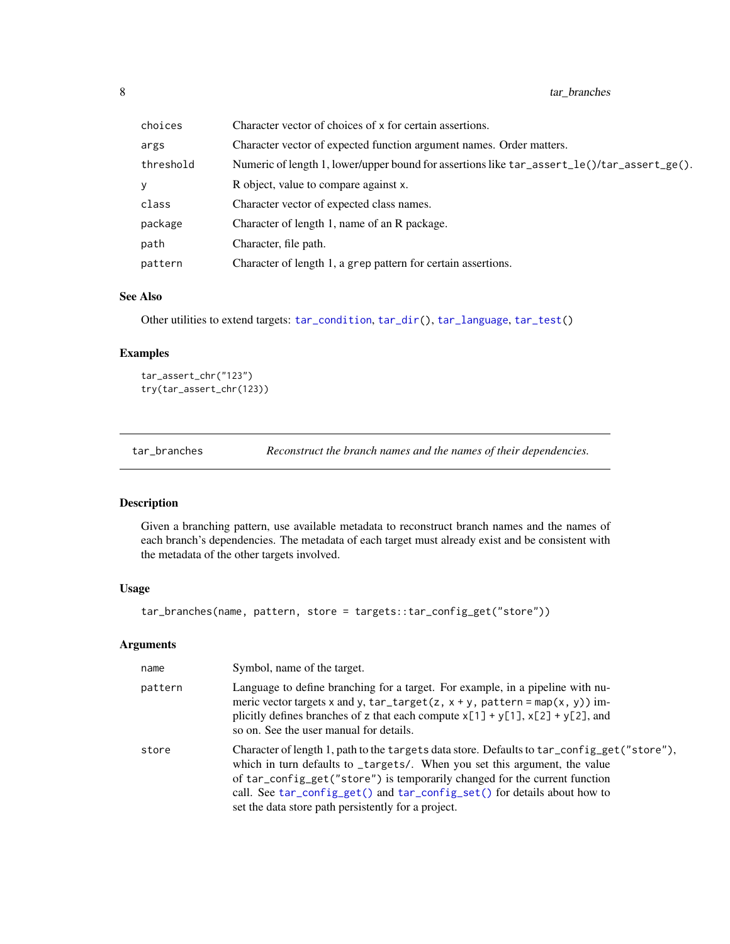<span id="page-7-0"></span>

| choices   | Character vector of choices of x for certain assertions.                                    |
|-----------|---------------------------------------------------------------------------------------------|
| args      | Character vector of expected function argument names. Order matters.                        |
| threshold | Numeric of length 1, lower/upper bound for assertions like tar_assert_le()/tar_assert_ge(). |
| у         | R object, value to compare against x.                                                       |
| class     | Character vector of expected class names.                                                   |
| package   | Character of length 1, name of an R package.                                                |
| path      | Character, file path.                                                                       |
| pattern   | Character of length 1, a grep pattern for certain assertions.                               |

#### See Also

Other utilities to extend targets: [tar\\_condition](#page-15-1), [tar\\_dir\(](#page-29-1)), [tar\\_language](#page-51-1), [tar\\_test\(](#page-139-1))

# Examples

```
tar_assert_chr("123")
try(tar_assert_chr(123))
```
<span id="page-7-1"></span>tar\_branches *Reconstruct the branch names and the names of their dependencies.*

# Description

Given a branching pattern, use available metadata to reconstruct branch names and the names of each branch's dependencies. The metadata of each target must already exist and be consistent with the metadata of the other targets involved.

# Usage

tar\_branches(name, pattern, store = targets::tar\_config\_get("store"))

### Arguments

| name    | Symbol, name of the target.                                                                                                                                                                                                                                                                                                                                                                |
|---------|--------------------------------------------------------------------------------------------------------------------------------------------------------------------------------------------------------------------------------------------------------------------------------------------------------------------------------------------------------------------------------------------|
| pattern | Language to define branching for a target. For example, in a pipeline with nu-<br>meric vector targets x and y, tar_target(z, $x + y$ , pattern = map(x, y)) im-<br>plicitly defines branches of z that each compute $x[1] + y[1]$ , $x[2] + y[2]$ , and<br>so on. See the user manual for details.                                                                                        |
| store   | Character of length 1, path to the targets data store. Defaults to tar_config_get("store"),<br>which in turn defaults to _targets/. When you set this argument, the value<br>of tar_config_get("store") is temporarily changed for the current function<br>call. See tar_config_get() and tar_config_set() for details about how to<br>set the data store path persistently for a project. |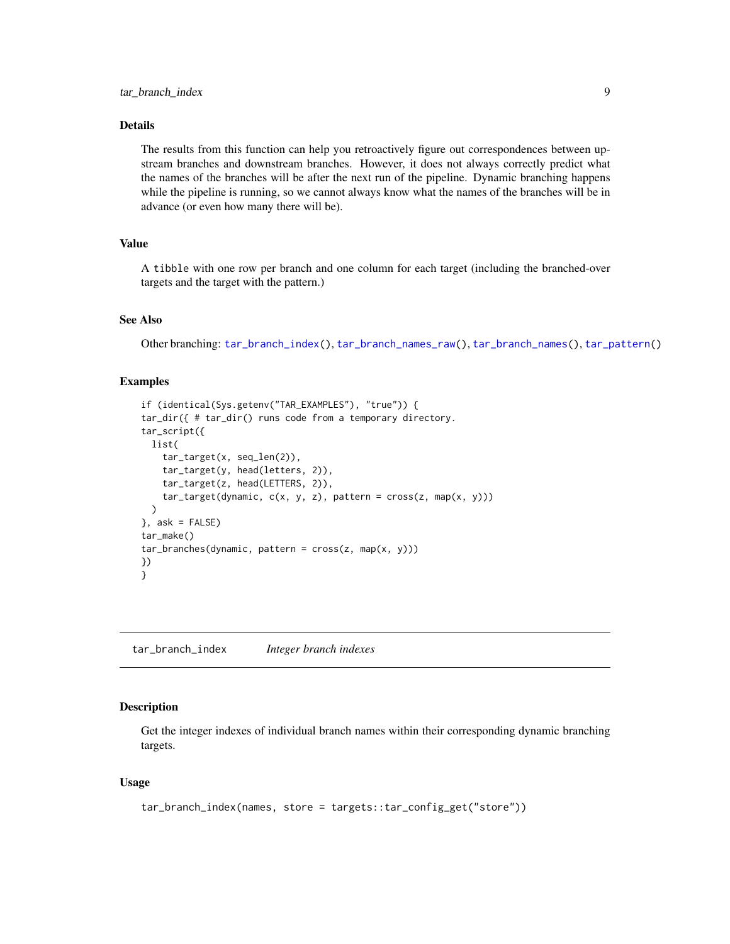# <span id="page-8-0"></span>Details

The results from this function can help you retroactively figure out correspondences between upstream branches and downstream branches. However, it does not always correctly predict what the names of the branches will be after the next run of the pipeline. Dynamic branching happens while the pipeline is running, so we cannot always know what the names of the branches will be in advance (or even how many there will be).

# Value

A tibble with one row per branch and one column for each target (including the branched-over targets and the target with the pattern.)

#### See Also

Other branching: [tar\\_branch\\_index\(](#page-8-1)), [tar\\_branch\\_names\\_raw\(](#page-10-1)), [tar\\_branch\\_names\(](#page-9-1)), [tar\\_pattern\(](#page-92-1))

# Examples

```
if (identical(Sys.getenv("TAR_EXAMPLES"), "true")) {
tar_dir({ # tar_dir() runs code from a temporary directory.
tar_script({
 list(
    tar_target(x, seq_len(2)),
   tar_target(y, head(letters, 2)),
   tar_target(z, head(LETTERS, 2)),
    tar\_target(dynamic, c(x, y, z), pattern = cross(z, map(x, y))))
}, ask = FALSE)
tar_make()
tar_branches(dynamic, pattern = cross(z, map(x, y)))
})
}
```
<span id="page-8-1"></span>tar\_branch\_index *Integer branch indexes*

# Description

Get the integer indexes of individual branch names within their corresponding dynamic branching targets.

```
tar_branch_index(names, store = targets::tar_config_get("store"))
```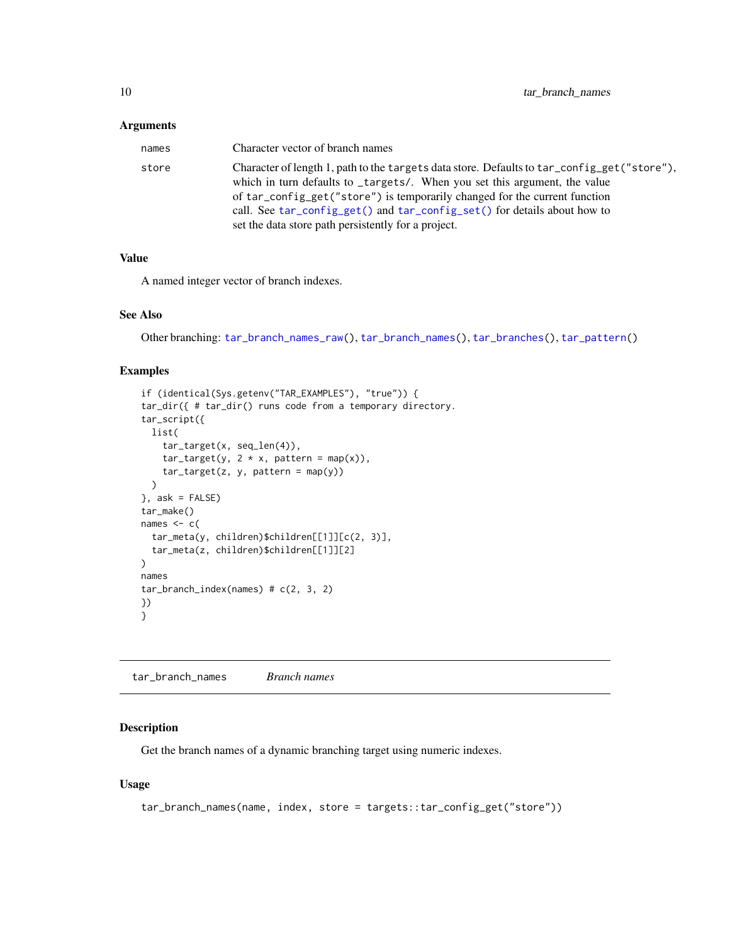<span id="page-9-0"></span>

| names | Character vector of branch names                                                                                                                                          |
|-------|---------------------------------------------------------------------------------------------------------------------------------------------------------------------------|
| store | Character of length 1, path to the targets data store. Defaults to tar_config_get("store"),<br>which in turn defaults to _targets/. When you set this argument, the value |
|       | of tar_config_get("store") is temporarily changed for the current function                                                                                                |
|       | call. See tar_config_get() and tar_config_set() for details about how to<br>set the data store path persistently for a project.                                           |

#### Value

A named integer vector of branch indexes.

# See Also

Other branching: [tar\\_branch\\_names\\_raw\(](#page-10-1)), [tar\\_branch\\_names\(](#page-9-1)), [tar\\_branches\(](#page-7-1)), [tar\\_pattern\(](#page-92-1))

#### Examples

```
if (identical(Sys.getenv("TAR_EXAMPLES"), "true")) {
tar_dir({ # tar_dir() runs code from a temporary directory.
tar_script({
  list(
    tar_target(x, seq_len(4)),
   tar\_target(y, 2 * x, pattern = map(x)),tar\_target(z, y, pattern = map(y)))
}, ask = FALSE)
tar_make()
names <-c(tar_meta(y, children)$children[[1]][c(2, 3)],
  tar_meta(z, children)$children[[1]][2]
\mathcal{L}names
tar_branch_index(names) # c(2, 3, 2)
})
}
```
<span id="page-9-1"></span>tar\_branch\_names *Branch names*

# Description

Get the branch names of a dynamic branching target using numeric indexes.

```
tar_branch_names(name, index, store = targets::tar_config_get("store"))
```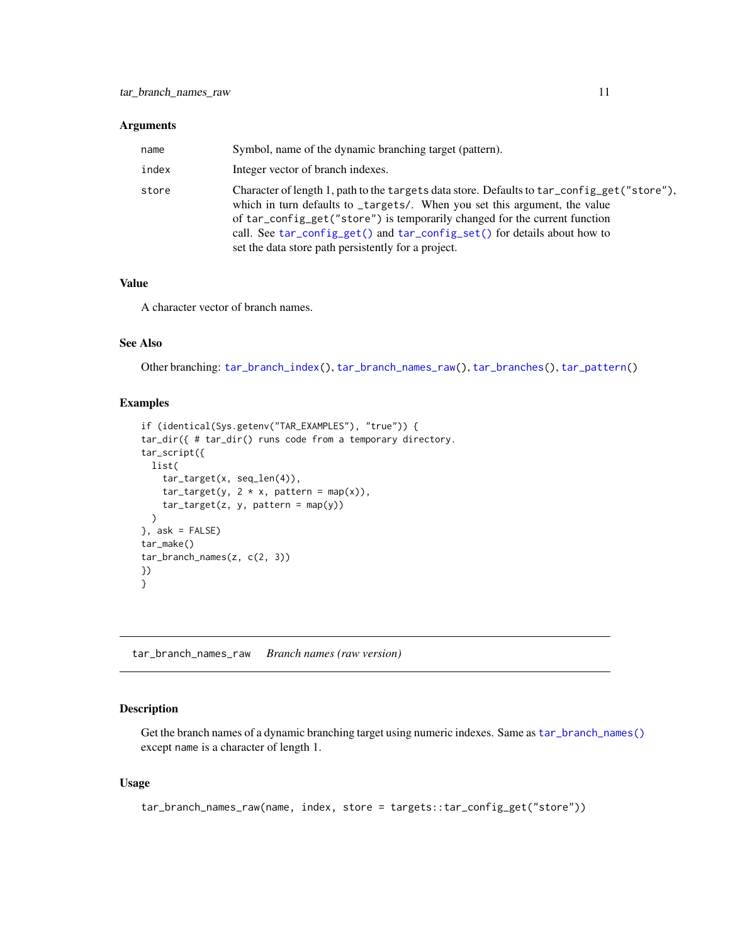<span id="page-10-0"></span>

| name  | Symbol, name of the dynamic branching target (pattern).                                                                                                                                                                                                                                                                                                                                    |
|-------|--------------------------------------------------------------------------------------------------------------------------------------------------------------------------------------------------------------------------------------------------------------------------------------------------------------------------------------------------------------------------------------------|
| index | Integer vector of branch indexes.                                                                                                                                                                                                                                                                                                                                                          |
| store | Character of length 1, path to the targets data store. Defaults to tar_config_get("store"),<br>which in turn defaults to _targets/. When you set this argument, the value<br>of tar_config_get("store") is temporarily changed for the current function<br>call. See tar_config_get() and tar_config_set() for details about how to<br>set the data store path persistently for a project. |

# Value

A character vector of branch names.

### See Also

Other branching: [tar\\_branch\\_index\(](#page-8-1)), [tar\\_branch\\_names\\_raw\(](#page-10-1)), [tar\\_branches\(](#page-7-1)), [tar\\_pattern\(](#page-92-1))

#### Examples

```
if (identical(Sys.getenv("TAR_EXAMPLES"), "true")) {
tar_dir({ # tar_dir() runs code from a temporary directory.
tar_script({
 list(
    tar_target(x, seq_len(4)),
    tar\_target(y, 2 * x, pattern = map(x)),tar\_target(z, y, pattern = map(y)))
}, ask = FALSE)
tar_make()
tar_branch_names(z, c(2, 3))
})
}
```
<span id="page-10-1"></span>tar\_branch\_names\_raw *Branch names (raw version)*

# Description

Get the branch names of a dynamic branching target using numeric indexes. Same as [tar\\_branch\\_names\(\)](#page-9-1) except name is a character of length 1.

```
tar_branch_names_raw(name, index, store = targets::tar_config_get("store"))
```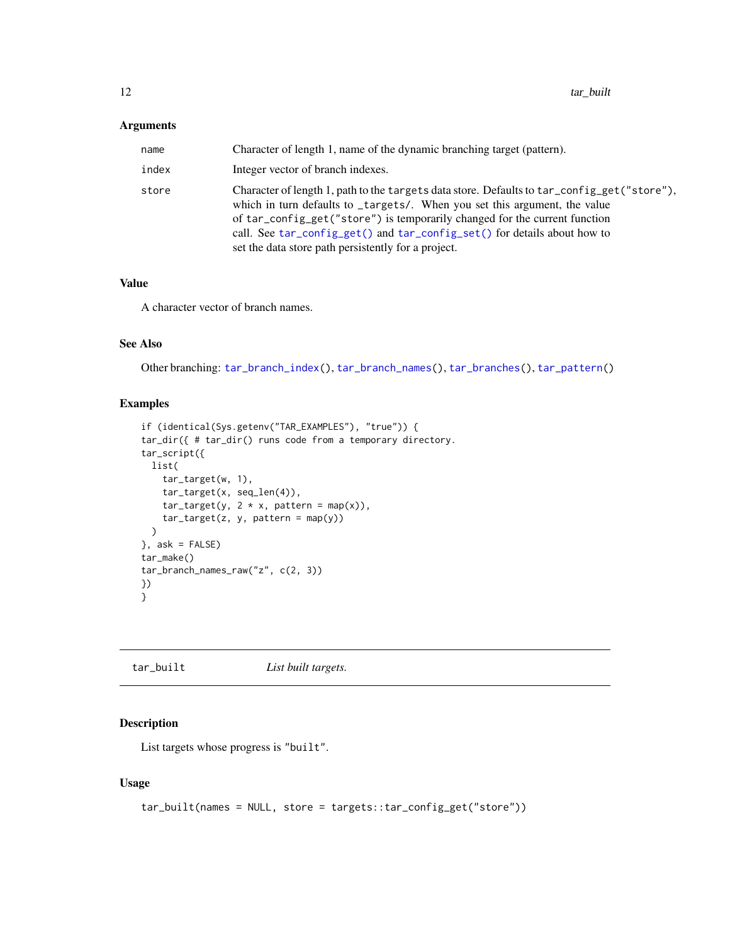<span id="page-11-0"></span>

| name  | Character of length 1, name of the dynamic branching target (pattern).                                                                                                                                                                                                                                                                                                                     |
|-------|--------------------------------------------------------------------------------------------------------------------------------------------------------------------------------------------------------------------------------------------------------------------------------------------------------------------------------------------------------------------------------------------|
| index | Integer vector of branch indexes.                                                                                                                                                                                                                                                                                                                                                          |
| store | Character of length 1, path to the targets data store. Defaults to tar_config_get("store"),<br>which in turn defaults to _targets/. When you set this argument, the value<br>of tar_config_get("store") is temporarily changed for the current function<br>call. See tar_config_get() and tar_config_set() for details about how to<br>set the data store path persistently for a project. |

# Value

A character vector of branch names.

# See Also

Other branching: [tar\\_branch\\_index\(](#page-8-1)), [tar\\_branch\\_names\(](#page-9-1)), [tar\\_branches\(](#page-7-1)), [tar\\_pattern\(](#page-92-1))

# Examples

```
if (identical(Sys.getenv("TAR_EXAMPLES"), "true")) {
tar_dir({ # tar_dir() runs code from a temporary directory.
tar_script({
 list(
   tar_target(w, 1),
   tar_target(x, seq_len(4)),
   tar\_target(y, 2 * x, pattern = map(x)),tar\_target(z, y, pattern = map(y)))
}, ask = FALSE)
tar_make()
tar_branch_names_raw("z", c(2, 3))
})
}
```
<span id="page-11-1"></span>tar\_built *List built targets.*

#### Description

List targets whose progress is "built".

```
tar_built(names = NULL, store = targets::tar_config_get("store"))
```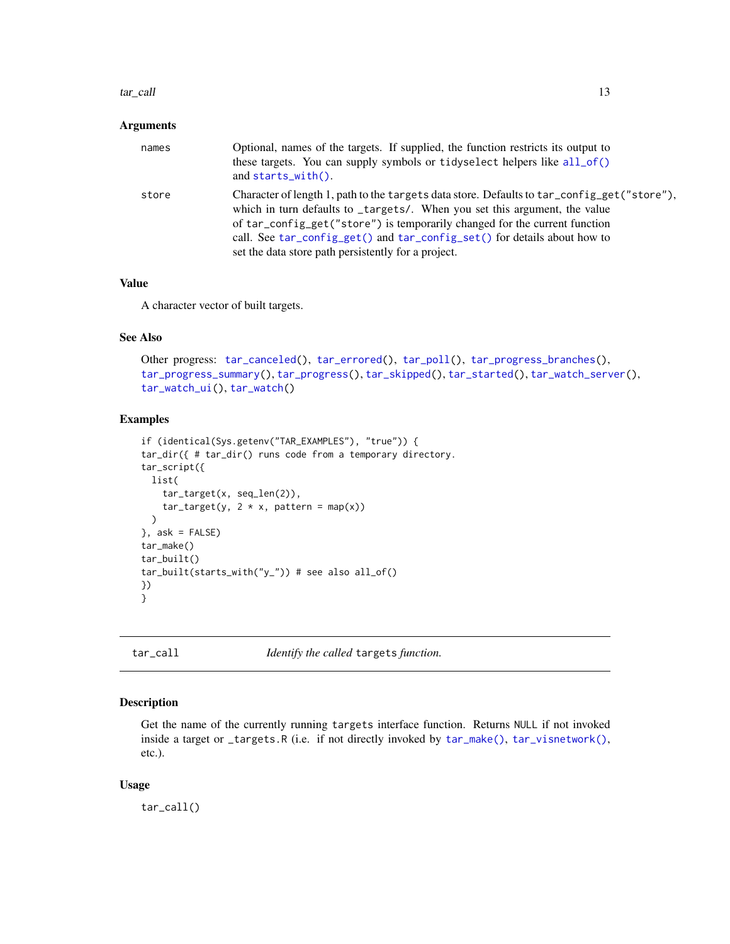#### <span id="page-12-0"></span>tar\_call 13

#### **Arguments**

| names | Optional, names of the targets. If supplied, the function restricts its output to<br>these targets. You can supply symbols or tidyselect helpers like all_of()<br>and $starts\_with()$ .                                                                                                                                                                                                   |
|-------|--------------------------------------------------------------------------------------------------------------------------------------------------------------------------------------------------------------------------------------------------------------------------------------------------------------------------------------------------------------------------------------------|
| store | Character of length 1, path to the targets data store. Defaults to tar_config_get("store"),<br>which in turn defaults to _targets/. When you set this argument, the value<br>of tar_config_get("store") is temporarily changed for the current function<br>call. See tar_config_get() and tar_config_set() for details about how to<br>set the data store path persistently for a project. |

# Value

A character vector of built targets.

# See Also

```
Other progress: tar_canceled(), tar_errored(), tar_poll(), tar_progress_branches(),
tar_progress_summary(), tar_progress(), tar_skipped(), tar_started(), tar_watch_server(),
tar_watch_ui(), tar_watch()
```
# Examples

```
if (identical(Sys.getenv("TAR_EXAMPLES"), "true")) {
tar_dir({ # tar_dir() runs code from a temporary directory.
tar_script({
 list(
    tar_target(x, seq_len(2)),
    tar\_target(y, 2 * x, pattern = map(x))\lambda}, ask = FALSE)
tar_make()
tar_built()
tar_built(starts_with("y_")) # see also all_of()
})
}
```
<span id="page-12-1"></span>tar\_call *Identify the called* targets *function.*

# Description

Get the name of the currently running targets interface function. Returns NULL if not invoked inside a target or \_targets.R (i.e. if not directly invoked by [tar\\_make\(\)](#page-58-1), [tar\\_visnetwork\(\)](#page-147-1), etc.).

#### Usage

tar\_call()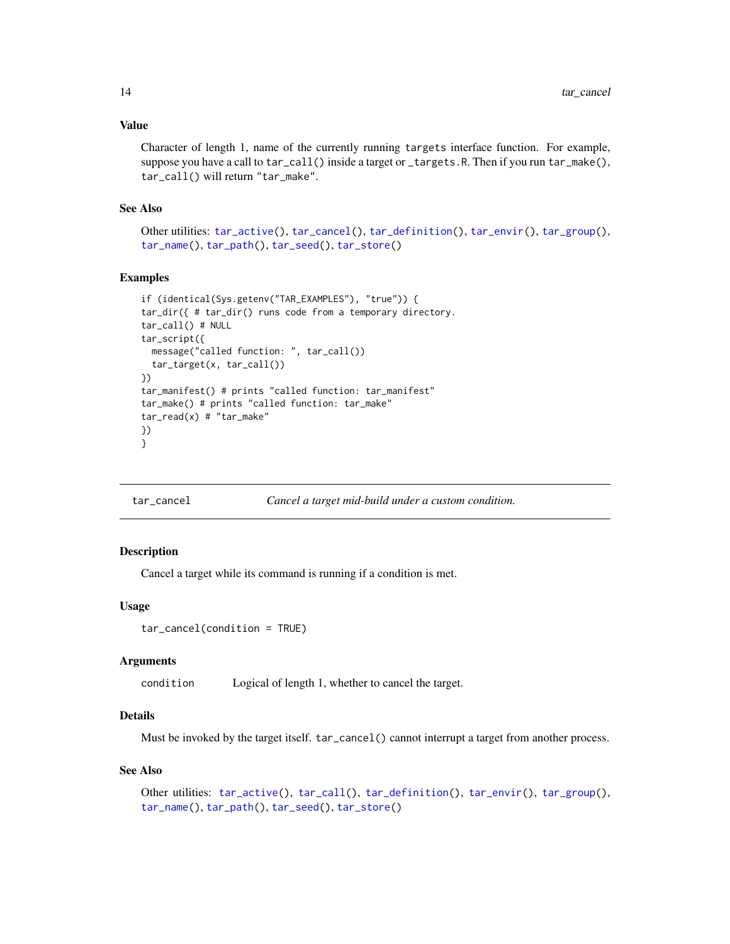# <span id="page-13-0"></span>Value

Character of length 1, name of the currently running targets interface function. For example, suppose you have a call to tar\_call() inside a target or \_targets.R. Then if you run tar\_make(), tar\_call() will return "tar\_make".

# See Also

Other utilities: [tar\\_active\(](#page-4-1)), [tar\\_cancel\(](#page-13-1)), [tar\\_definition\(](#page-24-1)), [tar\\_envir\(](#page-32-1)), [tar\\_group\(](#page-45-1)), [tar\\_name\(](#page-73-1)), [tar\\_path\(](#page-91-1)), [tar\\_seed\(](#page-123-1)), [tar\\_store\(](#page-129-1))

#### Examples

```
if (identical(Sys.getenv("TAR_EXAMPLES"), "true")) {
tar_dir({ # tar_dir() runs code from a temporary directory.
tar_call() # NULL
tar_script({
  message("called function: ", tar_call())
  tar_target(x, tar_call())
})
tar_manifest() # prints "called function: tar_manifest"
tar_make() # prints "called function: tar_make"
tar_read(x) # "tar_make"
})
}
```
<span id="page-13-1"></span>tar\_cancel *Cancel a target mid-build under a custom condition.*

# Description

Cancel a target while its command is running if a condition is met.

# Usage

```
tar_cancel(condition = TRUE)
```
# Arguments

condition Logical of length 1, whether to cancel the target.

# Details

Must be invoked by the target itself. tar\_cancel() cannot interrupt a target from another process.

#### See Also

```
Other utilities: tar_active(), tar_call(), tar_definition(), tar_envir(), tar_group(),
tar_name(), tar_path(), tar_seed(), tar_store()
```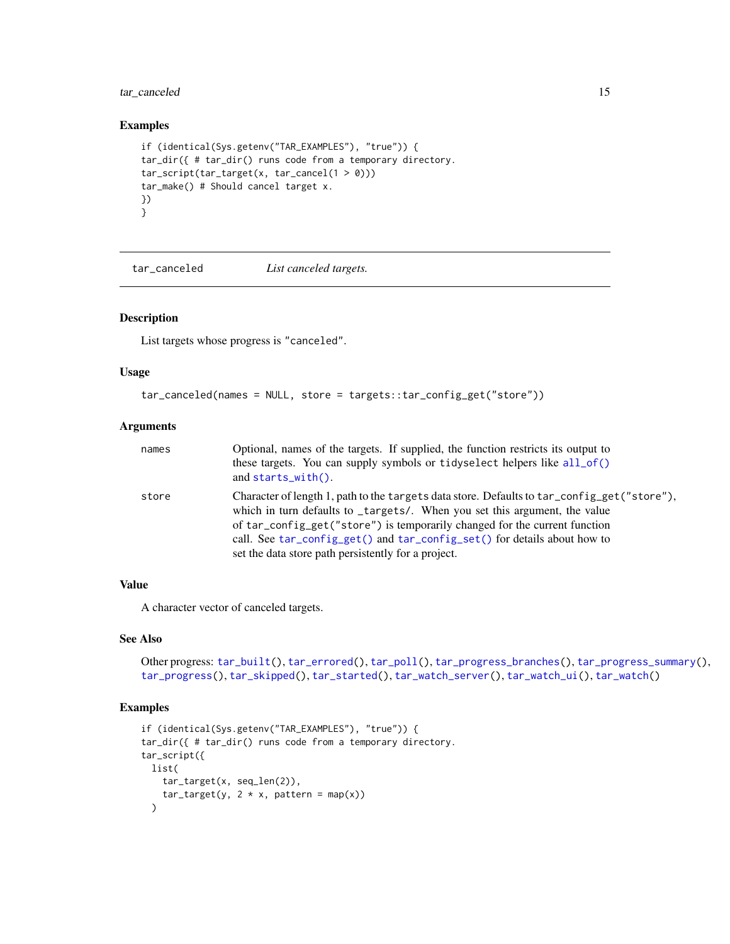# <span id="page-14-0"></span>tar\_canceled 15

#### Examples

```
if (identical(Sys.getenv("TAR_EXAMPLES"), "true")) {
tar_dir({ # tar_dir() runs code from a temporary directory.
tar\_script(tar\_target(x, tar\_cancel(1 > 0)))tar_make() # Should cancel target x.
})
}
```
<span id="page-14-1"></span>tar\_canceled *List canceled targets.*

#### Description

List targets whose progress is "canceled".

# Usage

```
tar_canceled(names = NULL, store = targets::tar_config_get("store"))
```
# Arguments

| names | Optional, names of the targets. If supplied, the function restricts its output to                                                                                                                                                                                                                                                   |
|-------|-------------------------------------------------------------------------------------------------------------------------------------------------------------------------------------------------------------------------------------------------------------------------------------------------------------------------------------|
|       | these targets. You can supply symbols or tidyselect helpers like all_of()<br>and $starts\_with()$ .                                                                                                                                                                                                                                 |
| store | Character of length 1, path to the targets data store. Defaults to tar_config_get("store"),<br>which in turn defaults to _targets/. When you set this argument, the value<br>of tar_config_get("store") is temporarily changed for the current function<br>call. See tar_config_get() and tar_config_set() for details about how to |
|       | set the data store path persistently for a project.                                                                                                                                                                                                                                                                                 |

# Value

A character vector of canceled targets.

# See Also

```
Other progress: tar_built(), tar_errored(), tar_poll(), tar_progress_branches(), tar_progress_summary(),
tar_progress(), tar_skipped(), tar_started(), tar_watch_server(), tar_watch_ui(), tar_watch()
```
# Examples

```
if (identical(Sys.getenv("TAR_EXAMPLES"), "true")) {
tar_dir({ # tar_dir() runs code from a temporary directory.
tar_script({
 list(
    tar_target(x, seq_len(2)),
    tar\_target(y, 2 * x, pattern = map(x)))
```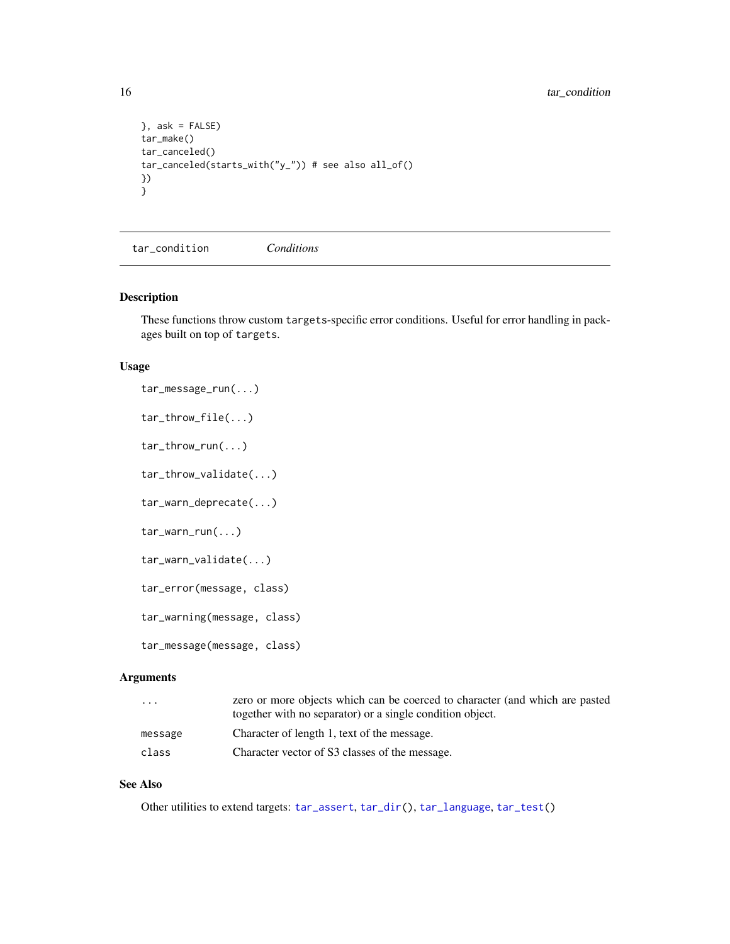```
}, ask = FALSE)
tar_make()
tar_canceled()
tar_canceled(starts_with("y_")) # see also all_of()
})
}
```
<span id="page-15-1"></span>tar\_condition *Conditions*

#### Description

These functions throw custom targets-specific error conditions. Useful for error handling in packages built on top of targets.

### Usage

```
tar_message_run(...)
tar_throw_file(...)
tar_throw_run(...)
tar_throw_validate(...)
tar_warn_deprecate(...)
tar_warn_run(...)
tar_warn_validate(...)
tar_error(message, class)
tar_warning(message, class)
tar_message(message, class)
```
#### Arguments

| $\cdots$ | zero or more objects which can be coerced to character (and which are pasted<br>together with no separator) or a single condition object. |
|----------|-------------------------------------------------------------------------------------------------------------------------------------------|
| message  | Character of length 1, text of the message.                                                                                               |
| class    | Character vector of S3 classes of the message.                                                                                            |

# See Also

Other utilities to extend targets: [tar\\_assert](#page-5-1), [tar\\_dir\(](#page-29-1)), [tar\\_language](#page-51-1), [tar\\_test\(](#page-139-1))

<span id="page-15-0"></span>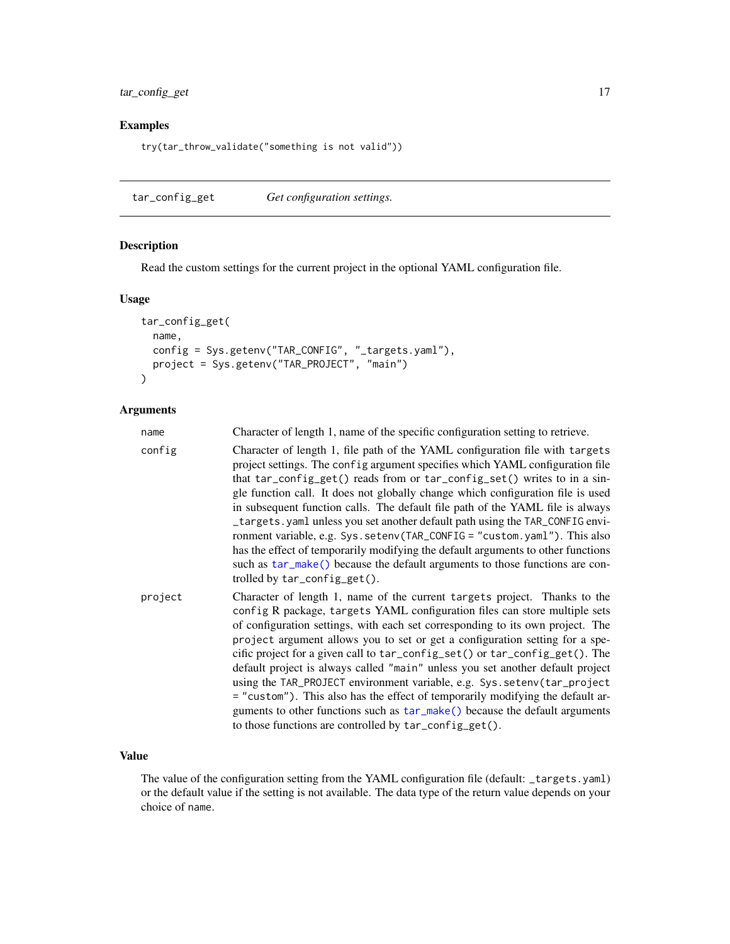<span id="page-16-0"></span>tar\_config\_get 17

# Examples

try(tar\_throw\_validate("something is not valid"))

<span id="page-16-1"></span>tar\_config\_get *Get configuration settings.*

# Description

Read the custom settings for the current project in the optional YAML configuration file.

#### Usage

```
tar_config_get(
 name,
  config = Sys.getenv("TAR_CONFIG", "_targets.yaml"),
  project = Sys.getenv("TAR_PROJECT", "main")
)
```
# Arguments

| name    | Character of length 1, name of the specific configuration setting to retrieve.                                                                                                                                                                                                                                                                                                                                                                                                                                                                                                                                                                                                                                                                                                                       |
|---------|------------------------------------------------------------------------------------------------------------------------------------------------------------------------------------------------------------------------------------------------------------------------------------------------------------------------------------------------------------------------------------------------------------------------------------------------------------------------------------------------------------------------------------------------------------------------------------------------------------------------------------------------------------------------------------------------------------------------------------------------------------------------------------------------------|
| config  | Character of length 1, file path of the YAML configuration file with targets<br>project settings. The config argument specifies which YAML configuration file<br>that tar_config_get() reads from or tar_config_set() writes to in a sin-<br>gle function call. It does not globally change which configuration file is used<br>in subsequent function calls. The default file path of the YAML file is always<br>_targets.yaml unless you set another default path using the TAR_CONFIG envi-<br>ronment variable, e.g. Sys. setenv(TAR_CONFIG = "custom. yaml"). This also<br>has the effect of temporarily modifying the default arguments to other functions<br>such as tar_make() because the default arguments to those functions are con-<br>trolled by $tar\_config\_get()$ .                |
| project | Character of length 1, name of the current targets project. Thanks to the<br>config R package, targets YAML configuration files can store multiple sets<br>of configuration settings, with each set corresponding to its own project. The<br>project argument allows you to set or get a configuration setting for a spe-<br>cific project for a given call to tar_config_set() or tar_config_get(). The<br>default project is always called "main" unless you set another default project<br>using the TAR_PROJECT environment variable, e.g. Sys. setenv(tar_project<br>= "custom"). This also has the effect of temporarily modifying the default ar-<br>guments to other functions such as $tar\_make()$ because the default arguments<br>to those functions are controlled by tar_config_get(). |

# Value

The value of the configuration setting from the YAML configuration file (default: \_targets.yaml) or the default value if the setting is not available. The data type of the return value depends on your choice of name.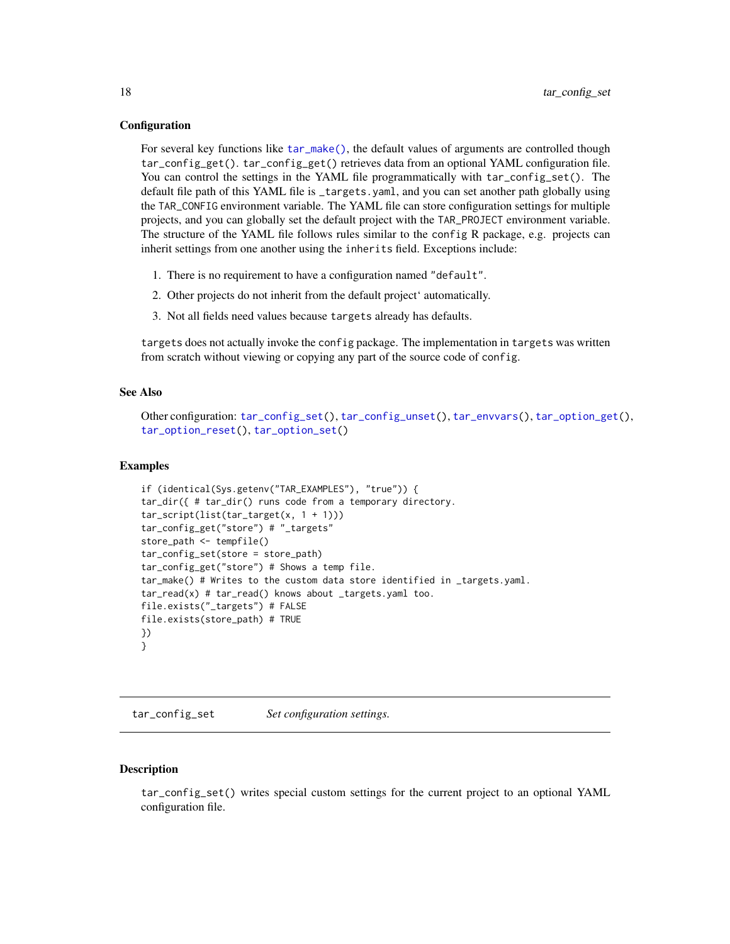#### <span id="page-17-0"></span>**Configuration**

For several key functions like [tar\\_make\(\)](#page-58-1), the default values of arguments are controlled though tar\_config\_get(). tar\_config\_get() retrieves data from an optional YAML configuration file. You can control the settings in the YAML file programmatically with tar\_config\_set(). The default file path of this YAML file is \_targets.yaml, and you can set another path globally using the TAR\_CONFIG environment variable. The YAML file can store configuration settings for multiple projects, and you can globally set the default project with the TAR\_PROJECT environment variable. The structure of the YAML file follows rules similar to the config R package, e.g. projects can inherit settings from one another using the inherits field. Exceptions include:

- 1. There is no requirement to have a configuration named "default".
- 2. Other projects do not inherit from the default project' automatically.
- 3. Not all fields need values because targets already has defaults.

targets does not actually invoke the config package. The implementation in targets was written from scratch without viewing or copying any part of the source code of config.

#### See Also

```
Other configuration: tar_config_set(), tar_config_unset(), tar_envvars(), tar_option_get(),
tar_option_reset(), tar_option_set()
```
#### Examples

```
if (identical(Sys.getenv("TAR_EXAMPLES"), "true")) {
tar_dir({ # tar_dir() runs code from a temporary directory.
tar_script(list(tar_target(x, 1 + 1)))
tar_config_get("store") # "_targets"
store_path <- tempfile()
tar_config_set(store = store_path)
tar_config_get("store") # Shows a temp file.
tar_make() # Writes to the custom data store identified in _targets.yaml.
tar_read(x) # tar_read() knows about _targets.yaml too.
file.exists("_targets") # FALSE
file.exists(store_path) # TRUE
})
}
```
<span id="page-17-1"></span>tar\_config\_set *Set configuration settings.*

#### Description

tar\_config\_set() writes special custom settings for the current project to an optional YAML configuration file.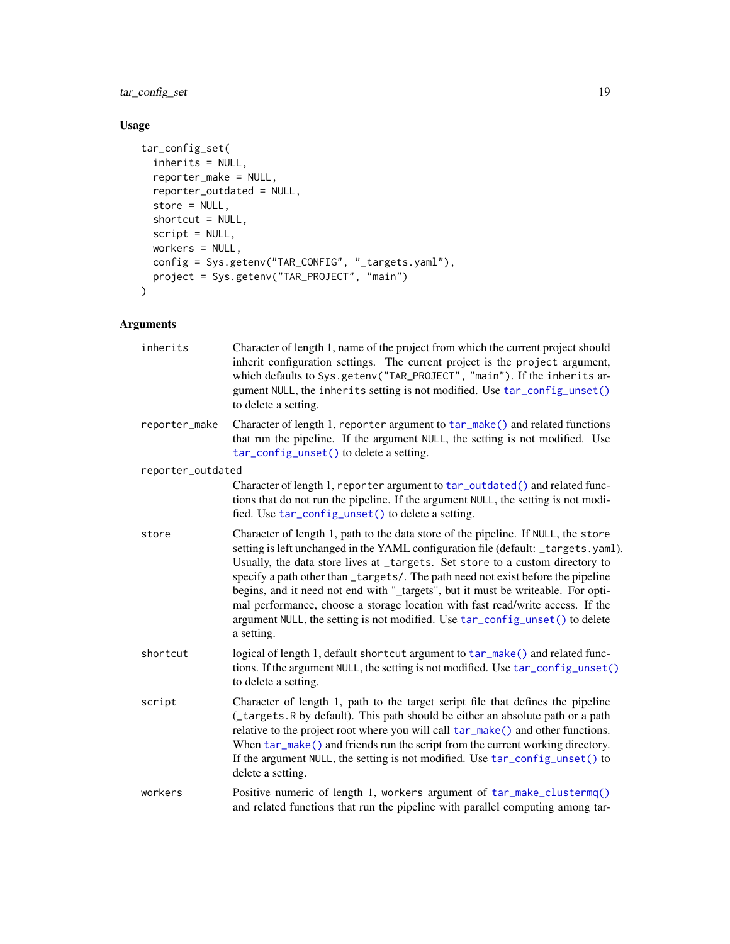tar\_config\_set 19

# Usage

```
tar_config_set(
 inherits = NULL,
 reporter_make = NULL,
 reporter_outdated = NULL,
 store = NULL,
  shortcut = NULL,
 script = NULL,
 workers = NULL,
  config = Sys.getenv("TAR_CONFIG", "_targets.yaml"),
  project = Sys.getenv("TAR_PROJECT", "main")
)
```
# Arguments

| inherits          | Character of length 1, name of the project from which the current project should<br>inherit configuration settings. The current project is the project argument,<br>which defaults to Sys.getenv("TAR_PROJECT", "main"). If the inherits ar-<br>gument NULL, the inherits setting is not modified. Use tar_config_unset()<br>to delete a setting.                                                                                                                                                                                                                                                                |
|-------------------|------------------------------------------------------------------------------------------------------------------------------------------------------------------------------------------------------------------------------------------------------------------------------------------------------------------------------------------------------------------------------------------------------------------------------------------------------------------------------------------------------------------------------------------------------------------------------------------------------------------|
| reporter_make     | Character of length 1, reporter argument to tar_make() and related functions<br>that run the pipeline. If the argument NULL, the setting is not modified. Use<br>tar_config_unset() to delete a setting.                                                                                                                                                                                                                                                                                                                                                                                                         |
| reporter_outdated |                                                                                                                                                                                                                                                                                                                                                                                                                                                                                                                                                                                                                  |
|                   | Character of length 1, reporter argument to tar_outdated() and related func-<br>tions that do not run the pipeline. If the argument NULL, the setting is not modi-<br>fied. Use tar_config_unset() to delete a setting.                                                                                                                                                                                                                                                                                                                                                                                          |
| store             | Character of length 1, path to the data store of the pipeline. If NULL, the store<br>setting is left unchanged in the YAML configuration file (default: _targets.yaml).<br>Usually, the data store lives at _targets. Set store to a custom directory to<br>specify a path other than _targets/. The path need not exist before the pipeline<br>begins, and it need not end with "_targets", but it must be writeable. For opti-<br>mal performance, choose a storage location with fast read/write access. If the<br>argument NULL, the setting is not modified. Use tar_config_unset() to delete<br>a setting. |
| shortcut          | logical of length 1, default shortcut argument to tar_make() and related func-<br>tions. If the argument NULL, the setting is not modified. Use tar_config_unset()<br>to delete a setting.                                                                                                                                                                                                                                                                                                                                                                                                                       |
| script            | Character of length 1, path to the target script file that defines the pipeline<br>(_targets.R by default). This path should be either an absolute path or a path<br>relative to the project root where you will call $tar\_make()$ and other functions.<br>When tar_make() and friends run the script from the current working directory.<br>If the argument NULL, the setting is not modified. Use tar_config_unset() to<br>delete a setting.                                                                                                                                                                  |
| workers           | Positive numeric of length 1, workers argument of tar_make_clustermq()<br>and related functions that run the pipeline with parallel computing among tar-                                                                                                                                                                                                                                                                                                                                                                                                                                                         |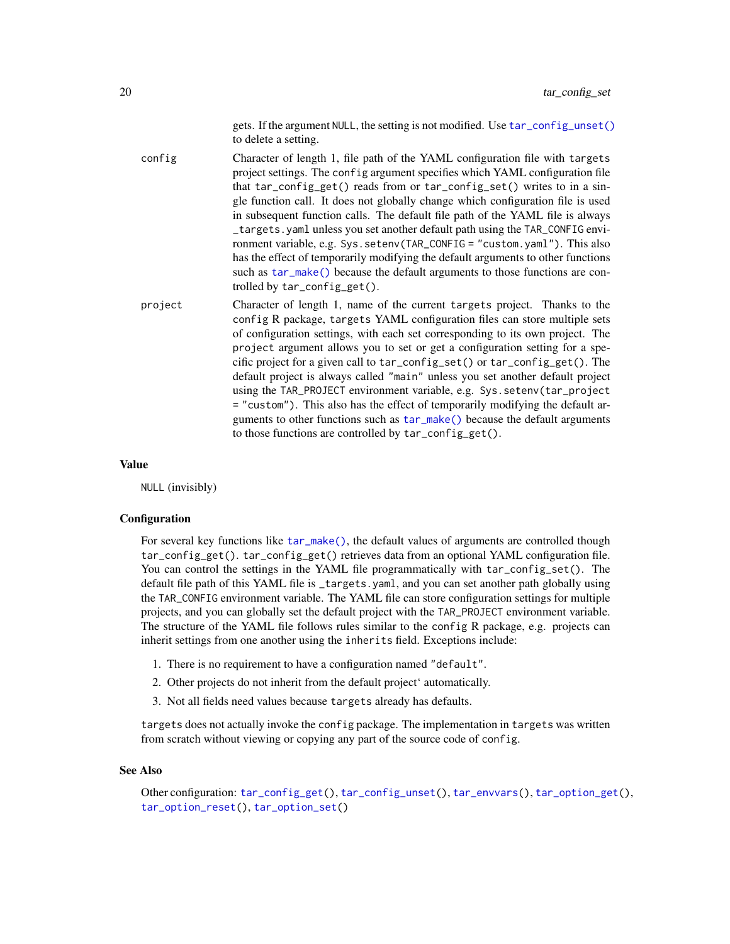gets. If the argument NULL, the setting is not modified. Use [tar\\_config\\_unset\(\)](#page-20-1) to delete a setting.

config Character of length 1, file path of the YAML configuration file with targets project settings. The config argument specifies which YAML configuration file that tar\_config\_get() reads from or tar\_config\_set() writes to in a single function call. It does not globally change which configuration file is used in subsequent function calls. The default file path of the YAML file is always \_targets.yaml unless you set another default path using the TAR\_CONFIG environment variable, e.g. Sys.setenv(TAR\_CONFIG = "custom.yaml"). This also has the effect of temporarily modifying the default arguments to other functions such as [tar\\_make\(\)](#page-58-1) because the default arguments to those functions are controlled by tar\_config\_get().

project Character of length 1, name of the current targets project. Thanks to the config R package, targets YAML configuration files can store multiple sets of configuration settings, with each set corresponding to its own project. The project argument allows you to set or get a configuration setting for a specific project for a given call to tar\_config\_set() or tar\_config\_get(). The default project is always called "main" unless you set another default project using the TAR\_PROJECT environment variable, e.g. Sys.setenv(tar\_project = "custom"). This also has the effect of temporarily modifying the default arguments to other functions such as [tar\\_make\(\)](#page-58-1) because the default arguments to those functions are controlled by tar\_config\_get().

#### Value

NULL (invisibly)

#### **Configuration**

For several key functions like [tar\\_make\(\)](#page-58-1), the default values of arguments are controlled though tar\_config\_get(). tar\_config\_get() retrieves data from an optional YAML configuration file. You can control the settings in the YAML file programmatically with tar\_config\_set(). The default file path of this YAML file is \_targets.yaml, and you can set another path globally using the TAR\_CONFIG environment variable. The YAML file can store configuration settings for multiple projects, and you can globally set the default project with the TAR\_PROJECT environment variable. The structure of the YAML file follows rules similar to the config R package, e.g. projects can inherit settings from one another using the inherits field. Exceptions include:

- 1. There is no requirement to have a configuration named "default".
- 2. Other projects do not inherit from the default project' automatically.
- 3. Not all fields need values because targets already has defaults.

targets does not actually invoke the config package. The implementation in targets was written from scratch without viewing or copying any part of the source code of config.

#### See Also

Other configuration: [tar\\_config\\_get\(](#page-16-1)), [tar\\_config\\_unset\(](#page-20-1)), [tar\\_envvars\(](#page-33-1)), [tar\\_option\\_get\(](#page-81-1)), [tar\\_option\\_reset\(](#page-82-1)), [tar\\_option\\_set\(](#page-83-1))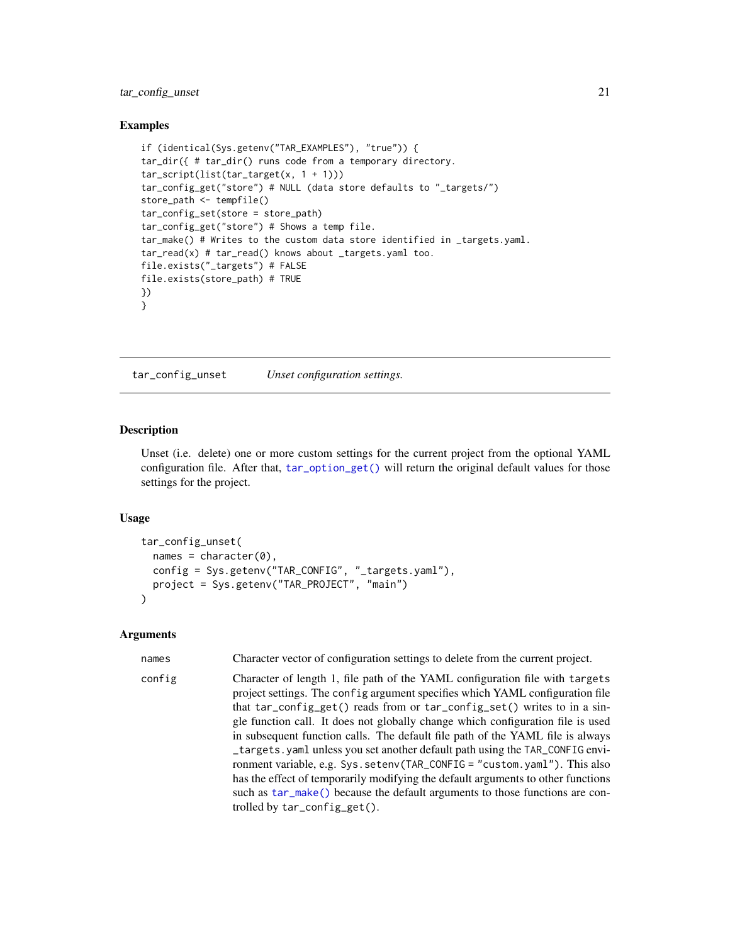# <span id="page-20-0"></span>tar\_config\_unset 21

#### Examples

```
if (identical(Sys.getenv("TAR_EXAMPLES"), "true")) {
tar_dir({ # tar_dir() runs code from a temporary directory.
tar_script(list(tar_target(x, 1 + 1)))
tar_config_get("store") # NULL (data store defaults to "_targets/")
store_path <- tempfile()
tar_config_set(store = store_path)
tar_config_get("store") # Shows a temp file.
tar_make() # Writes to the custom data store identified in _targets.yaml.
tar_read(x) # tar_read() knows about _targets.yaml too.
file.exists("_targets") # FALSE
file.exists(store_path) # TRUE
})
}
```
<span id="page-20-1"></span>tar\_config\_unset *Unset configuration settings.*

#### Description

Unset (i.e. delete) one or more custom settings for the current project from the optional YAML configuration file. After that, [tar\\_option\\_get\(\)](#page-81-1) will return the original default values for those settings for the project.

#### Usage

```
tar_config_unset(
  names = character(0),
  config = Sys.getenv("TAR_CONFIG", "_targets.yaml"),
  project = Sys.getenv("TAR_PROJECT", "main")
\lambda
```
#### Arguments

| names  | Character vector of configuration settings to delete from the current project.                                                                                                                                                                                                                                                                                                                                                                                                                                                                                                                                                                                                                                                                                                   |
|--------|----------------------------------------------------------------------------------------------------------------------------------------------------------------------------------------------------------------------------------------------------------------------------------------------------------------------------------------------------------------------------------------------------------------------------------------------------------------------------------------------------------------------------------------------------------------------------------------------------------------------------------------------------------------------------------------------------------------------------------------------------------------------------------|
| config | Character of length 1, file path of the YAML configuration file with targets<br>project settings. The config argument specifies which YAML configuration file<br>that tar_config_get() reads from or tar_config_set() writes to in a sin-<br>gle function call. It does not globally change which configuration file is used<br>in subsequent function calls. The default file path of the YAML file is always<br>_targets.yaml unless you set another default path using the TAR_CONFIG envi-<br>ronment variable, e.g. Sys. setenv(TAR_CONFIG = "custom. yaml"). This also<br>has the effect of temporarily modifying the default arguments to other functions<br>such as tar_make() because the default arguments to those functions are con-<br>trolled by tar_config_get(). |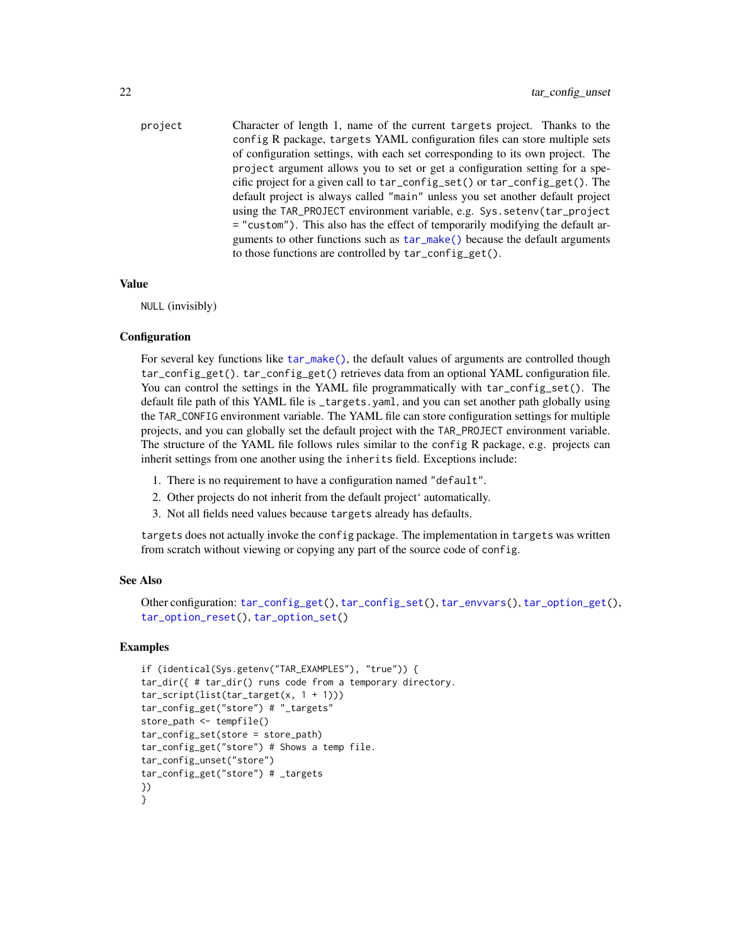project Character of length 1, name of the current targets project. Thanks to the config R package, targets YAML configuration files can store multiple sets of configuration settings, with each set corresponding to its own project. The project argument allows you to set or get a configuration setting for a specific project for a given call to tar\_config\_set() or tar\_config\_get(). The default project is always called "main" unless you set another default project using the TAR\_PROJECT environment variable, e.g. Sys.setenv(tar\_project = "custom"). This also has the effect of temporarily modifying the default arguments to other functions such as [tar\\_make\(\)](#page-58-1) because the default arguments to those functions are controlled by tar\_config\_get().

# Value

NULL (invisibly)

#### **Configuration**

For several key functions like [tar\\_make\(\)](#page-58-1), the default values of arguments are controlled though tar\_config\_get(). tar\_config\_get() retrieves data from an optional YAML configuration file. You can control the settings in the YAML file programmatically with tar\_config\_set(). The default file path of this YAML file is \_targets.yaml, and you can set another path globally using the TAR\_CONFIG environment variable. The YAML file can store configuration settings for multiple projects, and you can globally set the default project with the TAR\_PROJECT environment variable. The structure of the YAML file follows rules similar to the config R package, e.g. projects can inherit settings from one another using the inherits field. Exceptions include:

- 1. There is no requirement to have a configuration named "default".
- 2. Other projects do not inherit from the default project' automatically.
- 3. Not all fields need values because targets already has defaults.

targets does not actually invoke the config package. The implementation in targets was written from scratch without viewing or copying any part of the source code of config.

#### See Also

```
Other configuration: tar_config_get(), tar_config_set(), tar_envvars(), tar_option_get(),
tar_option_reset(), tar_option_set()
```
# Examples

```
if (identical(Sys.getenv("TAR_EXAMPLES"), "true")) {
tar_dir({ # tar_dir() runs code from a temporary directory.
tar\_script(list(tar\_target(x, 1 + 1)))tar_config_get("store") # "_targets"
store_path <- tempfile()
tar_config_set(store = store_path)
tar_config_get("store") # Shows a temp file.
tar_config_unset("store")
tar_config_get("store") # _targets
})
}
```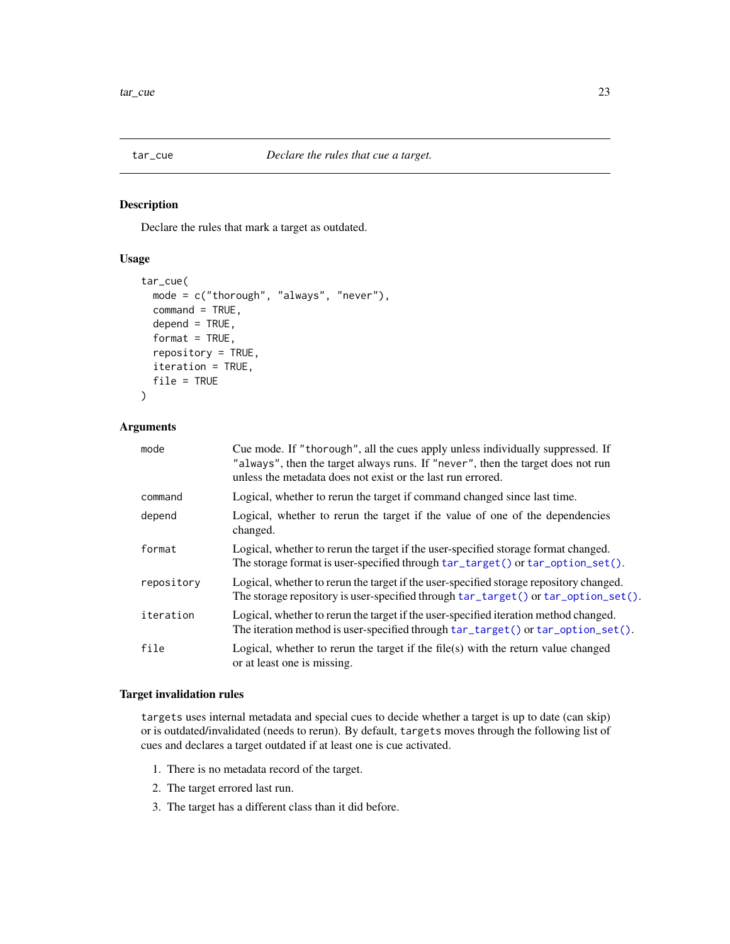<span id="page-22-0"></span>

# Description

Declare the rules that mark a target as outdated.

# Usage

```
tar_cue(
 mode = c("thorough", "always", "never"),
  command = TRUE,depend = TRUE,format = TRUE,repository = TRUE,
  iteration = TRUE,
  file = TRUE
\mathcal{L}
```
# Arguments

| mode       | Cue mode. If "thorough", all the cues apply unless individually suppressed. If<br>"always", then the target always runs. If "never", then the target does not run<br>unless the metadata does not exist or the last run errored. |
|------------|----------------------------------------------------------------------------------------------------------------------------------------------------------------------------------------------------------------------------------|
| command    | Logical, whether to rerun the target if command changed since last time.                                                                                                                                                         |
| depend     | Logical, whether to rerun the target if the value of one of the dependencies<br>changed.                                                                                                                                         |
| format     | Logical, whether to rerun the target if the user-specified storage format changed.<br>The storage format is user-specified through $tar\_target()$ or $tar\_option\_set()$ .                                                     |
| repository | Logical, whether to rerun the target if the user-specified storage repository changed.<br>The storage repository is user-specified through tar_target() or tar_option_set().                                                     |
| iteration  | Logical, whether to rerun the target if the user-specified iteration method changed.<br>The iteration method is user-specified through $tar\_target()$ or $tar\_option\_set()$ .                                                 |
| file       | Logical, whether to rerun the target if the file $(s)$ with the return value changed<br>or at least one is missing.                                                                                                              |

# Target invalidation rules

targets uses internal metadata and special cues to decide whether a target is up to date (can skip) or is outdated/invalidated (needs to rerun). By default, targets moves through the following list of cues and declares a target outdated if at least one is cue activated.

- 1. There is no metadata record of the target.
- 2. The target errored last run.
- 3. The target has a different class than it did before.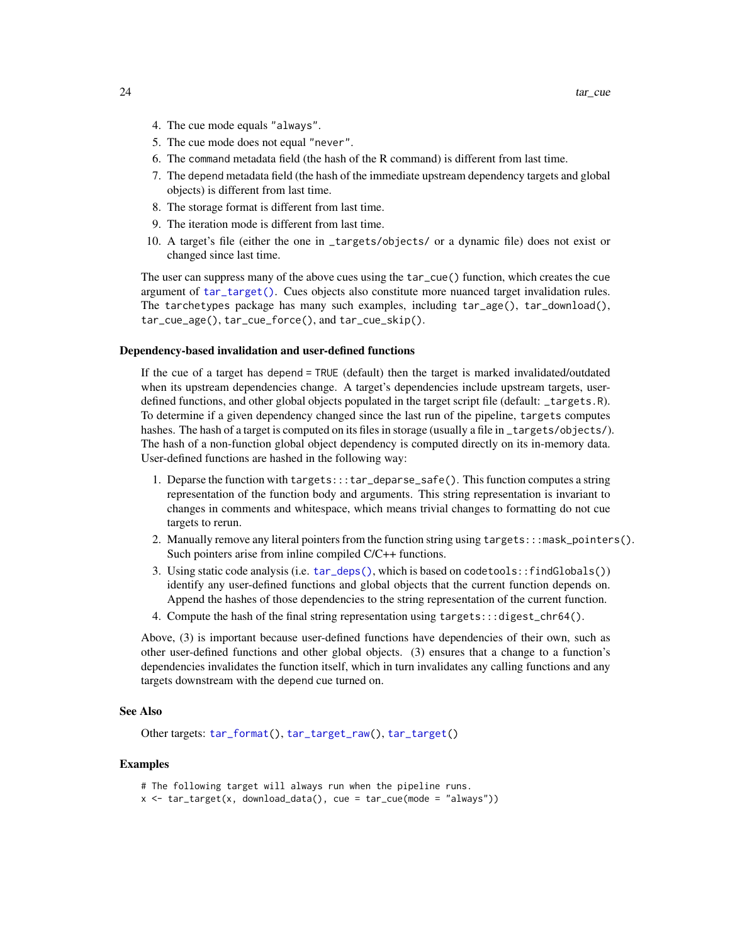- 4. The cue mode equals "always".
- 5. The cue mode does not equal "never".
- 6. The command metadata field (the hash of the R command) is different from last time.
- 7. The depend metadata field (the hash of the immediate upstream dependency targets and global objects) is different from last time.
- 8. The storage format is different from last time.
- 9. The iteration mode is different from last time.
- 10. A target's file (either the one in \_targets/objects/ or a dynamic file) does not exist or changed since last time.

The user can suppress many of the above cues using the tar\_cue() function, which creates the cue argument of [tar\\_target\(\)](#page-130-1). Cues objects also constitute more nuanced target invalidation rules. The tarchetypes package has many such examples, including tar\_age(), tar\_download(), tar\_cue\_age(), tar\_cue\_force(), and tar\_cue\_skip().

#### Dependency-based invalidation and user-defined functions

If the cue of a target has depend = TRUE (default) then the target is marked invalidated/outdated when its upstream dependencies change. A target's dependencies include upstream targets, userdefined functions, and other global objects populated in the target script file (default: \_targets.R). To determine if a given dependency changed since the last run of the pipeline, targets computes hashes. The hash of a target is computed on its files in storage (usually a file in \_targets/objects/). The hash of a non-function global object dependency is computed directly on its in-memory data. User-defined functions are hashed in the following way:

- 1. Deparse the function with targets:::tar\_deparse\_safe(). This function computes a string representation of the function body and arguments. This string representation is invariant to changes in comments and whitespace, which means trivial changes to formatting do not cue targets to rerun.
- 2. Manually remove any literal pointers from the function string using  $\text{targets:}::\text{mask\_points}().$ Such pointers arise from inline compiled C/C++ functions.
- 3. Using static code analysis (i.e. [tar\\_deps\(\)](#page-26-1), which is based on codetools::findGlobals()) identify any user-defined functions and global objects that the current function depends on. Append the hashes of those dependencies to the string representation of the current function.
- 4. Compute the hash of the final string representation using targets:::digest\_chr64().

Above, (3) is important because user-defined functions have dependencies of their own, such as other user-defined functions and other global objects. (3) ensures that a change to a function's dependencies invalidates the function itself, which in turn invalidates any calling functions and any targets downstream with the depend cue turned on.

#### See Also

Other targets: [tar\\_format\(](#page-39-1)), [tar\\_target\\_raw\(](#page-135-1)), [tar\\_target\(](#page-130-1))

#### Examples

- # The following target will always run when the pipeline runs.
- x <- tar\_target(x, download\_data(), cue = tar\_cue(mode = "always"))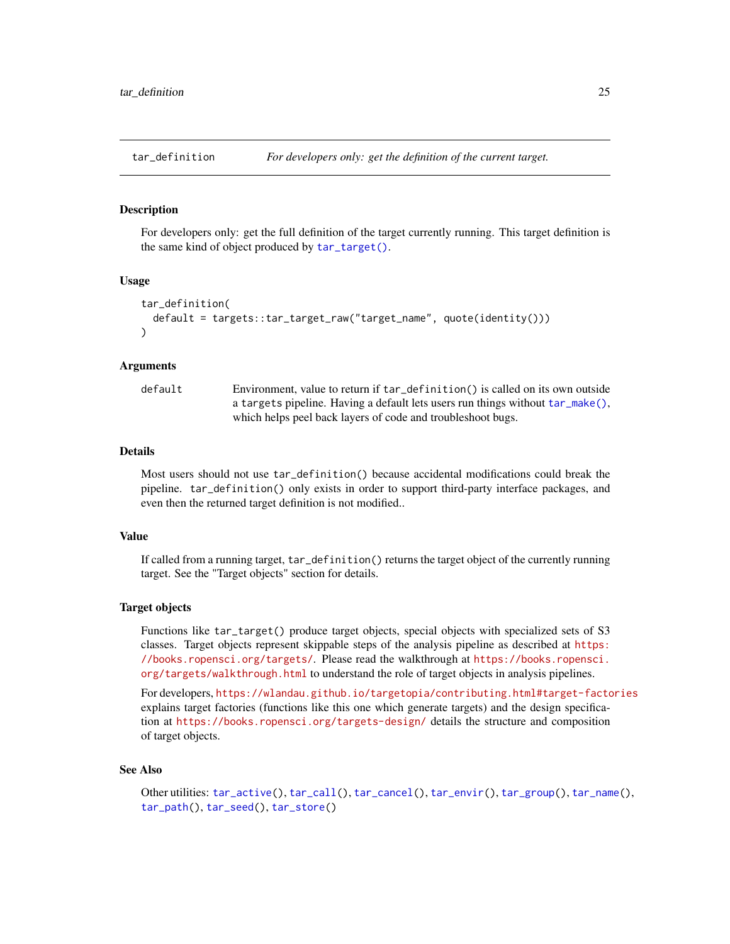<span id="page-24-1"></span><span id="page-24-0"></span>

#### Description

For developers only: get the full definition of the target currently running. This target definition is the same kind of object produced by [tar\\_target\(\)](#page-130-1).

#### Usage

```
tar_definition(
  default = targets::tar_target_raw("target_name", quote(identity()))
)
```
## Arguments

default Environment, value to return if tar\_definition() is called on its own outside a targets pipeline. Having a default lets users run things without [tar\\_make\(\)](#page-58-1), which helps peel back layers of code and troubleshoot bugs.

# Details

Most users should not use tar\_definition() because accidental modifications could break the pipeline. tar\_definition() only exists in order to support third-party interface packages, and even then the returned target definition is not modified..

# Value

If called from a running target, tar\_definition() returns the target object of the currently running target. See the "Target objects" section for details.

#### Target objects

Functions like tar\_target() produce target objects, special objects with specialized sets of S3 classes. Target objects represent skippable steps of the analysis pipeline as described at [https:](https://books.ropensci.org/targets/) [//books.ropensci.org/targets/](https://books.ropensci.org/targets/). Please read the walkthrough at [https://books.ropensci.](https://books.ropensci.org/targets/walkthrough.html) [org/targets/walkthrough.html](https://books.ropensci.org/targets/walkthrough.html) to understand the role of target objects in analysis pipelines.

For developers, <https://wlandau.github.io/targetopia/contributing.html#target-factories> explains target factories (functions like this one which generate targets) and the design specification at <https://books.ropensci.org/targets-design/> details the structure and composition of target objects.

#### See Also

Other utilities: [tar\\_active\(](#page-4-1)), [tar\\_call\(](#page-12-1)), [tar\\_cancel\(](#page-13-1)), [tar\\_envir\(](#page-32-1)), [tar\\_group\(](#page-45-1)), [tar\\_name\(](#page-73-1)), [tar\\_path\(](#page-91-1)), [tar\\_seed\(](#page-123-1)), [tar\\_store\(](#page-129-1))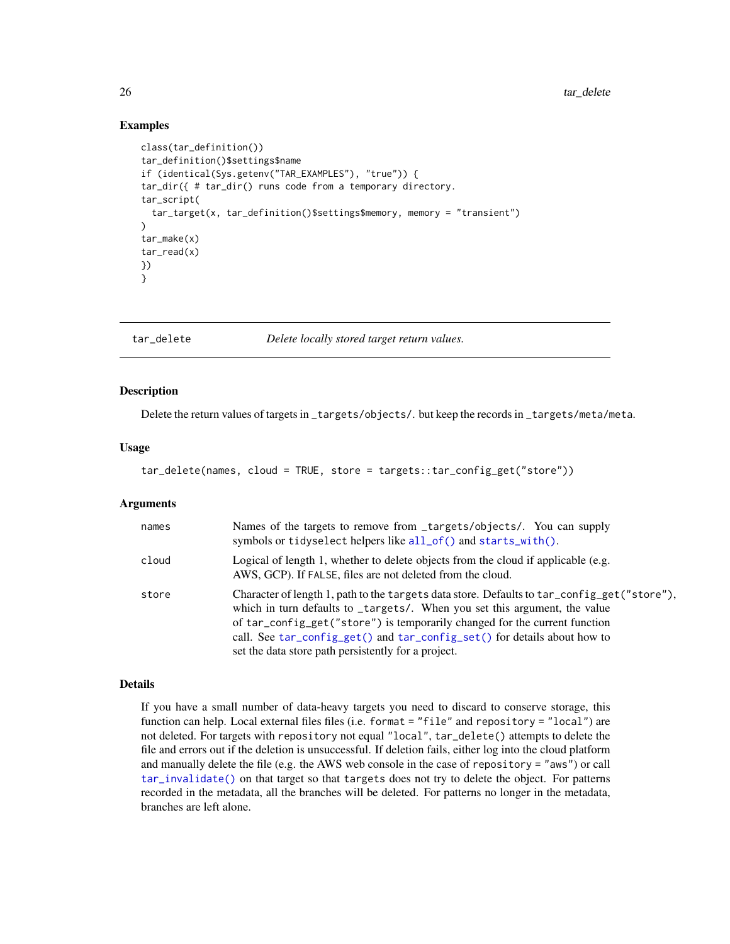# Examples

```
class(tar_definition())
tar_definition()$settings$name
if (identical(Sys.getenv("TAR_EXAMPLES"), "true")) {
tar_dir({ # tar_dir() runs code from a temporary directory.
tar_script(
 tar_target(x, tar_definition()$settings$memory, memory = "transient")
)
tar_make(x)
tar_read(x)
})
}
```
<span id="page-25-1"></span>tar\_delete *Delete locally stored target return values.*

#### Description

Delete the return values of targets in \_targets/objects/. but keep the records in \_targets/meta/meta.

#### Usage

tar\_delete(names, cloud = TRUE, store = targets::tar\_config\_get("store"))

# Arguments

| names | Names of the targets to remove from _targets/objects/. You can supply<br>symbols or tidyselect helpers like all_of() and starts_with().                                                                                                                                                                                                                                                    |
|-------|--------------------------------------------------------------------------------------------------------------------------------------------------------------------------------------------------------------------------------------------------------------------------------------------------------------------------------------------------------------------------------------------|
| cloud | Logical of length 1, whether to delete objects from the cloud if applicable (e.g.<br>AWS, GCP). If FALSE, files are not deleted from the cloud.                                                                                                                                                                                                                                            |
| store | Character of length 1, path to the targets data store. Defaults to tar_config_get("store"),<br>which in turn defaults to _targets/. When you set this argument, the value<br>of tar_config_get("store") is temporarily changed for the current function<br>call. See tar_config_get() and tar_config_set() for details about how to<br>set the data store path persistently for a project. |

# Details

If you have a small number of data-heavy targets you need to discard to conserve storage, this function can help. Local external files files (i.e. format = "file" and repository = "local") are not deleted. For targets with repository not equal "local", tar\_delete() attempts to delete the file and errors out if the deletion is unsuccessful. If deletion fails, either log into the cloud platform and manually delete the file (e.g. the AWS web console in the case of repository = "aws") or call [tar\\_invalidate\(\)](#page-49-1) on that target so that targets does not try to delete the object. For patterns recorded in the metadata, all the branches will be deleted. For patterns no longer in the metadata, branches are left alone.

<span id="page-25-0"></span>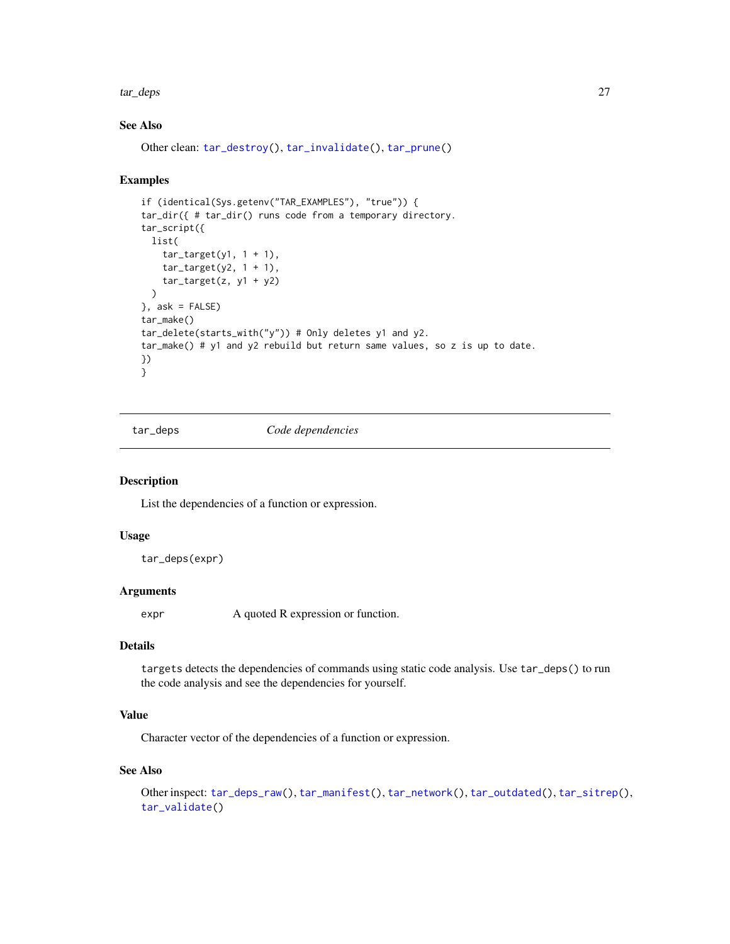<span id="page-26-0"></span>tar\_deps 27

# See Also

Other clean: [tar\\_destroy\(](#page-28-1)), [tar\\_invalidate\(](#page-49-1)), [tar\\_prune\(](#page-102-1))

#### Examples

```
if (identical(Sys.getenv("TAR_EXAMPLES"), "true")) {
tar_dir({ # tar_dir() runs code from a temporary directory.
tar_script({
 list(
    tar\_target(y1, 1 + 1),
   tar\_target(y2, 1 + 1),tar_target(z, y1 + y2)
 \lambda}, ask = FALSE)
tar_make()
tar_delete(starts_with("y")) # Only deletes y1 and y2.
tar_make() # y1 and y2 rebuild but return same values, so z is up to date.
})
}
```
<span id="page-26-1"></span>tar\_deps *Code dependencies*

#### Description

List the dependencies of a function or expression.

#### Usage

tar\_deps(expr)

#### **Arguments**

expr A quoted R expression or function.

# Details

targets detects the dependencies of commands using static code analysis. Use tar\_deps() to run the code analysis and see the dependencies for yourself.

# Value

Character vector of the dependencies of a function or expression.

#### See Also

```
Other inspect: tar_deps_raw(), tar_manifest(), tar_network(), tar_outdated(), tar_sitrep(),
tar_validate()
```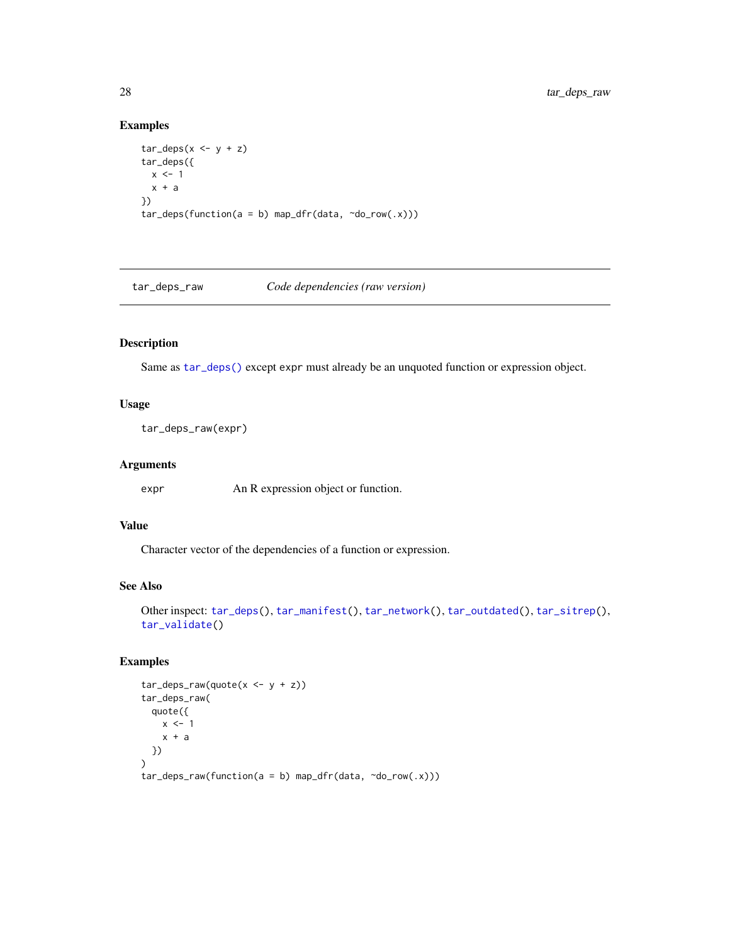# Examples

```
tar\_deps(x \leq -y + z)tar_deps({
 x \le -1x + a})
tar\_deps(function(a = b) map_dfr(data, ~do\_row(.x)))
```
<span id="page-27-1"></span>tar\_deps\_raw *Code dependencies (raw version)*

# Description

Same as [tar\\_deps\(\)](#page-26-1) except expr must already be an unquoted function or expression object.

# Usage

```
tar_deps_raw(expr)
```
# Arguments

expr An R expression object or function.

# Value

Character vector of the dependencies of a function or expression.

# See Also

```
Other inspect: tar_deps(), tar_manifest(), tar_network(), tar_outdated(), tar_sitrep(),
tar_validate()
```
# Examples

```
tar\_deps\_raw(quote(x < - y + z))tar_deps_raw(
  quote({
    x < -1x + a})
)
tar\_deps\_raw(function(a = b) map_dfr(data, ~do\_row(.x)))
```
<span id="page-27-0"></span>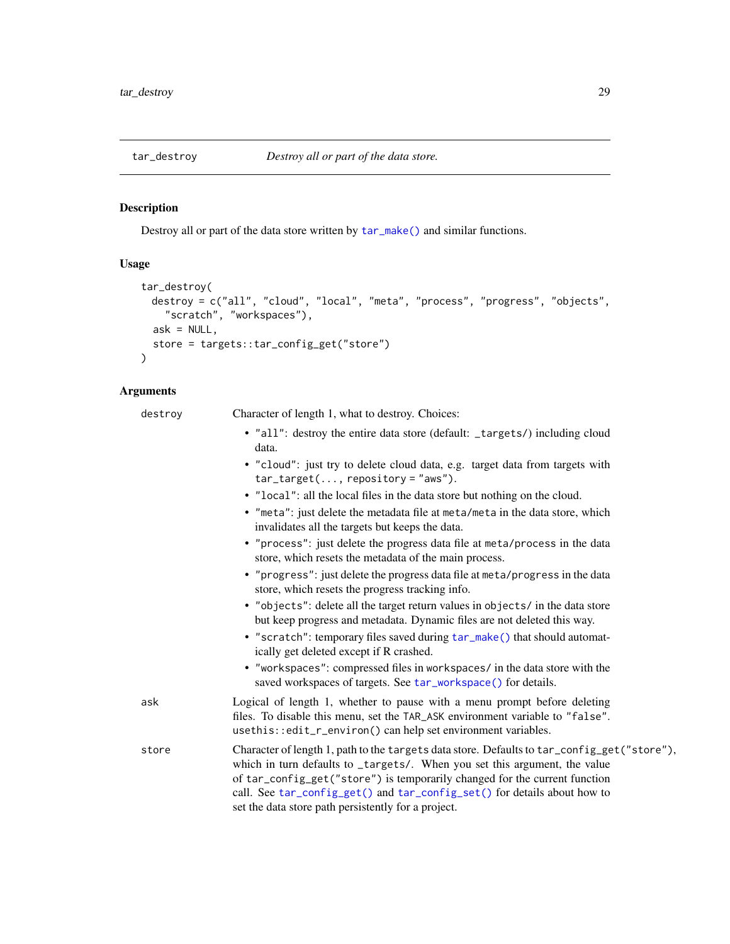<span id="page-28-1"></span><span id="page-28-0"></span>

# Description

Destroy all or part of the data store written by [tar\\_make\(\)](#page-58-1) and similar functions.

# Usage

```
tar_destroy(
 destroy = c("all", "cloud", "local", "meta", "process", "progress", "objects",
    "scratch", "workspaces"),
 ask = NULL,store = targets::tar_config_get("store")
)
```
# Arguments

| destroy | Character of length 1, what to destroy. Choices:                                                                                                                                                                                                                                                                                                                                           |
|---------|--------------------------------------------------------------------------------------------------------------------------------------------------------------------------------------------------------------------------------------------------------------------------------------------------------------------------------------------------------------------------------------------|
|         | • "all": destroy the entire data store (default: _targets/) including cloud<br>data.                                                                                                                                                                                                                                                                                                       |
|         | • "cloud": just try to delete cloud data, e.g. target data from targets with<br>$tar\_target(, repository=' 'aws').$                                                                                                                                                                                                                                                                       |
|         | • "local": all the local files in the data store but nothing on the cloud.                                                                                                                                                                                                                                                                                                                 |
|         | • "meta": just delete the metadata file at meta/meta in the data store, which<br>invalidates all the targets but keeps the data.                                                                                                                                                                                                                                                           |
|         | • "process": just delete the progress data file at meta/process in the data<br>store, which resets the metadata of the main process.                                                                                                                                                                                                                                                       |
|         | • "progress": just delete the progress data file at meta/progress in the data<br>store, which resets the progress tracking info.                                                                                                                                                                                                                                                           |
|         | • "objects": delete all the target return values in objects/ in the data store<br>but keep progress and metadata. Dynamic files are not deleted this way.                                                                                                                                                                                                                                  |
|         | • "scratch": temporary files saved during tar_make() that should automat-<br>ically get deleted except if R crashed.                                                                                                                                                                                                                                                                       |
|         | • "workspaces": compressed files in workspaces/ in the data store with the<br>saved workspaces of targets. See tar_workspace() for details.                                                                                                                                                                                                                                                |
| ask     | Logical of length 1, whether to pause with a menu prompt before deleting<br>files. To disable this menu, set the TAR_ASK environment variable to "false".<br>usethis::edit_r_environ() can help set environment variables.                                                                                                                                                                 |
| store   | Character of length 1, path to the targets data store. Defaults to tar_config_get("store"),<br>which in turn defaults to _targets/. When you set this argument, the value<br>of tar_config_get("store") is temporarily changed for the current function<br>call. See tar_config_get() and tar_config_set() for details about how to<br>set the data store path persistently for a project. |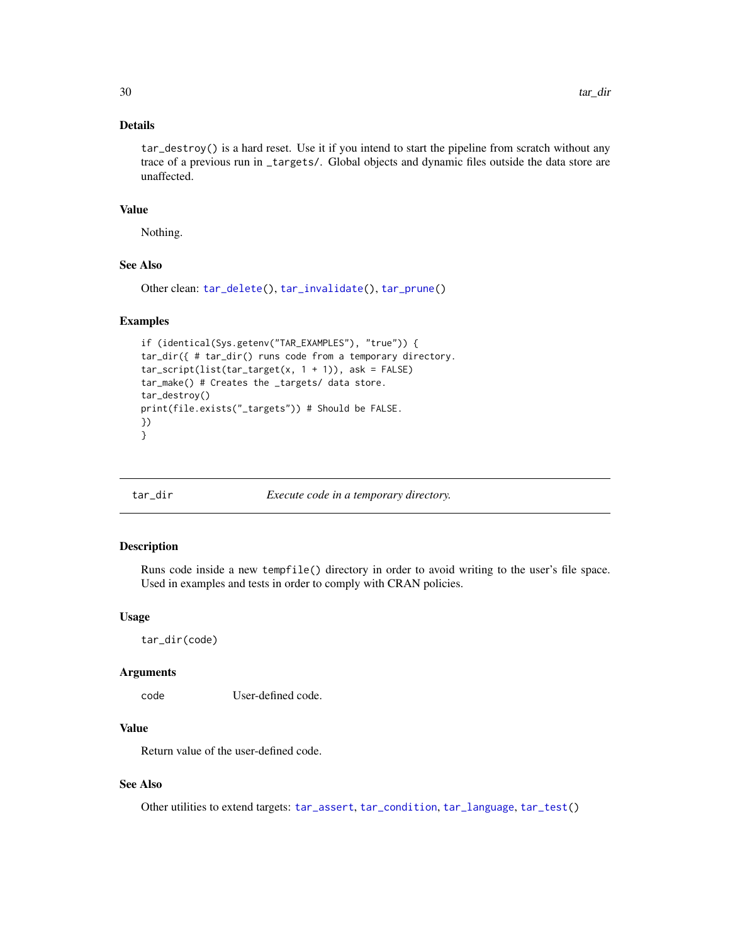# <span id="page-29-0"></span>Details

tar\_destroy() is a hard reset. Use it if you intend to start the pipeline from scratch without any trace of a previous run in \_targets/. Global objects and dynamic files outside the data store are unaffected.

# Value

Nothing.

# See Also

```
Other clean: tar_delete(), tar_invalidate(), tar_prune()
```
# Examples

```
if (identical(Sys.getenv("TAR_EXAMPLES"), "true")) {
tar_dir({ # tar_dir() runs code from a temporary directory.
tar\_script(list(tar\_target(x, 1 + 1)), ask = FALSE)tar_make() # Creates the _targets/ data store.
tar_destroy()
print(file.exists("_targets")) # Should be FALSE.
})
}
```
<span id="page-29-1"></span>

tar\_dir *Execute code in a temporary directory.*

#### Description

Runs code inside a new tempfile() directory in order to avoid writing to the user's file space. Used in examples and tests in order to comply with CRAN policies.

#### Usage

tar\_dir(code)

#### Arguments

code User-defined code.

# Value

Return value of the user-defined code.

# See Also

Other utilities to extend targets: [tar\\_assert](#page-5-1), [tar\\_condition](#page-15-1), [tar\\_language](#page-51-1), [tar\\_test\(](#page-139-1))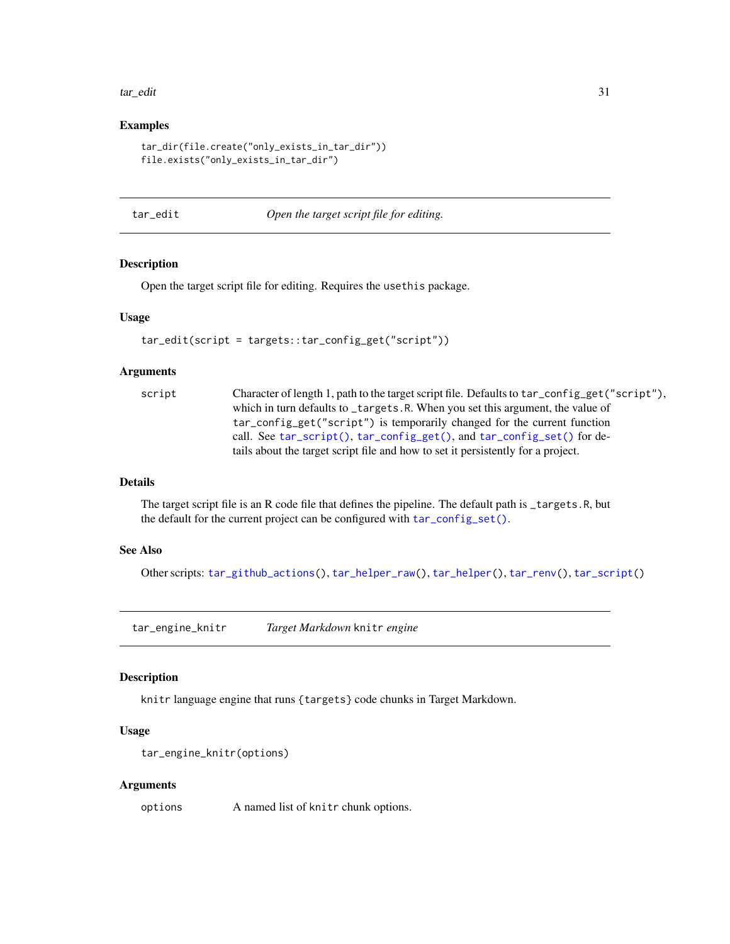#### <span id="page-30-0"></span>tar\_edit 31

#### Examples

```
tar_dir(file.create("only_exists_in_tar_dir"))
file.exists("only_exists_in_tar_dir")
```
tar\_edit *Open the target script file for editing.*

# Description

Open the target script file for editing. Requires the usethis package.

#### Usage

```
tar_edit(script = targets::tar_config_get("script"))
```
#### Arguments

| script | Character of length 1, path to the target script file. Defaults to tar_config_get("script"), |
|--------|----------------------------------------------------------------------------------------------|
|        | which in turn defaults to _targets.R. When you set this argument, the value of               |
|        | tar_config_get("script") is temporarily changed for the current function                     |
|        | call. See tar_script(), tar_config_get(), and tar_config_set() for de-                       |
|        | tails about the target script file and how to set it persistently for a project.             |

# Details

The target script file is an R code file that defines the pipeline. The default path is \_targets.R, but the default for the current project can be configured with [tar\\_config\\_set\(\)](#page-17-1).

# See Also

Other scripts: [tar\\_github\\_actions\(](#page-41-1)), [tar\\_helper\\_raw\(](#page-48-1)), [tar\\_helper\(](#page-47-1)), [tar\\_renv\(](#page-106-1)), [tar\\_script\(](#page-121-1))

tar\_engine\_knitr *Target Markdown* knitr *engine*

# Description

knitr language engine that runs {targets} code chunks in Target Markdown.

#### Usage

```
tar_engine_knitr(options)
```
#### Arguments

options A named list of knitr chunk options.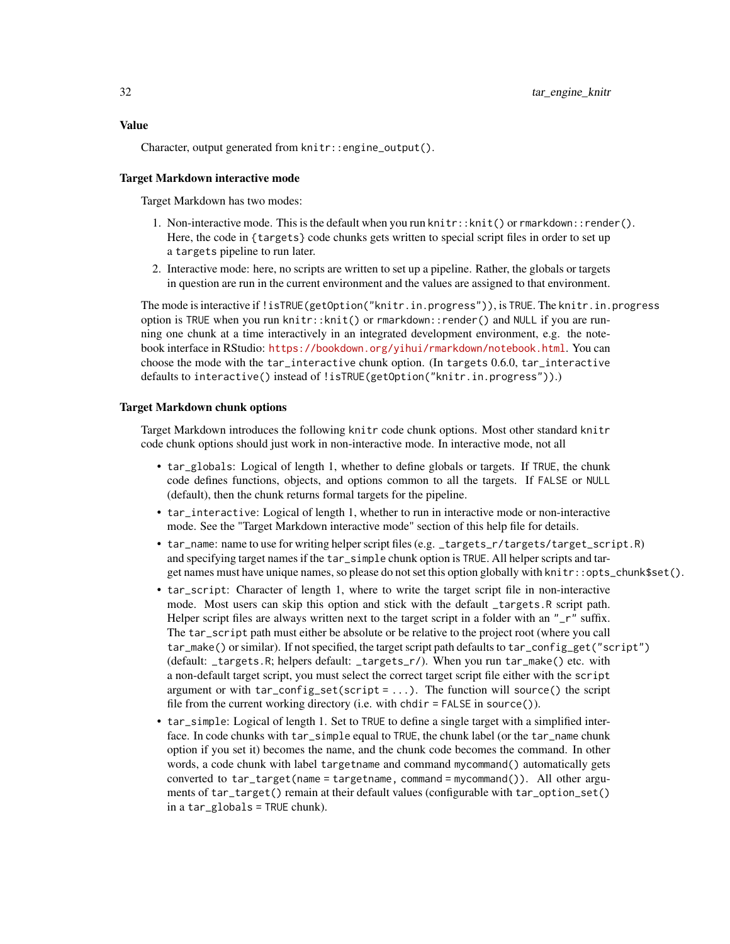Character, output generated from knitr::engine\_output().

#### Target Markdown interactive mode

Target Markdown has two modes:

- 1. Non-interactive mode. This is the default when you run knitr::knit() or rmarkdown::render(). Here, the code in {targets} code chunks gets written to special script files in order to set up a targets pipeline to run later.
- 2. Interactive mode: here, no scripts are written to set up a pipeline. Rather, the globals or targets in question are run in the current environment and the values are assigned to that environment.

The mode is interactive if !isTRUE(getOption("knitr.in.progress")), is TRUE. The knitr.in.progress option is TRUE when you run knitr::knit() or rmarkdown::render() and NULL if you are running one chunk at a time interactively in an integrated development environment, e.g. the notebook interface in RStudio: <https://bookdown.org/yihui/rmarkdown/notebook.html>. You can choose the mode with the tar\_interactive chunk option. (In targets 0.6.0, tar\_interactive defaults to interactive() instead of !isTRUE(getOption("knitr.in.progress")).)

#### Target Markdown chunk options

Target Markdown introduces the following knitr code chunk options. Most other standard knitr code chunk options should just work in non-interactive mode. In interactive mode, not all

- tar\_globals: Logical of length 1, whether to define globals or targets. If TRUE, the chunk code defines functions, objects, and options common to all the targets. If FALSE or NULL (default), then the chunk returns formal targets for the pipeline.
- tar\_interactive: Logical of length 1, whether to run in interactive mode or non-interactive mode. See the "Target Markdown interactive mode" section of this help file for details.
- tar\_name: name to use for writing helper script files (e.g. \_targets\_r/targets/target\_script.R) and specifying target names if the tar\_simple chunk option is TRUE. All helper scripts and target names must have unique names, so please do not set this option globally with knitr::opts\_chunk\$set().
- tar\_script: Character of length 1, where to write the target script file in non-interactive mode. Most users can skip this option and stick with the default \_targets.R script path. Helper script files are always written next to the target script in a folder with an "\_r" suffix. The tar\_script path must either be absolute or be relative to the project root (where you call tar\_make() or similar). If not specified, the target script path defaults to tar\_config\_get("script") (default: \_targets.R; helpers default: \_targets\_r/). When you run tar\_make() etc. with a non-default target script, you must select the correct target script file either with the script argument or with  $tar\_config\_set(script = ...)$ . The function will source() the script file from the current working directory (i.e. with chdir  $=$  FALSE in source()).
- tar\_simple: Logical of length 1. Set to TRUE to define a single target with a simplified interface. In code chunks with tar\_simple equal to TRUE, the chunk label (or the tar\_name chunk option if you set it) becomes the name, and the chunk code becomes the command. In other words, a code chunk with label targetname and command mycommand() automatically gets converted to tar\_target(name = targetname, command = mycommand()). All other arguments of tar\_target() remain at their default values (configurable with tar\_option\_set() in a tar\_globals = TRUE chunk).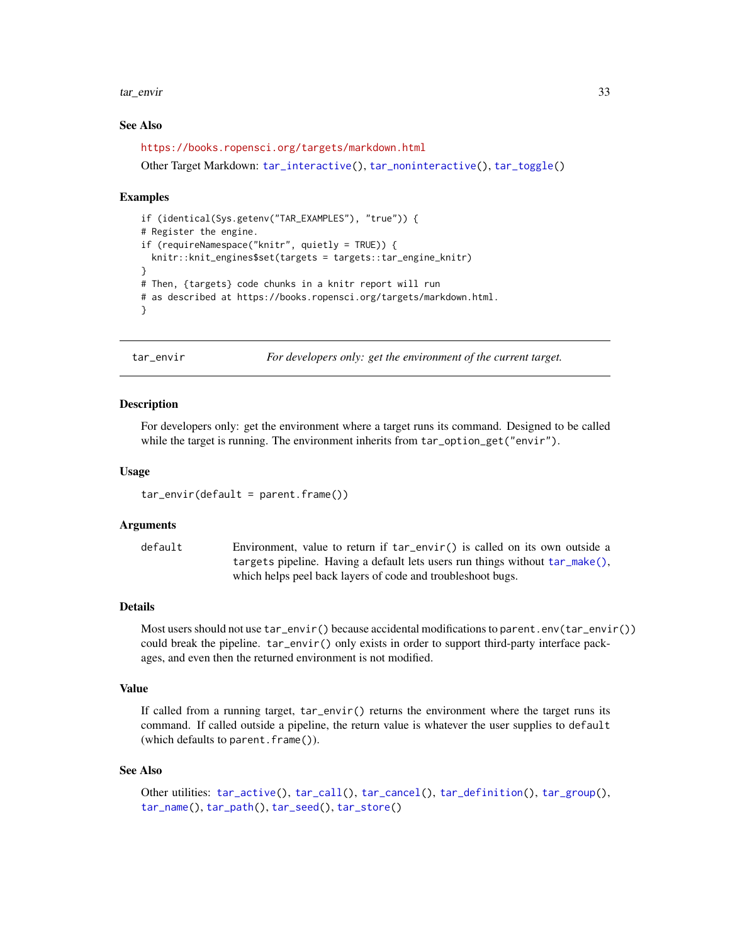#### <span id="page-32-0"></span>tar\_envir 33

#### See Also

<https://books.ropensci.org/targets/markdown.html>

Other Target Markdown: [tar\\_interactive\(](#page-49-2)), [tar\\_noninteractive\(](#page-78-1)), [tar\\_toggle\(](#page-143-1))

#### Examples

```
if (identical(Sys.getenv("TAR_EXAMPLES"), "true")) {
# Register the engine.
if (requireNamespace("knitr", quietly = TRUE)) {
 knitr::knit_engines$set(targets = targets::tar_engine_knitr)
}
# Then, {targets} code chunks in a knitr report will run
# as described at https://books.ropensci.org/targets/markdown.html.
}
```
<span id="page-32-1"></span>tar\_envir *For developers only: get the environment of the current target.*

#### Description

For developers only: get the environment where a target runs its command. Designed to be called while the target is running. The environment inherits from tar\_option\_get("envir").

#### Usage

 $tar\_envir(default = parent.frame())$ 

#### Arguments

default Environment, value to return if tar\_envir() is called on its own outside a targets pipeline. Having a default lets users run things without [tar\\_make\(\)](#page-58-1), which helps peel back layers of code and troubleshoot bugs.

#### Details

Most users should not use tar\_envir() because accidental modifications to parent.env(tar\_envir()) could break the pipeline. tar\_envir() only exists in order to support third-party interface packages, and even then the returned environment is not modified.

#### Value

If called from a running target, tar\_envir() returns the environment where the target runs its command. If called outside a pipeline, the return value is whatever the user supplies to default (which defaults to parent.frame()).

#### See Also

```
Other utilities: tar_active(), tar_call(), tar_cancel(), tar_definition(), tar_group(),
tar_name(), tar_path(), tar_seed(), tar_store()
```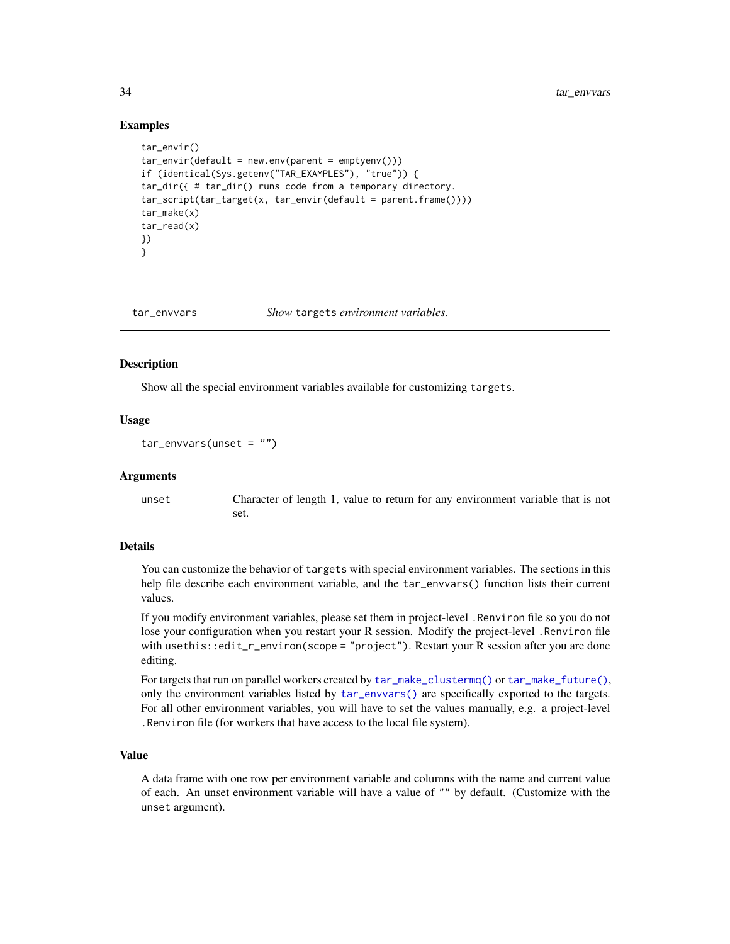### Examples

```
tar_envir()
tar\_envir(default = new.environ(parent = emptyenv())if (identical(Sys.getenv("TAR_EXAMPLES"), "true")) {
tar_dir({ # tar_dir() runs code from a temporary directory.
tar_script(tar_target(x, tar_envir(default = parent.frame())))
tar_make(x)
tar_read(x)
})
}
```
<span id="page-33-1"></span>tar\_envvars *Show* targets *environment variables.*

### **Description**

Show all the special environment variables available for customizing targets.

#### Usage

 $tar_{envvars(unset = "")}$ 

#### Arguments

unset Character of length 1, value to return for any environment variable that is not set.

#### Details

You can customize the behavior of targets with special environment variables. The sections in this help file describe each environment variable, and the tar\_envvars() function lists their current values.

If you modify environment variables, please set them in project-level .Renviron file so you do not lose your configuration when you restart your R session. Modify the project-level .Renviron file with usethis::edit\_r\_environ(scope = "project"). Restart your R session after you are done editing.

For targets that run on parallel workers created by [tar\\_make\\_clustermq\(\)](#page-60-1) or [tar\\_make\\_future\(\)](#page-63-1), only the environment variables listed by [tar\\_envvars\(\)](#page-33-1) are specifically exported to the targets. For all other environment variables, you will have to set the values manually, e.g. a project-level .Renviron file (for workers that have access to the local file system).

#### Value

A data frame with one row per environment variable and columns with the name and current value of each. An unset environment variable will have a value of "" by default. (Customize with the unset argument).

<span id="page-33-0"></span>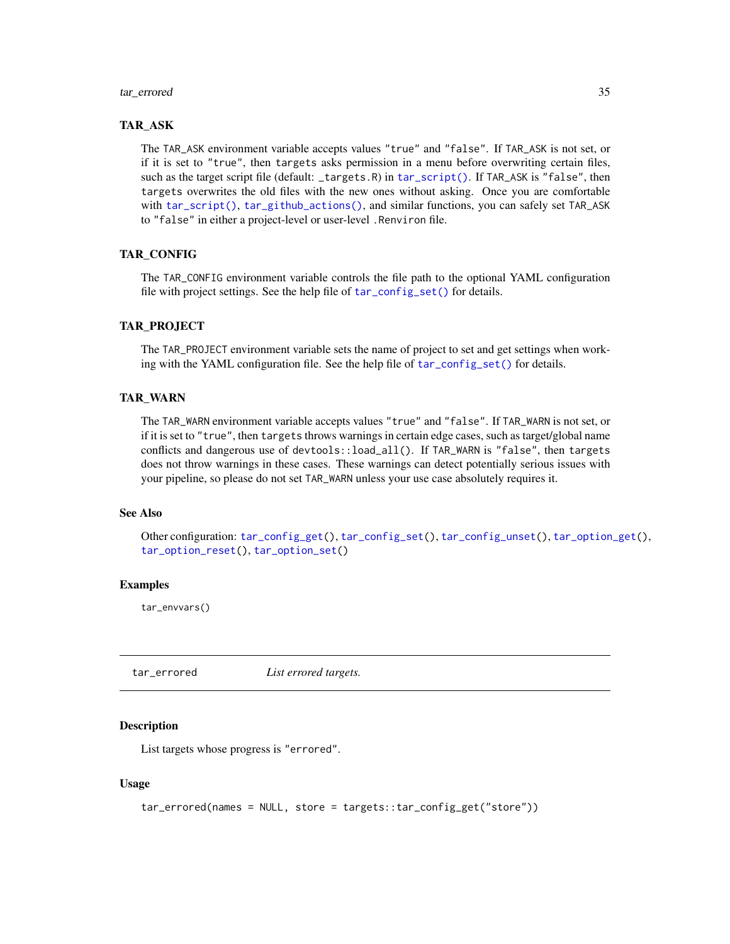#### <span id="page-34-0"></span>tar\_errored 35

# TAR\_ASK

The TAR\_ASK environment variable accepts values "true" and "false". If TAR\_ASK is not set, or if it is set to "true", then targets asks permission in a menu before overwriting certain files, such as the target script file (default: \_targets.R) in [tar\\_script\(\)](#page-121-1). If TAR\_ASK is "false", then targets overwrites the old files with the new ones without asking. Once you are comfortable with [tar\\_script\(\)](#page-121-1), [tar\\_github\\_actions\(\)](#page-41-1), and similar functions, you can safely set TAR\_ASK to "false" in either a project-level or user-level .Renviron file.

#### TAR\_CONFIG

The TAR\_CONFIG environment variable controls the file path to the optional YAML configuration file with project settings. See the help file of [tar\\_config\\_set\(\)](#page-17-1) for details.

#### TAR\_PROJECT

The TAR\_PROJECT environment variable sets the name of project to set and get settings when working with the YAML configuration file. See the help file of [tar\\_config\\_set\(\)](#page-17-1) for details.

#### TAR\_WARN

The TAR\_WARN environment variable accepts values "true" and "false". If TAR\_WARN is not set, or if it is set to "true", then targets throws warnings in certain edge cases, such as target/global name conflicts and dangerous use of devtools::load\_all(). If TAR\_WARN is "false", then targets does not throw warnings in these cases. These warnings can detect potentially serious issues with your pipeline, so please do not set TAR\_WARN unless your use case absolutely requires it.

#### See Also

Other configuration: [tar\\_config\\_get\(](#page-16-1)), [tar\\_config\\_set\(](#page-17-1)), [tar\\_config\\_unset\(](#page-20-1)), [tar\\_option\\_get\(](#page-81-1)), [tar\\_option\\_reset\(](#page-82-1)), [tar\\_option\\_set\(](#page-83-1))

### Examples

tar\_envvars()

<span id="page-34-1"></span>tar\_errored *List errored targets.*

#### Description

List targets whose progress is "errored".

```
tar_errored(names = NULL, store = targets::tar_config_get("store"))
```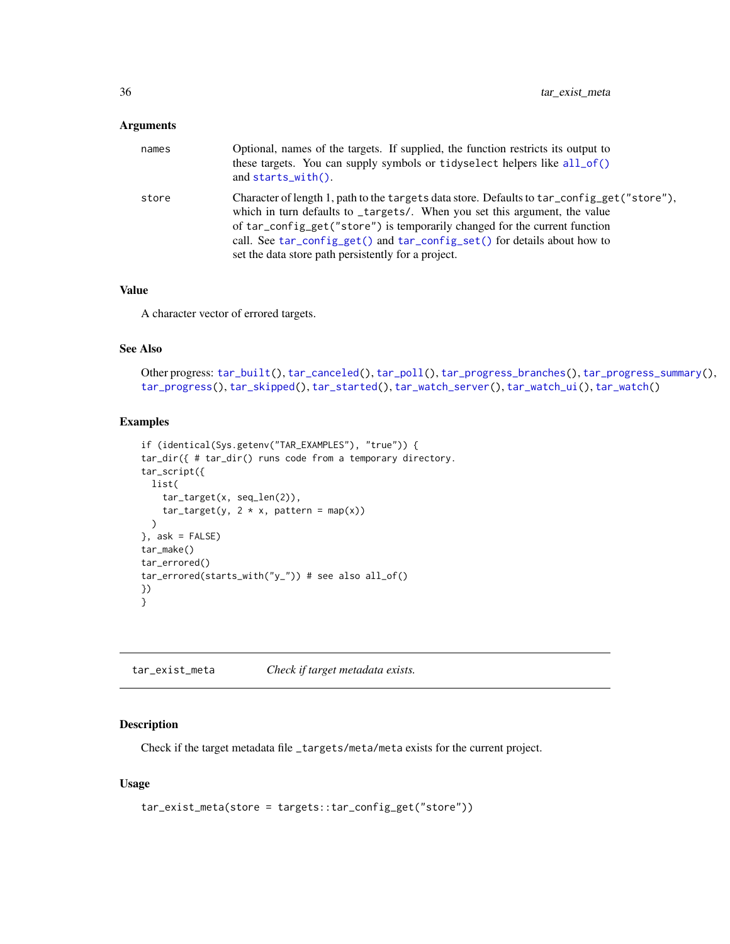<span id="page-35-0"></span>

| names | Optional, names of the targets. If supplied, the function restricts its output to<br>these targets. You can supply symbols or tidyselect helpers like all_of()<br>and starts_with().                                                                                                                                                                                                       |
|-------|--------------------------------------------------------------------------------------------------------------------------------------------------------------------------------------------------------------------------------------------------------------------------------------------------------------------------------------------------------------------------------------------|
| store | Character of length 1, path to the targets data store. Defaults to tar_config_get("store"),<br>which in turn defaults to _targets/. When you set this argument, the value<br>of tar_config_get("store") is temporarily changed for the current function<br>call. See tar_config_get() and tar_config_set() for details about how to<br>set the data store path persistently for a project. |

# Value

A character vector of errored targets.

# See Also

```
Other progress: tar_built(), tar_canceled(), tar_poll(), tar_progress_branches(), tar_progress_summary(),
tar_progress(), tar_skipped(), tar_started(), tar_watch_server(), tar_watch_ui(), tar_watch()
```
# Examples

```
if (identical(Sys.getenv("TAR_EXAMPLES"), "true")) {
tar_dir({ # tar_dir() runs code from a temporary directory.
tar_script({
 list(
    tar_target(x, seq_len(2)),
    tar\_target(y, 2 * x, pattern = map(x))\mathcal{L}}, ask = FALSE)
tar_make()
tar_errored()
tar_errored(starts_with("y_")) # see also all_of()
})
}
```
tar\_exist\_meta *Check if target metadata exists.*

# Description

Check if the target metadata file \_targets/meta/meta exists for the current project.

```
tar_exist_meta(store = targets::tar_config_get("store"))
```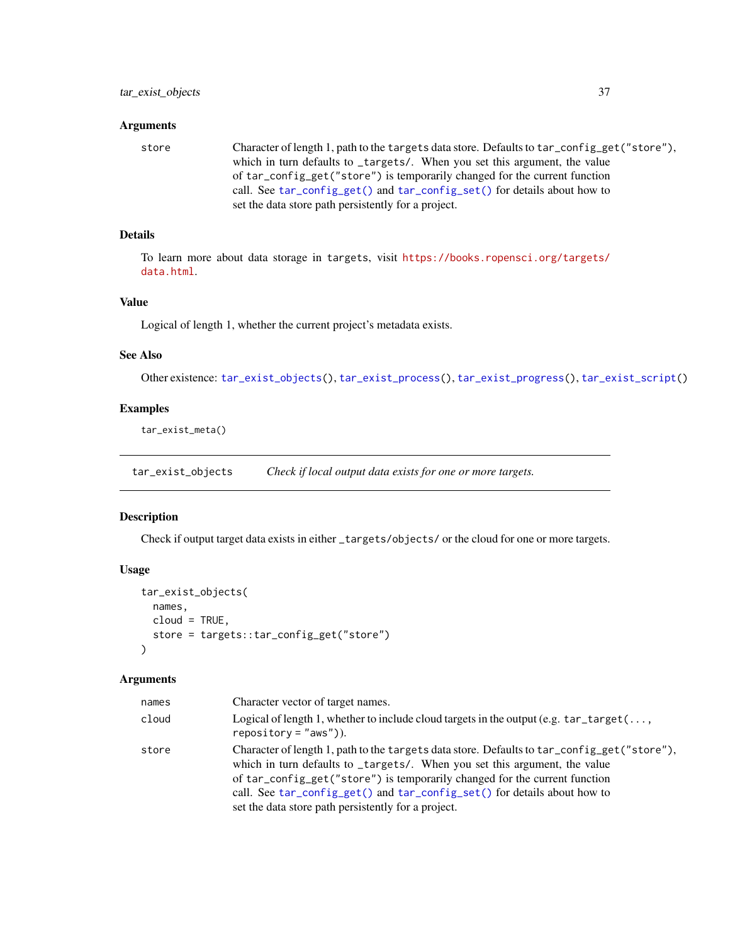### **Arguments**

store Character of length 1, path to the targets data store. Defaults to tar\_config\_get("store"), which in turn defaults to \_targets/. When you set this argument, the value of tar\_config\_get("store") is temporarily changed for the current function call. See [tar\\_config\\_get\(\)](#page-16-0) and [tar\\_config\\_set\(\)](#page-17-0) for details about how to set the data store path persistently for a project.

# Details

To learn more about data storage in targets, visit [https://books.ropensci.org/targets/](https://books.ropensci.org/targets/data.html) [data.html](https://books.ropensci.org/targets/data.html).

# Value

Logical of length 1, whether the current project's metadata exists.

### See Also

Other existence: [tar\\_exist\\_objects\(](#page-36-0)), [tar\\_exist\\_process\(](#page-37-0)), [tar\\_exist\\_progress\(](#page-38-0)), [tar\\_exist\\_script\(](#page-39-0))

### Examples

tar\_exist\_meta()

<span id="page-36-0"></span>tar\_exist\_objects *Check if local output data exists for one or more targets.*

### Description

Check if output target data exists in either \_targets/objects/ or the cloud for one or more targets.

## Usage

```
tar_exist_objects(
 names,
  cloud = TRUE,
  store = targets::tar_config_get("store")
)
```

| names | Character vector of target names.                                                                                                                                                                                                                                                                                                                                                          |
|-------|--------------------------------------------------------------------------------------------------------------------------------------------------------------------------------------------------------------------------------------------------------------------------------------------------------------------------------------------------------------------------------------------|
| cloud | Logical of length 1, whether to include cloud targets in the output (e.g. $tar\_target($ ,<br>$reposition = "aws").$                                                                                                                                                                                                                                                                       |
| store | Character of length 1, path to the targets data store. Defaults to tar_config_get("store"),<br>which in turn defaults to _targets/. When you set this argument, the value<br>of tar_config_get("store") is temporarily changed for the current function<br>call. See tar_config_get() and tar_config_set() for details about how to<br>set the data store path persistently for a project. |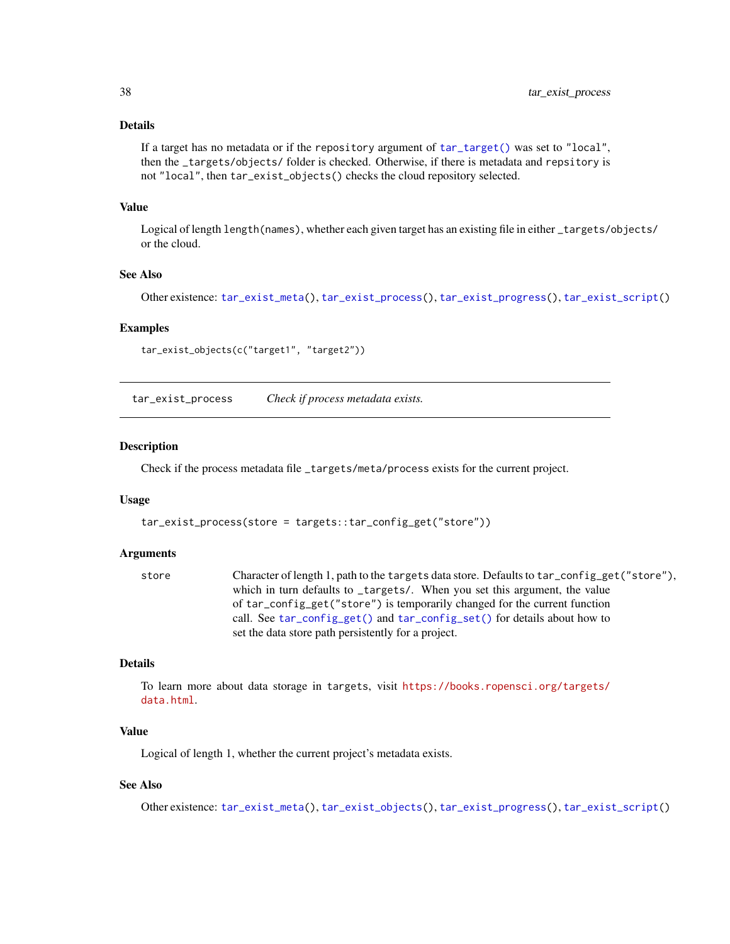## Details

```
If a target has no metadata or if the repository argument of tar_target() was set to "local",
then the _targets/objects/ folder is checked. Otherwise, if there is metadata and repsitory is
not "local", then tar_exist_objects() checks the cloud repository selected.
```
### Value

Logical of length length(names), whether each given target has an existing file in either \_targets/objects/ or the cloud.

## See Also

Other existence: [tar\\_exist\\_meta\(](#page-35-0)), [tar\\_exist\\_process\(](#page-37-0)), [tar\\_exist\\_progress\(](#page-38-0)), [tar\\_exist\\_script\(](#page-39-0))

### Examples

```
tar_exist_objects(c("target1", "target2"))
```
<span id="page-37-0"></span>tar\_exist\_process *Check if process metadata exists.*

### Description

Check if the process metadata file \_targets/meta/process exists for the current project.

### Usage

```
tar_exist_process(store = targets::tar_config_get("store"))
```
### Arguments

```
store Character of length 1, path to the targets data store. Defaults to tar_config_get("store"),
                 which in turn defaults to _targets/. When you set this argument, the value
                 of tar_config_get("store") is temporarily changed for the current function
                 call. See tar_config_get() and tar_config_set() for details about how to
                 set the data store path persistently for a project.
```
# Details

To learn more about data storage in targets, visit [https://books.ropensci.org/targets/](https://books.ropensci.org/targets/data.html) [data.html](https://books.ropensci.org/targets/data.html).

# Value

Logical of length 1, whether the current project's metadata exists.

## See Also

Other existence: [tar\\_exist\\_meta\(](#page-35-0)), [tar\\_exist\\_objects\(](#page-36-0)), [tar\\_exist\\_progress\(](#page-38-0)), [tar\\_exist\\_script\(](#page-39-0))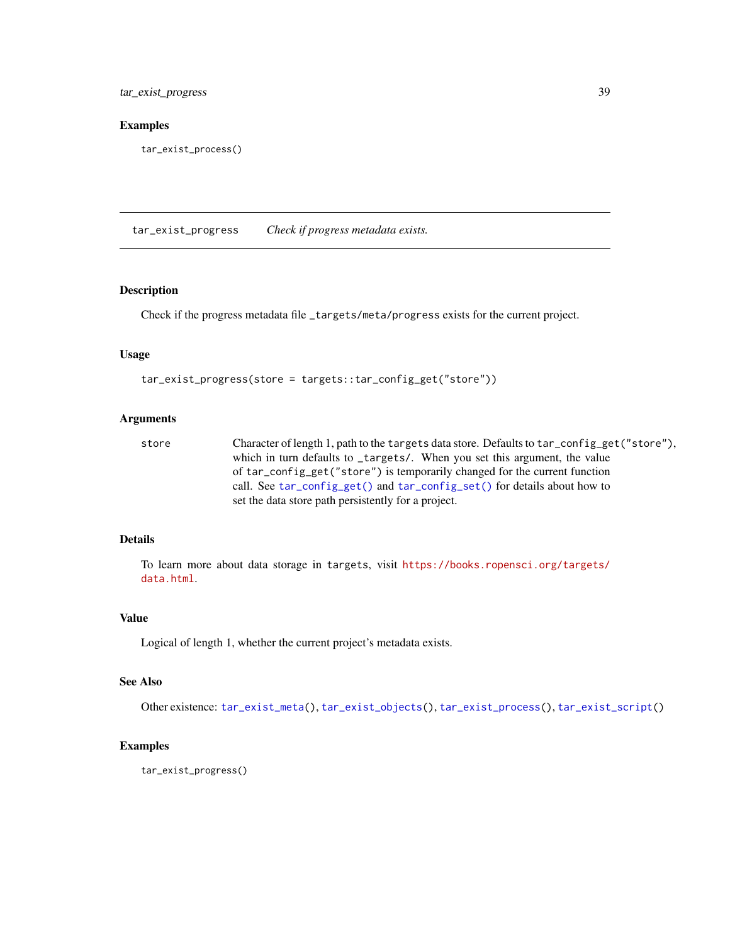tar\_exist\_progress 39

### Examples

tar\_exist\_process()

<span id="page-38-0"></span>tar\_exist\_progress *Check if progress metadata exists.*

## Description

Check if the progress metadata file \_targets/meta/progress exists for the current project.

### Usage

```
tar_exist_progress(store = targets::tar_config_get("store"))
```
### Arguments

store Character of length 1, path to the targets data store. Defaults to tar\_config\_get("store"), which in turn defaults to \_targets/. When you set this argument, the value of tar\_config\_get("store") is temporarily changed for the current function call. See [tar\\_config\\_get\(\)](#page-16-0) and [tar\\_config\\_set\(\)](#page-17-0) for details about how to set the data store path persistently for a project.

# Details

To learn more about data storage in targets, visit [https://books.ropensci.org/targets/](https://books.ropensci.org/targets/data.html) [data.html](https://books.ropensci.org/targets/data.html).

## Value

Logical of length 1, whether the current project's metadata exists.

## See Also

Other existence: [tar\\_exist\\_meta\(](#page-35-0)), [tar\\_exist\\_objects\(](#page-36-0)), [tar\\_exist\\_process\(](#page-37-0)), [tar\\_exist\\_script\(](#page-39-0))

## Examples

tar\_exist\_progress()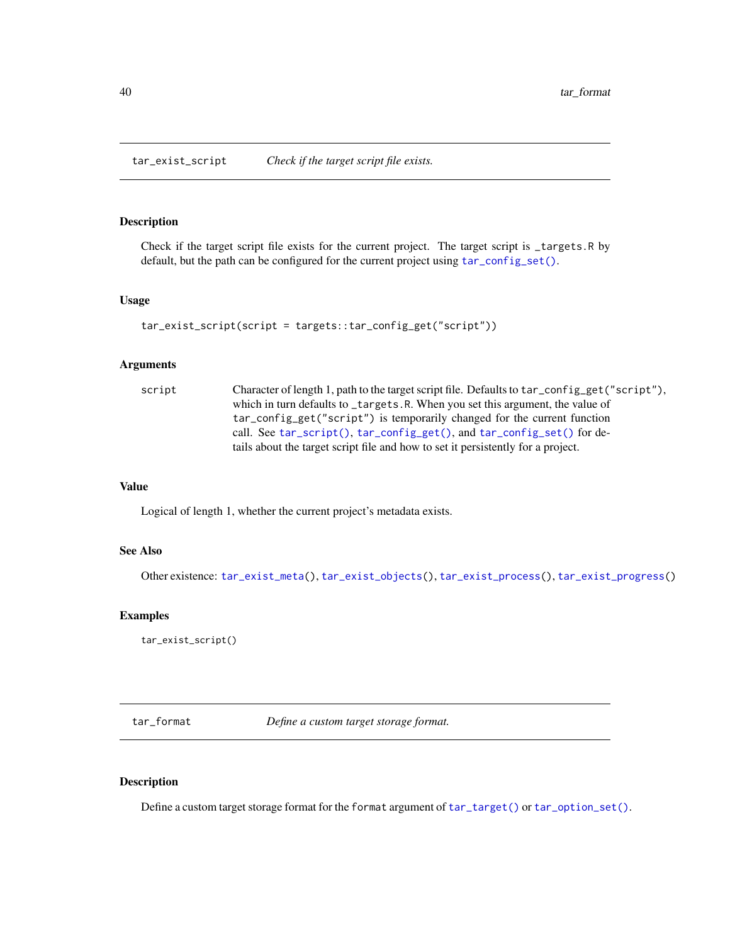<span id="page-39-0"></span>tar\_exist\_script *Check if the target script file exists.*

# Description

Check if the target script file exists for the current project. The target script is \_targets.R by default, but the path can be configured for the current project using  $tar\_config\_set()$ .

## Usage

```
tar_exist_script(script = targets::tar_config_get("script"))
```
### Arguments

| script | Character of length 1, path to the target script file. Defaults to tar_config_get("script"), |
|--------|----------------------------------------------------------------------------------------------|
|        | which in turn defaults to _targets.R. When you set this argument, the value of               |
|        | tar_config_get("script") is temporarily changed for the current function                     |
|        | call. See tar_script(), tar_config_get(), and tar_config_set() for de-                       |
|        | tails about the target script file and how to set it persistently for a project.             |

# Value

Logical of length 1, whether the current project's metadata exists.

## See Also

Other existence: [tar\\_exist\\_meta\(](#page-35-0)), [tar\\_exist\\_objects\(](#page-36-0)), [tar\\_exist\\_process\(](#page-37-0)), [tar\\_exist\\_progress\(](#page-38-0))

## Examples

tar\_exist\_script()

tar\_format *Define a custom target storage format.*

# Description

Define a custom target storage format for the format argument of  $tar\_target()$  or  $tar\_option\_set()$ .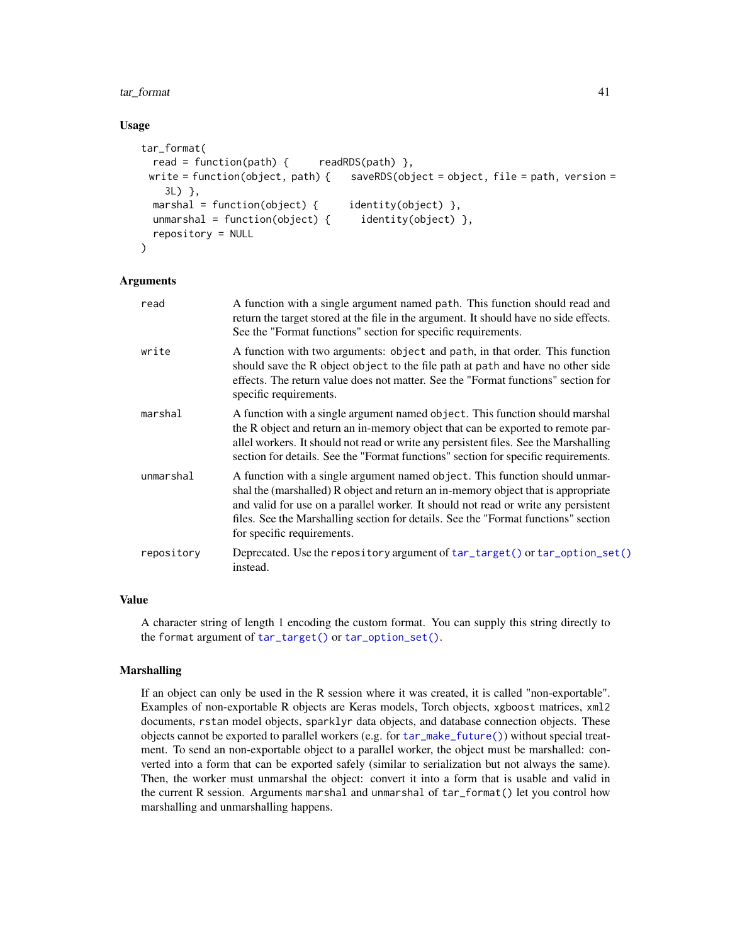### tar\_format 41

### Usage

```
tar_format(
  read = function(path) { readRDS(path) },
 write = function(object, path) { s saveRDS(object = object, file = path, version =
    3L) },
 marshal = function(object) { identity(object) },
 unmarshal = function(object) { identity(object) },
 repository = NULL
\lambda
```
## Arguments

| read       | A function with a single argument named path. This function should read and<br>return the target stored at the file in the argument. It should have no side effects.<br>See the "Format functions" section for specific requirements.                                                                                                                                      |
|------------|----------------------------------------------------------------------------------------------------------------------------------------------------------------------------------------------------------------------------------------------------------------------------------------------------------------------------------------------------------------------------|
| write      | A function with two arguments: object and path, in that order. This function<br>should save the R object object to the file path at path and have no other side<br>effects. The return value does not matter. See the "Format functions" section for<br>specific requirements.                                                                                             |
| marshal    | A function with a single argument named object. This function should marshal<br>the R object and return an in-memory object that can be exported to remote par-<br>allel workers. It should not read or write any persistent files. See the Marshalling<br>section for details. See the "Format functions" section for specific requirements.                              |
| unmarshal  | A function with a single argument named object. This function should unmar-<br>shal the (marshalled) R object and return an in-memory object that is appropriate<br>and valid for use on a parallel worker. It should not read or write any persistent<br>files. See the Marshalling section for details. See the "Format functions" section<br>for specific requirements. |
| repository | Deprecated. Use the repository argument of tar_target() or tar_option_set()<br>instead.                                                                                                                                                                                                                                                                                    |
|            |                                                                                                                                                                                                                                                                                                                                                                            |

## Value

A character string of length 1 encoding the custom format. You can supply this string directly to the format argument of [tar\\_target\(\)](#page-130-0) or [tar\\_option\\_set\(\)](#page-83-0).

### Marshalling

If an object can only be used in the R session where it was created, it is called "non-exportable". Examples of non-exportable R objects are Keras models, Torch objects, xgboost matrices, xml2 documents, rstan model objects, sparklyr data objects, and database connection objects. These objects cannot be exported to parallel workers (e.g. for [tar\\_make\\_future\(\)](#page-63-0)) without special treatment. To send an non-exportable object to a parallel worker, the object must be marshalled: converted into a form that can be exported safely (similar to serialization but not always the same). Then, the worker must unmarshal the object: convert it into a form that is usable and valid in the current R session. Arguments marshal and unmarshal of tar\_format() let you control how marshalling and unmarshalling happens.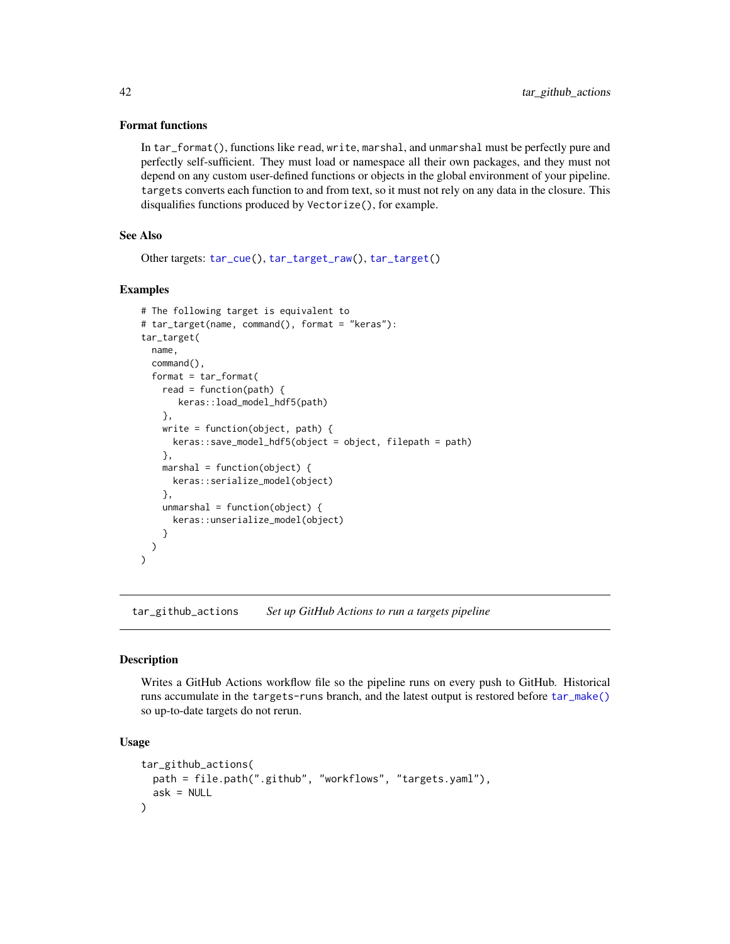### Format functions

In tar\_format(), functions like read, write, marshal, and unmarshal must be perfectly pure and perfectly self-sufficient. They must load or namespace all their own packages, and they must not depend on any custom user-defined functions or objects in the global environment of your pipeline. targets converts each function to and from text, so it must not rely on any data in the closure. This disqualifies functions produced by Vectorize(), for example.

# See Also

Other targets: [tar\\_cue\(](#page-22-0)), [tar\\_target\\_raw\(](#page-135-0)), [tar\\_target\(](#page-130-0))

## Examples

```
# The following target is equivalent to
# tar_target(name, command(), format = "keras"):
tar_target(
 name,
 command(),
 format = tar_format(
   read = function(path) {
       keras::load_model_hdf5(path)
   },
   write = function(object, path) {
     keras::save_model_hdf5(object = object, filepath = path)
   },
   marshal = function(object) {
     keras::serialize_model(object)
   },
   unmarshal = function(object) {
      keras::unserialize_model(object)
    }
 )
\lambda
```
<span id="page-41-0"></span>tar\_github\_actions *Set up GitHub Actions to run a targets pipeline*

## Description

Writes a GitHub Actions workflow file so the pipeline runs on every push to GitHub. Historical runs accumulate in the targets-runs branch, and the latest output is restored before [tar\\_make\(\)](#page-58-0) so up-to-date targets do not rerun.

### Usage

```
tar_github_actions(
 path = file.path(".github", "workflows", "targets.yaml"),
  ask = NULL)
```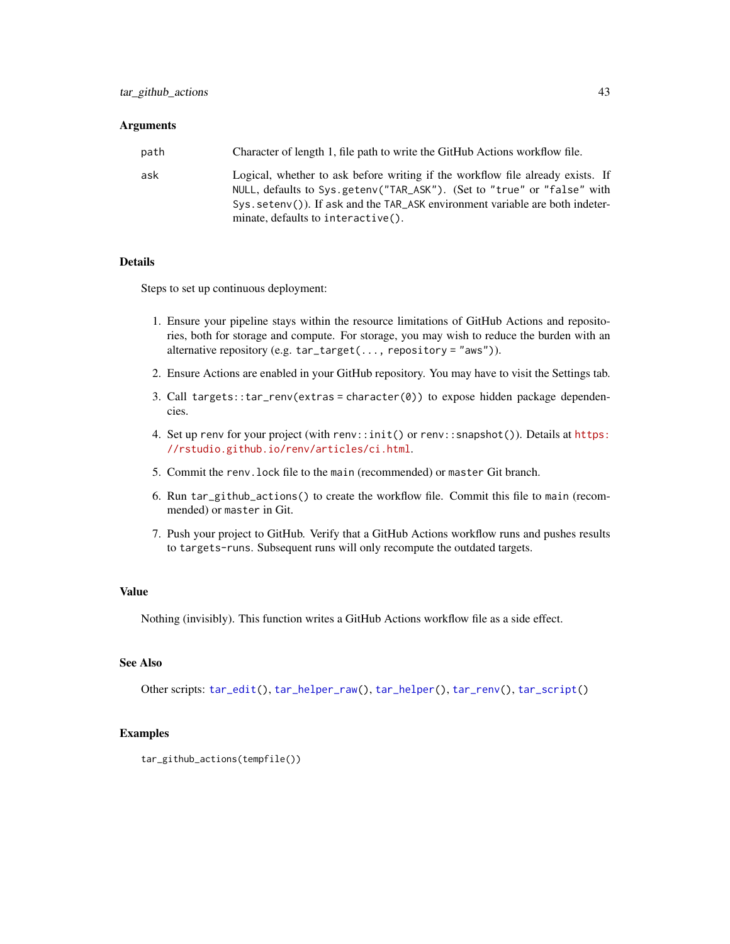### **Arguments**

| path | Character of length 1, file path to write the GitHub Actions workflow file.                                                                                                                                                                                                        |
|------|------------------------------------------------------------------------------------------------------------------------------------------------------------------------------------------------------------------------------------------------------------------------------------|
| ask  | Logical, whether to ask before writing if the workflow file already exists. If<br>NULL, defaults to Sys.getenv("TAR_ASK"). (Set to "true" or "false" with<br>$Sys.setenv()$ ). If ask and the TAR_ASK environment variable are both indeter-<br>minate, defaults to interactive(). |

# Details

Steps to set up continuous deployment:

- 1. Ensure your pipeline stays within the resource limitations of GitHub Actions and repositories, both for storage and compute. For storage, you may wish to reduce the burden with an alternative repository (e.g.  $tar\_target(...,$  repository = "aws")).
- 2. Ensure Actions are enabled in your GitHub repository. You may have to visit the Settings tab.
- 3. Call targets::tar\_renv(extras = character(0)) to expose hidden package dependencies.
- 4. Set up renv for your project (with renv::init() or renv::snapshot()). Details at [https:](https://rstudio.github.io/renv/articles/ci.html) [//rstudio.github.io/renv/articles/ci.html](https://rstudio.github.io/renv/articles/ci.html).
- 5. Commit the renv.lock file to the main (recommended) or master Git branch.
- 6. Run tar\_github\_actions() to create the workflow file. Commit this file to main (recommended) or master in Git.
- 7. Push your project to GitHub. Verify that a GitHub Actions workflow runs and pushes results to targets-runs. Subsequent runs will only recompute the outdated targets.

## Value

Nothing (invisibly). This function writes a GitHub Actions workflow file as a side effect.

# See Also

Other scripts: [tar\\_edit\(](#page-30-0)), [tar\\_helper\\_raw\(](#page-48-0)), [tar\\_helper\(](#page-47-0)), [tar\\_renv\(](#page-106-0)), [tar\\_script\(](#page-121-0))

```
tar_github_actions(tempfile())
```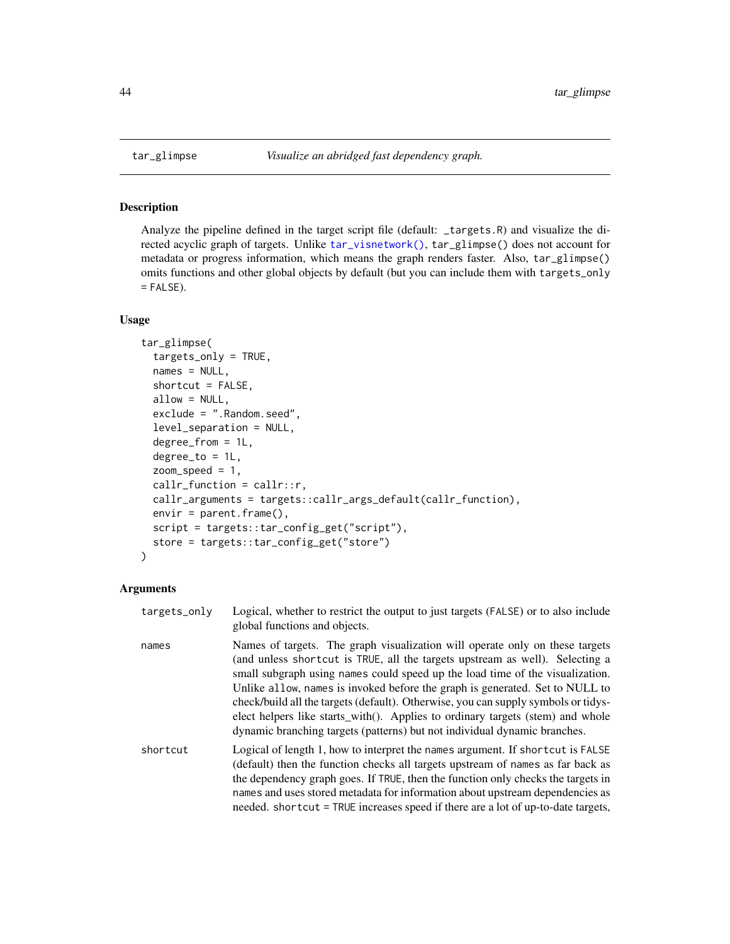### Description

Analyze the pipeline defined in the target script file (default: \_targets.R) and visualize the directed acyclic graph of targets. Unlike [tar\\_visnetwork\(\)](#page-147-0), tar\_glimpse() does not account for metadata or progress information, which means the graph renders faster. Also, tar\_glimpse() omits functions and other global objects by default (but you can include them with targets\_only  $=$  FALSE).

### Usage

```
tar_glimpse(
  targets_only = TRUE,
  names = NULL,shortcut = FALSE,
  allow = NULL,
  exclude = ".Random.seed",
  level_separation = NULL,
  degree_from = 1L,
  degree_to = 1L,
  zoom_speed = 1,
  callr_function = callr::r,
  callr_arguments = targets::callr_args_default(callr_function),
 envir = parent.frame(),script = targets::tar_config_get("script"),
  store = targets::tar_config_get("store")
)
```

| targets_only | Logical, whether to restrict the output to just targets (FALSE) or to also include<br>global functions and objects.                                                                                                                                                                                                                                                                                                                                                                                                                                                                |
|--------------|------------------------------------------------------------------------------------------------------------------------------------------------------------------------------------------------------------------------------------------------------------------------------------------------------------------------------------------------------------------------------------------------------------------------------------------------------------------------------------------------------------------------------------------------------------------------------------|
| names        | Names of targets. The graph visualization will operate only on these targets<br>(and unless shortcut is TRUE, all the targets upstream as well). Selecting a<br>small subgraph using names could speed up the load time of the visualization.<br>Unlike allow, names is invoked before the graph is generated. Set to NULL to<br>check/build all the targets (default). Otherwise, you can supply symbols or tidys-<br>elect helpers like starts_with(). Applies to ordinary targets (stem) and whole<br>dynamic branching targets (patterns) but not individual dynamic branches. |
| shortcut     | Logical of length 1, how to interpret the names argument. If shortcut is FALSE<br>(default) then the function checks all targets upstream of names as far back as<br>the dependency graph goes. If TRUE, then the function only checks the targets in<br>names and uses stored metadata for information about upstream dependencies as<br>needed. shortcut = TRUE increases speed if there are a lot of up-to-date targets,                                                                                                                                                        |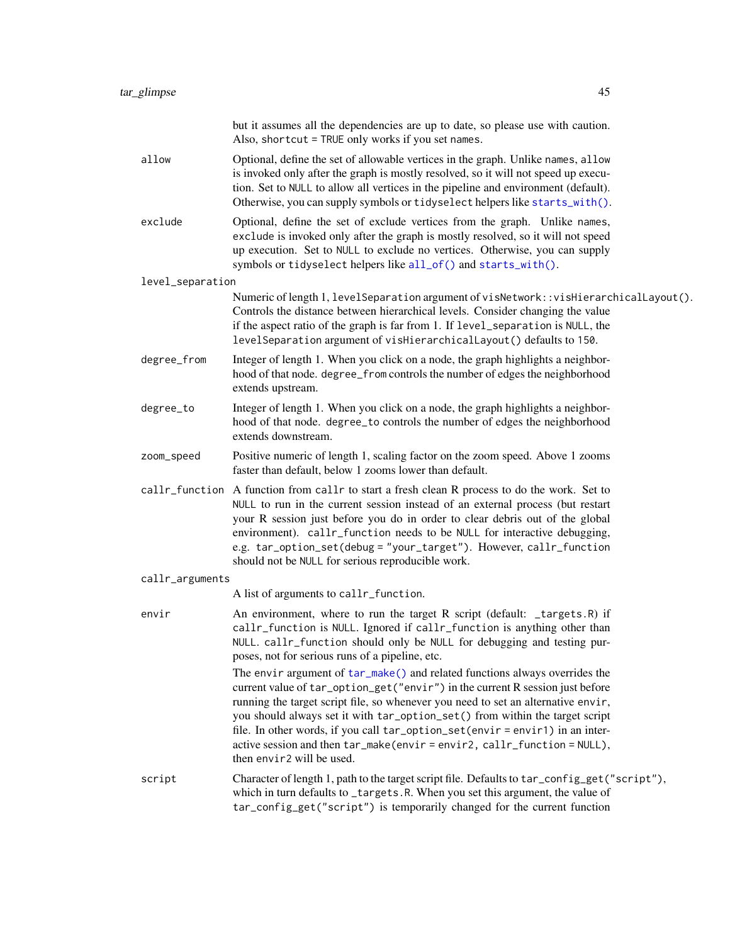|                  | but it assumes all the dependencies are up to date, so please use with caution.<br>Also, shortcut = TRUE only works if you set names.                                                                                                                                                                                                                                                                                                                                                                                     |  |
|------------------|---------------------------------------------------------------------------------------------------------------------------------------------------------------------------------------------------------------------------------------------------------------------------------------------------------------------------------------------------------------------------------------------------------------------------------------------------------------------------------------------------------------------------|--|
| allow            | Optional, define the set of allowable vertices in the graph. Unlike names, allow<br>is invoked only after the graph is mostly resolved, so it will not speed up execu-<br>tion. Set to NULL to allow all vertices in the pipeline and environment (default).<br>Otherwise, you can supply symbols or tidyselect helpers like starts_with().                                                                                                                                                                               |  |
| exclude          | Optional, define the set of exclude vertices from the graph. Unlike names,<br>exclude is invoked only after the graph is mostly resolved, so it will not speed<br>up execution. Set to NULL to exclude no vertices. Otherwise, you can supply<br>symbols or tidyselect helpers like all_of() and starts_with().                                                                                                                                                                                                           |  |
| level_separation |                                                                                                                                                                                                                                                                                                                                                                                                                                                                                                                           |  |
|                  | Numeric of length 1, level Separation argument of visNetwork::visHierarchicalLayout().<br>Controls the distance between hierarchical levels. Consider changing the value<br>if the aspect ratio of the graph is far from 1. If level_separation is NULL, the<br>levelSeparation argument of visHierarchicalLayout() defaults to 150.                                                                                                                                                                                      |  |
| degree_from      | Integer of length 1. When you click on a node, the graph highlights a neighbor-<br>hood of that node. degree_from controls the number of edges the neighborhood<br>extends upstream.                                                                                                                                                                                                                                                                                                                                      |  |
| degree_to        | Integer of length 1. When you click on a node, the graph highlights a neighbor-<br>hood of that node. degree_to controls the number of edges the neighborhood<br>extends downstream.                                                                                                                                                                                                                                                                                                                                      |  |
| zoom_speed       | Positive numeric of length 1, scaling factor on the zoom speed. Above 1 zooms<br>faster than default, below 1 zooms lower than default.                                                                                                                                                                                                                                                                                                                                                                                   |  |
|                  | callr_function A function from callr to start a fresh clean R process to do the work. Set to<br>NULL to run in the current session instead of an external process (but restart<br>your R session just before you do in order to clear debris out of the global<br>environment). callr_function needs to be NULL for interactive debugging,<br>e.g. tar_option_set(debug = "your_target"). However, callr_function<br>should not be NULL for serious reproducible work.                                                    |  |
| callr_arguments  |                                                                                                                                                                                                                                                                                                                                                                                                                                                                                                                           |  |
|                  | A list of arguments to callr_function.                                                                                                                                                                                                                                                                                                                                                                                                                                                                                    |  |
| envir            | An environment, where to run the target R script (default: _targets.R) if<br>callr_function is NULL. Ignored if callr_function is anything other than<br>NULL. callr_function should only be NULL for debugging and testing pur-<br>poses, not for serious runs of a pipeline, etc.                                                                                                                                                                                                                                       |  |
|                  | The envir argument of tar_make() and related functions always overrides the<br>current value of tar_option_get("envir") in the current R session just before<br>running the target script file, so whenever you need to set an alternative envir,<br>you should always set it with tar_option_set() from within the target script<br>file. In other words, if you call tar_option_set(envir = envir1) in an inter-<br>active session and then tar_make(envir=envir2, callr_function = NULL),<br>then envir2 will be used. |  |
| script           | Character of length 1, path to the target script file. Defaults to tar_config_get("script"),<br>which in turn defaults to _targets.R. When you set this argument, the value of<br>tar_config_get("script") is temporarily changed for the current function                                                                                                                                                                                                                                                                |  |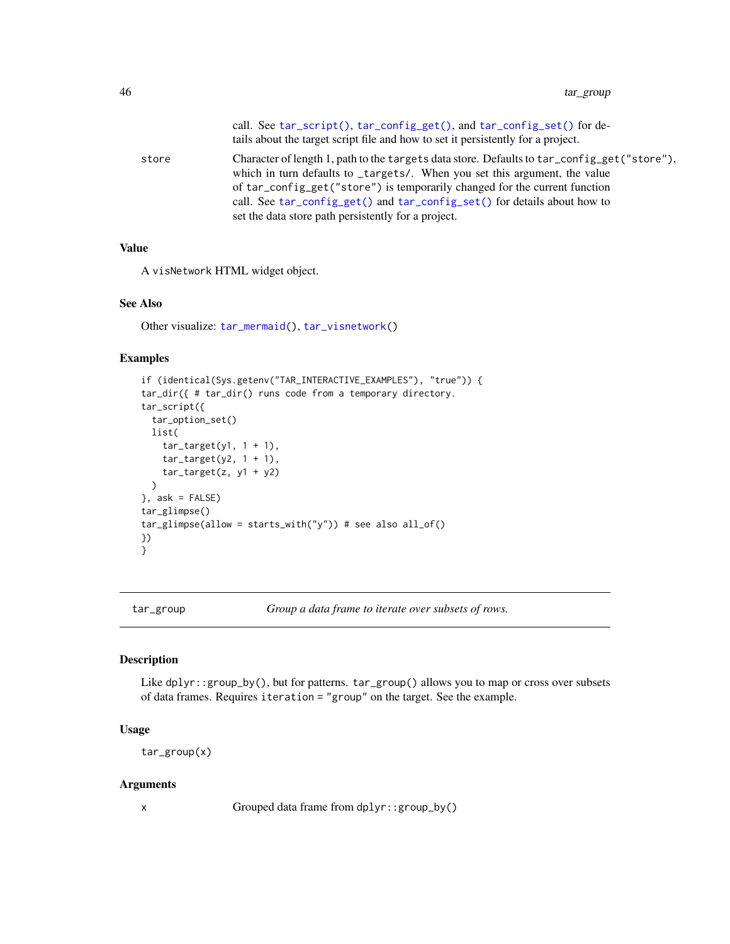|       | call. See tar_script(), tar_config_get(), and tar_config_set() for de-<br>tails about the target script file and how to set it persistently for a project.                                                                                                                                                                                                                                 |
|-------|--------------------------------------------------------------------------------------------------------------------------------------------------------------------------------------------------------------------------------------------------------------------------------------------------------------------------------------------------------------------------------------------|
| store | Character of length 1, path to the targets data store. Defaults to tar_config_get("store"),<br>which in turn defaults to _targets/. When you set this argument, the value<br>of tar_config_get("store") is temporarily changed for the current function<br>call. See tar_config_get() and tar_config_set() for details about how to<br>set the data store path persistently for a project. |
|       |                                                                                                                                                                                                                                                                                                                                                                                            |

# Value

A visNetwork HTML widget object.

# See Also

Other visualize: [tar\\_mermaid\(](#page-67-0)), [tar\\_visnetwork\(](#page-147-0))

### Examples

```
if (identical(Sys.getenv("TAR_INTERACTIVE_EXAMPLES"), "true")) {
tar_dir({ # tar_dir() runs code from a temporary directory.
tar_script({
  tar_option_set()
  list(
   tar\_target(y1, 1 + 1),tar\_target(y2, 1 + 1),tar_target(z, y1 + y2)
  )
}, ask = FALSE)
tar_glimpse()
tar_glimpse(allow = starts_with("y")) # see also all_of()
})
}
```
tar\_group *Group a data frame to iterate over subsets of rows.*

### Description

Like dplyr::group\_by(), but for patterns. tar\_group() allows you to map or cross over subsets of data frames. Requires iteration = "group" on the target. See the example.

## Usage

tar\_group(x)

### Arguments

x Grouped data frame from dplyr::group\_by()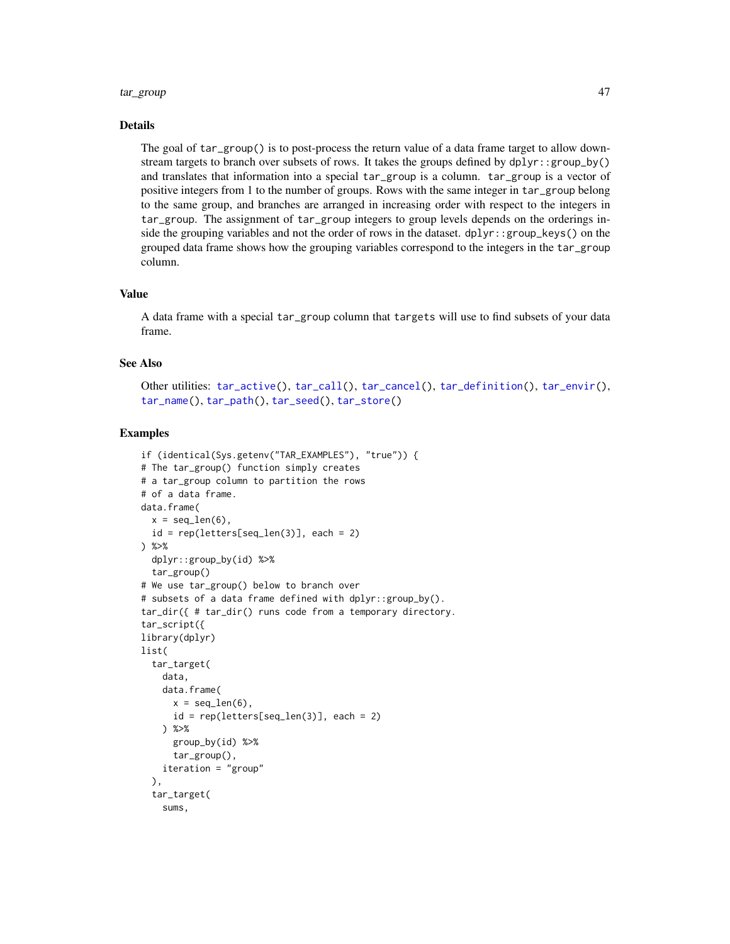### tar\_group 47

# Details

The goal of tar\_group() is to post-process the return value of a data frame target to allow downstream targets to branch over subsets of rows. It takes the groups defined by dplyr::group\_by() and translates that information into a special tar\_group is a column. tar\_group is a vector of positive integers from 1 to the number of groups. Rows with the same integer in tar\_group belong to the same group, and branches are arranged in increasing order with respect to the integers in tar\_group. The assignment of tar\_group integers to group levels depends on the orderings inside the grouping variables and not the order of rows in the dataset. dplyr::group\_keys() on the grouped data frame shows how the grouping variables correspond to the integers in the tar\_group column.

### Value

A data frame with a special tar\_group column that targets will use to find subsets of your data frame.

# See Also

Other utilities: [tar\\_active\(](#page-4-0)), [tar\\_call\(](#page-12-0)), [tar\\_cancel\(](#page-13-0)), [tar\\_definition\(](#page-24-0)), [tar\\_envir\(](#page-32-0)), [tar\\_name\(](#page-73-0)), [tar\\_path\(](#page-91-0)), [tar\\_seed\(](#page-123-0)), [tar\\_store\(](#page-129-0))

```
if (identical(Sys.getenv("TAR_EXAMPLES"), "true")) {
# The tar_group() function simply creates
# a tar_group column to partition the rows
# of a data frame.
data.frame(
  x = seq\_len(6),
  id = rep(leftters[seq\_len(3)], each = 2)) %>%
  dplyr::group_by(id) %>%
  tar_group()
# We use tar_group() below to branch over
# subsets of a data frame defined with dplyr::group_by().
tar_dir({ # tar_dir() runs code from a temporary directory.
tar_script({
library(dplyr)
list(
  tar_target(
   data,
    data.frame(
      x = seq\_len(6),
      id = rep(letters[seq_len(3)], each = 2)
    ) %>%
      group_by(id) %>%
      tar_group(),
    iteration = "group"
  ),
  tar_target(
    sums,
```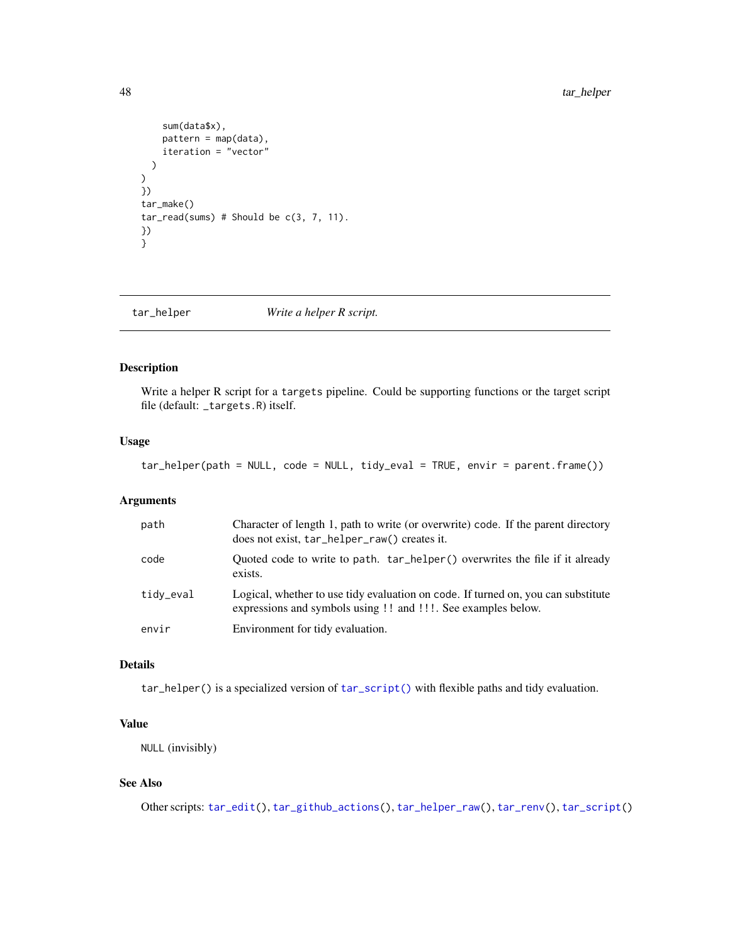```
sum(data$x),
    pattern = map(data),
    iteration = "vector"
 )
\lambda})
tar_make()
tar_read(sums) # Should be c(3, 7, 11).
})
}
```
<span id="page-47-0"></span>tar\_helper *Write a helper R script.*

# Description

Write a helper R script for a targets pipeline. Could be supporting functions or the target script file (default: \_targets.R) itself.

# Usage

tar\_helper(path = NULL, code = NULL, tidy\_eval = TRUE, envir = parent.frame())

# Arguments

| path      | Character of length 1, path to write (or overwrite) code. If the parent directory<br>does not exist, tar_helper_raw() creates it.                  |
|-----------|----------------------------------------------------------------------------------------------------------------------------------------------------|
| code      | Quoted code to write to path. tar_helper() overwrites the file if it already<br>exists.                                                            |
| tidy_eval | Logical, whether to use tidy evaluation on code. If turned on, you can substitute<br>expressions and symbols using !! and !!!. See examples below. |
| envir     | Environment for tidy evaluation.                                                                                                                   |

# Details

tar\_helper() is a specialized version of [tar\\_script\(\)](#page-121-0) with flexible paths and tidy evaluation.

# Value

NULL (invisibly)

## See Also

Other scripts: [tar\\_edit\(](#page-30-0)), [tar\\_github\\_actions\(](#page-41-0)), [tar\\_helper\\_raw\(](#page-48-0)), [tar\\_renv\(](#page-106-0)), [tar\\_script\(](#page-121-0))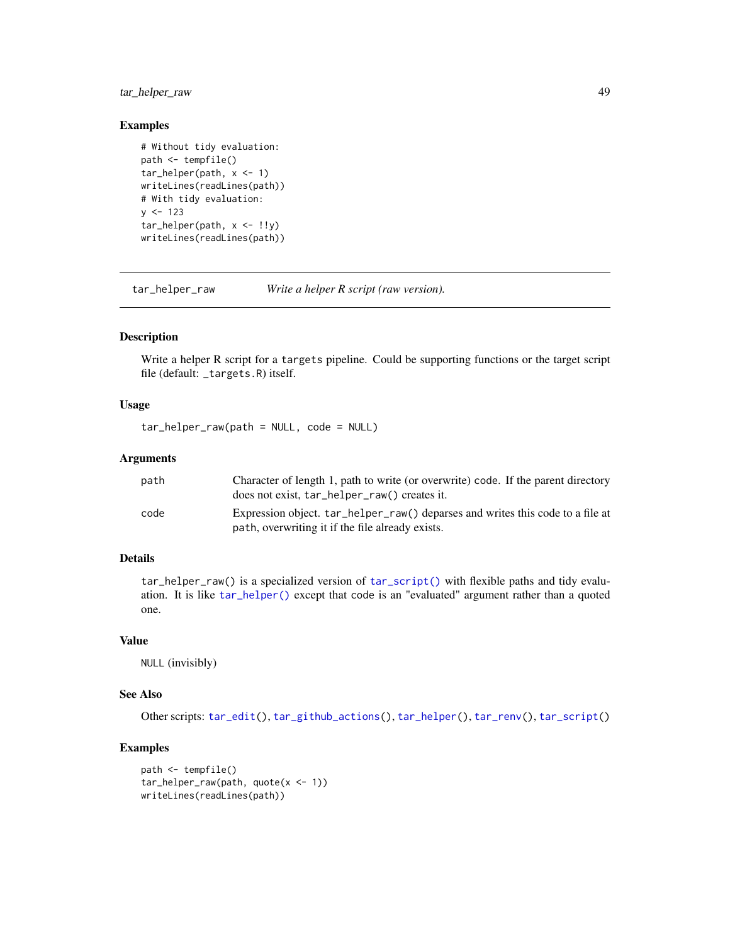# tar\_helper\_raw 49

## Examples

```
# Without tidy evaluation:
path <- tempfile()
tar_helper(path, x <- 1)
writeLines(readLines(path))
# With tidy evaluation:
y \le -123tar_helper(path, x <- !!y)
writeLines(readLines(path))
```
<span id="page-48-0"></span>tar\_helper\_raw *Write a helper R script (raw version).*

# Description

Write a helper R script for a targets pipeline. Could be supporting functions or the target script file (default: \_targets.R) itself.

## Usage

tar\_helper\_raw(path = NULL, code = NULL)

# Arguments

| path | Character of length 1, path to write (or overwrite) code. If the parent directory<br>does not exist, tar_helper_raw() creates it.  |
|------|------------------------------------------------------------------------------------------------------------------------------------|
| code | Expression object. tar_helper_raw() deparses and writes this code to a file at<br>path, overwriting it if the file already exists. |

# Details

tar\_helper\_raw() is a specialized version of [tar\\_script\(\)](#page-121-0) with flexible paths and tidy evaluation. It is like [tar\\_helper\(\)](#page-47-0) except that code is an "evaluated" argument rather than a quoted one.

## Value

NULL (invisibly)

## See Also

Other scripts: [tar\\_edit\(](#page-30-0)), [tar\\_github\\_actions\(](#page-41-0)), [tar\\_helper\(](#page-47-0)), [tar\\_renv\(](#page-106-0)), [tar\\_script\(](#page-121-0))

```
path <- tempfile()
tar_helper_raw(path, quote(x <- 1))
writeLines(readLines(path))
```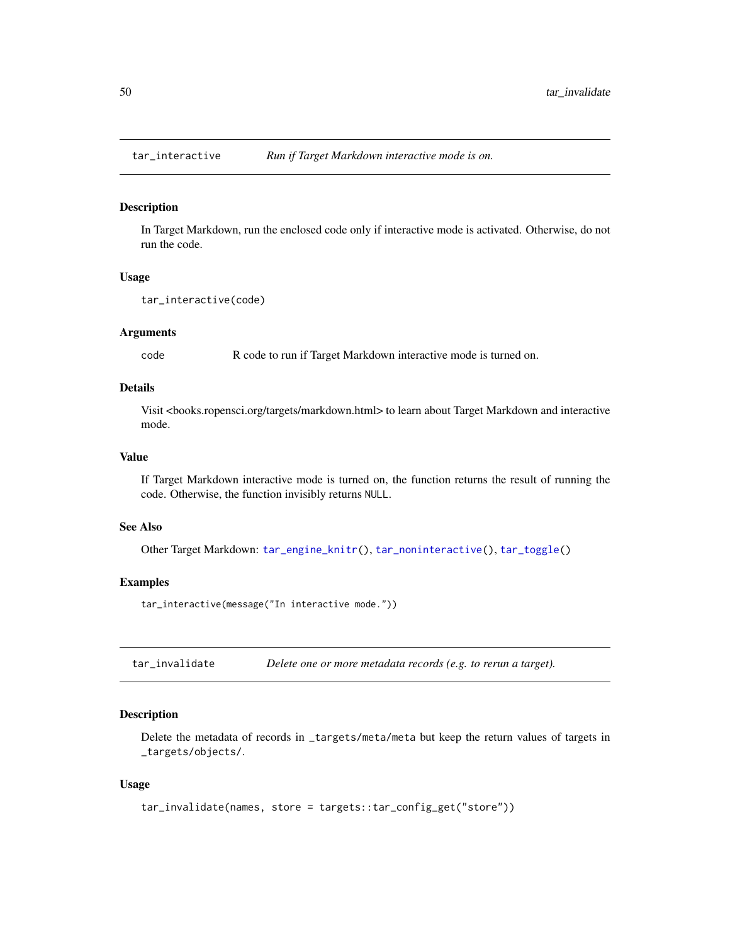### Description

In Target Markdown, run the enclosed code only if interactive mode is activated. Otherwise, do not run the code.

### Usage

```
tar_interactive(code)
```
### Arguments

code R code to run if Target Markdown interactive mode is turned on.

# Details

Visit <books.ropensci.org/targets/markdown.html> to learn about Target Markdown and interactive mode.

## Value

If Target Markdown interactive mode is turned on, the function returns the result of running the code. Otherwise, the function invisibly returns NULL.

## See Also

Other Target Markdown: [tar\\_engine\\_knitr\(](#page-30-1)), [tar\\_noninteractive\(](#page-78-0)), [tar\\_toggle\(](#page-143-0))

## Examples

tar\_interactive(message("In interactive mode."))

tar\_invalidate *Delete one or more metadata records (e.g. to rerun a target).*

# Description

Delete the metadata of records in \_targets/meta/meta but keep the return values of targets in \_targets/objects/.

### Usage

```
tar_invalidate(names, store = targets::tar_config_get("store"))
```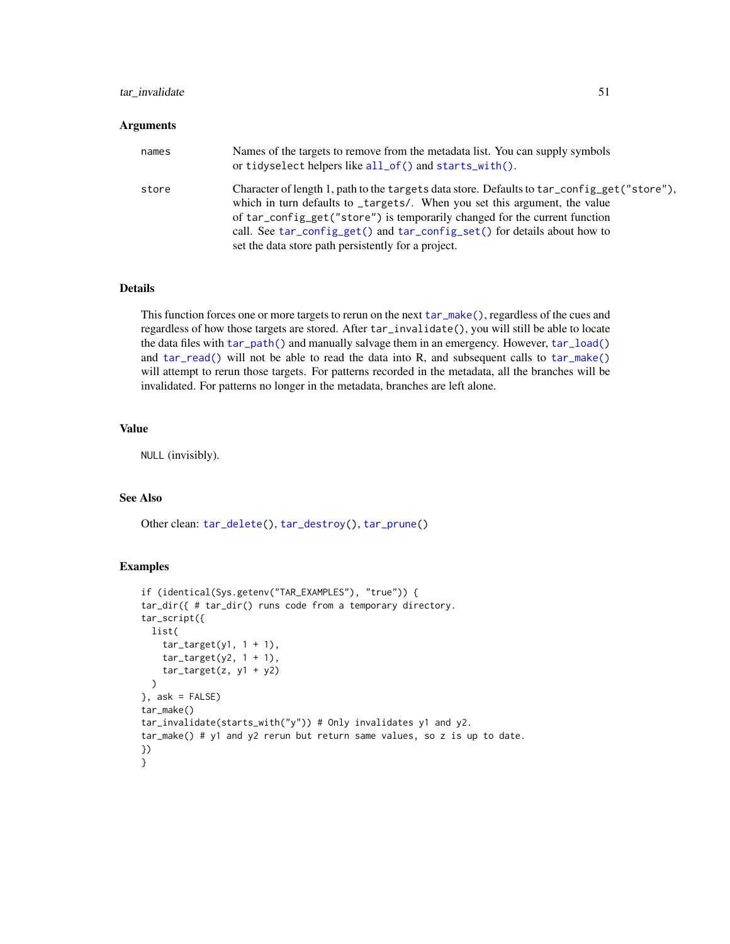## tar\_invalidate 51

### Arguments

| names | Names of the targets to remove from the metadata list. You can supply symbols<br>or tidyselect helpers like all_of() and starts_with().                                                                                                                                                                                                                                                    |
|-------|--------------------------------------------------------------------------------------------------------------------------------------------------------------------------------------------------------------------------------------------------------------------------------------------------------------------------------------------------------------------------------------------|
| store | Character of length 1, path to the targets data store. Defaults to tar_config_get("store"),<br>which in turn defaults to _targets/. When you set this argument, the value<br>of tar_config_get("store") is temporarily changed for the current function<br>call. See tar_config_get() and tar_config_set() for details about how to<br>set the data store path persistently for a project. |

# Details

This function forces one or more targets to rerun on the next [tar\\_make\(\)](#page-58-0), regardless of the cues and regardless of how those targets are stored. After tar\_invalidate(), you will still be able to locate the data files with [tar\\_path\(\)](#page-91-0) and manually salvage them in an emergency. However, [tar\\_load\(\)](#page-52-0) and [tar\\_read\(\)](#page-103-0) will not be able to read the data into R, and subsequent calls to [tar\\_make\(\)](#page-58-0) will attempt to rerun those targets. For patterns recorded in the metadata, all the branches will be invalidated. For patterns no longer in the metadata, branches are left alone.

# Value

NULL (invisibly).

## See Also

Other clean: [tar\\_delete\(](#page-25-0)), [tar\\_destroy\(](#page-28-0)), [tar\\_prune\(](#page-102-0))

```
if (identical(Sys.getenv("TAR_EXAMPLES"), "true")) {
tar_dir({ # tar_dir() runs code from a temporary directory.
tar_script({
 list(
   tar\_target(y1, 1 + 1),
   tar\_target(y2, 1 + 1),
   tar\_target(z, y1 + y2))
}, ask = FALSE)
tar_make()
tar_invalidate(starts_with("y")) # Only invalidates y1 and y2.
tar_make() # y1 and y2 rerun but return same values, so z is up to date.
})
}
```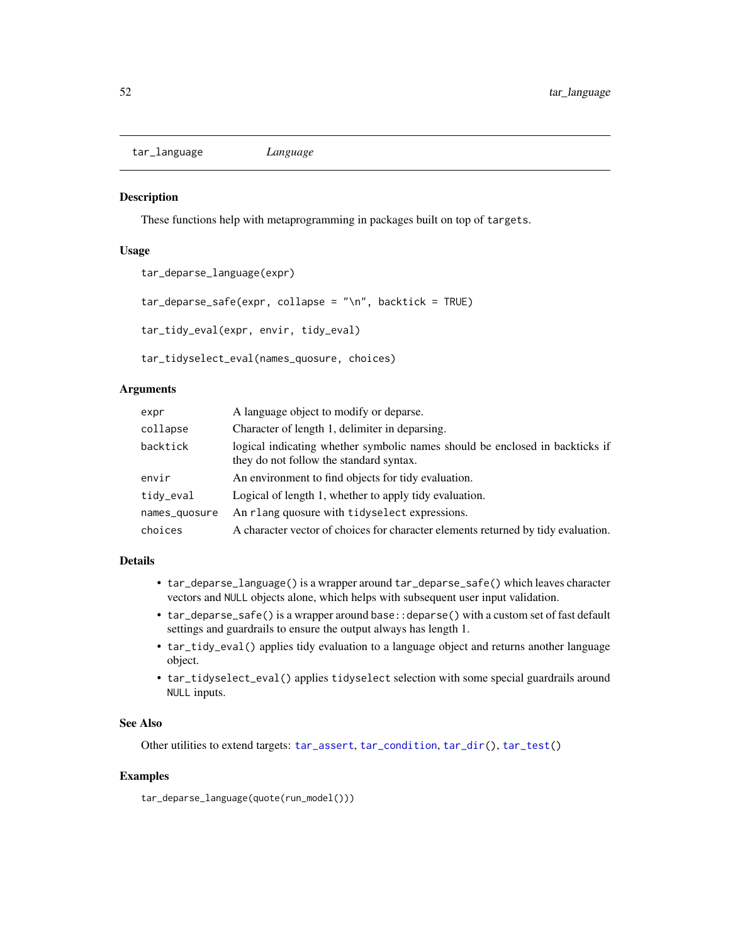tar\_language *Language*

## Description

These functions help with metaprogramming in packages built on top of targets.

## Usage

```
tar_deparse_language(expr)
tar_deparse_safe(exp, collapse = "\\n", backtick = TRUE)tar_tidy_eval(expr, envir, tidy_eval)
```
tar\_tidyselect\_eval(names\_quosure, choices)

Arguments

| expr          | A language object to modify or deparse.                                                                                 |
|---------------|-------------------------------------------------------------------------------------------------------------------------|
| collapse      | Character of length 1, delimiter in deparsing.                                                                          |
| backtick      | logical indicating whether symbolic names should be enclosed in backticks if<br>they do not follow the standard syntax. |
| envir         | An environment to find objects for tidy evaluation.                                                                     |
| tidy_eval     | Logical of length 1, whether to apply tidy evaluation.                                                                  |
| names_quosure | An rlang quosure with tidyselect expressions.                                                                           |
| choices       | A character vector of choices for character elements returned by tidy evaluation.                                       |

# Details

- tar\_deparse\_language() is a wrapper around tar\_deparse\_safe() which leaves character vectors and NULL objects alone, which helps with subsequent user input validation.
- tar\_deparse\_safe() is a wrapper around base: :deparse() with a custom set of fast default settings and guardrails to ensure the output always has length 1.
- tar\_tidy\_eval() applies tidy evaluation to a language object and returns another language object.
- tar\_tidyselect\_eval() applies tidyselect selection with some special guardrails around NULL inputs.

### See Also

Other utilities to extend targets: [tar\\_assert](#page-5-0), [tar\\_condition](#page-15-0), [tar\\_dir\(](#page-29-0)), [tar\\_test\(](#page-139-0))

## Examples

tar\_deparse\_language(quote(run\_model()))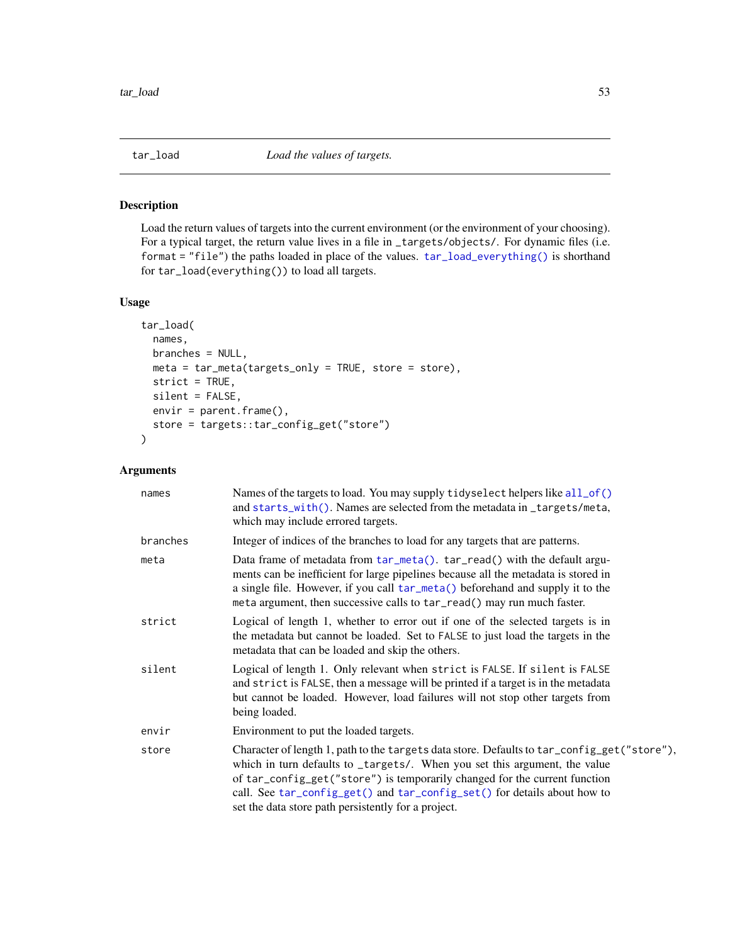<span id="page-52-0"></span>

# Description

Load the return values of targets into the current environment (or the environment of your choosing). For a typical target, the return value lives in a file in \_targets/objects/. For dynamic files (i.e. format = "file") the paths loaded in place of the values. [tar\\_load\\_everything\(\)](#page-53-0) is shorthand for tar\_load(everything()) to load all targets.

# Usage

```
tar_load(
  names,
 branches = NULL,
 meta = tar_meta(targets_only = TRUE, store = store),
 strict = TRUE,
  silent = FALSE,
 envir = parent.frame(),
  store = targets::tar_config_get("store")
\mathcal{L}
```

| names    | Names of the targets to load. You may supply tidyselect helpers like all_of()<br>and starts_with(). Names are selected from the metadata in _targets/meta,<br>which may include errored targets.                                                                                                                                                                                           |
|----------|--------------------------------------------------------------------------------------------------------------------------------------------------------------------------------------------------------------------------------------------------------------------------------------------------------------------------------------------------------------------------------------------|
| branches | Integer of indices of the branches to load for any targets that are patterns.                                                                                                                                                                                                                                                                                                              |
| meta     | Data frame of metadata from tar_meta(). tar_read() with the default argu-<br>ments can be inefficient for large pipelines because all the metadata is stored in<br>a single file. However, if you call tar_meta() beforehand and supply it to the<br>meta argument, then successive calls to tar_read() may run much faster.                                                               |
| strict   | Logical of length 1, whether to error out if one of the selected targets is in<br>the metadata but cannot be loaded. Set to FALSE to just load the targets in the<br>metadata that can be loaded and skip the others.                                                                                                                                                                      |
| silent   | Logical of length 1. Only relevant when strict is FALSE. If silent is FALSE<br>and strict is FALSE, then a message will be printed if a target is in the metadata<br>but cannot be loaded. However, load failures will not stop other targets from<br>being loaded.                                                                                                                        |
| envir    | Environment to put the loaded targets.                                                                                                                                                                                                                                                                                                                                                     |
| store    | Character of length 1, path to the targets data store. Defaults to tar_config_get("store"),<br>which in turn defaults to _targets/. When you set this argument, the value<br>of tar_config_get("store") is temporarily changed for the current function<br>call. See tar_config_get() and tar_config_set() for details about how to<br>set the data store path persistently for a project. |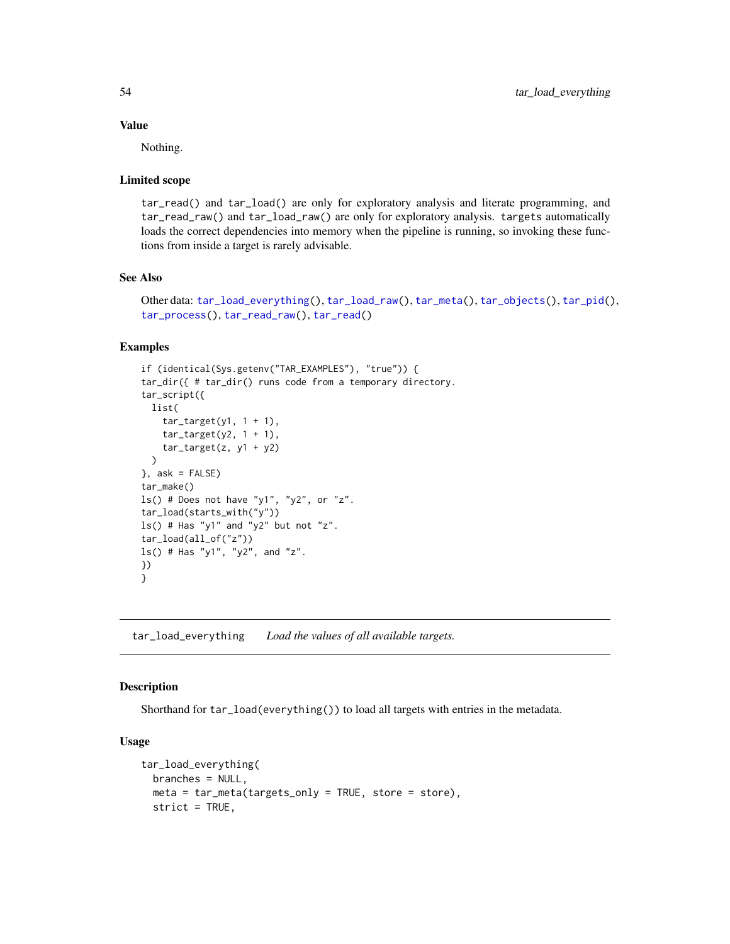## Value

Nothing.

## Limited scope

tar\_read() and tar\_load() are only for exploratory analysis and literate programming, and tar\_read\_raw() and tar\_load\_raw() are only for exploratory analysis. targets automatically loads the correct dependencies into memory when the pipeline is running, so invoking these functions from inside a target is rarely advisable.

### See Also

```
Other data: tar_load_everything(), tar_load_raw(), tar_meta(), tar_objects(), tar_pid(),
tar_process(), tar_read_raw(), tar_read()
```
# Examples

```
if (identical(Sys.getenv("TAR_EXAMPLES"), "true")) {
tar_dir({ # tar_dir() runs code from a temporary directory.
tar_script({
 list(
    tar\_target(y1, 1 + 1),
    tar\_target(y2, 1 + 1),
    tar\_target(z, y1 + y2))
}, ask = FALSE)
tar_make()
ls() # Does not have "y1", "y2", or "z".
tar_load(starts_with("y"))
ls() # Has "y1" and "y2" but not "z".
tar_load(all_of("z"))
ls() # Has "y1", "y2", and "z".
})
}
```
<span id="page-53-0"></span>tar\_load\_everything *Load the values of all available targets.*

## Description

Shorthand for tar\_load(everything()) to load all targets with entries in the metadata.

### Usage

```
tar_load_everything(
 branches = NULL,
 meta = tar_meta(targets_only = TRUE, store = store),
 strict = TRUE,
```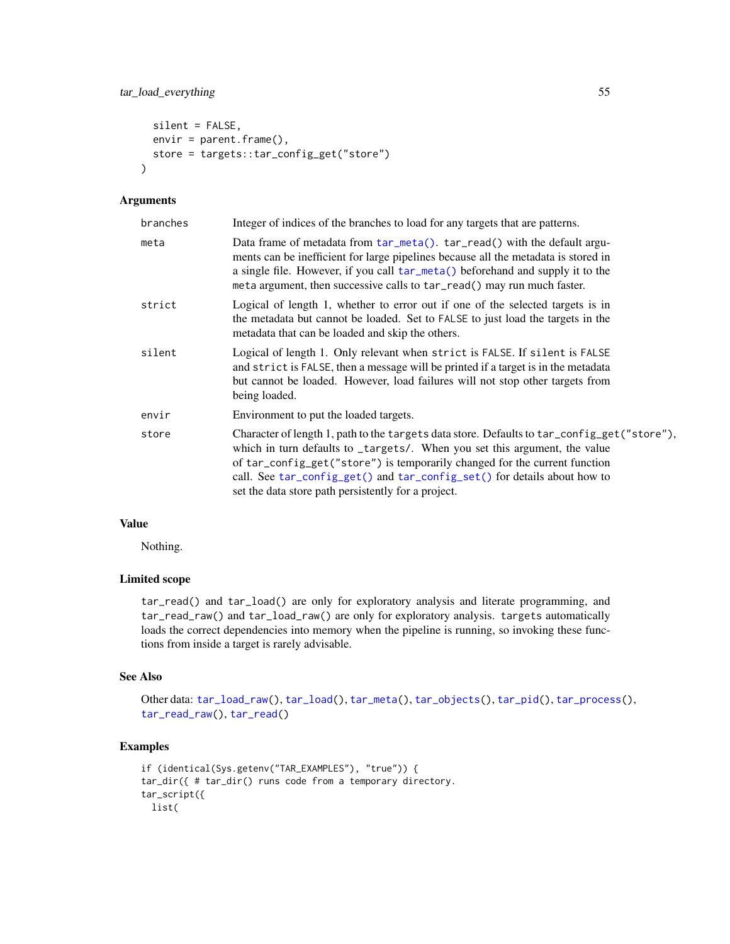```
silent = FALSE,
 envir = parent.frame(),store = targets::tar_config_get("store")
\lambda
```
## Arguments

| Integer of indices of the branches to load for any targets that are patterns.                                                                                                                                                                                                                                                                                                              |
|--------------------------------------------------------------------------------------------------------------------------------------------------------------------------------------------------------------------------------------------------------------------------------------------------------------------------------------------------------------------------------------------|
| Data frame of metadata from tar_meta(). tar_read() with the default argu-<br>ments can be inefficient for large pipelines because all the metadata is stored in<br>a single file. However, if you call tar_meta() beforehand and supply it to the<br>meta argument, then successive calls to tar_read() may run much faster.                                                               |
| Logical of length 1, whether to error out if one of the selected targets is in<br>the metadata but cannot be loaded. Set to FALSE to just load the targets in the<br>metadata that can be loaded and skip the others.                                                                                                                                                                      |
| Logical of length 1. Only relevant when strict is FALSE. If silent is FALSE<br>and strict is FALSE, then a message will be printed if a target is in the metadata<br>but cannot be loaded. However, load failures will not stop other targets from<br>being loaded.                                                                                                                        |
| Environment to put the loaded targets.                                                                                                                                                                                                                                                                                                                                                     |
| Character of length 1, path to the targets data store. Defaults to tar_config_get("store"),<br>which in turn defaults to _targets/. When you set this argument, the value<br>of tar_config_get("store") is temporarily changed for the current function<br>call. See tar_config_get() and tar_config_set() for details about how to<br>set the data store path persistently for a project. |
|                                                                                                                                                                                                                                                                                                                                                                                            |

# Value

Nothing.

## Limited scope

tar\_read() and tar\_load() are only for exploratory analysis and literate programming, and tar\_read\_raw() and tar\_load\_raw() are only for exploratory analysis. targets automatically loads the correct dependencies into memory when the pipeline is running, so invoking these functions from inside a target is rarely advisable.

# See Also

```
Other data: tar_load_raw(), tar_load(), tar_meta(), tar_objects(), tar_pid(), tar_process(),
tar_read_raw(), tar_read()
```

```
if (identical(Sys.getenv("TAR_EXAMPLES"), "true")) {
tar_dir({ # tar_dir() runs code from a temporary directory.
tar_script({
 list(
```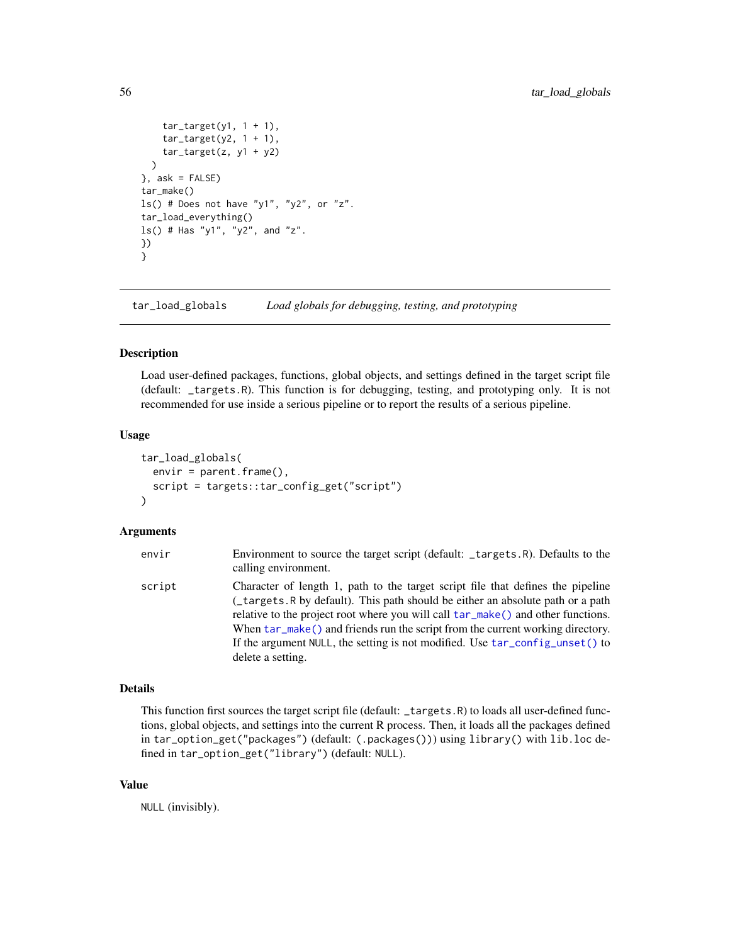```
tar\_target(y1, 1 + 1),tar\_target(y2, 1 + 1),tar\_target(z, y1 + y2))
}, ask = FALSE)
tar_make()
ls() # Does not have "y1", "y2", or "z".
tar_load_everything()
ls() # Has "y1", "y2", and "z".
})
}
```
tar\_load\_globals *Load globals for debugging, testing, and prototyping*

# Description

Load user-defined packages, functions, global objects, and settings defined in the target script file (default: \_targets.R). This function is for debugging, testing, and prototyping only. It is not recommended for use inside a serious pipeline or to report the results of a serious pipeline.

### Usage

```
tar_load_globals(
  envir = parent.frame(),
  script = targets::tar_config_get("script")
\lambda
```
## Arguments

| envir  | Environment to source the target script (default: _targets.R). Defaults to the<br>calling environment.                                                                                                                                                                                                                                                                                                                                         |
|--------|------------------------------------------------------------------------------------------------------------------------------------------------------------------------------------------------------------------------------------------------------------------------------------------------------------------------------------------------------------------------------------------------------------------------------------------------|
| script | Character of length 1, path to the target script file that defines the pipeline<br>(_targets.R by default). This path should be either an absolute path or a path<br>relative to the project root where you will call tar_make() and other functions.<br>When $tar_make()$ and friends run the script from the current working directory.<br>If the argument NULL, the setting is not modified. Use tar_config_unset() to<br>delete a setting. |

## Details

This function first sources the target script file (default: \_targets.R) to loads all user-defined functions, global objects, and settings into the current R process. Then, it loads all the packages defined in tar\_option\_get("packages") (default: (.packages())) using library() with lib.loc defined in tar\_option\_get("library") (default: NULL).

# Value

NULL (invisibly).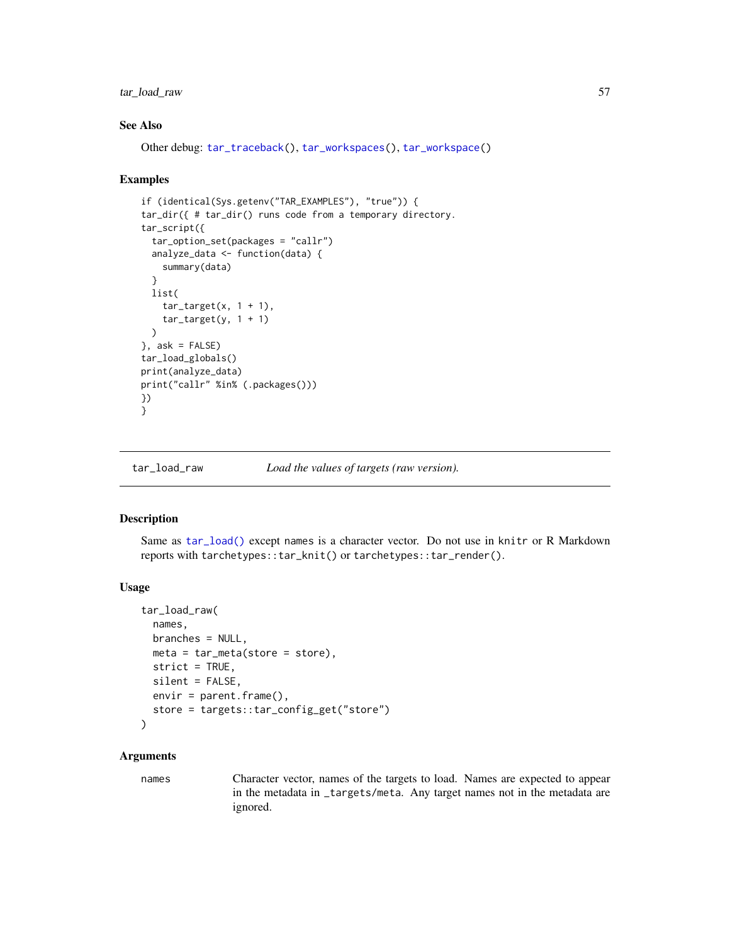# tar\_load\_raw 57

# See Also

```
Other debug: tar_traceback(), tar_workspaces(), tar_workspace()
```
### Examples

```
if (identical(Sys.getenv("TAR_EXAMPLES"), "true")) {
tar_dir({ # tar_dir() runs code from a temporary directory.
tar_script({
  tar_option_set(packages = "callr")
  analyze_data <- function(data) {
   summary(data)
  }
  list(
    tar\_target(x, 1 + 1),tar\_target(y, 1 + 1)\lambda}, ask = FALSE)
tar_load_globals()
print(analyze_data)
print("callr" %in% (.packages()))
})
}
```
<span id="page-56-0"></span>

```
tar_load_raw Load the values of targets (raw version).
```
## Description

Same as [tar\\_load\(\)](#page-52-0) except names is a character vector. Do not use in knitr or R Markdown reports with tarchetypes::tar\_knit() or tarchetypes::tar\_render().

### Usage

```
tar_load_raw(
 names,
 branches = NULL,
 meta = tar_meta(store = store),strict = TRUE,
  silent = FALSE,
 envir = parent.frame(),store = targets::tar_config_get("store")
\lambda
```
### Arguments

names Character vector, names of the targets to load. Names are expected to appear in the metadata in \_targets/meta. Any target names not in the metadata are ignored.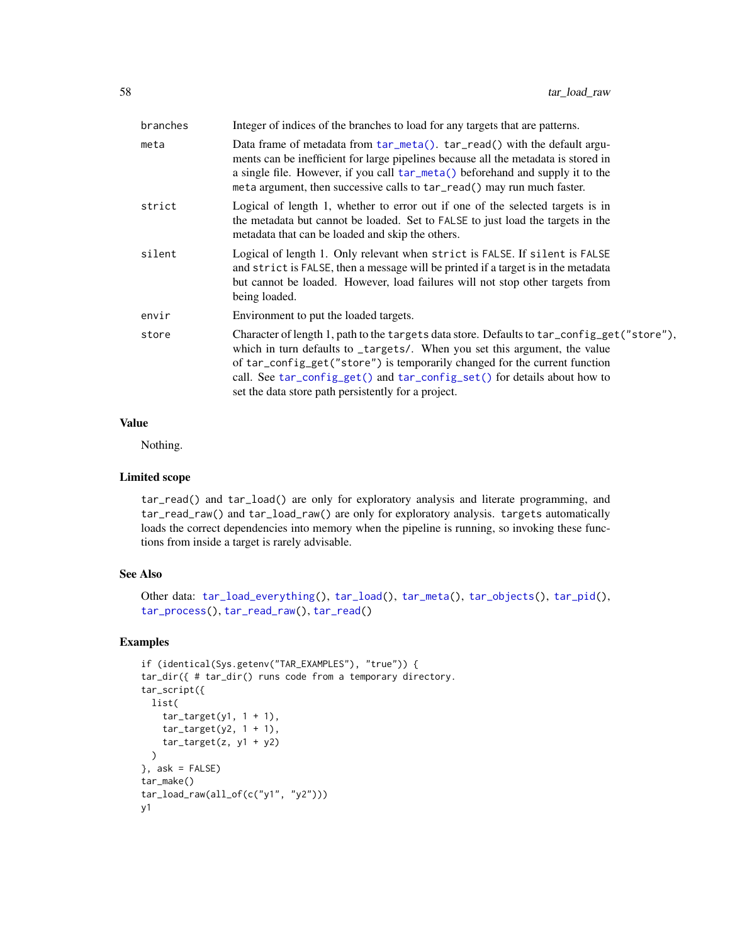| branches | Integer of indices of the branches to load for any targets that are patterns.                                                                                                                                                                                                                                                                                                              |
|----------|--------------------------------------------------------------------------------------------------------------------------------------------------------------------------------------------------------------------------------------------------------------------------------------------------------------------------------------------------------------------------------------------|
| meta     | Data frame of metadata from tar_meta(). tar_read() with the default argu-<br>ments can be inefficient for large pipelines because all the metadata is stored in<br>a single file. However, if you call tar_meta() beforehand and supply it to the<br>meta argument, then successive calls to tar_read() may run much faster.                                                               |
| strict   | Logical of length 1, whether to error out if one of the selected targets is in<br>the metadata but cannot be loaded. Set to FALSE to just load the targets in the<br>metadata that can be loaded and skip the others.                                                                                                                                                                      |
| silent   | Logical of length 1. Only relevant when strict is FALSE. If silent is FALSE<br>and strict is FALSE, then a message will be printed if a target is in the metadata<br>but cannot be loaded. However, load failures will not stop other targets from<br>being loaded.                                                                                                                        |
| envir    | Environment to put the loaded targets.                                                                                                                                                                                                                                                                                                                                                     |
| store    | Character of length 1, path to the targets data store. Defaults to tar_config_get("store"),<br>which in turn defaults to _targets/. When you set this argument, the value<br>of tar_config_get("store") is temporarily changed for the current function<br>call. See tar_config_get() and tar_config_set() for details about how to<br>set the data store path persistently for a project. |
|          |                                                                                                                                                                                                                                                                                                                                                                                            |

## Value

Nothing.

# Limited scope

tar\_read() and tar\_load() are only for exploratory analysis and literate programming, and tar\_read\_raw() and tar\_load\_raw() are only for exploratory analysis. targets automatically loads the correct dependencies into memory when the pipeline is running, so invoking these functions from inside a target is rarely advisable.

# See Also

```
Other data: tar_load_everything(), tar_load(), tar_meta(), tar_objects(), tar_pid(),
tar_process(), tar_read_raw(), tar_read()
```

```
if (identical(Sys.getenv("TAR_EXAMPLES"), "true")) {
tar_dir({ # tar_dir() runs code from a temporary directory.
tar_script({
 list(
   tar\_target(y1, 1 + 1),tar\_target(y2, 1 + 1),
   tar\_target(z, y1 + y2))
}, ask = FALSE)
tar_make()
tar\_load\_raw(al1_of(c("y1", "y2")))y1
```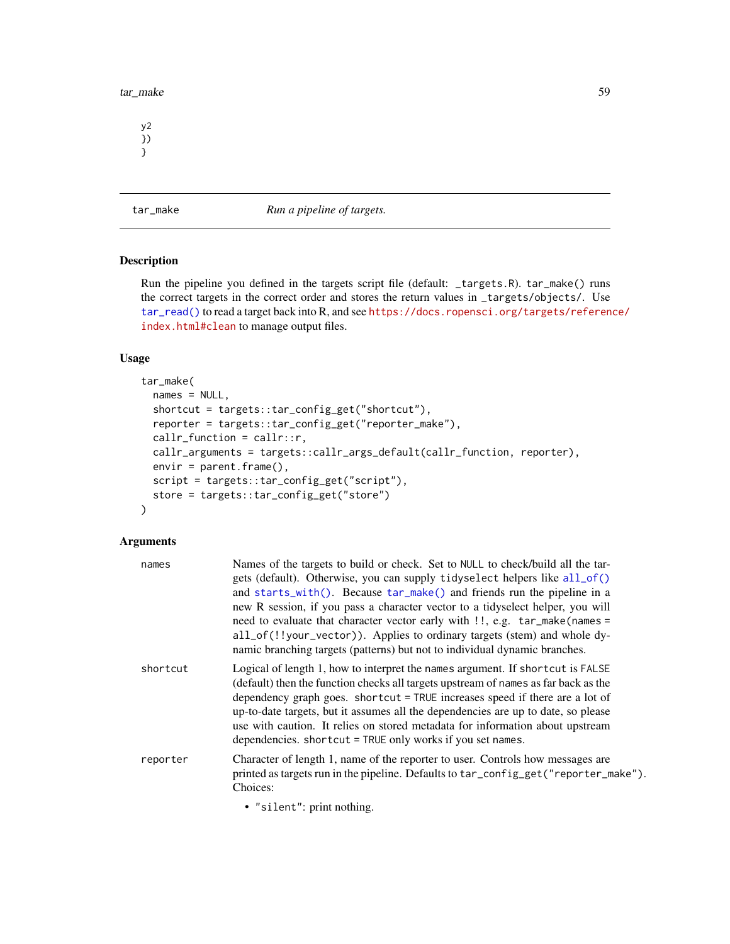tar\_make 59

y2 }) }

<span id="page-58-0"></span>tar\_make *Run a pipeline of targets.*

# Description

Run the pipeline you defined in the targets script file (default: \_targets.R). tar\_make() runs the correct targets in the correct order and stores the return values in \_targets/objects/. Use [tar\\_read\(\)](#page-103-0) to read a target back into R, and see [https://docs.ropensci.org/targets/referen](https://docs.ropensci.org/targets/reference/index.html#clean)ce/ [index.html#clean](https://docs.ropensci.org/targets/reference/index.html#clean) to manage output files.

## Usage

```
tar_make(
 names = NULL,
 shortcut = targets::tar_config_get("shortcut"),
 reporter = targets::tar_config_get("reporter_make"),
 callr_function = callr::r,
 callr_arguments = targets::callr_args_default(callr_function, reporter),
 envir = parent.frame(),script = targets::tar_config_get("script"),
 store = targets::tar_config_get("store")
)
```

| names    | Names of the targets to build or check. Set to NULL to check/build all the tar-<br>gets (default). Otherwise, you can supply tidyselect helpers like all_of()<br>and starts_with(). Because tar_make() and friends run the pipeline in a<br>new R session, if you pass a character vector to a tidyselect helper, you will<br>need to evaluate that character vector early with !!, e.g. tar_make(names =<br>all_of(!!your_vector)). Applies to ordinary targets (stem) and whole dy-<br>namic branching targets (patterns) but not to individual dynamic branches. |
|----------|---------------------------------------------------------------------------------------------------------------------------------------------------------------------------------------------------------------------------------------------------------------------------------------------------------------------------------------------------------------------------------------------------------------------------------------------------------------------------------------------------------------------------------------------------------------------|
| shortcut | Logical of length 1, how to interpret the names argument. If shortcut is FALSE<br>(default) then the function checks all targets upstream of names as far back as the<br>dependency graph goes. shortcut = TRUE increases speed if there are a lot of<br>up-to-date targets, but it assumes all the dependencies are up to date, so please<br>use with caution. It relies on stored metadata for information about upstream<br>dependencies. shortcut = TRUE only works if you set names.                                                                           |
| reporter | Character of length 1, name of the reporter to user. Controls how messages are<br>printed as targets run in the pipeline. Defaults to tar_config_get("reporter_make").<br>Choices:                                                                                                                                                                                                                                                                                                                                                                                  |
|          | • "silent": print nothing.                                                                                                                                                                                                                                                                                                                                                                                                                                                                                                                                          |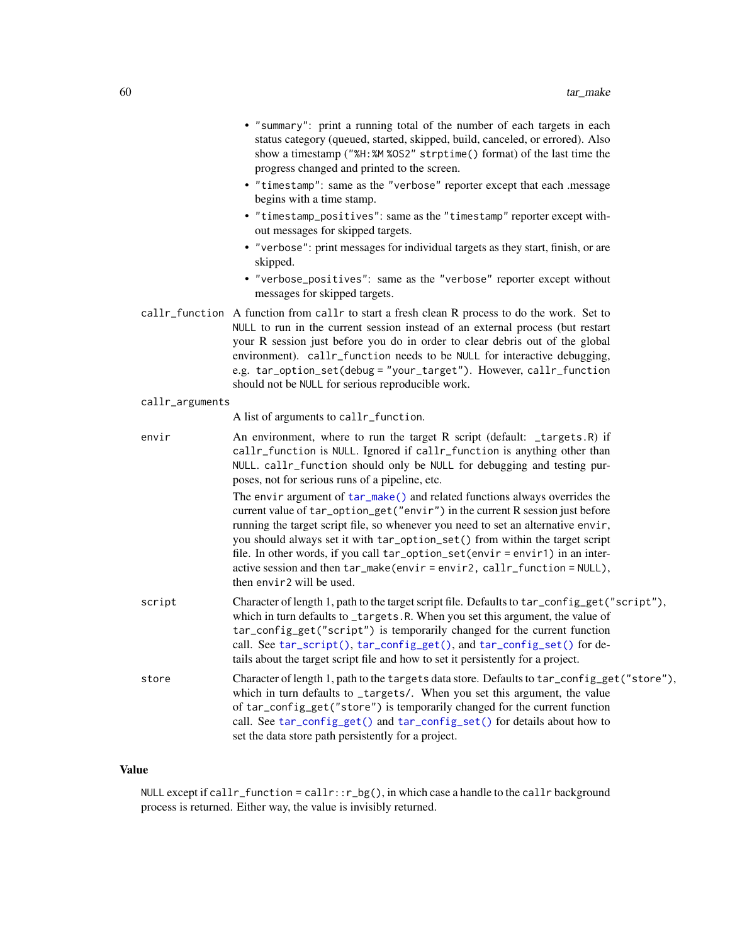- "summary": print a running total of the number of each targets in each status category (queued, started, skipped, build, canceled, or errored). Also show a timestamp ("%H:%M %OS2" strptime() format) of the last time the progress changed and printed to the screen.
- "timestamp": same as the "verbose" reporter except that each .message begins with a time stamp.
- "timestamp\_positives": same as the "timestamp" reporter except without messages for skipped targets.
- "verbose": print messages for individual targets as they start, finish, or are skipped.
- "verbose\_positives": same as the "verbose" reporter except without messages for skipped targets.
- callr\_function A function from callr to start a fresh clean R process to do the work. Set to NULL to run in the current session instead of an external process (but restart your R session just before you do in order to clear debris out of the global environment). callr\_function needs to be NULL for interactive debugging, e.g. tar\_option\_set(debug = "your\_target"). However, callr\_function should not be NULL for serious reproducible work.

### callr\_arguments

A list of arguments to callr\_function.

envir **An environment, where to run the target R script (default: \_targets.R)** if callr\_function is NULL. Ignored if callr\_function is anything other than NULL. callr\_function should only be NULL for debugging and testing purposes, not for serious runs of a pipeline, etc.

> The envir argument of  $tar\_make()$  and related functions always overrides the current value of tar\_option\_get("envir") in the current R session just before running the target script file, so whenever you need to set an alternative envir, you should always set it with tar\_option\_set() from within the target script file. In other words, if you call tar\_option\_set(envir = envir1) in an interactive session and then tar\_make(envir = envir2, callr\_function = NULL), then envir2 will be used.

- script Character of length 1, path to the target script file. Defaults to tar\_config\_get("script"), which in turn defaults to \_targets.R. When you set this argument, the value of tar\_config\_get("script") is temporarily changed for the current function call. See [tar\\_script\(\)](#page-121-0), [tar\\_config\\_get\(\)](#page-16-0), and [tar\\_config\\_set\(\)](#page-17-0) for details about the target script file and how to set it persistently for a project.
- store Character of length 1, path to the targets data store. Defaults to tar\_config\_get("store"), which in turn defaults to \_targets/. When you set this argument, the value of tar\_config\_get("store") is temporarily changed for the current function call. See [tar\\_config\\_get\(\)](#page-16-0) and [tar\\_config\\_set\(\)](#page-17-0) for details about how to set the data store path persistently for a project.

# Value

NULL except if callr\_function = callr:: $r_b$ g(), in which case a handle to the callr background process is returned. Either way, the value is invisibly returned.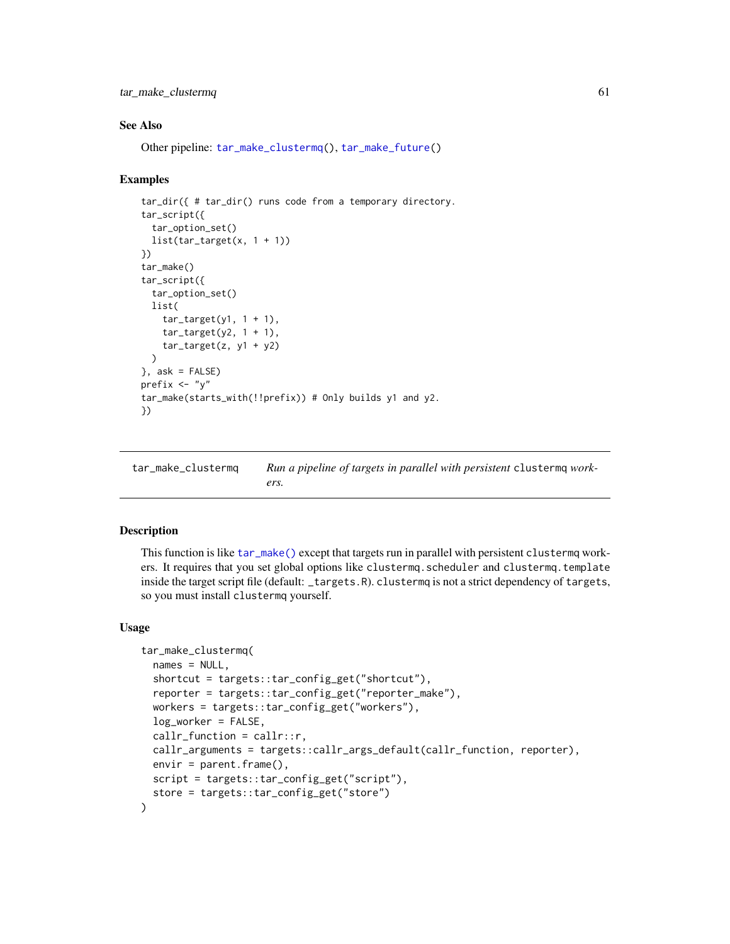tar\_make\_clustermq 61

## See Also

Other pipeline: [tar\\_make\\_clustermq\(](#page-60-0)), [tar\\_make\\_future\(](#page-63-0))

## Examples

```
tar_dir({ # tar_dir() runs code from a temporary directory.
tar_script({
  tar_option_set()
  list(tar\_target(x, 1 + 1))})
tar_make()
tar_script({
  tar_option_set()
 list(
   tar\_target(y1, 1 + 1),tar\_target(y2, 1 + 1),tar\_target(z, y1 + y2))
\}, ask = FALSE)
prefix <- "y"
tar_make(starts_with(!!prefix)) # Only builds y1 and y2.
})
```
<span id="page-60-0"></span>tar\_make\_clustermq *Run a pipeline of targets in parallel with persistent* clustermq *workers.*

# Description

This function is like [tar\\_make\(\)](#page-58-0) except that targets run in parallel with persistent clustermq workers. It requires that you set global options like clustermq.scheduler and clustermq.template inside the target script file (default: \_targets.R). clustermq is not a strict dependency of targets, so you must install clustermq yourself.

## Usage

```
tar_make_clustermq(
 names = NULL,shortcut = targets::tar_config_get("shortcut"),
  reporter = targets::tar_config_get("reporter_make"),
 workers = targets::tar_config_get("workers"),
 log_worker = FALSE,
 callr_function = callr::r,
 callr_arguments = targets::callr_args_default(callr_function, reporter),
 envir = parent-frame(),
 script = targets::tar_config_get("script"),
  store = targets::tar_config_get("store")
)
```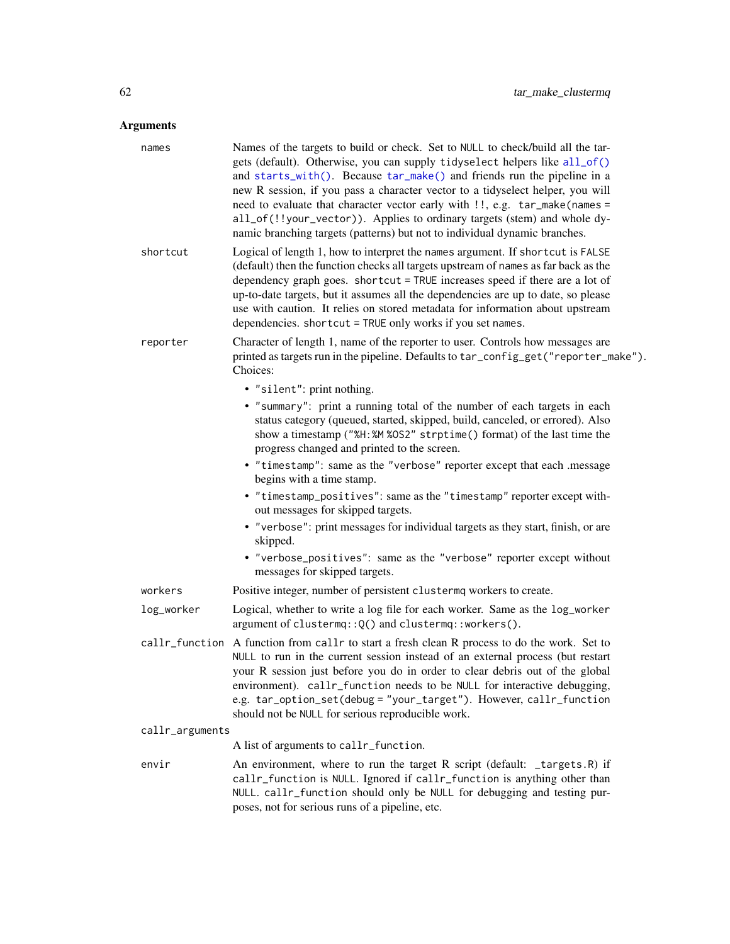| names           | Names of the targets to build or check. Set to NULL to check/build all the tar-<br>gets (default). Otherwise, you can supply tidyselect helpers like all_of()<br>and starts_with(). Because tar_make() and friends run the pipeline in a<br>new R session, if you pass a character vector to a tidyselect helper, you will<br>need to evaluate that character vector early with !!, e.g. tar_make(names =<br>all_of(!!your_vector)). Applies to ordinary targets (stem) and whole dy-<br>namic branching targets (patterns) but not to individual dynamic branches. |
|-----------------|---------------------------------------------------------------------------------------------------------------------------------------------------------------------------------------------------------------------------------------------------------------------------------------------------------------------------------------------------------------------------------------------------------------------------------------------------------------------------------------------------------------------------------------------------------------------|
| shortcut        | Logical of length 1, how to interpret the names argument. If shortcut is FALSE<br>(default) then the function checks all targets upstream of names as far back as the<br>dependency graph goes. shortcut = TRUE increases speed if there are a lot of<br>up-to-date targets, but it assumes all the dependencies are up to date, so please<br>use with caution. It relies on stored metadata for information about upstream<br>dependencies. shortcut = TRUE only works if you set names.                                                                           |
| reporter        | Character of length 1, name of the reporter to user. Controls how messages are<br>printed as targets run in the pipeline. Defaults to tar_config_get("reporter_make").<br>Choices:                                                                                                                                                                                                                                                                                                                                                                                  |
|                 | • "silent": print nothing.                                                                                                                                                                                                                                                                                                                                                                                                                                                                                                                                          |
|                 | • "summary": print a running total of the number of each targets in each<br>status category (queued, started, skipped, build, canceled, or errored). Also<br>show a timestamp ("%H:%M %OS2" strptime() format) of the last time the<br>progress changed and printed to the screen.                                                                                                                                                                                                                                                                                  |
|                 | • "timestamp": same as the "verbose" reporter except that each .message<br>begins with a time stamp.                                                                                                                                                                                                                                                                                                                                                                                                                                                                |
|                 | • "timestamp_positives": same as the "timestamp" reporter except with-<br>out messages for skipped targets.                                                                                                                                                                                                                                                                                                                                                                                                                                                         |
|                 | • "verbose": print messages for individual targets as they start, finish, or are<br>skipped.                                                                                                                                                                                                                                                                                                                                                                                                                                                                        |
|                 | • "verbose_positives": same as the "verbose" reporter except without<br>messages for skipped targets.                                                                                                                                                                                                                                                                                                                                                                                                                                                               |
| workers         | Positive integer, number of persistent clustermq workers to create.                                                                                                                                                                                                                                                                                                                                                                                                                                                                                                 |
| log_worker      | Logical, whether to write a log file for each worker. Same as the log_worker<br>argument of clustermq:: Q() and clustermq:: workers().                                                                                                                                                                                                                                                                                                                                                                                                                              |
| callr_function  | A function from callr to start a fresh clean R process to do the work. Set to<br>NULL to run in the current session instead of an external process (but restart<br>your R session just before you do in order to clear debris out of the global<br>environment). callr_function needs to be NULL for interactive debugging,<br>e.g. tar_option_set(debug = "your_target"). However, callr_function<br>should not be NULL for serious reproducible work.                                                                                                             |
| callr_arguments |                                                                                                                                                                                                                                                                                                                                                                                                                                                                                                                                                                     |
|                 | A list of arguments to callr_function.                                                                                                                                                                                                                                                                                                                                                                                                                                                                                                                              |
| envir           | An environment, where to run the target R script (default: _targets.R) if<br>callr_function is NULL. Ignored if callr_function is anything other than<br>NULL. callr_function should only be NULL for debugging and testing pur-<br>poses, not for serious runs of a pipeline, etc.                                                                                                                                                                                                                                                                                 |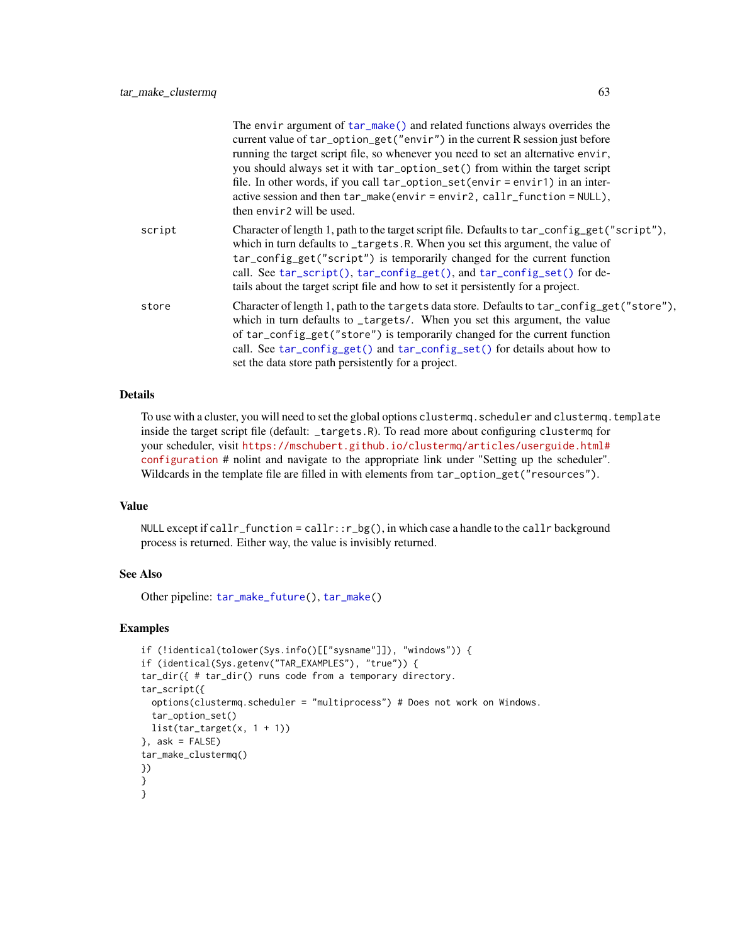|        | The envir argument of tar_make() and related functions always overrides the<br>current value of tar_option_get("envir") in the current R session just before<br>running the target script file, so whenever you need to set an alternative envir,<br>you should always set it with tar_option_set() from within the target script<br>file. In other words, if you call tar_option_set(envir = envir1) in an inter-<br>active session and then tar_make(envir=envir2, callr_function=NULL),<br>then envir <sub>2</sub> will be used. |
|--------|-------------------------------------------------------------------------------------------------------------------------------------------------------------------------------------------------------------------------------------------------------------------------------------------------------------------------------------------------------------------------------------------------------------------------------------------------------------------------------------------------------------------------------------|
| script | Character of length 1, path to the target script file. Defaults to tar_config_get("script"),<br>which in turn defaults to _targets.R. When you set this argument, the value of<br>tar_config_get("script") is temporarily changed for the current function<br>call. See tar_script(), tar_config_get(), and tar_config_set() for de-<br>tails about the target script file and how to set it persistently for a project.                                                                                                            |
| store  | Character of length 1, path to the targets data store. Defaults to tar_config_get("store"),<br>which in turn defaults to _targets/. When you set this argument, the value<br>of tar_config_get("store") is temporarily changed for the current function<br>call. See tar_config_get() and tar_config_set() for details about how to<br>set the data store path persistently for a project.                                                                                                                                          |

# Details

To use with a cluster, you will need to set the global options clustermq.scheduler and clustermq.template inside the target script file (default: \_targets.R). To read more about configuring clustermq for your scheduler, visit [https://mschubert.github.io/clustermq/articles/userguide.html#](https://mschubert.github.io/clustermq/articles/userguide.html#configuration) [configuration](https://mschubert.github.io/clustermq/articles/userguide.html#configuration) # nolint and navigate to the appropriate link under "Setting up the scheduler". Wildcards in the template file are filled in with elements from tar\_option\_get("resources").

# Value

NULL except if callr\_function = callr:: $r_b$ g(), in which case a handle to the callr background process is returned. Either way, the value is invisibly returned.

## See Also

Other pipeline: [tar\\_make\\_future\(](#page-63-0)), [tar\\_make\(](#page-58-0))

```
if (!identical(tolower(Sys.info()[["sysname"]]), "windows")) {
if (identical(Sys.getenv("TAR_EXAMPLES"), "true")) {
tar_dir({ # tar_dir() runs code from a temporary directory.
tar_script({
  options(clustermq.scheduler = "multiprocess") # Does not work on Windows.
  tar_option_set()
 list(tar\_target(x, 1 + 1))}, ask = FALSE)
tar_make_clustermq()
})
}
}
```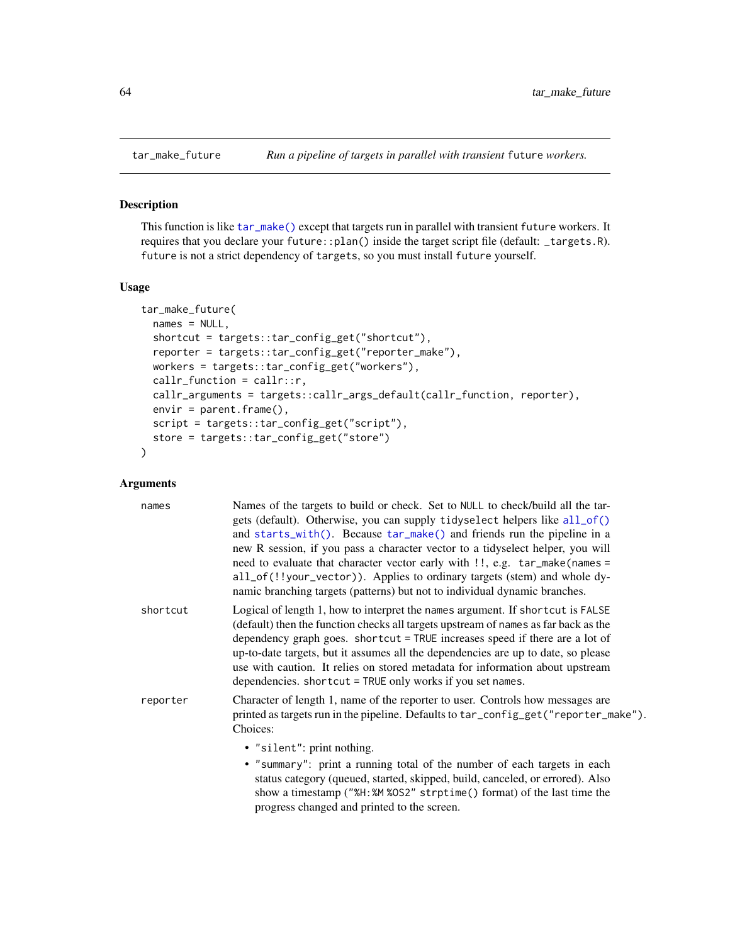<span id="page-63-0"></span>

### Description

This function is like [tar\\_make\(\)](#page-58-0) except that targets run in parallel with transient future workers. It requires that you declare your future::plan() inside the target script file (default: \_targets.R). future is not a strict dependency of targets, so you must install future yourself.

### Usage

```
tar_make_future(
 names = NULL,shortcut = targets::tar_config_get("shortcut"),
  reporter = targets::tar_config_get("reporter_make"),
 workers = targets::tar_config_get("workers"),
 callr_function = callr::r,
  callr_arguments = targets::callr_args_default(callr_function, reporter),
 envir = parent.frame(),script = targets::tar_config_get("script"),
 store = targets::tar_config_get("store")
)
```

| names    | Names of the targets to build or check. Set to NULL to check/build all the tar-<br>gets (default). Otherwise, you can supply tidyselect helpers like all_of()<br>and starts_with(). Because tar_make() and friends run the pipeline in a<br>new R session, if you pass a character vector to a tidyselect helper, you will<br>need to evaluate that character vector early with !!, e.g. tar_make(names =<br>all_of(!!your_vector)). Applies to ordinary targets (stem) and whole dy-<br>namic branching targets (patterns) but not to individual dynamic branches. |
|----------|---------------------------------------------------------------------------------------------------------------------------------------------------------------------------------------------------------------------------------------------------------------------------------------------------------------------------------------------------------------------------------------------------------------------------------------------------------------------------------------------------------------------------------------------------------------------|
| shortcut | Logical of length 1, how to interpret the names argument. If shortcut is FALSE<br>(default) then the function checks all targets upstream of names as far back as the<br>dependency graph goes. shortcut = TRUE increases speed if there are a lot of<br>up-to-date targets, but it assumes all the dependencies are up to date, so please<br>use with caution. It relies on stored metadata for information about upstream<br>dependencies. shortcut = TRUE only works if you set names.                                                                           |
| reporter | Character of length 1, name of the reporter to user. Controls how messages are<br>printed as targets run in the pipeline. Defaults to tar_config_get("reporter_make").<br>Choices:                                                                                                                                                                                                                                                                                                                                                                                  |
|          | • "silent": print nothing.<br>• "summary": print a running total of the number of each targets in each<br>status category (queued, started, skipped, build, canceled, or errored). Also<br>show a timestamp ("%H:%M %OS2" strptime () format) of the last time the<br>progress changed and printed to the screen.                                                                                                                                                                                                                                                   |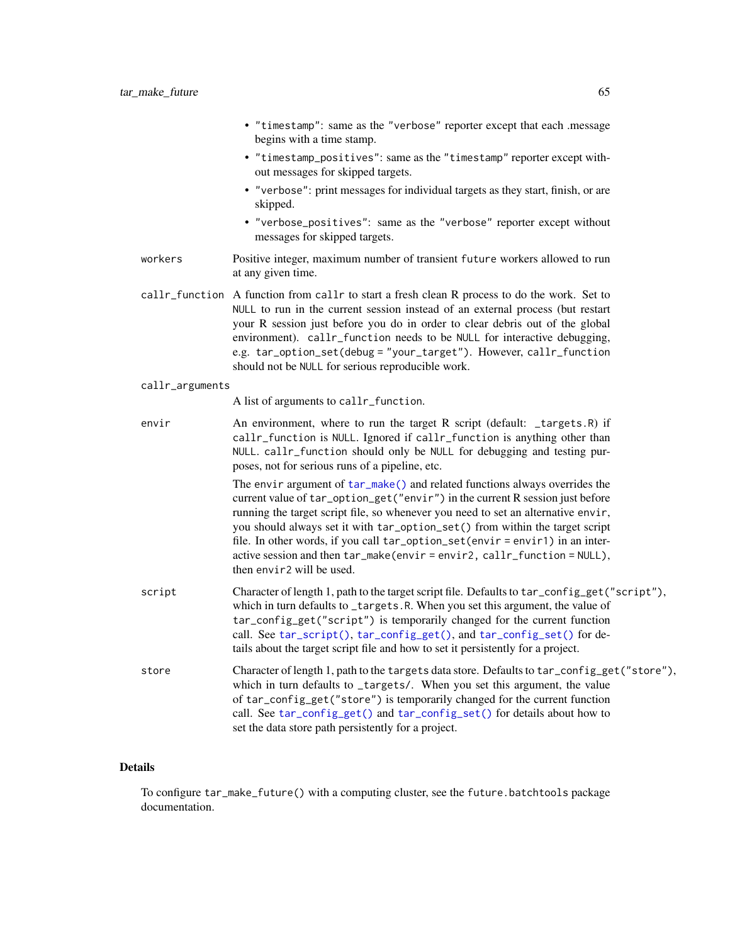|                 | • "timestamp": same as the "verbose" reporter except that each .message<br>begins with a time stamp.                                                                                                                                                                                                                                                                                                                                                                                                                      |
|-----------------|---------------------------------------------------------------------------------------------------------------------------------------------------------------------------------------------------------------------------------------------------------------------------------------------------------------------------------------------------------------------------------------------------------------------------------------------------------------------------------------------------------------------------|
|                 | • "timestamp_positives": same as the "timestamp" reporter except with-<br>out messages for skipped targets.                                                                                                                                                                                                                                                                                                                                                                                                               |
|                 | • "verbose": print messages for individual targets as they start, finish, or are<br>skipped.                                                                                                                                                                                                                                                                                                                                                                                                                              |
|                 | • "verbose_positives": same as the "verbose" reporter except without<br>messages for skipped targets.                                                                                                                                                                                                                                                                                                                                                                                                                     |
| workers         | Positive integer, maximum number of transient future workers allowed to run<br>at any given time.                                                                                                                                                                                                                                                                                                                                                                                                                         |
|                 | callr_function A function from callr to start a fresh clean R process to do the work. Set to<br>NULL to run in the current session instead of an external process (but restart<br>your R session just before you do in order to clear debris out of the global<br>environment). callr_function needs to be NULL for interactive debugging,<br>e.g. tar_option_set(debug = "your_target"). However, callr_function<br>should not be NULL for serious reproducible work.                                                    |
| callr_arguments |                                                                                                                                                                                                                                                                                                                                                                                                                                                                                                                           |
|                 | A list of arguments to callr_function.                                                                                                                                                                                                                                                                                                                                                                                                                                                                                    |
| envir           | An environment, where to run the target R script (default: _targets.R) if<br>callr_function is NULL. Ignored if callr_function is anything other than<br>NULL. callr_function should only be NULL for debugging and testing pur-<br>poses, not for serious runs of a pipeline, etc.                                                                                                                                                                                                                                       |
|                 | The envir argument of tar_make() and related functions always overrides the<br>current value of tar_option_get("envir") in the current R session just before<br>running the target script file, so whenever you need to set an alternative envir,<br>you should always set it with tar_option_set() from within the target script<br>file. In other words, if you call tar_option_set(envir = envir1) in an inter-<br>active session and then tar_make(envir=envir2, callr_function = NULL),<br>then envir2 will be used. |
| script          | Character of length 1, path to the target script file. Defaults to tar_config_get("script"),<br>which in turn defaults to _targets.R. When you set this argument, the value of<br>tar_config_get("script") is temporarily changed for the current function<br>call. See tar_script(), tar_config_get(), and tar_config_set() for de-<br>tails about the target script file and how to set it persistently for a project.                                                                                                  |
| store           | Character of length 1, path to the targets data store. Defaults to tar_config_get("store"),<br>which in turn defaults to _targets/. When you set this argument, the value<br>of tar_config_get("store") is temporarily changed for the current function<br>call. See tar_config_get() and tar_config_set() for details about how to<br>set the data store path persistently for a project.                                                                                                                                |

# Details

To configure tar\_make\_future() with a computing cluster, see the future.batchtools package documentation.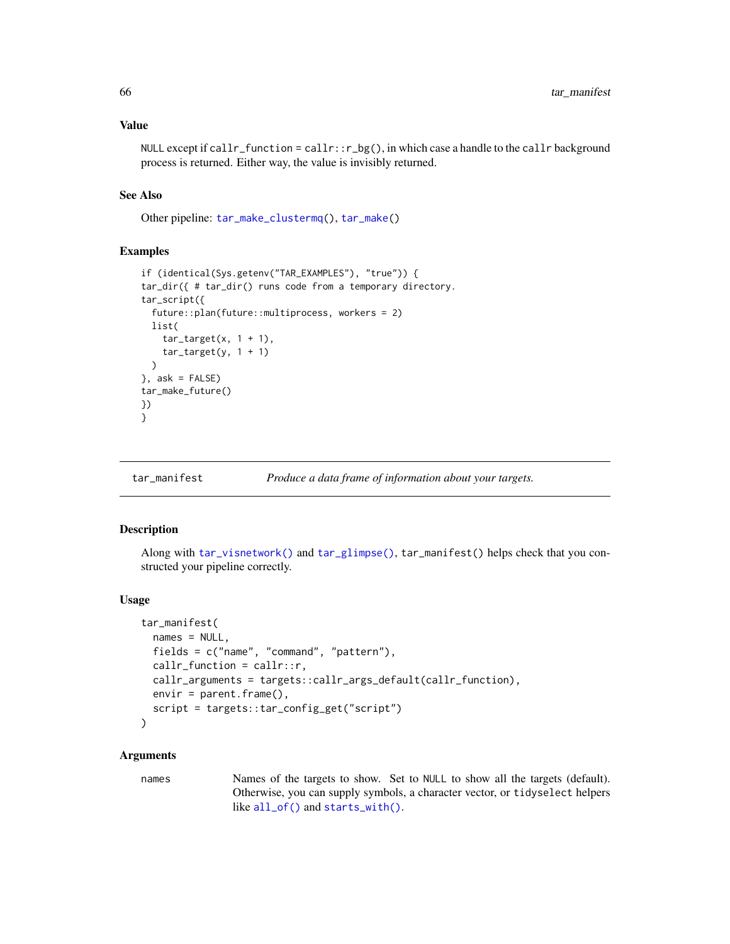## Value

NULL except if callr\_function = callr::r\_bg(), in which case a handle to the callr background process is returned. Either way, the value is invisibly returned.

## See Also

Other pipeline: [tar\\_make\\_clustermq\(](#page-60-0)), [tar\\_make\(](#page-58-0))

### Examples

```
if (identical(Sys.getenv("TAR_EXAMPLES"), "true")) {
tar_dir({ # tar_dir() runs code from a temporary directory.
tar_script({
 future::plan(future::multiprocess, workers = 2)
 list(
    tar\_target(x, 1 + 1),
    tar\_target(y, 1 + 1))
}, ask = FALSE)
tar_make_future()
})
}
```
### tar\_manifest *Produce a data frame of information about your targets.*

# Description

Along with [tar\\_visnetwork\(\)](#page-147-0) and [tar\\_glimpse\(\)](#page-43-0), tar\_manifest() helps check that you constructed your pipeline correctly.

### Usage

```
tar_manifest(
 names = NULL,
 fields = c("name", "command", "pattern"),
 callr_function = callr::r,
 callr_arguments = targets::callr_args_default(callr_function),
 envir = parent.frame(),script = targets::tar_config_get("script")
)
```
## Arguments

names Names of the targets to show. Set to NULL to show all the targets (default). Otherwise, you can supply symbols, a character vector, or tidyselect helpers like [all\\_of\(\)](#page-0-0) and [starts\\_with\(\)](#page-0-0).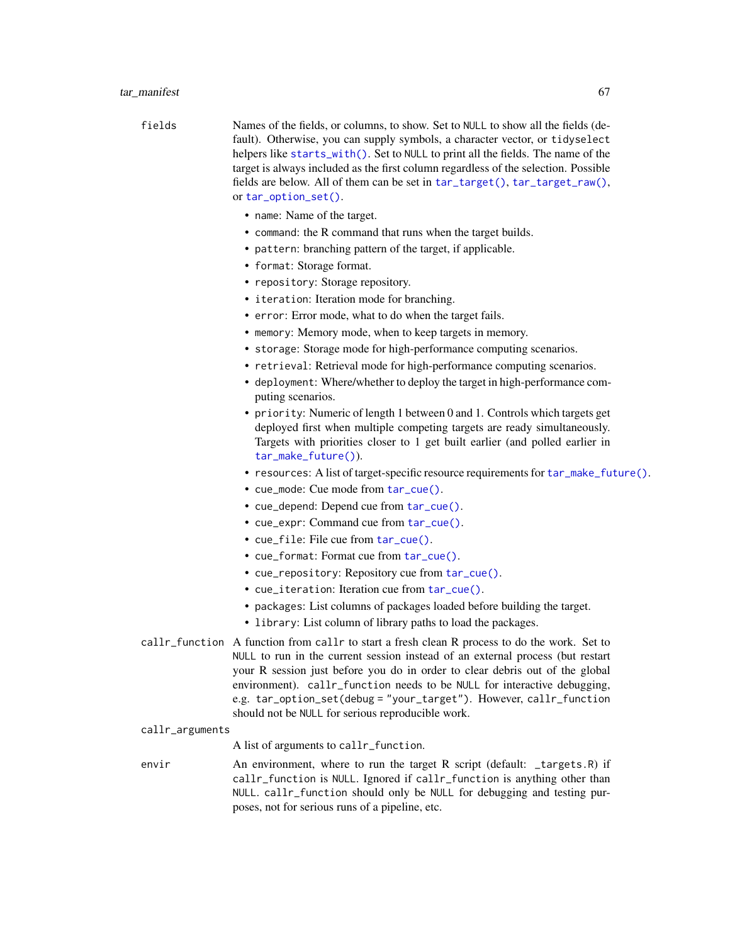| fields | Names of the fields, or columns, to show. Set to NULL to show all the fields (de-   |
|--------|-------------------------------------------------------------------------------------|
|        | fault). Otherwise, you can supply symbols, a character vector, or tidyselect        |
|        | helpers like starts_with(). Set to NULL to print all the fields. The name of the    |
|        | target is always included as the first column regardless of the selection. Possible |
|        | fields are below. All of them can be set in tar_target(), tar_target_raw(),         |
|        | or $tar\_option\_set()$ .                                                           |
|        | • name: Name of the target.                                                         |

- command: the R command that runs when the target builds.
- pattern: branching pattern of the target, if applicable.
- format: Storage format.
- repository: Storage repository.
- iteration: Iteration mode for branching.
- error: Error mode, what to do when the target fails.
- memory: Memory mode, when to keep targets in memory.
- storage: Storage mode for high-performance computing scenarios.
- retrieval: Retrieval mode for high-performance computing scenarios.
- deployment: Where/whether to deploy the target in high-performance computing scenarios.
- priority: Numeric of length 1 between 0 and 1. Controls which targets get deployed first when multiple competing targets are ready simultaneously. Targets with priorities closer to 1 get built earlier (and polled earlier in [tar\\_make\\_future\(\)](#page-63-0)).
- resources: A list of target-specific resource requirements for [tar\\_make\\_future\(\)](#page-63-0).
- cue\_mode: Cue mode from [tar\\_cue\(\)](#page-22-0).
- cue\_depend: Depend cue from [tar\\_cue\(\)](#page-22-0).
- cue\_expr: Command cue from [tar\\_cue\(\)](#page-22-0).
- cue\_file: File cue from [tar\\_cue\(\)](#page-22-0).
- cue\_format: Format cue from [tar\\_cue\(\)](#page-22-0).
- cue\_repository: Repository cue from [tar\\_cue\(\)](#page-22-0).
- cue\_iteration: Iteration cue from [tar\\_cue\(\)](#page-22-0).
- packages: List columns of packages loaded before building the target.
- library: List column of library paths to load the packages.
- callr\_function A function from callr to start a fresh clean R process to do the work. Set to NULL to run in the current session instead of an external process (but restart your R session just before you do in order to clear debris out of the global environment). callr\_function needs to be NULL for interactive debugging, e.g. tar\_option\_set(debug = "your\_target"). However, callr\_function should not be NULL for serious reproducible work.
- callr\_arguments

A list of arguments to callr\_function.

envir An environment, where to run the target R script (default: \_targets.R) if callr\_function is NULL. Ignored if callr\_function is anything other than NULL. callr\_function should only be NULL for debugging and testing purposes, not for serious runs of a pipeline, etc.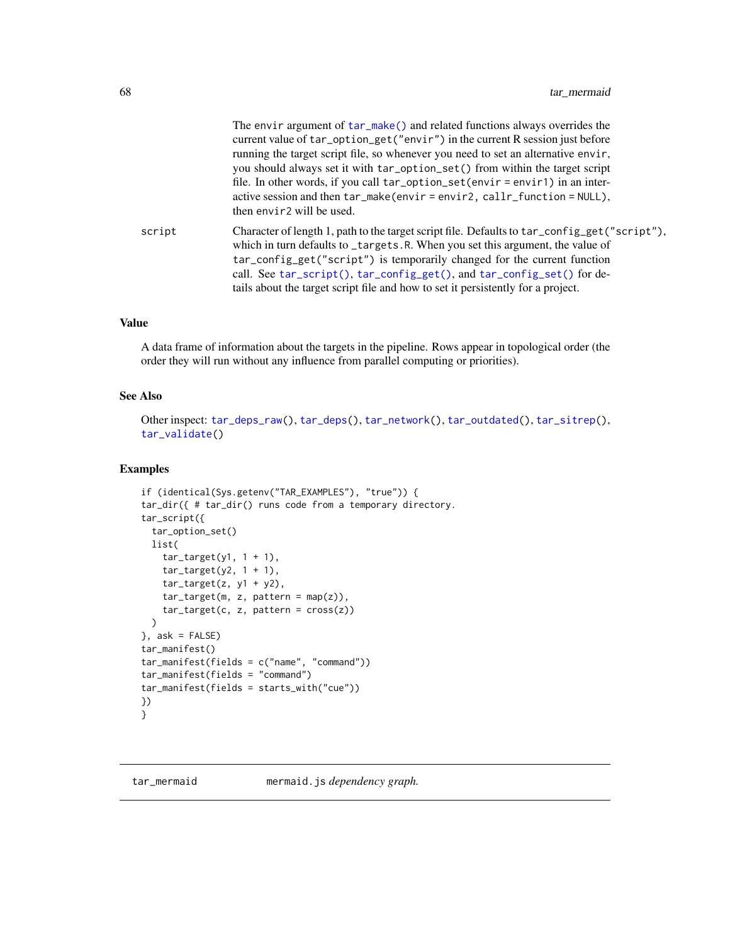|        | The envir argument of $tar\_make()$ and related functions always overrides the<br>current value of tar_option_get("envir") in the current R session just before<br>running the target script file, so whenever you need to set an alternative envir,<br>you should always set it with tar_option_set() from within the target script<br>file. In other words, if you call tar_option_set(envir = envir1) in an inter-<br>active session and then tar_make(envir=envir2, callr_function=NULL),<br>then envir <sub>2</sub> will be used. |
|--------|----------------------------------------------------------------------------------------------------------------------------------------------------------------------------------------------------------------------------------------------------------------------------------------------------------------------------------------------------------------------------------------------------------------------------------------------------------------------------------------------------------------------------------------|
| script | Character of length 1, path to the target script file. Defaults to tar_config_get("script"),<br>which in turn defaults to _targets.R. When you set this argument, the value of<br>tar_config_get("script") is temporarily changed for the current function<br>call. See tar_script(), tar_config_get(), and tar_config_set() for de-<br>tails about the target script file and how to set it persistently for a project.                                                                                                               |

# Value

A data frame of information about the targets in the pipeline. Rows appear in topological order (the order they will run without any influence from parallel computing or priorities).

### See Also

Other inspect: [tar\\_deps\\_raw\(](#page-27-0)), [tar\\_deps\(](#page-26-0)), [tar\\_network\(](#page-74-0)), [tar\\_outdated\(](#page-89-0)), [tar\\_sitrep\(](#page-124-0)), [tar\\_validate\(](#page-146-0))

```
if (identical(Sys.getenv("TAR_EXAMPLES"), "true")) {
tar_dir({ # tar_dir() runs code from a temporary directory.
tar_script({
 tar_option_set()
 list(
   tar\_target(y1, 1 + 1),tar\_target(y2, 1 + 1),tar\_target(z, y1 + y2),tar_target(m, z, pattern = map(z)),
   tar_target(c, z, pattern = cross(z))
 )
}, ask = FALSE)
tar_manifest()
tar_manifest(fields = c("name", "command"))
tar_manifest(fields = "command")
tar_manifest(fields = starts_with("cue"))
})
}
```
<span id="page-67-0"></span>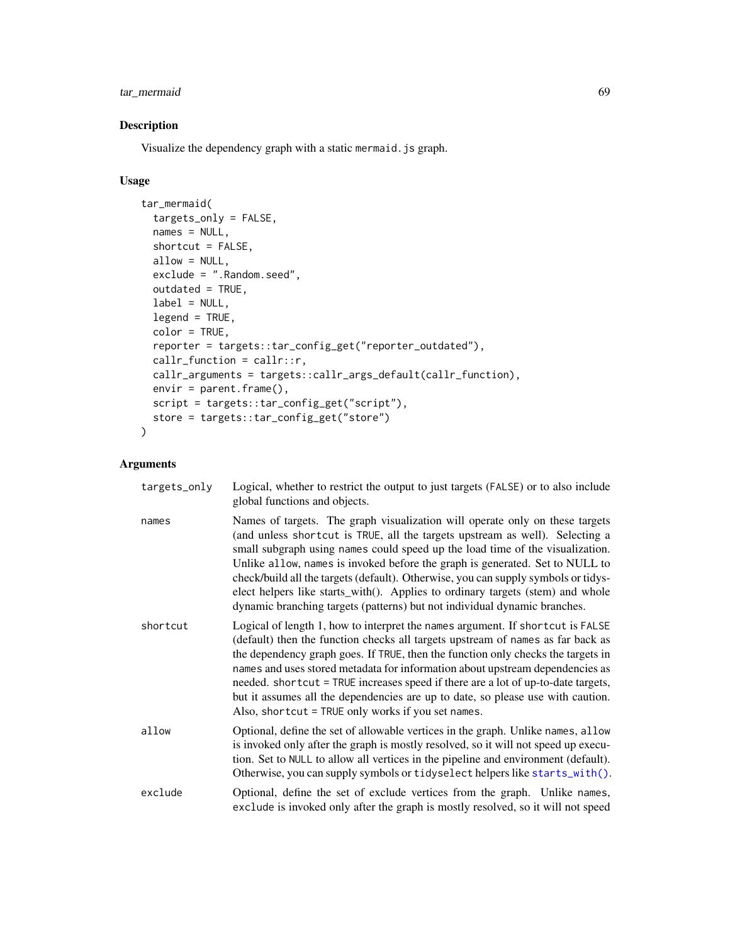# tar\_mermaid 69

# Description

Visualize the dependency graph with a static mermaid.js graph.

# Usage

```
tar_mermaid(
  targets_only = FALSE,
 names = NULL,shortcut = FALSE,
 allow = NULL,
 exclude = ".Random.seed",
 outdated = TRUE,label = NULL,legend = TRUE,
 color = TRUE,
  reporter = targets::tar_config_get("reporter_outdated"),
  callr_function = callr::r,
 callr_arguments = targets::callr_args_default(callr_function),
 envir = parent.frame(),script = targets::tar_config_get("script"),
 store = targets::tar_config_get("store")
\mathcal{L}
```

| targets_only | Logical, whether to restrict the output to just targets (FALSE) or to also include<br>global functions and objects.                                                                                                                                                                                                                                                                                                                                                                                                                                                                |
|--------------|------------------------------------------------------------------------------------------------------------------------------------------------------------------------------------------------------------------------------------------------------------------------------------------------------------------------------------------------------------------------------------------------------------------------------------------------------------------------------------------------------------------------------------------------------------------------------------|
| names        | Names of targets. The graph visualization will operate only on these targets<br>(and unless shortcut is TRUE, all the targets upstream as well). Selecting a<br>small subgraph using names could speed up the load time of the visualization.<br>Unlike allow, names is invoked before the graph is generated. Set to NULL to<br>check/build all the targets (default). Otherwise, you can supply symbols or tidys-<br>elect helpers like starts_with(). Applies to ordinary targets (stem) and whole<br>dynamic branching targets (patterns) but not individual dynamic branches. |
| shortcut     | Logical of length 1, how to interpret the names argument. If short cut is FALSE<br>(default) then the function checks all targets upstream of names as far back as<br>the dependency graph goes. If TRUE, then the function only checks the targets in<br>names and uses stored metadata for information about upstream dependencies as<br>needed. shortcut = TRUE increases speed if there are a lot of up-to-date targets,<br>but it assumes all the dependencies are up to date, so please use with caution.<br>Also, shortcut = TRUE only works if you set names.              |
| allow        | Optional, define the set of allowable vertices in the graph. Unlike names, allow<br>is invoked only after the graph is mostly resolved, so it will not speed up execu-<br>tion. Set to NULL to allow all vertices in the pipeline and environment (default).<br>Otherwise, you can supply symbols or tidyselect helpers like starts_with().                                                                                                                                                                                                                                        |
| exclude      | Optional, define the set of exclude vertices from the graph. Unlike names,<br>exclude is invoked only after the graph is mostly resolved, so it will not speed                                                                                                                                                                                                                                                                                                                                                                                                                     |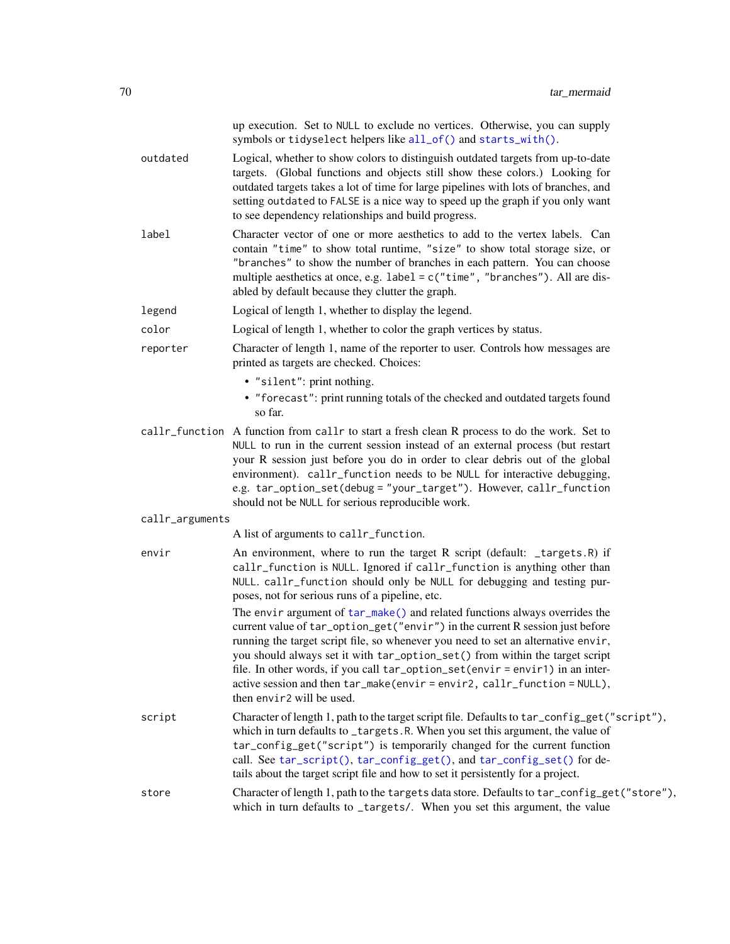|                 | up execution. Set to NULL to exclude no vertices. Otherwise, you can supply<br>symbols or tidyselect helpers like all_of() and starts_with().                                                                                                                                                                                                                                                                                                                                                                           |
|-----------------|-------------------------------------------------------------------------------------------------------------------------------------------------------------------------------------------------------------------------------------------------------------------------------------------------------------------------------------------------------------------------------------------------------------------------------------------------------------------------------------------------------------------------|
| outdated        | Logical, whether to show colors to distinguish outdated targets from up-to-date<br>targets. (Global functions and objects still show these colors.) Looking for<br>outdated targets takes a lot of time for large pipelines with lots of branches, and<br>setting outdated to FALSE is a nice way to speed up the graph if you only want<br>to see dependency relationships and build progress.                                                                                                                         |
| label           | Character vector of one or more aesthetics to add to the vertex labels. Can<br>contain "time" to show total runtime, "size" to show total storage size, or<br>"branches" to show the number of branches in each pattern. You can choose<br>multiple aesthetics at once, e.g. label = c("time", "branches"). All are dis-<br>abled by default because they clutter the graph.                                                                                                                                            |
| legend          | Logical of length 1, whether to display the legend.                                                                                                                                                                                                                                                                                                                                                                                                                                                                     |
| color           | Logical of length 1, whether to color the graph vertices by status.                                                                                                                                                                                                                                                                                                                                                                                                                                                     |
| reporter        | Character of length 1, name of the reporter to user. Controls how messages are<br>printed as targets are checked. Choices:                                                                                                                                                                                                                                                                                                                                                                                              |
|                 | • "silent": print nothing.<br>• "forecast": print running totals of the checked and outdated targets found<br>so far.                                                                                                                                                                                                                                                                                                                                                                                                   |
|                 | callr_function A function from callr to start a fresh clean R process to do the work. Set to<br>NULL to run in the current session instead of an external process (but restart<br>your R session just before you do in order to clear debris out of the global<br>environment). callr_function needs to be NULL for interactive debugging,<br>e.g. tar_option_set(debug = "your_target"). However, callr_function<br>should not be NULL for serious reproducible work.                                                  |
| callr_arguments |                                                                                                                                                                                                                                                                                                                                                                                                                                                                                                                         |
|                 | A list of arguments to callr_function.                                                                                                                                                                                                                                                                                                                                                                                                                                                                                  |
| envir           | An environment, where to run the target R script (default: _targets.R) if<br>callr_function is NULL. Ignored if callr_function is anything other than<br>NULL. callr_function should only be NULL for debugging and testing pur-<br>poses, not for serious runs of a pipeline, etc.                                                                                                                                                                                                                                     |
|                 | The envir argument of tar_make() and related functions always overrides the<br>current value of tar_option_get("envir") in the current R session just before<br>running the target script file, so whenever you need to set an alternative envir,<br>you should always set it with tar_option_set() from within the target script<br>file. In other words, if you call tar_option_set(envir = envir1) in an inter-<br>active session and then tar_make(envir=envir2, callr_function=NULL),<br>then envir2 will be used. |
| script          | Character of length 1, path to the target script file. Defaults to tar_config_get("script"),<br>which in turn defaults to _targets.R. When you set this argument, the value of<br>tar_config_get("script") is temporarily changed for the current function<br>call. See tar_script(), tar_config_get(), and tar_config_set() for de-<br>tails about the target script file and how to set it persistently for a project.                                                                                                |
| store           | Character of length 1, path to the targets data store. Defaults to tar_config_get("store"),<br>which in turn defaults to _targets/. When you set this argument, the value                                                                                                                                                                                                                                                                                                                                               |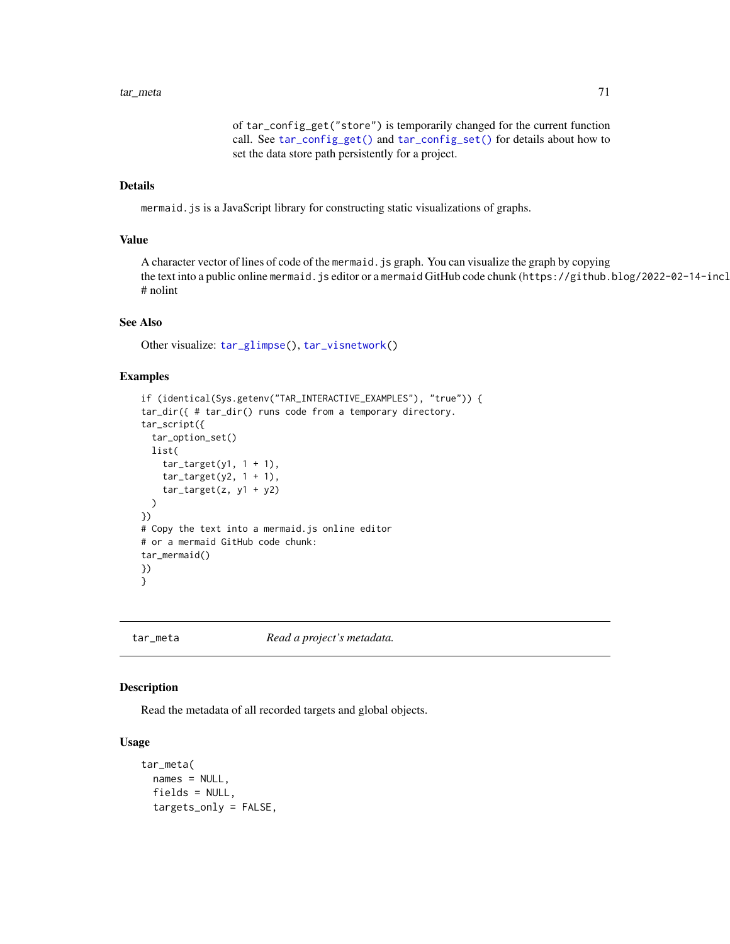### tar\_meta 71

of tar\_config\_get("store") is temporarily changed for the current function call. See [tar\\_config\\_get\(\)](#page-16-0) and [tar\\_config\\_set\(\)](#page-17-0) for details about how to set the data store path persistently for a project.

## Details

mermaid.js is a JavaScript library for constructing static visualizations of graphs.

# Value

A character vector of lines of code of the mermaid.js graph. You can visualize the graph by copying the text into a public online mermaid. js editor or a mermaid GitHub code chunk (https://github.blog/2022-02-14-incl # nolint

# See Also

Other visualize: [tar\\_glimpse\(](#page-43-0)), [tar\\_visnetwork\(](#page-147-0))

## Examples

```
if (identical(Sys.getenv("TAR_INTERACTIVE_EXAMPLES"), "true")) {
tar_dir({ # tar_dir() runs code from a temporary directory.
tar_script({
  tar_option_set()
 list(
    tar\_target(y1, 1 + 1),tar\_target(y2, 1 + 1),tar\_target(z, y1 + y2))
})
# Copy the text into a mermaid.js online editor
# or a mermaid GitHub code chunk:
tar_mermaid()
})
}
```
<span id="page-70-0"></span>

tar\_meta *Read a project's metadata.*

# Description

Read the metadata of all recorded targets and global objects.

### Usage

```
tar_meta(
 names = NULL,
  fields = NULL,
  targets_only = FALSE,
```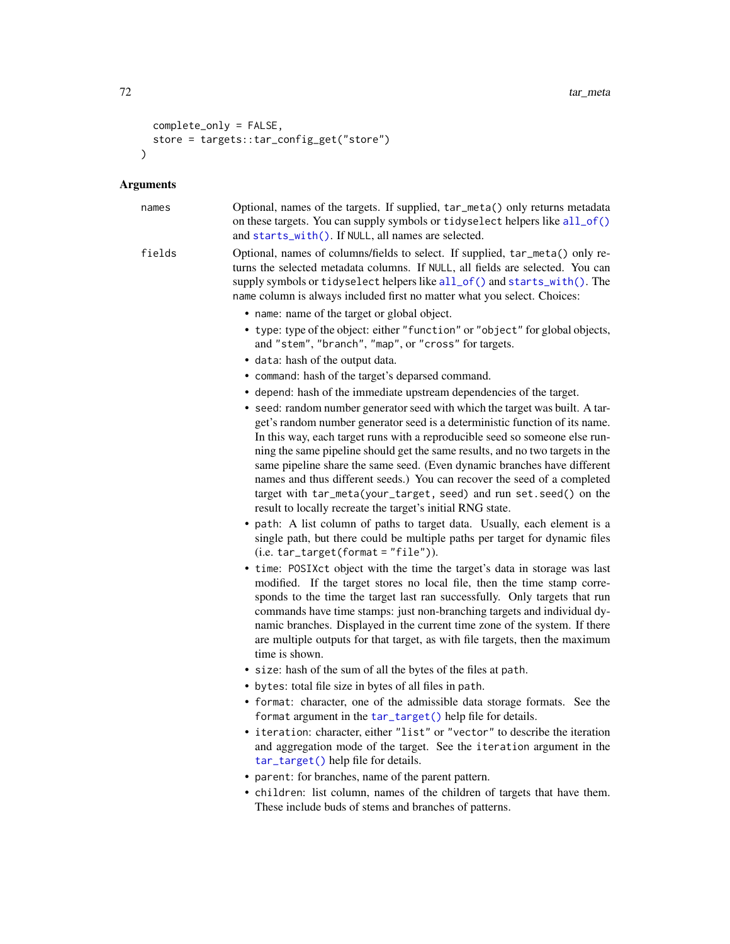```
complete_only = FALSE,
  store = targets::tar_config_get("store")
\lambda
```
### Arguments

names Optional, names of the targets. If supplied, tar\_meta() only returns metadata on these targets. You can supply symbols or tidyselect helpers like [all\\_of\(\)](#page-0-0) and [starts\\_with\(\)](#page-0-0). If NULL, all names are selected.

fields Optional, names of columns/fields to select. If supplied, tar\_meta() only returns the selected metadata columns. If NULL, all fields are selected. You can supply symbols or tidyselect helpers like [all\\_of\(\)](#page-0-0) and [starts\\_with\(\)](#page-0-0). The name column is always included first no matter what you select. Choices:

- name: name of the target or global object.
- type: type of the object: either "function" or "object" for global objects, and "stem", "branch", "map", or "cross" for targets.
- data: hash of the output data.
- command: hash of the target's deparsed command.
- depend: hash of the immediate upstream dependencies of the target.
- seed: random number generator seed with which the target was built. A target's random number generator seed is a deterministic function of its name. In this way, each target runs with a reproducible seed so someone else running the same pipeline should get the same results, and no two targets in the same pipeline share the same seed. (Even dynamic branches have different names and thus different seeds.) You can recover the seed of a completed target with tar\_meta(your\_target, seed) and run set.seed() on the result to locally recreate the target's initial RNG state.
- path: A list column of paths to target data. Usually, each element is a single path, but there could be multiple paths per target for dynamic files  $(i.e. tar_target(fromat = "file").$
- time: POSIXct object with the time the target's data in storage was last modified. If the target stores no local file, then the time stamp corresponds to the time the target last ran successfully. Only targets that run commands have time stamps: just non-branching targets and individual dynamic branches. Displayed in the current time zone of the system. If there are multiple outputs for that target, as with file targets, then the maximum time is shown.
- size: hash of the sum of all the bytes of the files at path.
- bytes: total file size in bytes of all files in path.
- format: character, one of the admissible data storage formats. See the format argument in the [tar\\_target\(\)](#page-130-0) help file for details.
- iteration: character, either "list" or "vector" to describe the iteration and aggregation mode of the target. See the iteration argument in the [tar\\_target\(\)](#page-130-0) help file for details.
- parent: for branches, name of the parent pattern.
- children: list column, names of the children of targets that have them. These include buds of stems and branches of patterns.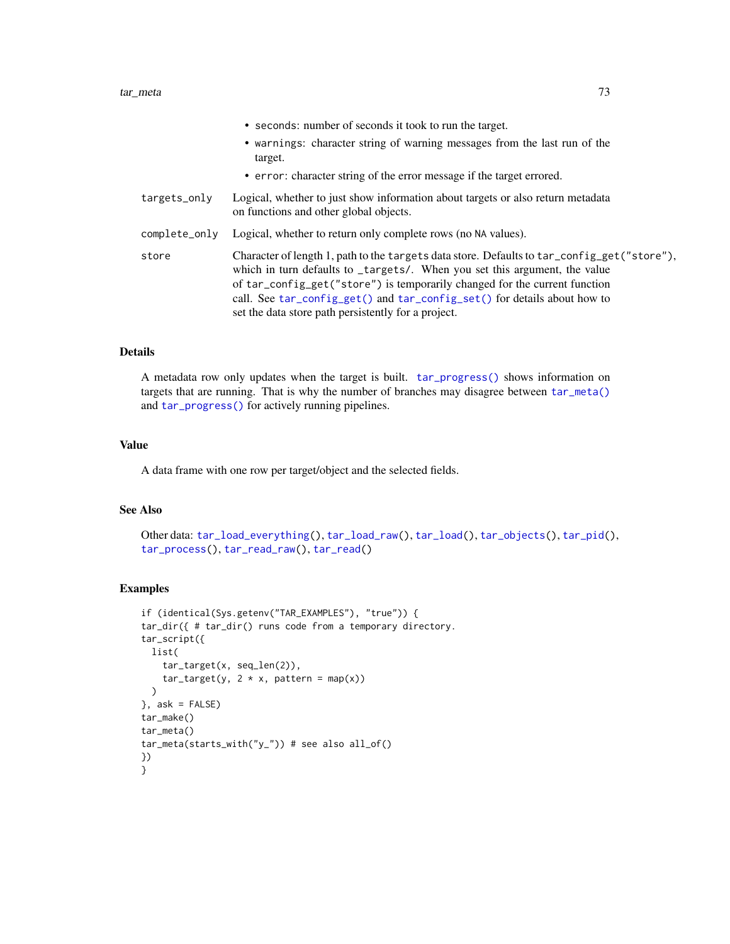|               | • seconds: number of seconds it took to run the target.                                                                                                                                                                                                                                                                                                                                    |
|---------------|--------------------------------------------------------------------------------------------------------------------------------------------------------------------------------------------------------------------------------------------------------------------------------------------------------------------------------------------------------------------------------------------|
|               | • warnings: character string of warning messages from the last run of the<br>target.                                                                                                                                                                                                                                                                                                       |
|               | • error: character string of the error message if the target errored.                                                                                                                                                                                                                                                                                                                      |
| targets_only  | Logical, whether to just show information about targets or also return metadata<br>on functions and other global objects.                                                                                                                                                                                                                                                                  |
| complete_only | Logical, whether to return only complete rows (no NA values).                                                                                                                                                                                                                                                                                                                              |
| store         | Character of length 1, path to the targets data store. Defaults to tar_config_get("store"),<br>which in turn defaults to _targets/. When you set this argument, the value<br>of tar_config_get("store") is temporarily changed for the current function<br>call. See tar_config_get() and tar_config_set() for details about how to<br>set the data store path persistently for a project. |

### Details

A metadata row only updates when the target is built. [tar\\_progress\(\)](#page-98-0) shows information on targets that are running. That is why the number of branches may disagree between [tar\\_meta\(\)](#page-70-0) and [tar\\_progress\(\)](#page-98-0) for actively running pipelines.

### Value

A data frame with one row per target/object and the selected fields.

### See Also

```
Other data: tar_load_everything(), tar_load_raw(), tar_load(), tar_objects(), tar_pid(),
tar_process(), tar_read_raw(), tar_read()
```

```
if (identical(Sys.getenv("TAR_EXAMPLES"), "true")) {
tar_dir({ # tar_dir() runs code from a temporary directory.
tar_script({
 list(
    tar_target(x, seq_len(2)),
    tar\_target(y, 2 * x, pattern = map(x))\lambda\}, ask = FALSE)
tar_make()
tar_meta()
tar_meta(starts_with("y_")) # see also all_of()
})
}
```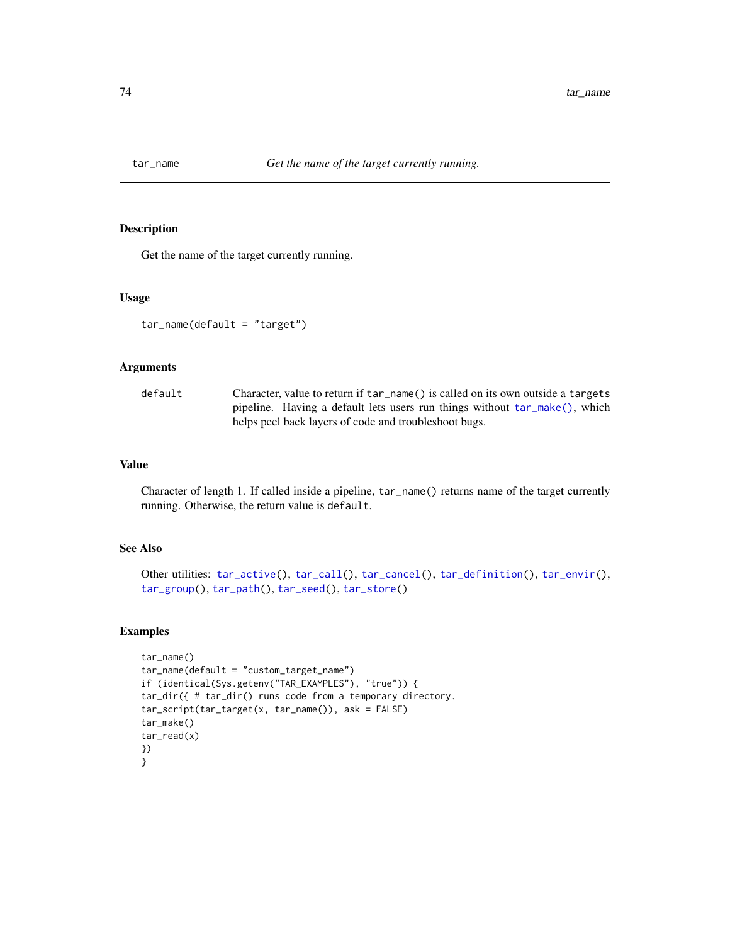<span id="page-73-0"></span>

# Description

Get the name of the target currently running.

#### Usage

```
tar_name(default = "target")
```
## Arguments

| default | Character, value to return if tar_name() is called on its own outside a targets |
|---------|---------------------------------------------------------------------------------|
|         | pipeline. Having a default lets users run things without $tar\_make()$ , which  |
|         | helps peel back layers of code and troubleshoot bugs.                           |

## Value

Character of length 1. If called inside a pipeline, tar\_name() returns name of the target currently running. Otherwise, the return value is default.

# See Also

```
Other utilities: tar_active(), tar_call(), tar_cancel(), tar_definition(), tar_envir(),
tar_group(), tar_path(), tar_seed(), tar_store()
```

```
tar_name()
tar_name(default = "custom_target_name")
if (identical(Sys.getenv("TAR_EXAMPLES"), "true")) {
tar_dir({ # tar_dir() runs code from a temporary directory.
tar_script(tar_target(x, tar_name()), ask = FALSE)
tar_make()
tar_read(x)
})
}
```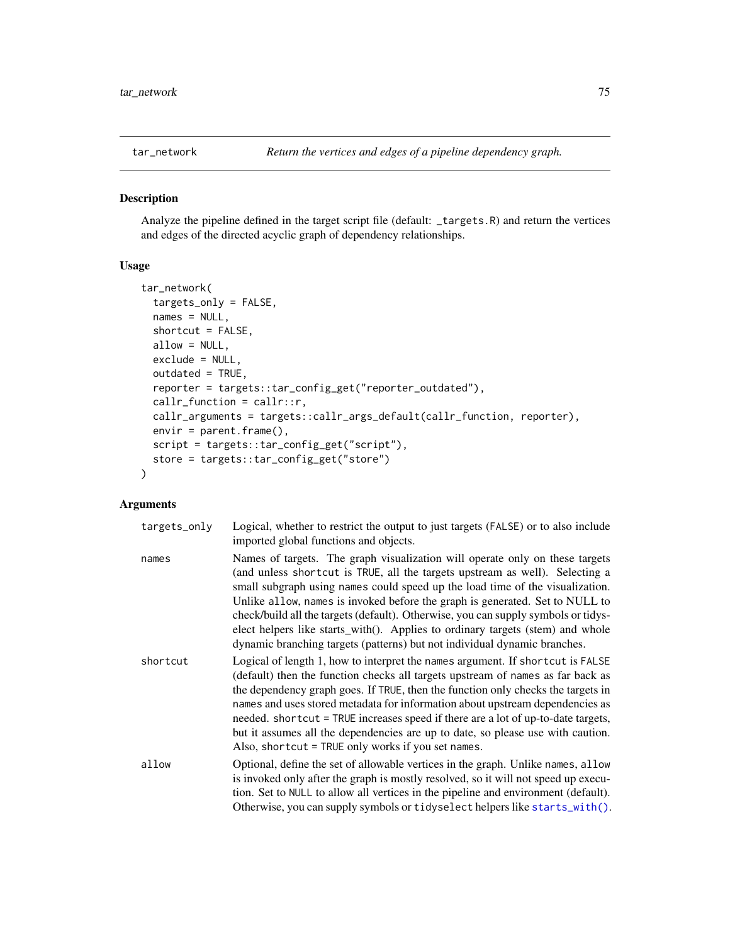<span id="page-74-0"></span>

## Description

Analyze the pipeline defined in the target script file (default: \_targets.R) and return the vertices and edges of the directed acyclic graph of dependency relationships.

## Usage

```
tar_network(
  targets_only = FALSE,
 names = NULL,
 shortcut = FALSE,
 allow = NULL,
 exclude = NULL,
 outdated = TRUE,
 reporter = targets::tar_config_get("reporter_outdated"),
 callr_function = callr::r,
 callr_arguments = targets::callr_args_default(callr_function, reporter),
 envir = parent.frame(),script = targets::tar_config_get("script"),
  store = targets::tar_config_get("store")
)
```

| targets_only | Logical, whether to restrict the output to just targets (FALSE) or to also include<br>imported global functions and objects.                                                                                                                                                                                                                                                                                                                                                                                                                                                       |
|--------------|------------------------------------------------------------------------------------------------------------------------------------------------------------------------------------------------------------------------------------------------------------------------------------------------------------------------------------------------------------------------------------------------------------------------------------------------------------------------------------------------------------------------------------------------------------------------------------|
| names        | Names of targets. The graph visualization will operate only on these targets<br>(and unless shortcut is TRUE, all the targets upstream as well). Selecting a<br>small subgraph using names could speed up the load time of the visualization.<br>Unlike allow, names is invoked before the graph is generated. Set to NULL to<br>check/build all the targets (default). Otherwise, you can supply symbols or tidys-<br>elect helpers like starts_with(). Applies to ordinary targets (stem) and whole<br>dynamic branching targets (patterns) but not individual dynamic branches. |
| shortcut     | Logical of length 1, how to interpret the names argument. If shortcut is FALSE<br>(default) then the function checks all targets upstream of names as far back as<br>the dependency graph goes. If TRUE, then the function only checks the targets in<br>names and uses stored metadata for information about upstream dependencies as<br>needed. shortcut = TRUE increases speed if there are a lot of up-to-date targets,<br>but it assumes all the dependencies are up to date, so please use with caution.<br>Also, shortcut = TRUE only works if you set names.               |
| allow        | Optional, define the set of allowable vertices in the graph. Unlike names, allow<br>is invoked only after the graph is mostly resolved, so it will not speed up execu-<br>tion. Set to NULL to allow all vertices in the pipeline and environment (default).<br>Otherwise, you can supply symbols or tidy select helpers like starts_with().                                                                                                                                                                                                                                       |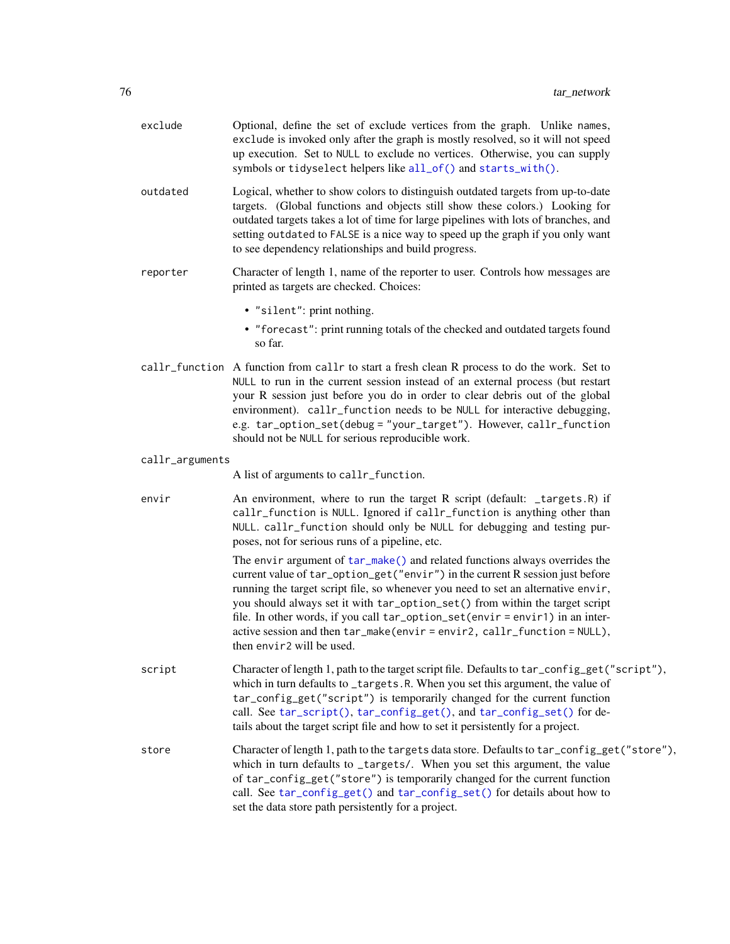| exclude         | Optional, define the set of exclude vertices from the graph. Unlike names,<br>exclude is invoked only after the graph is mostly resolved, so it will not speed<br>up execution. Set to NULL to exclude no vertices. Otherwise, you can supply<br>symbols or tidyselect helpers like all_of() and starts_with().                                                                                                                                                                                                         |
|-----------------|-------------------------------------------------------------------------------------------------------------------------------------------------------------------------------------------------------------------------------------------------------------------------------------------------------------------------------------------------------------------------------------------------------------------------------------------------------------------------------------------------------------------------|
| outdated        | Logical, whether to show colors to distinguish outdated targets from up-to-date<br>targets. (Global functions and objects still show these colors.) Looking for<br>outdated targets takes a lot of time for large pipelines with lots of branches, and<br>setting outdated to FALSE is a nice way to speed up the graph if you only want<br>to see dependency relationships and build progress.                                                                                                                         |
| reporter        | Character of length 1, name of the reporter to user. Controls how messages are<br>printed as targets are checked. Choices:                                                                                                                                                                                                                                                                                                                                                                                              |
|                 | · "silent": print nothing.<br>• "forecast": print running totals of the checked and outdated targets found<br>so far.                                                                                                                                                                                                                                                                                                                                                                                                   |
|                 | callr_function A function from callr to start a fresh clean R process to do the work. Set to<br>NULL to run in the current session instead of an external process (but restart<br>your R session just before you do in order to clear debris out of the global<br>environment). callr_function needs to be NULL for interactive debugging,<br>e.g. tar_option_set(debug = "your_target"). However, callr_function<br>should not be NULL for serious reproducible work.                                                  |
| callr_arguments |                                                                                                                                                                                                                                                                                                                                                                                                                                                                                                                         |
|                 | A list of arguments to callr_function.                                                                                                                                                                                                                                                                                                                                                                                                                                                                                  |
| envir           | An environment, where to run the target R script (default: _targets.R) if<br>callr_function is NULL. Ignored if callr_function is anything other than<br>NULL. callr_function should only be NULL for debugging and testing pur-<br>poses, not for serious runs of a pipeline, etc.                                                                                                                                                                                                                                     |
|                 | The envir argument of tar_make() and related functions always overrides the<br>current value of tar_option_get("envir") in the current R session just before<br>running the target script file, so whenever you need to set an alternative envir,<br>you should always set it with tar_option_set() from within the target script<br>file. In other words, if you call tar_option_set(envir = envir1) in an inter-<br>active session and then tar_make(envir=envir2, callr_function=NULL),<br>then envir2 will be used. |
| script          | Character of length 1, path to the target script file. Defaults to tar_config_get("script"),<br>which in turn defaults to _targets.R. When you set this argument, the value of<br>tar_config_get("script") is temporarily changed for the current function<br>call. See tar_script(), tar_config_get(), and tar_config_set() for de-<br>tails about the target script file and how to set it persistently for a project.                                                                                                |
| store           | Character of length 1, path to the targets data store. Defaults to tar_config_get("store"),<br>which in turn defaults to _targets/. When you set this argument, the value<br>of tar_config_get("store") is temporarily changed for the current function<br>call. See tar_config_get() and tar_config_set() for details about how to<br>set the data store path persistently for a project.                                                                                                                              |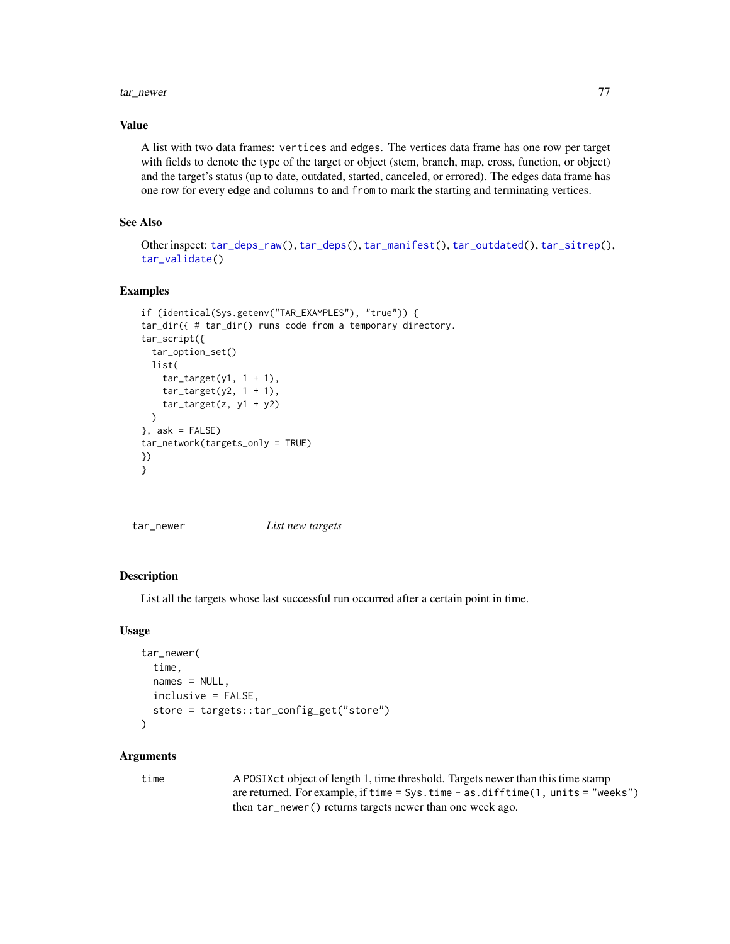#### tar\_newer 77

## Value

A list with two data frames: vertices and edges. The vertices data frame has one row per target with fields to denote the type of the target or object (stem, branch, map, cross, function, or object) and the target's status (up to date, outdated, started, canceled, or errored). The edges data frame has one row for every edge and columns to and from to mark the starting and terminating vertices.

# See Also

Other inspect: [tar\\_deps\\_raw\(](#page-27-0)), [tar\\_deps\(](#page-26-0)), [tar\\_manifest\(](#page-65-0)), [tar\\_outdated\(](#page-89-0)), [tar\\_sitrep\(](#page-124-0)), [tar\\_validate\(](#page-146-0))

### Examples

```
if (identical(Sys.getenv("TAR_EXAMPLES"), "true")) {
tar_dir({ # tar_dir() runs code from a temporary directory.
tar_script({
  tar_option_set()
  list(
    tar\_target(y1, 1 + 1),tar\_target(y2, 1 + 1),tar\_target(z, y1 + y2))
}, ask = FALSE)
tar_network(targets_only = TRUE)
})
}
```
<span id="page-76-0"></span>

tar\_newer *List new targets*

## **Description**

List all the targets whose last successful run occurred after a certain point in time.

### Usage

```
tar_newer(
  time,
 names = NULL,
 inclusive = FALSE,
  store = targets::tar_config_get("store")
\lambda
```
### Arguments

time A POSIXct object of length 1, time threshold. Targets newer than this time stamp are returned. For example, if time = Sys.time - as.difftime(1, units = "weeks") then tar\_newer() returns targets newer than one week ago.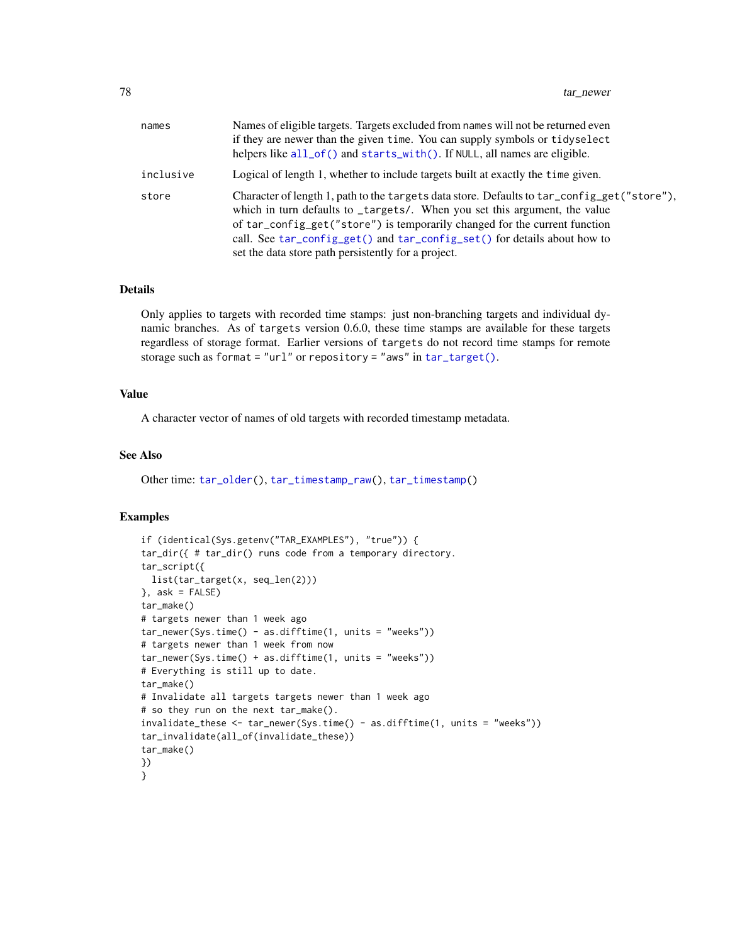| names     | Names of eligible targets. Targets excluded from names will not be returned even<br>if they are newer than the given time. You can supply symbols or tidyselect<br>helpers like $all_of()$ and starts_with $()$ . If NULL, all names are eligible.                                                                                                                                         |
|-----------|--------------------------------------------------------------------------------------------------------------------------------------------------------------------------------------------------------------------------------------------------------------------------------------------------------------------------------------------------------------------------------------------|
| inclusive | Logical of length 1, whether to include targets built at exactly the time given.                                                                                                                                                                                                                                                                                                           |
| store     | Character of length 1, path to the targets data store. Defaults to tar_config_get("store"),<br>which in turn defaults to _targets/. When you set this argument, the value<br>of tar_config_get("store") is temporarily changed for the current function<br>call. See tar_config_get() and tar_config_set() for details about how to<br>set the data store path persistently for a project. |

### Details

Only applies to targets with recorded time stamps: just non-branching targets and individual dynamic branches. As of targets version 0.6.0, these time stamps are available for these targets regardless of storage format. Earlier versions of targets do not record time stamps for remote storage such as format = "url" or repository = "aws" in [tar\\_target\(\)](#page-130-0).

## Value

A character vector of names of old targets with recorded timestamp metadata.

#### See Also

Other time: [tar\\_older\(](#page-79-0)), [tar\\_timestamp\\_raw\(](#page-141-0)), [tar\\_timestamp\(](#page-140-0))

```
if (identical(Sys.getenv("TAR_EXAMPLES"), "true")) {
tar_dir({ # tar_dir() runs code from a temporary directory.
tar_script({
 list(tar_target(x, seq_len(2)))
}, ask = FALSE)
tar_make()
# targets newer than 1 week ago
tar\_never(Sys.time() - as.difftime(1, units = "weeks"))# targets newer than 1 week from now
tar_newer(Sys.time() + as.difftime(1, units = "weeks"))
# Everything is still up to date.
tar_make()
# Invalidate all targets targets newer than 1 week ago
# so they run on the next tar_make().
invalidate_these <- tar_newer(Sys.time() - as.difftime(1, units = "weeks"))
tar_invalidate(all_of(invalidate_these))
tar_make()
})
}
```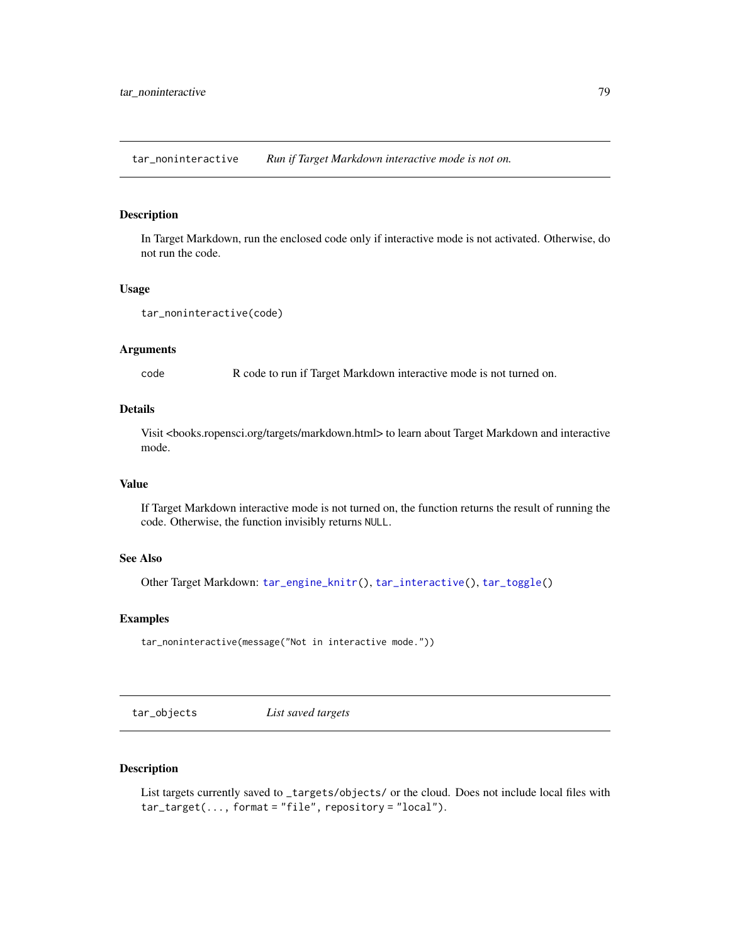tar\_noninteractive *Run if Target Markdown interactive mode is not on.*

## Description

In Target Markdown, run the enclosed code only if interactive mode is not activated. Otherwise, do not run the code.

### Usage

```
tar_noninteractive(code)
```
### Arguments

code R code to run if Target Markdown interactive mode is not turned on.

#### Details

Visit <books.ropensci.org/targets/markdown.html> to learn about Target Markdown and interactive mode.

## Value

If Target Markdown interactive mode is not turned on, the function returns the result of running the code. Otherwise, the function invisibly returns NULL.

# See Also

Other Target Markdown: [tar\\_engine\\_knitr\(](#page-30-0)), [tar\\_interactive\(](#page-49-0)), [tar\\_toggle\(](#page-143-0))

### Examples

tar\_noninteractive(message("Not in interactive mode."))

<span id="page-78-0"></span>tar\_objects *List saved targets*

## Description

List targets currently saved to \_targets/objects/ or the cloud. Does not include local files with tar\_target(..., format = "file", repository = "local").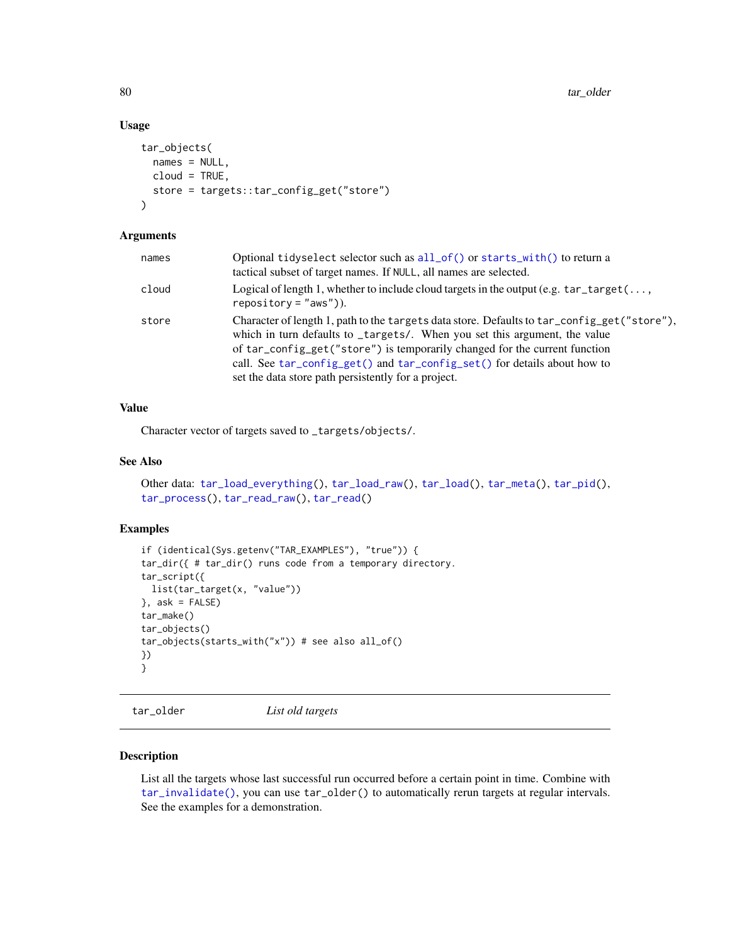## Usage

```
tar_objects(
  names = NULL,
  cloud = TRUE,
  store = targets::tar_config_get("store")
\mathcal{L}
```
## Arguments

| names | Optional tidyselect selector such as all_of() or starts_with() to return a<br>tactical subset of target names. If NULL, all names are selected.                                                                                                                                                                                                                                            |
|-------|--------------------------------------------------------------------------------------------------------------------------------------------------------------------------------------------------------------------------------------------------------------------------------------------------------------------------------------------------------------------------------------------|
| cloud | Logical of length 1, whether to include cloud targets in the output (e.g. $\text{tar\_target}(\dots)$<br>$reposition = "aws").$                                                                                                                                                                                                                                                            |
| store | Character of length 1, path to the targets data store. Defaults to tar_config_get("store"),<br>which in turn defaults to _targets/. When you set this argument, the value<br>of tar_config_get("store") is temporarily changed for the current function<br>call. See tar_config_get() and tar_config_set() for details about how to<br>set the data store path persistently for a project. |

# Value

Character vector of targets saved to \_targets/objects/.

# See Also

```
Other data: tar_load_everything(), tar_load_raw(), tar_load(), tar_meta(), tar_pid(),
tar_process(), tar_read_raw(), tar_read()
```
## Examples

```
if (identical(Sys.getenv("TAR_EXAMPLES"), "true")) {
tar_dir({ # tar_dir() runs code from a temporary directory.
tar_script({
 list(tar_target(x, "value"))
}, ask = FALSE)
tar_make()
tar_objects()
tar_objects(starts_with("x")) # see also all_of()
})
}
```
<span id="page-79-0"></span>tar\_older *List old targets*

## Description

List all the targets whose last successful run occurred before a certain point in time. Combine with [tar\\_invalidate\(\)](#page-49-1), you can use tar\_older() to automatically rerun targets at regular intervals. See the examples for a demonstration.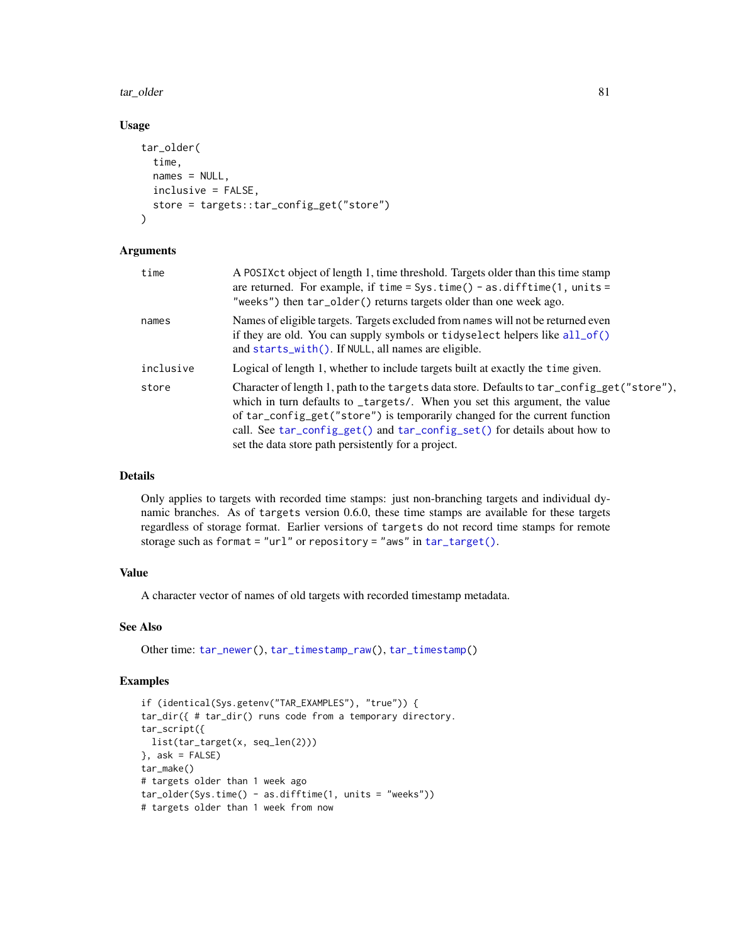tar\_older 81

### Usage

```
tar_older(
  time,
  names = NULL,inclusive = FALSE,
  store = targets::tar_config_get("store")
\lambda
```
## Arguments

| time      | A POSIXct object of length 1, time threshold. Targets older than this time stamp<br>are returned. For example, if time = Sys.time() - as.difftime(1, units =<br>"weeks") then tar_older() returns targets older than one week ago.                                                                                                                                                         |
|-----------|--------------------------------------------------------------------------------------------------------------------------------------------------------------------------------------------------------------------------------------------------------------------------------------------------------------------------------------------------------------------------------------------|
| names     | Names of eligible targets. Targets excluded from names will not be returned even<br>if they are old. You can supply symbols or tidyselect helpers like all_of()<br>and starts_with(). If NULL, all names are eligible.                                                                                                                                                                     |
| inclusive | Logical of length 1, whether to include targets built at exactly the time given.                                                                                                                                                                                                                                                                                                           |
| store     | Character of length 1, path to the targets data store. Defaults to tar_config_get("store"),<br>which in turn defaults to _targets/. When you set this argument, the value<br>of tar_config_get("store") is temporarily changed for the current function<br>call. See tar_config_get() and tar_config_set() for details about how to<br>set the data store path persistently for a project. |

## Details

Only applies to targets with recorded time stamps: just non-branching targets and individual dynamic branches. As of targets version 0.6.0, these time stamps are available for these targets regardless of storage format. Earlier versions of targets do not record time stamps for remote storage such as format = "url" or repository = "aws" in [tar\\_target\(\)](#page-130-0).

## Value

A character vector of names of old targets with recorded timestamp metadata.

## See Also

Other time: [tar\\_newer\(](#page-76-0)), [tar\\_timestamp\\_raw\(](#page-141-0)), [tar\\_timestamp\(](#page-140-0))

```
if (identical(Sys.getenv("TAR_EXAMPLES"), "true")) {
tar_dir({ # tar_dir() runs code from a temporary directory.
tar_script({
 list(tar_target(x, seq_len(2)))
}, ask = FALSE)
tar_make()
# targets older than 1 week ago
tar_older(Sys.time() - as.difftime(1, units = "weeks"))
# targets older than 1 week from now
```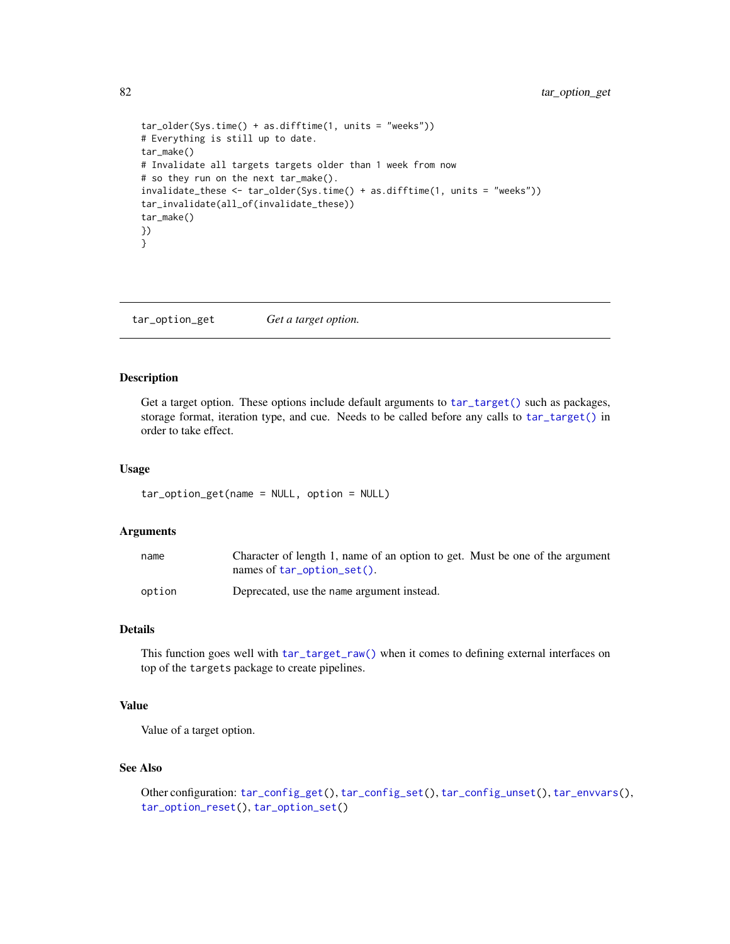```
tar_older(Sys.time() + as.difftime(1, units = "weeks"))
# Everything is still up to date.
tar_make()
# Invalidate all targets targets older than 1 week from now
# so they run on the next tar_make().
invalidate_these <- tar_older(Sys.time() + as.difftime(1, units = "weeks"))
tar_invalidate(all_of(invalidate_these))
tar_make()
})
}
```
<span id="page-81-0"></span>tar\_option\_get *Get a target option.*

### Description

Get a target option. These options include default arguments to  $tar\_target()$  such as packages, storage format, iteration type, and cue. Needs to be called before any calls to [tar\\_target\(\)](#page-130-0) in order to take effect.

### Usage

```
tar_option_get(name = NULL, option = NULL)
```
## Arguments

| name   | Character of length 1, name of an option to get. Must be one of the argument |
|--------|------------------------------------------------------------------------------|
|        | names of $tar\_option\_set()$ .                                              |
| option | Deprecated, use the name argument instead.                                   |

## Details

This function goes well with  $tar\_target\_raw()$  when it comes to defining external interfaces on top of the targets package to create pipelines.

# Value

Value of a target option.

## See Also

```
Other configuration: tar_config_get(), tar_config_set(), tar_config_unset(), tar_envvars(),
tar_option_reset(), tar_option_set()
```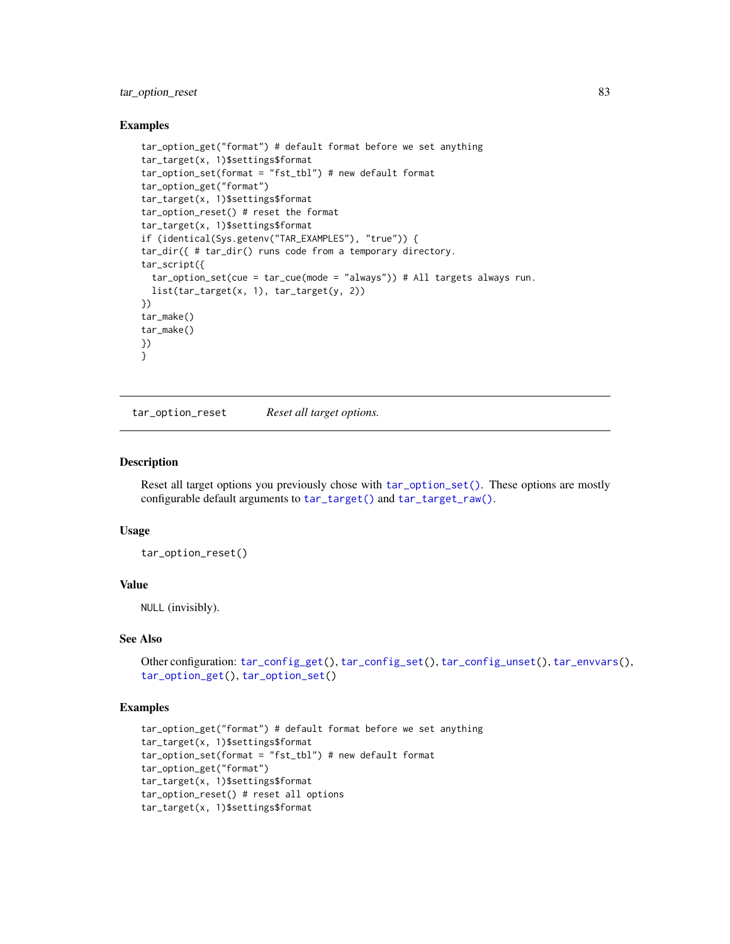# tar\_option\_reset 83

### Examples

```
tar_option_get("format") # default format before we set anything
tar_target(x, 1)$settings$format
tar_option_set(format = "fst_tbl") # new default format
tar_option_get("format")
tar_target(x, 1)$settings$format
tar_option_reset() # reset the format
tar_target(x, 1)$settings$format
if (identical(Sys.getenv("TAR_EXAMPLES"), "true")) {
tar_dir({ # tar_dir() runs code from a temporary directory.
tar_script({
  tar_option_set(cue = tar_cue(mode = "always")) # All targets always run.
  list(tar_target(x, 1), tar_target(y, 2))
})
tar_make()
tar_make()
})
}
```
<span id="page-82-0"></span>tar\_option\_reset *Reset all target options.*

### Description

Reset all target options you previously chose with [tar\\_option\\_set\(\)](#page-83-0). These options are mostly configurable default arguments to [tar\\_target\(\)](#page-130-0) and [tar\\_target\\_raw\(\)](#page-135-0).

## Usage

tar\_option\_reset()

### Value

NULL (invisibly).

## See Also

```
Other configuration: tar_config_get(), tar_config_set(), tar_config_unset(), tar_envvars(),
tar_option_get(), tar_option_set()
```

```
tar_option_get("format") # default format before we set anything
tar_target(x, 1)$settings$format
tar_option_set(format = "fst_tbl") # new default format
tar_option_get("format")
tar_target(x, 1)$settings$format
tar_option_reset() # reset all options
tar_target(x, 1)$settings$format
```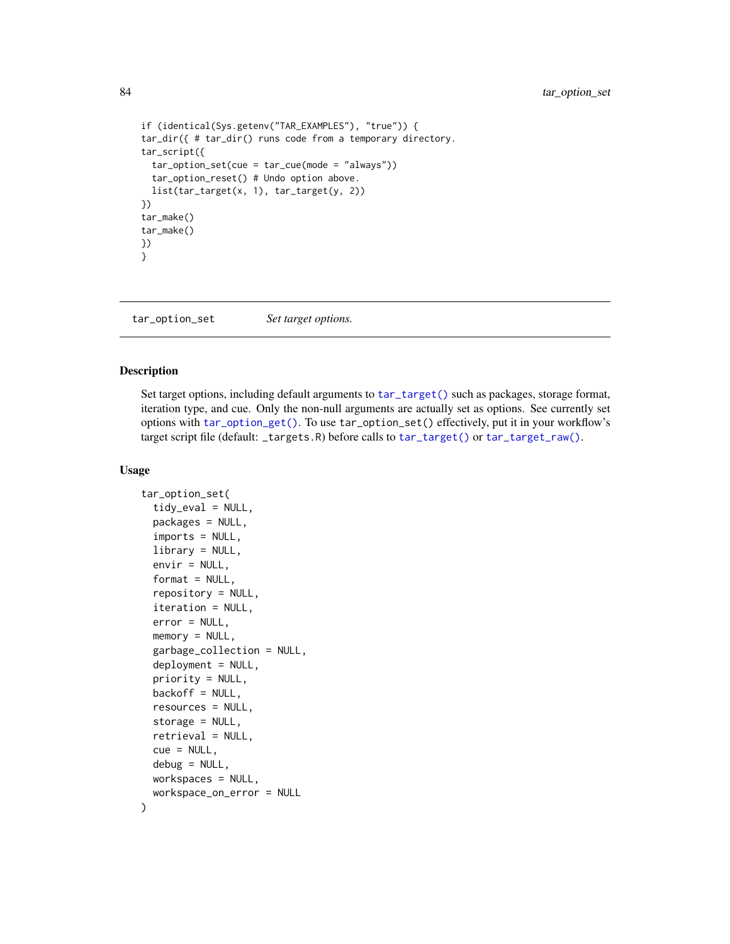84 tar\_option\_set

```
if (identical(Sys.getenv("TAR_EXAMPLES"), "true")) {
tar_dir({ # tar_dir() runs code from a temporary directory.
tar_script({
  tar_option_set(cue = tar_cue(mode = "always"))
  tar_option_reset() # Undo option above.
  list(tar_target(x, 1), tar_target(y, 2))
})
tar_make()
tar_make()
})
}
```
<span id="page-83-0"></span>tar\_option\_set *Set target options.*

### Description

Set target options, including default arguments to [tar\\_target\(\)](#page-130-0) such as packages, storage format, iteration type, and cue. Only the non-null arguments are actually set as options. See currently set options with [tar\\_option\\_get\(\)](#page-81-0). To use tar\_option\_set() effectively, put it in your workflow's target script file (default: \_targets.R) before calls to [tar\\_target\(\)](#page-130-0) or [tar\\_target\\_raw\(\)](#page-135-0).

## Usage

```
tar_option_set(
  tidy_eval = NULL,
  packages = NULL,
  imports = NULL,
  library = NULL,
  envir = NULL,
  format = NULL,repository = NULL,
  iteration = NULL,
  error = NULL,
 memory = NULL,
  garbage_collection = NULL,
  deployment = NULL,
  priority = NULL,
 backoff = NULL,
  resources = NULL,
  storage = NULL,
  retrieval = NULL,
  cue = NULL,debug = NULL,
 workspaces = NULL,
  workspace_on_error = NULL
)
```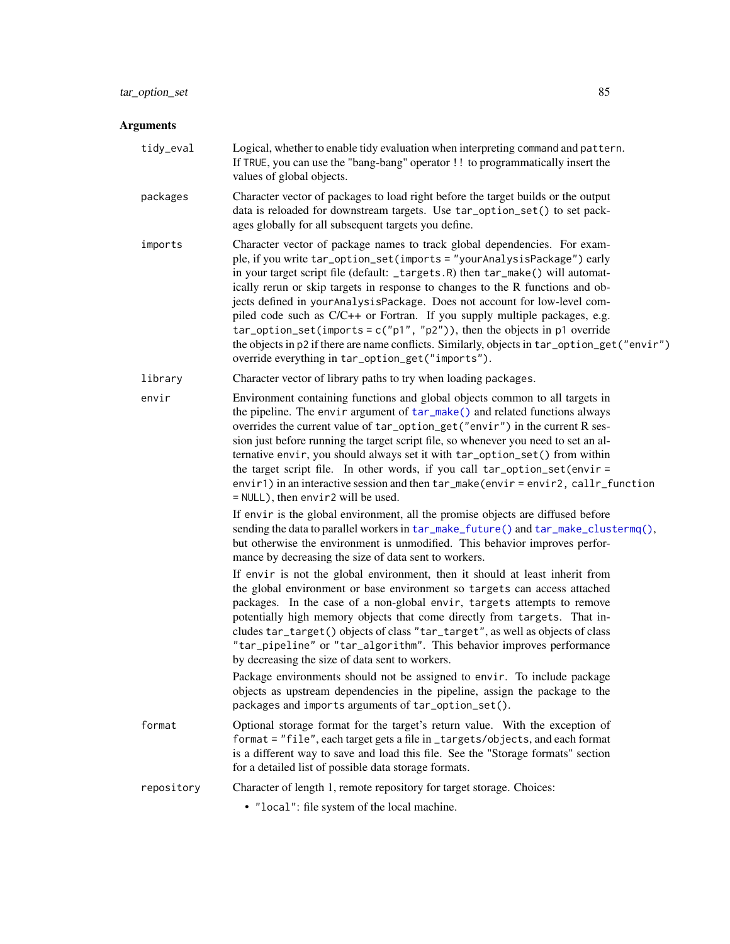#### Arguments

tidy\_eval Logical, whether to enable tidy evaluation when interpreting command and pattern. If TRUE, you can use the "bang-bang" operator !! to programmatically insert the values of global objects.

- packages Character vector of packages to load right before the target builds or the output data is reloaded for downstream targets. Use tar\_option\_set() to set packages globally for all subsequent targets you define.
- imports Character vector of package names to track global dependencies. For example, if you write tar\_option\_set(imports = "yourAnalysisPackage") early in your target script file (default: \_targets.R) then tar\_make() will automatically rerun or skip targets in response to changes to the R functions and objects defined in yourAnalysisPackage. Does not account for low-level compiled code such as C/C++ or Fortran. If you supply multiple packages, e.g. tar\_option\_set(imports =  $c("p1", "p2")$ ), then the objects in p1 override the objects in p2 if there are name conflicts. Similarly, objects in tar\_option\_get("envir") override everything in tar\_option\_get("imports").
- library Character vector of library paths to try when loading packages.
- envir Environment containing functions and global objects common to all targets in the pipeline. The envir argument of [tar\\_make\(\)](#page-58-0) and related functions always overrides the current value of tar\_option\_get("envir") in the current R session just before running the target script file, so whenever you need to set an alternative envir, you should always set it with tar\_option\_set() from within the target script file. In other words, if you call tar\_option\_set(envir = envir1) in an interactive session and then tar\_make(envir = envir2, callr\_function = NULL), then envir2 will be used.

If envir is the global environment, all the promise objects are diffused before sending the data to parallel workers in [tar\\_make\\_future\(\)](#page-63-0) and [tar\\_make\\_clustermq\(\)](#page-60-0), but otherwise the environment is unmodified. This behavior improves performance by decreasing the size of data sent to workers.

If envir is not the global environment, then it should at least inherit from the global environment or base environment so targets can access attached packages. In the case of a non-global envir, targets attempts to remove potentially high memory objects that come directly from targets. That includes tar\_target() objects of class "tar\_target", as well as objects of class "tar\_pipeline" or "tar\_algorithm". This behavior improves performance by decreasing the size of data sent to workers.

Package environments should not be assigned to envir. To include package objects as upstream dependencies in the pipeline, assign the package to the packages and imports arguments of tar\_option\_set().

- format Optional storage format for the target's return value. With the exception of format = "file", each target gets a file in \_targets/objects, and each format is a different way to save and load this file. See the "Storage formats" section for a detailed list of possible data storage formats.
- repository Character of length 1, remote repository for target storage. Choices:
	- "local": file system of the local machine.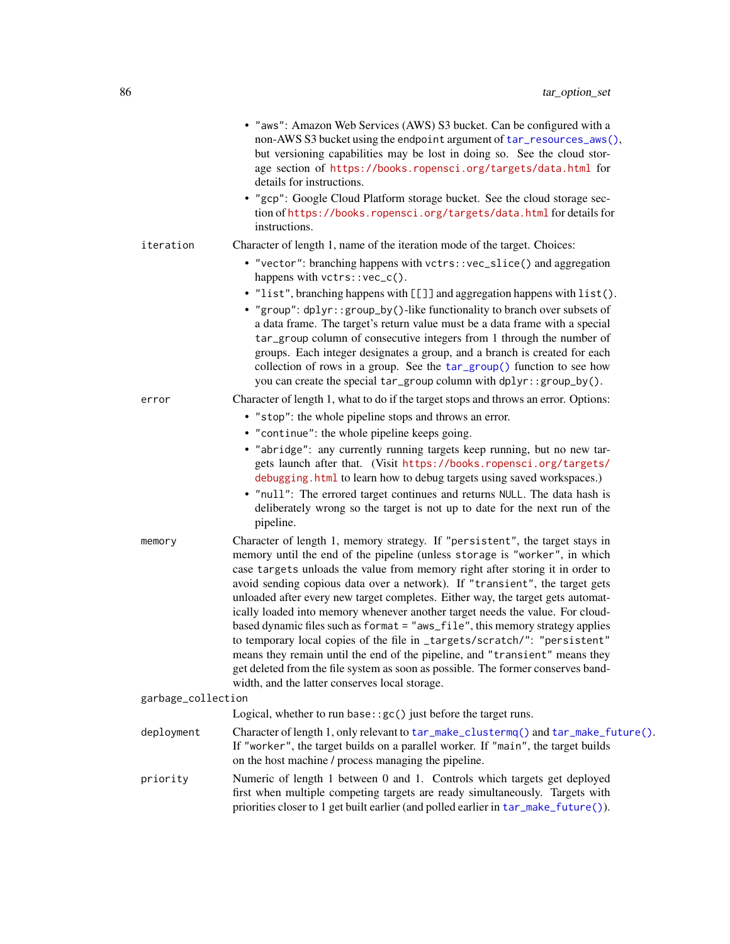|                    | • "aws": Amazon Web Services (AWS) S3 bucket. Can be configured with a<br>non-AWS S3 bucket using the endpoint argument of tar_resources_aws(),<br>but versioning capabilities may be lost in doing so. See the cloud stor-<br>age section of https://books.ropensci.org/targets/data.html for<br>details for instructions.<br>• "gcp": Google Cloud Platform storage bucket. See the cloud storage sec-<br>tion of https://books.ropensci.org/targets/data.html for details for<br>instructions.                                                                                                                                                                                                                                                                                                                                                                                 |
|--------------------|-----------------------------------------------------------------------------------------------------------------------------------------------------------------------------------------------------------------------------------------------------------------------------------------------------------------------------------------------------------------------------------------------------------------------------------------------------------------------------------------------------------------------------------------------------------------------------------------------------------------------------------------------------------------------------------------------------------------------------------------------------------------------------------------------------------------------------------------------------------------------------------|
| iteration          | Character of length 1, name of the iteration mode of the target. Choices:                                                                                                                                                                                                                                                                                                                                                                                                                                                                                                                                                                                                                                                                                                                                                                                                         |
|                    | • "vector": branching happens with vctrs:: vec_slice() and aggregation<br>happens with vctrs::vec_c().                                                                                                                                                                                                                                                                                                                                                                                                                                                                                                                                                                                                                                                                                                                                                                            |
|                    | • "list", branching happens with [[]] and aggregation happens with list().<br>• "group": dplyr::group_by()-like functionality to branch over subsets of<br>a data frame. The target's return value must be a data frame with a special<br>tar_group column of consecutive integers from 1 through the number of<br>groups. Each integer designates a group, and a branch is created for each<br>collection of rows in a group. See the tar_group() function to see how<br>you can create the special tar_group column with dplyr::group_by().                                                                                                                                                                                                                                                                                                                                     |
| error              | Character of length 1, what to do if the target stops and throws an error. Options:                                                                                                                                                                                                                                                                                                                                                                                                                                                                                                                                                                                                                                                                                                                                                                                               |
|                    | • "stop": the whole pipeline stops and throws an error.                                                                                                                                                                                                                                                                                                                                                                                                                                                                                                                                                                                                                                                                                                                                                                                                                           |
|                    | • "continue": the whole pipeline keeps going.                                                                                                                                                                                                                                                                                                                                                                                                                                                                                                                                                                                                                                                                                                                                                                                                                                     |
|                    | · "abridge": any currently running targets keep running, but no new tar-<br>gets launch after that. (Visit https://books.ropensci.org/targets/<br>debugging. html to learn how to debug targets using saved workspaces.)<br>. "null": The errored target continues and returns NULL. The data hash is<br>deliberately wrong so the target is not up to date for the next run of the<br>pipeline.                                                                                                                                                                                                                                                                                                                                                                                                                                                                                  |
| memory             | Character of length 1, memory strategy. If "persistent", the target stays in<br>memory until the end of the pipeline (unless storage is "worker", in which<br>case targets unloads the value from memory right after storing it in order to<br>avoid sending copious data over a network). If "transient", the target gets<br>unloaded after every new target completes. Either way, the target gets automat-<br>ically loaded into memory whenever another target needs the value. For cloud-<br>based dynamic files such as format = "aws_file", this memory strategy applies<br>to temporary local copies of the file in _targets/scratch/": "persistent"<br>means they remain until the end of the pipeline, and "transient" means they<br>get deleted from the file system as soon as possible. The former conserves band-<br>width, and the latter conserves local storage. |
| garbage_collection |                                                                                                                                                                                                                                                                                                                                                                                                                                                                                                                                                                                                                                                                                                                                                                                                                                                                                   |
|                    | Logical, whether to run base: $\gcd$ just before the target runs.                                                                                                                                                                                                                                                                                                                                                                                                                                                                                                                                                                                                                                                                                                                                                                                                                 |
| deployment         | Character of length 1, only relevant to tar_make_clustermq() and tar_make_future().<br>If "worker", the target builds on a parallel worker. If "main", the target builds<br>on the host machine / process managing the pipeline.                                                                                                                                                                                                                                                                                                                                                                                                                                                                                                                                                                                                                                                  |
| priority           | Numeric of length 1 between 0 and 1. Controls which targets get deployed<br>first when multiple competing targets are ready simultaneously. Targets with<br>priorities closer to 1 get built earlier (and polled earlier in tar_make_future()).                                                                                                                                                                                                                                                                                                                                                                                                                                                                                                                                                                                                                                   |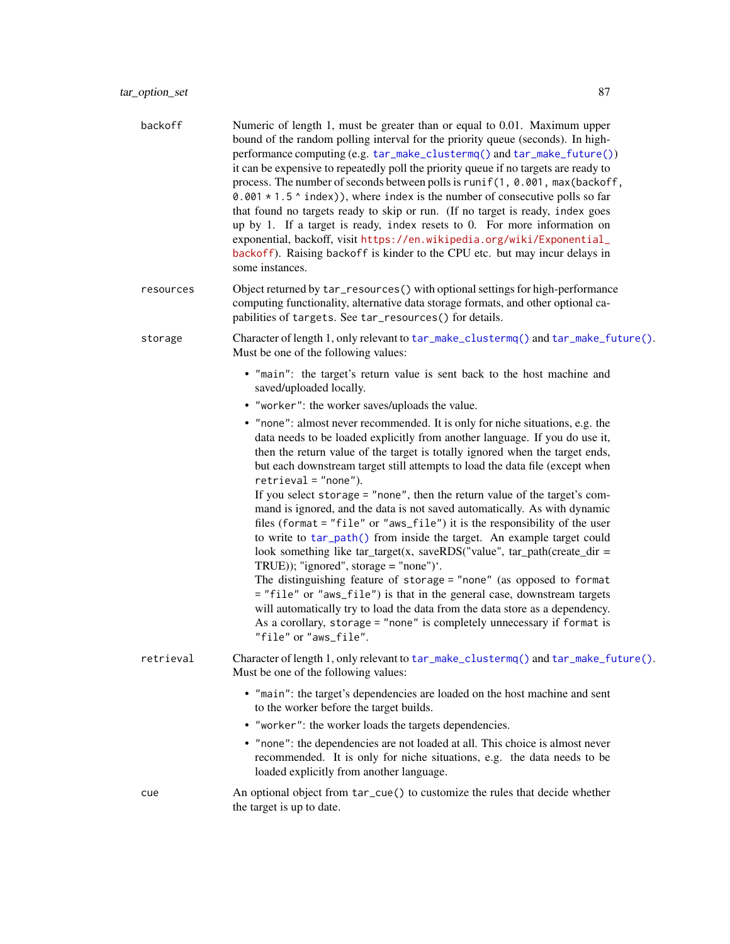| backoff   | Numeric of length 1, must be greater than or equal to 0.01. Maximum upper<br>bound of the random polling interval for the priority queue (seconds). In high-<br>performance computing (e.g. tar_make_clustermq() and tar_make_future())<br>it can be expensive to repeatedly poll the priority queue if no targets are ready to<br>process. The number of seconds between polls is runif(1, 0.001, max(backoff,<br>0.001 $*$ 1.5 $*$ index)), where index is the number of consecutive polls so far<br>that found no targets ready to skip or run. (If no target is ready, index goes<br>up by 1. If a target is ready, index resets to 0. For more information on<br>exponential, backoff, visit https://en.wikipedia.org/wiki/Exponential_<br>backoff). Raising backoff is kinder to the CPU etc. but may incur delays in<br>some instances. |
|-----------|------------------------------------------------------------------------------------------------------------------------------------------------------------------------------------------------------------------------------------------------------------------------------------------------------------------------------------------------------------------------------------------------------------------------------------------------------------------------------------------------------------------------------------------------------------------------------------------------------------------------------------------------------------------------------------------------------------------------------------------------------------------------------------------------------------------------------------------------|
| resources | Object returned by tar_resources() with optional settings for high-performance<br>computing functionality, alternative data storage formats, and other optional ca-<br>pabilities of targets. See tar_resources() for details.                                                                                                                                                                                                                                                                                                                                                                                                                                                                                                                                                                                                                 |
| storage   | Character of length 1, only relevant to tar_make_clustermq() and tar_make_future().<br>Must be one of the following values:                                                                                                                                                                                                                                                                                                                                                                                                                                                                                                                                                                                                                                                                                                                    |
|           | . "main": the target's return value is sent back to the host machine and<br>saved/uploaded locally.                                                                                                                                                                                                                                                                                                                                                                                                                                                                                                                                                                                                                                                                                                                                            |
|           | • "worker": the worker saves/uploads the value.                                                                                                                                                                                                                                                                                                                                                                                                                                                                                                                                                                                                                                                                                                                                                                                                |
|           | • "none": almost never recommended. It is only for niche situations, e.g. the<br>data needs to be loaded explicitly from another language. If you do use it,<br>then the return value of the target is totally ignored when the target ends,<br>but each downstream target still attempts to load the data file (except when<br>$retrieval = "none").$<br>If you select storage = $"$ none", then the return value of the target's com-                                                                                                                                                                                                                                                                                                                                                                                                        |
|           | mand is ignored, and the data is not saved automatically. As with dynamic<br>files (format = "file" or "aws_file") it is the responsibility of the user<br>to write to tar_path() from inside the target. An example target could<br>look something like tar_target(x, saveRDS("value", tar_path(create_dir =<br>TRUE)); "ignored", storage = "none")'.                                                                                                                                                                                                                                                                                                                                                                                                                                                                                        |
|           | The distinguishing feature of storage = "none" (as opposed to format<br>= "file" or "aws_file") is that in the general case, downstream targets<br>will automatically try to load the data from the data store as a dependency.<br>As a corollary, storage = "none" is completely unnecessary if format is<br>"file" or "aws_file".                                                                                                                                                                                                                                                                                                                                                                                                                                                                                                            |
| retrieval | Character of length 1, only relevant to tar_make_clustermq() and tar_make_future().<br>Must be one of the following values:                                                                                                                                                                                                                                                                                                                                                                                                                                                                                                                                                                                                                                                                                                                    |
|           | • "main": the target's dependencies are loaded on the host machine and sent<br>to the worker before the target builds.                                                                                                                                                                                                                                                                                                                                                                                                                                                                                                                                                                                                                                                                                                                         |
|           | • "worker": the worker loads the targets dependencies.                                                                                                                                                                                                                                                                                                                                                                                                                                                                                                                                                                                                                                                                                                                                                                                         |
|           | • "none": the dependencies are not loaded at all. This choice is almost never<br>recommended. It is only for niche situations, e.g. the data needs to be<br>loaded explicitly from another language.                                                                                                                                                                                                                                                                                                                                                                                                                                                                                                                                                                                                                                           |
| cue       | An optional object from tar_cue() to customize the rules that decide whether<br>the target is up to date.                                                                                                                                                                                                                                                                                                                                                                                                                                                                                                                                                                                                                                                                                                                                      |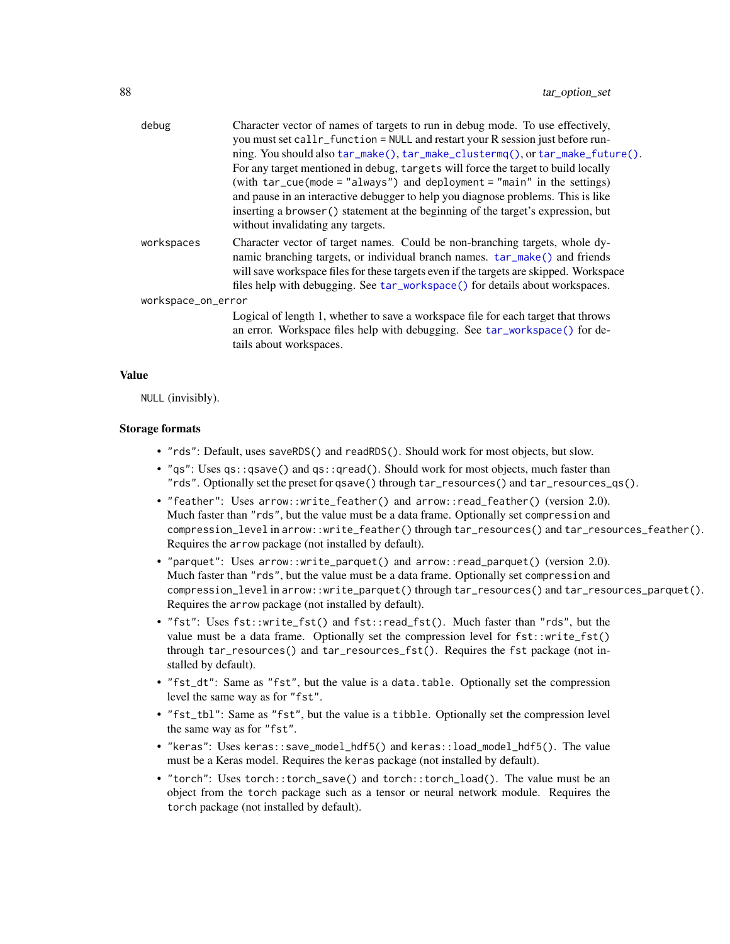| debug              | Character vector of names of targets to run in debug mode. To use effectively,<br>you must set callr_function = NULL and restart your R session just before run-                                                                                                                                                                     |
|--------------------|--------------------------------------------------------------------------------------------------------------------------------------------------------------------------------------------------------------------------------------------------------------------------------------------------------------------------------------|
|                    | ning. You should also tar_make(), tar_make_clustermq(), or tar_make_future().                                                                                                                                                                                                                                                        |
|                    | For any target mentioned in debug, targets will force the target to build locally                                                                                                                                                                                                                                                    |
|                    | (with $tar\_cue$ (mode = "always") and deployment = "main" in the settings)                                                                                                                                                                                                                                                          |
|                    | and pause in an interactive debugger to help you diagnose problems. This is like                                                                                                                                                                                                                                                     |
|                    | inserting a browser () statement at the beginning of the target's expression, but<br>without invalidating any targets.                                                                                                                                                                                                               |
| workspaces         | Character vector of target names. Could be non-branching targets, whole dy-<br>namic branching targets, or individual branch names. tar_make() and friends<br>will save workspace files for these targets even if the targets are skipped. Workspace<br>files help with debugging. See tar_workspace() for details about workspaces. |
| workspace_on_error |                                                                                                                                                                                                                                                                                                                                      |
|                    | Logical of length 1, whether to save a workspace file for each target that throws<br>an error. Workspace files help with debugging. See tar_workspace() for de-<br>tails about workspaces.                                                                                                                                           |

## Value

NULL (invisibly).

### Storage formats

- "rds": Default, uses saveRDS() and readRDS(). Should work for most objects, but slow.
- "qs": Uses qs::qsave() and qs::qread(). Should work for most objects, much faster than "rds". Optionally set the preset for qsave() through tar\_resources() and tar\_resources\_qs().
- "feather": Uses arrow::write\_feather() and arrow::read\_feather() (version 2.0). Much faster than "rds", but the value must be a data frame. Optionally set compression and compression\_level in arrow::write\_feather() through tar\_resources() and tar\_resources\_feather(). Requires the arrow package (not installed by default).
- "parquet": Uses arrow::write\_parquet() and arrow::read\_parquet() (version 2.0). Much faster than "rds", but the value must be a data frame. Optionally set compression and compression\_level in arrow::write\_parquet() through tar\_resources() and tar\_resources\_parquet(). Requires the arrow package (not installed by default).
- "fst": Uses fst::write\_fst() and fst::read\_fst(). Much faster than "rds", but the value must be a data frame. Optionally set the compression level for  $fst::write_fst()$ through tar\_resources() and tar\_resources\_fst(). Requires the fst package (not installed by default).
- "fst\_dt": Same as "fst", but the value is a data.table. Optionally set the compression level the same way as for "fst".
- "fst\_tbl": Same as "fst", but the value is a tibble. Optionally set the compression level the same way as for "fst".
- "keras": Uses keras::save\_model\_hdf5() and keras::load\_model\_hdf5(). The value must be a Keras model. Requires the keras package (not installed by default).
- "torch": Uses torch::torch\_save() and torch::torch\_load(). The value must be an object from the torch package such as a tensor or neural network module. Requires the torch package (not installed by default).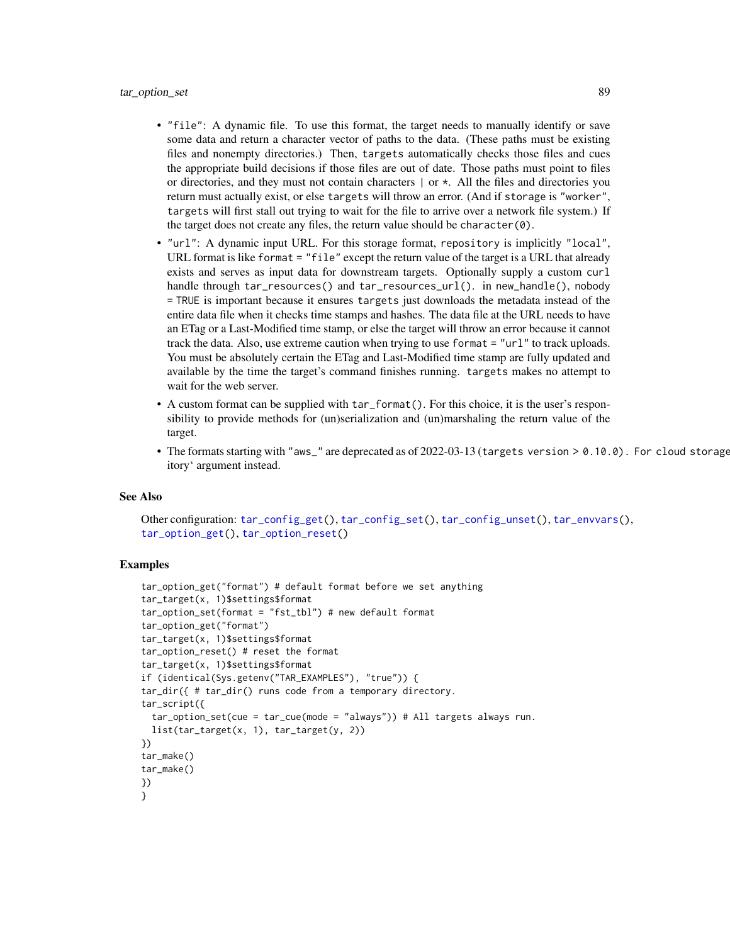- "file": A dynamic file. To use this format, the target needs to manually identify or save some data and return a character vector of paths to the data. (These paths must be existing files and nonempty directories.) Then, targets automatically checks those files and cues the appropriate build decisions if those files are out of date. Those paths must point to files or directories, and they must not contain characters  $\vert$  or  $\star$ . All the files and directories you return must actually exist, or else targets will throw an error. (And if storage is "worker", targets will first stall out trying to wait for the file to arrive over a network file system.) If the target does not create any files, the return value should be character(0).
- "url": A dynamic input URL. For this storage format, repository is implicitly "local", URL format is like format = "file" except the return value of the target is a URL that already exists and serves as input data for downstream targets. Optionally supply a custom curl handle through tar\_resources() and tar\_resources\_url(). in new\_handle(), nobody = TRUE is important because it ensures targets just downloads the metadata instead of the entire data file when it checks time stamps and hashes. The data file at the URL needs to have an ETag or a Last-Modified time stamp, or else the target will throw an error because it cannot track the data. Also, use extreme caution when trying to use format = "url" to track uploads. You must be absolutely certain the ETag and Last-Modified time stamp are fully updated and available by the time the target's command finishes running. targets makes no attempt to wait for the web server.
- A custom format can be supplied with tar\_format(). For this choice, it is the user's responsibility to provide methods for (un)serialization and (un)marshaling the return value of the target.
- The formats starting with "aws\_" are deprecated as of 2022-03-13 (targets version > 0.10.0). For cloud storage itory' argument instead.

#### See Also

```
Other configuration: tar_config_get(), tar_config_set(), tar_config_unset(), tar_envvars(),
tar_option_get(), tar_option_reset()
```

```
tar_option_get("format") # default format before we set anything
tar_target(x, 1)$settings$format
tar_option_set(format = "fst_tbl") # new default format
tar_option_get("format")
tar_target(x, 1)$settings$format
tar_option_reset() # reset the format
tar_target(x, 1)$settings$format
if (identical(Sys.getenv("TAR_EXAMPLES"), "true")) {
tar_dir({ # tar_dir() runs code from a temporary directory.
tar_script({
  tar_option_set(cue = tar_cue(mode = "always")) # All targets always run.
  list(tar_target(x, 1), tar_target(y, 2))
})
tar_make()
tar_make()
})
}
```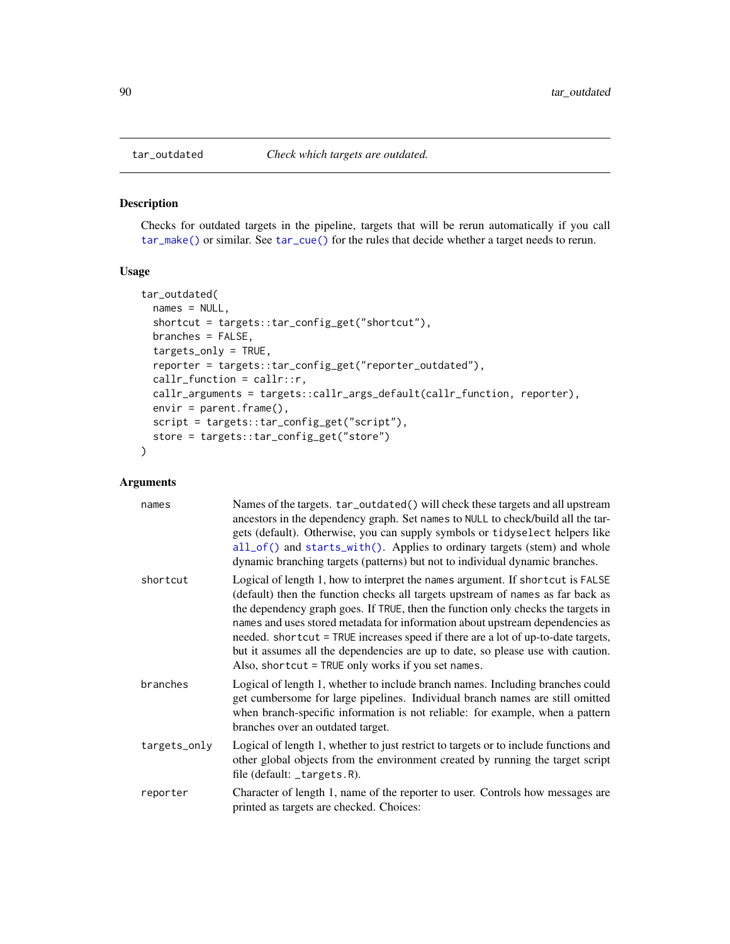## Description

Checks for outdated targets in the pipeline, targets that will be rerun automatically if you call [tar\\_make\(\)](#page-58-0) or similar. See [tar\\_cue\(\)](#page-22-0) for the rules that decide whether a target needs to rerun.

### Usage

```
tar_outdated(
  names = NULL,shortcut = targets::tar_config_get("shortcut"),
 branches = FALSE,
  targets_only = TRUE,
  reporter = targets::tar_config_get("reporter_outdated"),
 callr_function = callr::r,
 callr_arguments = targets::callr_args_default(callr_function, reporter),
 envir = parent.frame(),
 script = targets::tar_config_get("script"),
 store = targets::tar_config_get("store")
\mathcal{L}
```

| names        | Names of the targets. tar_outdated() will check these targets and all upstream<br>ancestors in the dependency graph. Set names to NULL to check/build all the tar-<br>gets (default). Otherwise, you can supply symbols or tidyselect helpers like<br>all_of() and starts_with(). Applies to ordinary targets (stem) and whole<br>dynamic branching targets (patterns) but not to individual dynamic branches.                                                                                                                                                       |
|--------------|----------------------------------------------------------------------------------------------------------------------------------------------------------------------------------------------------------------------------------------------------------------------------------------------------------------------------------------------------------------------------------------------------------------------------------------------------------------------------------------------------------------------------------------------------------------------|
| shortcut     | Logical of length 1, how to interpret the names argument. If shortcut is FALSE<br>(default) then the function checks all targets upstream of names as far back as<br>the dependency graph goes. If TRUE, then the function only checks the targets in<br>names and uses stored metadata for information about upstream dependencies as<br>needed. shortcut = TRUE increases speed if there are a lot of up-to-date targets,<br>but it assumes all the dependencies are up to date, so please use with caution.<br>Also, shortcut = TRUE only works if you set names. |
| branches     | Logical of length 1, whether to include branch names. Including branches could<br>get cumbersome for large pipelines. Individual branch names are still omitted<br>when branch-specific information is not reliable: for example, when a pattern<br>branches over an outdated target.                                                                                                                                                                                                                                                                                |
| targets_only | Logical of length 1, whether to just restrict to targets or to include functions and<br>other global objects from the environment created by running the target script<br>file (default: $_{\text{targets}}$ .R).                                                                                                                                                                                                                                                                                                                                                    |
| reporter     | Character of length 1, name of the reporter to user. Controls how messages are<br>printed as targets are checked. Choices:                                                                                                                                                                                                                                                                                                                                                                                                                                           |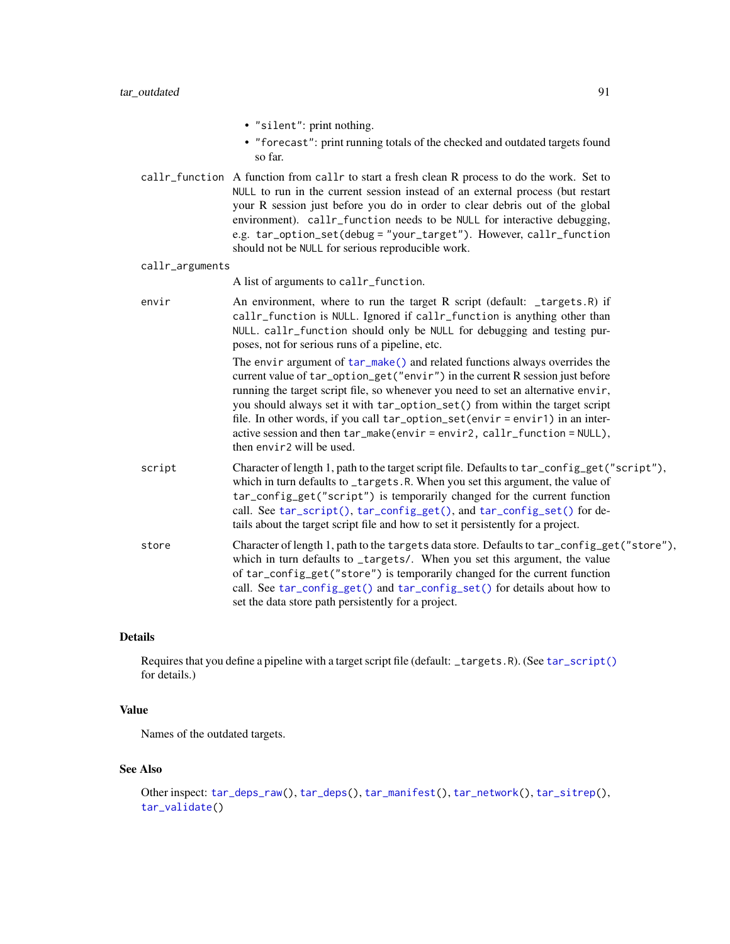• "silent": print nothing.

• "forecast": print running totals of the checked and outdated targets found so far.

callr\_function A function from callr to start a fresh clean R process to do the work. Set to NULL to run in the current session instead of an external process (but restart your R session just before you do in order to clear debris out of the global environment). callr\_function needs to be NULL for interactive debugging, e.g. tar\_option\_set(debug = "your\_target"). However, callr\_function should not be NULL for serious reproducible work.

#### callr\_arguments

A list of arguments to callr\_function.

- envir An environment, where to run the target R script (default: \_targets.R) if callr\_function is NULL. Ignored if callr\_function is anything other than NULL. callr\_function should only be NULL for debugging and testing purposes, not for serious runs of a pipeline, etc. The envir argument of  $tar\_make()$  and related functions always overrides the current value of tar\_option\_get("envir") in the current R session just before running the target script file, so whenever you need to set an alternative envir, you should always set it with tar\_option\_set() from within the target script file. In other words, if you call tar\_option\_set(envir = envir1) in an interactive session and then tar\_make(envir = envir2, callr\_function = NULL), then envir2 will be used.
- script Character of length 1, path to the target script file. Defaults to tar\_config\_get("script"), which in turn defaults to \_targets.R. When you set this argument, the value of tar\_config\_get("script") is temporarily changed for the current function call. See [tar\\_script\(\)](#page-121-0), [tar\\_config\\_get\(\)](#page-16-0), and [tar\\_config\\_set\(\)](#page-17-0) for details about the target script file and how to set it persistently for a project.
- store Character of length 1, path to the targets data store. Defaults to tar\_config\_get("store"), which in turn defaults to \_targets/. When you set this argument, the value of tar\_config\_get("store") is temporarily changed for the current function call. See [tar\\_config\\_get\(\)](#page-16-0) and [tar\\_config\\_set\(\)](#page-17-0) for details about how to set the data store path persistently for a project.

# Details

Requires that you define a pipeline with a target script file (default: \_targets.R). (See [tar\\_script\(\)](#page-121-0) for details.)

### Value

Names of the outdated targets.

### See Also

```
Other inspect: tar_deps_raw(), tar_deps(), tar_manifest(), tar_network(), tar_sitrep(),
tar_validate()
```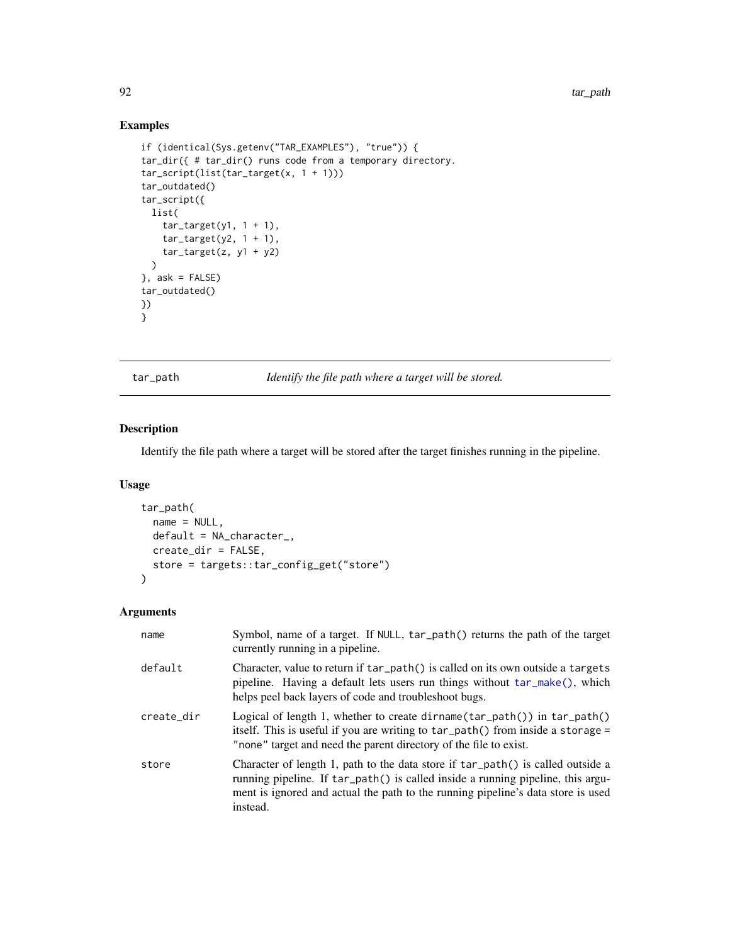## Examples

```
if (identical(Sys.getenv("TAR_EXAMPLES"), "true")) {
tar_dir({ # tar_dir() runs code from a temporary directory.
tar_script(list(tar_target(x, 1 + 1)))
tar_outdated()
tar_script({
 list(
    tar\_target(y1, 1 + 1),tar\_target(y2, 1 + 1),tar\_target(z, y1 + y2))
}, ask = FALSE)
tar_outdated()
})
}
```
<span id="page-91-0"></span>tar\_path *Identify the file path where a target will be stored.*

## Description

Identify the file path where a target will be stored after the target finishes running in the pipeline.

## Usage

```
tar_path(
 name = NULL,default = NA_character_,
 create_dir = FALSE,
 store = targets::tar_config_get("store")
)
```

| name       | Symbol, name of a target. If NULL, tar_path() returns the path of the target<br>currently running in a pipeline.                                                                                                                                                   |
|------------|--------------------------------------------------------------------------------------------------------------------------------------------------------------------------------------------------------------------------------------------------------------------|
| default    | Character, value to return if tar_path() is called on its own outside a targets<br>pipeline. Having a default lets users run things without $tar\_make()$ , which<br>helps peel back layers of code and troubleshoot bugs.                                         |
| create_dir | Logical of length 1, whether to create dirname $tar\_path()$ in $tar\_path()$<br>itself. This is useful if you are writing to $tar\_path()$ from inside a storage =<br>"none" target and need the parent directory of the file to exist.                           |
| store      | Character of length 1, path to the data store if tar_path() is called outside a<br>running pipeline. If tar_path() is called inside a running pipeline, this argu-<br>ment is ignored and actual the path to the running pipeline's data store is used<br>instead. |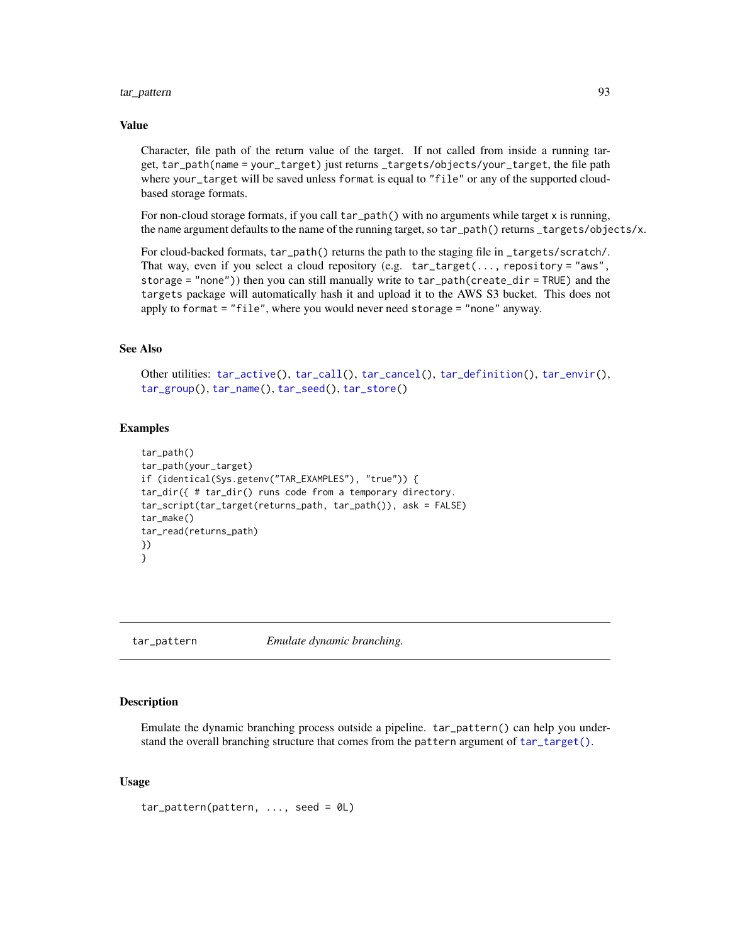## tar\_pattern 93

#### Value

Character, file path of the return value of the target. If not called from inside a running target, tar\_path(name = your\_target) just returns \_targets/objects/your\_target, the file path where your\_target will be saved unless format is equal to "file" or any of the supported cloudbased storage formats.

For non-cloud storage formats, if you call tar\_path() with no arguments while target x is running, the name argument defaults to the name of the running target, so tar\_path() returns \_targets/objects/x.

For cloud-backed formats, tar\_path() returns the path to the staging file in \_targets/scratch/. That way, even if you select a cloud repository (e.g.  $tar\_target(...,$  repository = "aws", storage = "none")) then you can still manually write to tar\_path(create\_dir = TRUE) and the targets package will automatically hash it and upload it to the AWS S3 bucket. This does not apply to format = "file", where you would never need storage = "none" anyway.

# See Also

Other utilities: [tar\\_active\(](#page-4-0)), [tar\\_call\(](#page-12-0)), [tar\\_cancel\(](#page-13-0)), [tar\\_definition\(](#page-24-0)), [tar\\_envir\(](#page-32-0)), [tar\\_group\(](#page-45-0)), [tar\\_name\(](#page-73-0)), [tar\\_seed\(](#page-123-0)), [tar\\_store\(](#page-129-0))

#### Examples

```
tar_path()
tar_path(your_target)
if (identical(Sys.getenv("TAR_EXAMPLES"), "true")) {
tar_dir({ # tar_dir() runs code from a temporary directory.
tar_script(tar_target(returns_path, tar_path()), ask = FALSE)
tar_make()
tar_read(returns_path)
})
}
```
tar\_pattern *Emulate dynamic branching.*

### Description

Emulate the dynamic branching process outside a pipeline. tar\_pattern() can help you understand the overall branching structure that comes from the pattern argument of [tar\\_target\(\)](#page-130-0).

### Usage

 $tar\_pattern(patten, ..., seed = 0L)$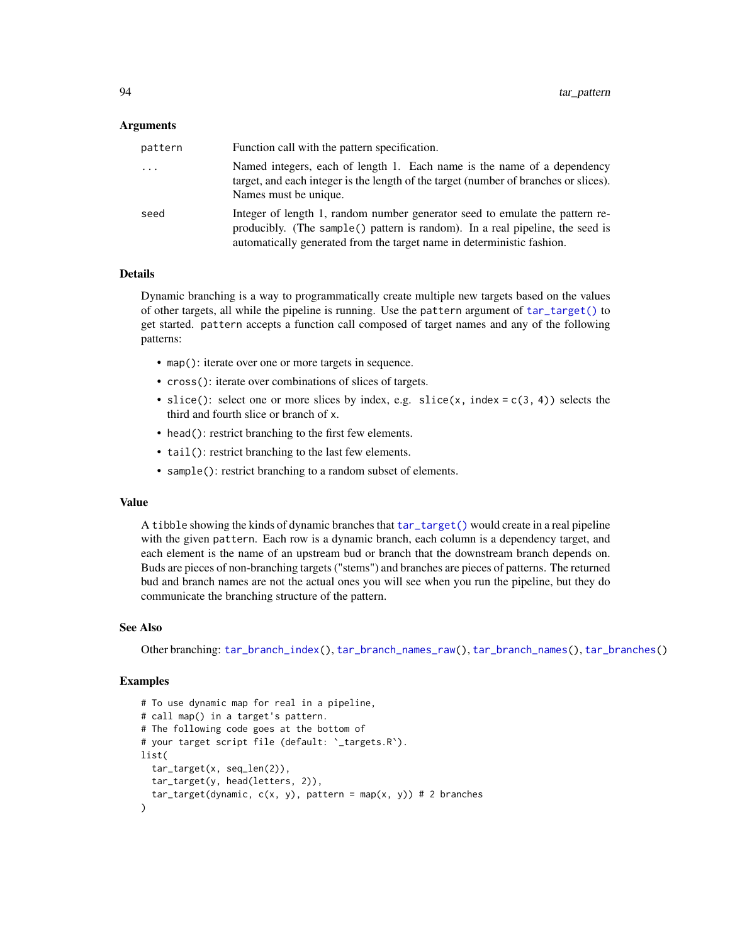#### Arguments

| pattern | Function call with the pattern specification.                                                                                                                                                                                           |
|---------|-----------------------------------------------------------------------------------------------------------------------------------------------------------------------------------------------------------------------------------------|
| .       | Named integers, each of length 1. Each name is the name of a dependency<br>target, and each integer is the length of the target (number of branches or slices).<br>Names must be unique.                                                |
| seed    | Integer of length 1, random number generator seed to emulate the pattern re-<br>producibly. (The sample() pattern is random). In a real pipeline, the seed is<br>automatically generated from the target name in deterministic fashion. |

## Details

Dynamic branching is a way to programmatically create multiple new targets based on the values of other targets, all while the pipeline is running. Use the pattern argument of [tar\\_target\(\)](#page-130-0) to get started. pattern accepts a function call composed of target names and any of the following patterns:

- map(): iterate over one or more targets in sequence.
- cross(): iterate over combinations of slices of targets.
- slice(): select one or more slices by index, e.g. slice(x, index =  $c(3, 4)$ ) selects the third and fourth slice or branch of x.
- head(): restrict branching to the first few elements.
- tail(): restrict branching to the last few elements.
- sample(): restrict branching to a random subset of elements.

#### Value

A tibble showing the kinds of dynamic branches that [tar\\_target\(\)](#page-130-0) would create in a real pipeline with the given pattern. Each row is a dynamic branch, each column is a dependency target, and each element is the name of an upstream bud or branch that the downstream branch depends on. Buds are pieces of non-branching targets ("stems") and branches are pieces of patterns. The returned bud and branch names are not the actual ones you will see when you run the pipeline, but they do communicate the branching structure of the pattern.

### See Also

Other branching: [tar\\_branch\\_index\(](#page-8-0)), [tar\\_branch\\_names\\_raw\(](#page-10-0)), [tar\\_branch\\_names\(](#page-9-0)), [tar\\_branches\(](#page-7-0))

```
# To use dynamic map for real in a pipeline,
# call map() in a target's pattern.
# The following code goes at the bottom of
# your target script file (default: `_targets.R`).
list(
  tar_target(x, seq_len(2)),
  tar_target(y, head(letters, 2)),
  tar\_target(dynamic, c(x, y), pattern = map(x, y)) # 2 branches)
```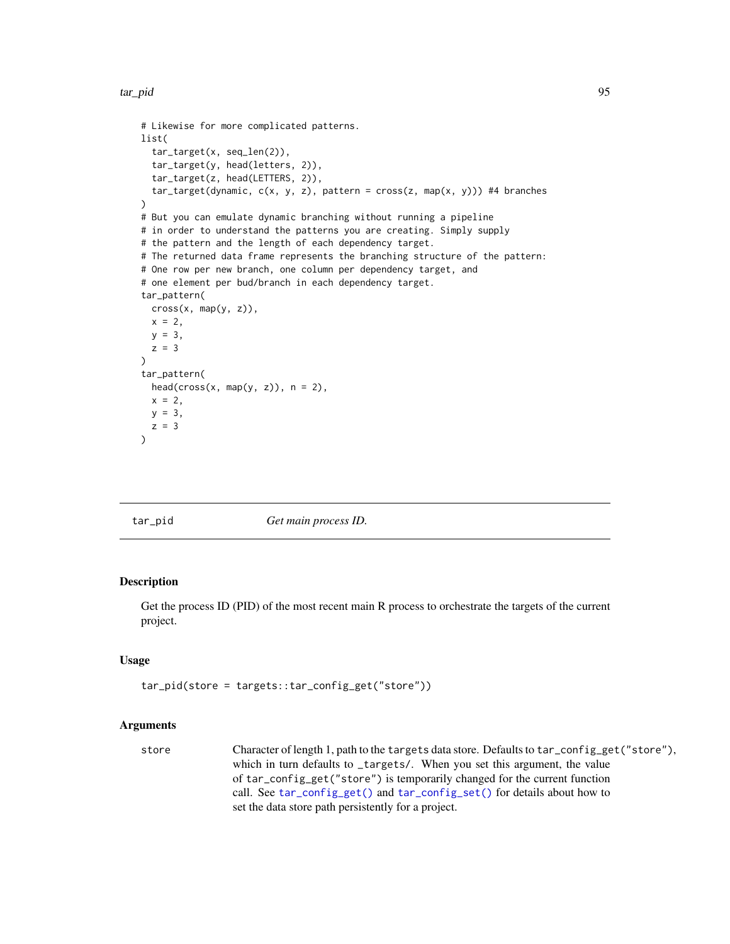tar\_pid 95

```
# Likewise for more complicated patterns.
list(
  tar_target(x, seq_len(2)),
  tar_target(y, head(letters, 2)),
  tar_target(z, head(LETTERS, 2)),
  tar\_target(dynamic, c(x, y, z), pattern = cross(z, map(x, y))) #4 branches
)
# But you can emulate dynamic branching without running a pipeline
# in order to understand the patterns you are creating. Simply supply
# the pattern and the length of each dependency target.
# The returned data frame represents the branching structure of the pattern:
# One row per new branch, one column per dependency target, and
# one element per bud/branch in each dependency target.
tar_pattern(
  cross(x, map(y, z)),
  x = 2,
 y = 3,
  z = 3)
tar_pattern(
  head(cross(x, map(y, z)), n = 2),x = 2,
  y = 3,
  z = 3\mathcal{L}
```
<span id="page-94-0"></span>

tar\_pid *Get main process ID.*

### Description

Get the process ID (PID) of the most recent main R process to orchestrate the targets of the current project.

## Usage

```
tar_pid(store = targets::tar_config_get("store"))
```

```
store Character of length 1, path to the targets data store. Defaults to tar_config_get("store"),
                 which in turn defaults to _targets/. When you set this argument, the value
                 of tar_config_get("store") is temporarily changed for the current function
                 call. See tar_config_get() and tar_config_set() for details about how to
                 set the data store path persistently for a project.
```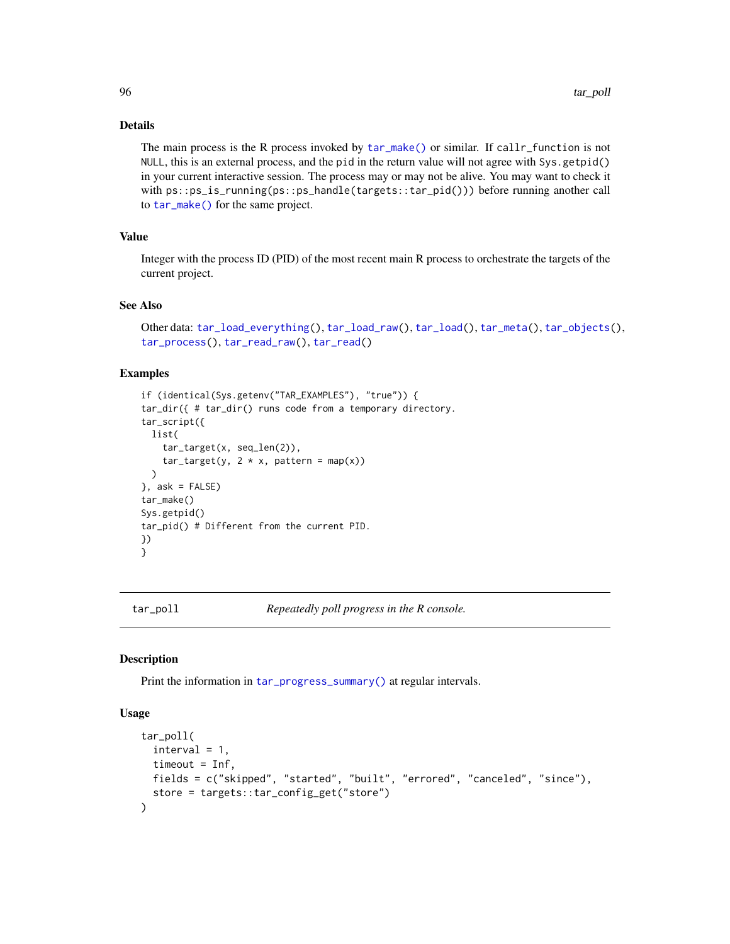## Details

The main process is the R process invoked by [tar\\_make\(\)](#page-58-0) or similar. If callr\_function is not NULL, this is an external process, and the pid in the return value will not agree with Sys.getpid() in your current interactive session. The process may or may not be alive. You may want to check it with  $ps::ps_is_r$ running(ps::ps\_handle(targets::tar\_pid())) before running another call to [tar\\_make\(\)](#page-58-0) for the same project.

# Value

Integer with the process ID (PID) of the most recent main R process to orchestrate the targets of the current project.

## See Also

```
Other data: tar_load_everything(), tar_load_raw(), tar_load(), tar_meta(), tar_objects(),
tar_process(), tar_read_raw(), tar_read()
```
## Examples

```
if (identical(Sys.getenv("TAR_EXAMPLES"), "true")) {
tar_dir({ # tar_dir() runs code from a temporary directory.
tar_script({
 list(
    tar_target(x, seq_len(2)),
    tar\_target(y, 2 * x, pattern = map(x)))
}, ask = FALSE)
tar_make()
Sys.getpid()
tar_pid() # Different from the current PID.
})
}
```
<span id="page-95-0"></span>

tar\_poll *Repeatedly poll progress in the R console.*

### Description

Print the information in [tar\\_progress\\_summary\(\)](#page-100-0) at regular intervals.

## Usage

```
tar_poll(
  interval = 1,
 timeout = Inf,
 fields = c("skipped", "started", "built", "errored", "canceled", "since"),
  store = targets::tar_config_get("store")
)
```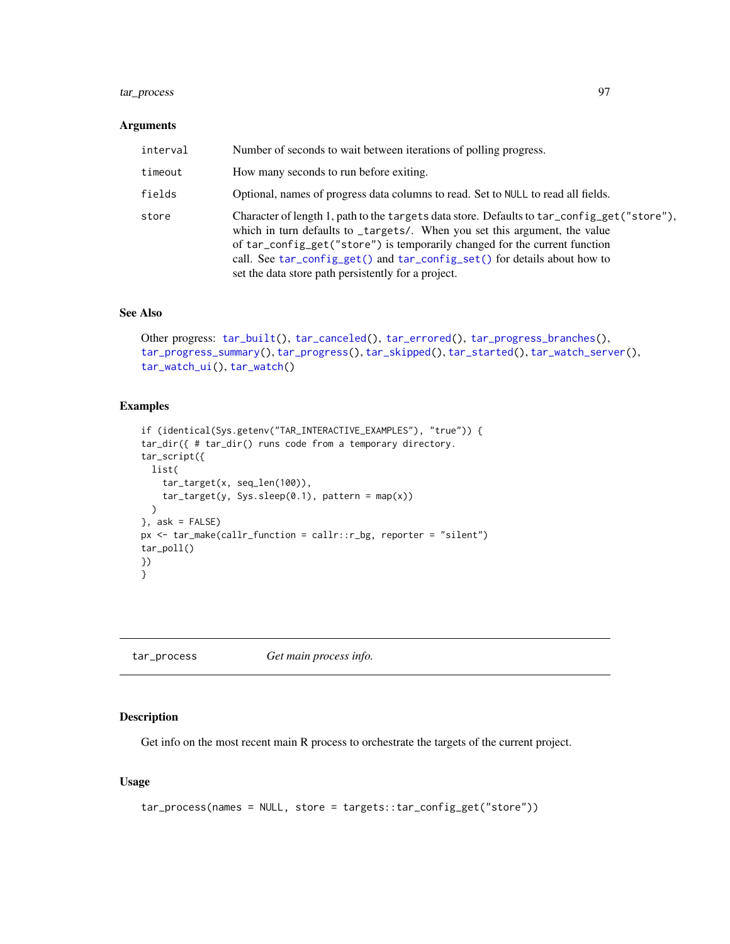## tar\_process 97

#### Arguments

| interval | Number of seconds to wait between iterations of polling progress.                                                                                                                                                                                                                                                                                                                          |
|----------|--------------------------------------------------------------------------------------------------------------------------------------------------------------------------------------------------------------------------------------------------------------------------------------------------------------------------------------------------------------------------------------------|
| timeout  | How many seconds to run before exiting.                                                                                                                                                                                                                                                                                                                                                    |
| fields   | Optional, names of progress data columns to read. Set to NULL to read all fields.                                                                                                                                                                                                                                                                                                          |
| store    | Character of length 1, path to the targets data store. Defaults to tar_config_get("store"),<br>which in turn defaults to _targets/. When you set this argument, the value<br>of tar_config_get("store") is temporarily changed for the current function<br>call. See tar_config_get() and tar_config_set() for details about how to<br>set the data store path persistently for a project. |

## See Also

```
Other progress: tar_built(), tar_canceled(), tar_errored(), tar_progress_branches(),
tar_progress_summary(), tar_progress(), tar_skipped(), tar_started(), tar_watch_server(),
tar_watch_ui(), tar_watch()
```
## Examples

```
if (identical(Sys.getenv("TAR_INTERACTIVE_EXAMPLES"), "true")) {
tar_dir({ # tar_dir() runs code from a temporary directory.
tar_script({
  list(
    tar_target(x, seq_len(100)),
    tar\_target(y, Sys.sleep(0.1), pattern = map(x))\lambda}, ask = FALSE)
px \leq tar\_make(callr\_function = callr::r\_bg, reporter = "silent")tar_poll()
})
}
```
<span id="page-96-0"></span>tar\_process *Get main process info.*

## Description

Get info on the most recent main R process to orchestrate the targets of the current project.

## Usage

```
tar_process(names = NULL, store = targets::tar_config_get("store"))
```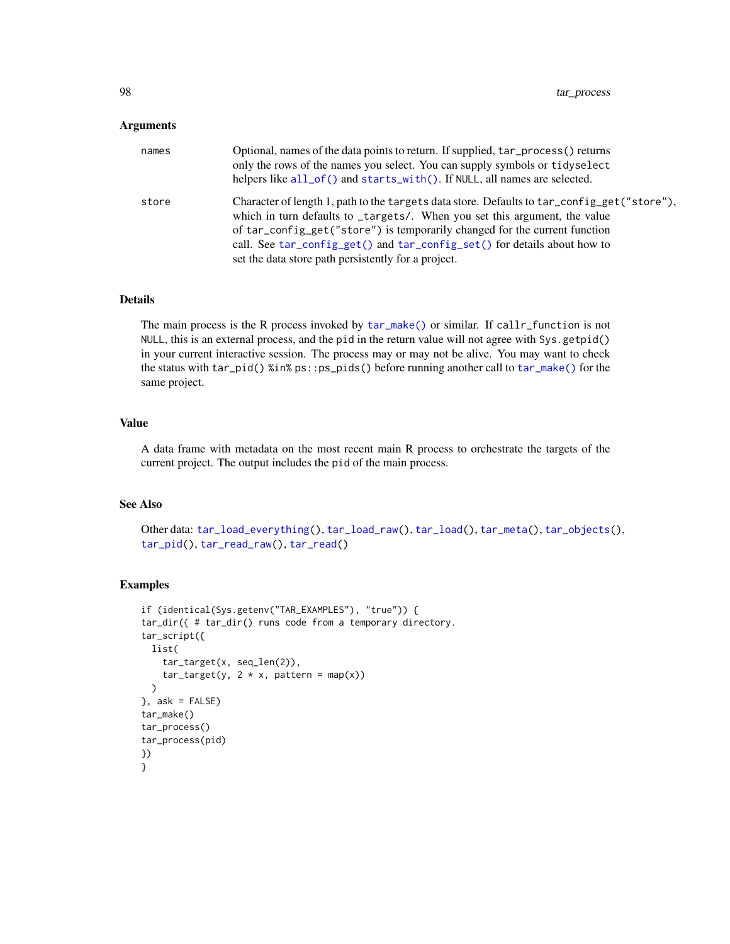## Arguments

| names | Optional, names of the data points to return. If supplied, $tar\_process()$ returns<br>only the rows of the names you select. You can supply symbols or tidyselect<br>helpers like all_of() and starts_with(). If NULL, all names are selected.                                                                                                                                            |
|-------|--------------------------------------------------------------------------------------------------------------------------------------------------------------------------------------------------------------------------------------------------------------------------------------------------------------------------------------------------------------------------------------------|
| store | Character of length 1, path to the targets data store. Defaults to tar_config_get("store"),<br>which in turn defaults to _targets/. When you set this argument, the value<br>of tar_config_get("store") is temporarily changed for the current function<br>call. See tar_config_get() and tar_config_set() for details about how to<br>set the data store path persistently for a project. |

## Details

The main process is the R process invoked by [tar\\_make\(\)](#page-58-0) or similar. If callr\_function is not NULL, this is an external process, and the pid in the return value will not agree with Sys.getpid() in your current interactive session. The process may or may not be alive. You may want to check the status with tar\_pid() %in% ps::ps\_pids() before running another call to [tar\\_make\(\)](#page-58-0) for the same project.

## Value

A data frame with metadata on the most recent main R process to orchestrate the targets of the current project. The output includes the pid of the main process.

## See Also

Other data: [tar\\_load\\_everything\(](#page-53-0)), [tar\\_load\\_raw\(](#page-56-0)), [tar\\_load\(](#page-52-0)), [tar\\_meta\(](#page-70-0)), [tar\\_objects\(](#page-78-0)), [tar\\_pid\(](#page-94-0)), [tar\\_read\\_raw\(](#page-105-0)), [tar\\_read\(](#page-103-0))

```
if (identical(Sys.getenv("TAR_EXAMPLES"), "true")) {
tar_dir({ # tar_dir() runs code from a temporary directory.
tar_script({
 list(
    tar_target(x, seq_len(2)),
    tar\_target(y, 2 * x, pattern = map(x))\mathcal{L}}, ask = FALSE)
tar_make()
tar_process()
tar_process(pid)
})
}
```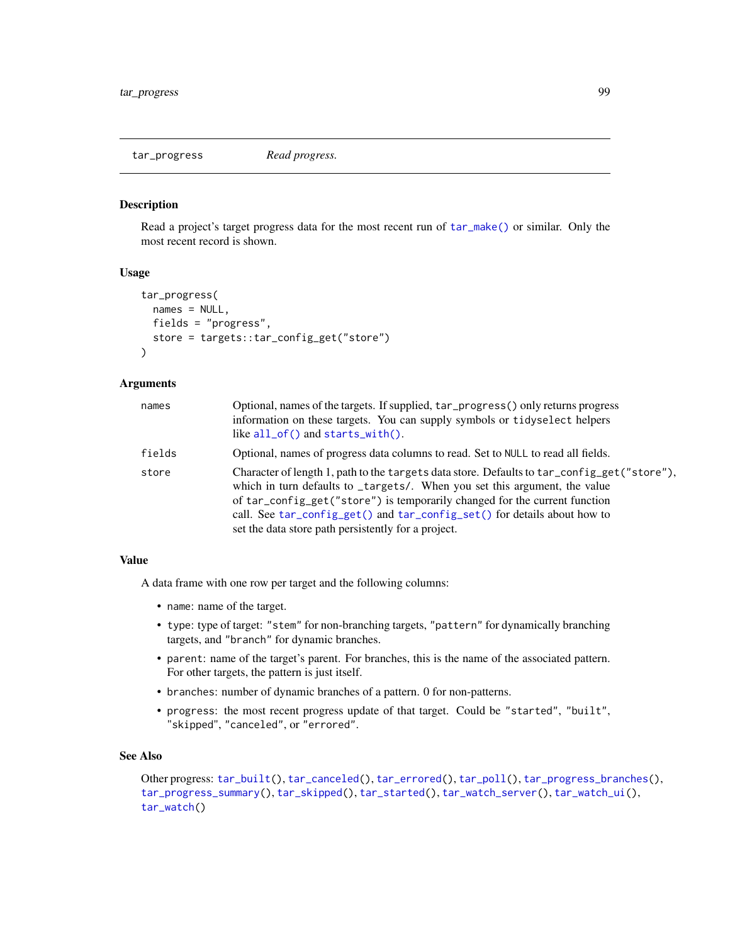<span id="page-98-0"></span>tar\_progress *Read progress.*

#### Description

Read a project's target progress data for the most recent run of [tar\\_make\(\)](#page-58-0) or similar. Only the most recent record is shown.

### Usage

```
tar_progress(
 names = NULL,
 fields = "progress",
 store = targets::tar_config_get("store")
\lambda
```
#### Arguments

| names  | Optional, names of the targets. If supplied, $tar\_progress()$ only returns progress<br>information on these targets. You can supply symbols or tidyselect helpers<br>like $all_of()$ and starts_with $()$ .                                                                                                                                                                               |
|--------|--------------------------------------------------------------------------------------------------------------------------------------------------------------------------------------------------------------------------------------------------------------------------------------------------------------------------------------------------------------------------------------------|
| fields | Optional, names of progress data columns to read. Set to NULL to read all fields.                                                                                                                                                                                                                                                                                                          |
| store  | Character of length 1, path to the targets data store. Defaults to tar_config_get("store"),<br>which in turn defaults to _targets/. When you set this argument, the value<br>of tar_config_get("store") is temporarily changed for the current function<br>call. See tar_config_get() and tar_config_set() for details about how to<br>set the data store path persistently for a project. |

## Value

A data frame with one row per target and the following columns:

- name: name of the target.
- type: type of target: "stem" for non-branching targets, "pattern" for dynamically branching targets, and "branch" for dynamic branches.
- parent: name of the target's parent. For branches, this is the name of the associated pattern. For other targets, the pattern is just itself.
- branches: number of dynamic branches of a pattern. 0 for non-patterns.
- progress: the most recent progress update of that target. Could be "started", "built", "skipped", "canceled", or "errored".

## See Also

```
Other progress: tar_built(), tar_canceled(), tar_errored(), tar_poll(), tar_progress_branches(),
tar_progress_summary(), tar_skipped(), tar_started(), tar_watch_server(), tar_watch_ui(),
tar_watch()
```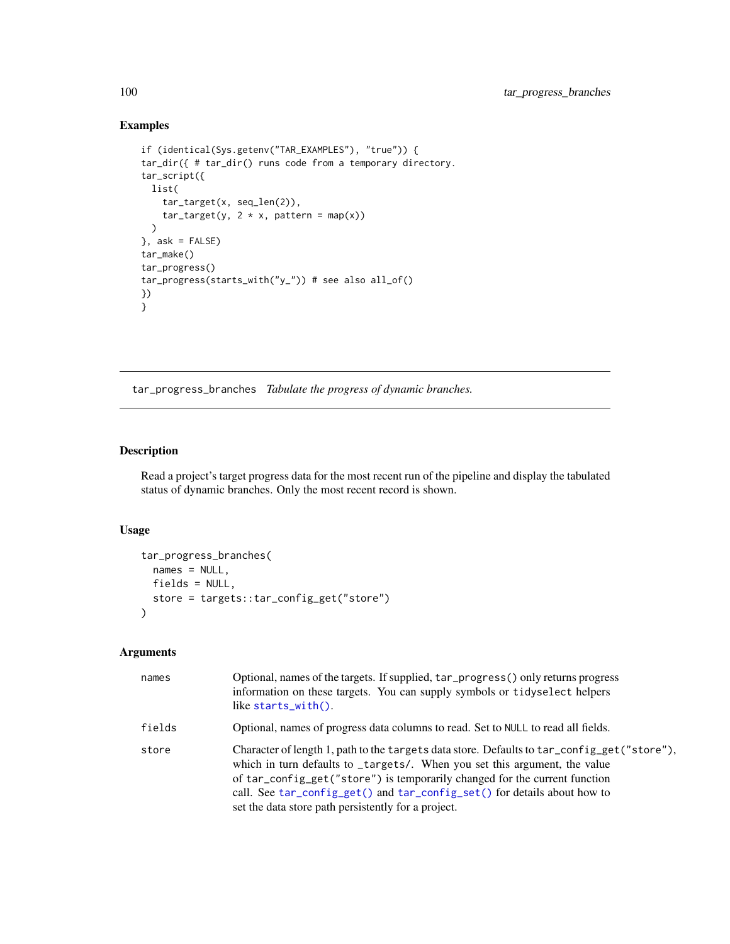## Examples

```
if (identical(Sys.getenv("TAR_EXAMPLES"), "true")) {
tar_dir({ # tar_dir() runs code from a temporary directory.
tar_script({
 list(
    tar_target(x, seq_len(2)),
    tar\_target(y, 2 * x, pattern = map(x)))
}, ask = FALSE)
tar_make()
tar_progress()
tar_progress(starts_with("y_")) # see also all_of()
})
}
```
<span id="page-99-0"></span>tar\_progress\_branches *Tabulate the progress of dynamic branches.*

## Description

Read a project's target progress data for the most recent run of the pipeline and display the tabulated status of dynamic branches. Only the most recent record is shown.

## Usage

```
tar_progress_branches(
 names = NULL,
 fields = NULL,
 store = targets::tar_config_get("store")
)
```

| names  | Optional, names of the targets. If supplied, tar_progress() only returns progress<br>information on these targets. You can supply symbols or tidyselect helpers<br>like starts_with().                                                                                                                                                                                                     |
|--------|--------------------------------------------------------------------------------------------------------------------------------------------------------------------------------------------------------------------------------------------------------------------------------------------------------------------------------------------------------------------------------------------|
| fields | Optional, names of progress data columns to read. Set to NULL to read all fields.                                                                                                                                                                                                                                                                                                          |
| store  | Character of length 1, path to the targets data store. Defaults to tar_config_get("store"),<br>which in turn defaults to _targets/. When you set this argument, the value<br>of tar_config_get("store") is temporarily changed for the current function<br>call. See tar_config_get() and tar_config_set() for details about how to<br>set the data store path persistently for a project. |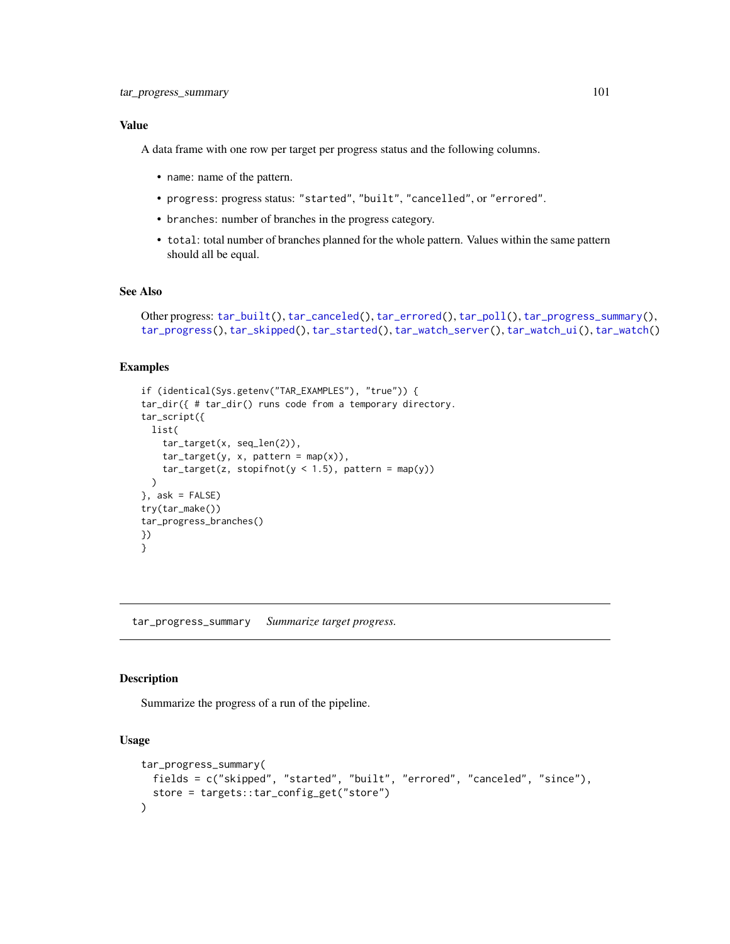## Value

A data frame with one row per target per progress status and the following columns.

- name: name of the pattern.
- progress: progress status: "started", "built", "cancelled", or "errored".
- branches: number of branches in the progress category.
- total: total number of branches planned for the whole pattern. Values within the same pattern should all be equal.

### See Also

```
Other progress: tar_built(), tar_canceled(), tar_errored(), tar_poll(), tar_progress_summary(),
tar_progress(), tar_skipped(), tar_started(), tar_watch_server(), tar_watch_ui(), tar_watch()
```
## Examples

```
if (identical(Sys.getenv("TAR_EXAMPLES"), "true")) {
tar_dir({ # tar_dir() runs code from a temporary directory.
tar_script({
 list(
    tar_target(x, seq_len(2)),
   tar\_target(y, x, pattern = map(x)),tar\_target(z, stopifnot(y < 1.5), pattern = map(y))\lambda}, ask = FALSE)
try(tar_make())
tar_progress_branches()
})
}
```
<span id="page-100-0"></span>tar\_progress\_summary *Summarize target progress.*

### Description

Summarize the progress of a run of the pipeline.

## Usage

```
tar_progress_summary(
 fields = c("skipped", "started", "built", "errored", "canceled", "since"),
  store = targets::tar_config_get("store")
)
```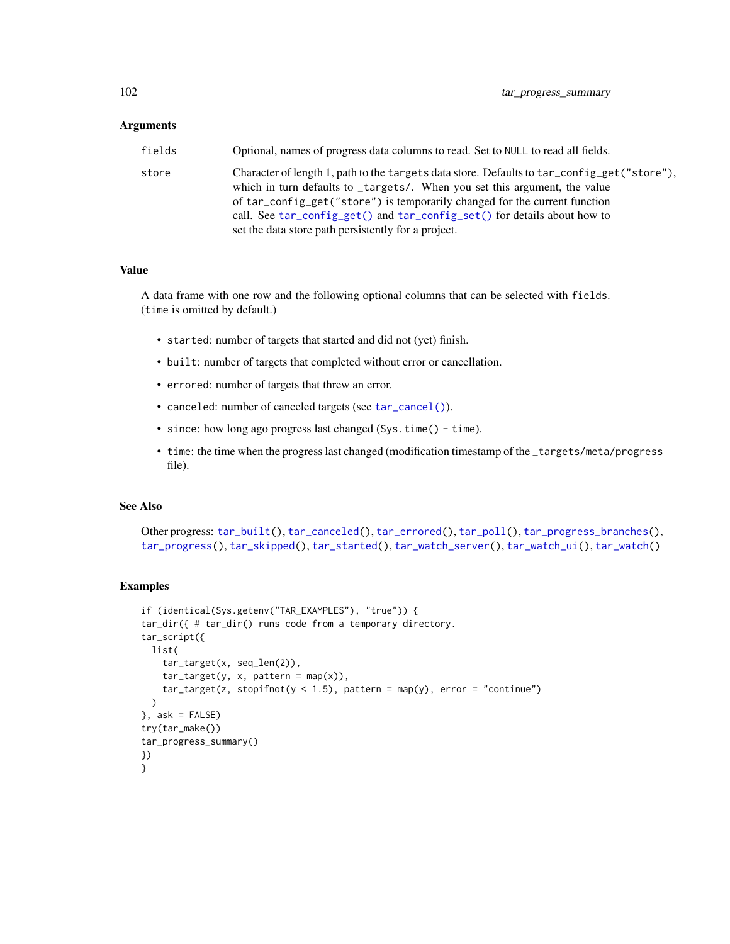### Arguments

| fields | Optional, names of progress data columns to read. Set to NULL to read all fields.                                                                                                                                                                                                                                                                                                          |
|--------|--------------------------------------------------------------------------------------------------------------------------------------------------------------------------------------------------------------------------------------------------------------------------------------------------------------------------------------------------------------------------------------------|
| store  | Character of length 1, path to the targets data store. Defaults to tar_config_get("store"),<br>which in turn defaults to _targets/. When you set this argument, the value<br>of tar_config_get("store") is temporarily changed for the current function<br>call. See tar_config_get() and tar_config_set() for details about how to<br>set the data store path persistently for a project. |

### Value

A data frame with one row and the following optional columns that can be selected with fields. (time is omitted by default.)

- started: number of targets that started and did not (yet) finish.
- built: number of targets that completed without error or cancellation.
- errored: number of targets that threw an error.
- canceled: number of canceled targets (see [tar\\_cancel\(\)](#page-13-0)).
- since: how long ago progress last changed (Sys.time() time).
- time: the time when the progress last changed (modification timestamp of the \_targets/meta/progress file).

## See Also

```
Other progress: tar_built(), tar_canceled(), tar_errored(), tar_poll(), tar_progress_branches(),
tar_progress(), tar_skipped(), tar_started(), tar_watch_server(), tar_watch_ui(), tar_watch()
```

```
if (identical(Sys.getenv("TAR_EXAMPLES"), "true")) {
tar_dir({ # tar_dir() runs code from a temporary directory.
tar_script({
 list(
    tar_target(x, seq_len(2)),
   tar\_target(y, x, pattern = map(x)),tar\_target(z, stopifnot(y < 1.5), pattern = map(y), error = "continue")\lambda}, ask = FALSE)
try(tar_make())
tar_progress_summary()
})
}
```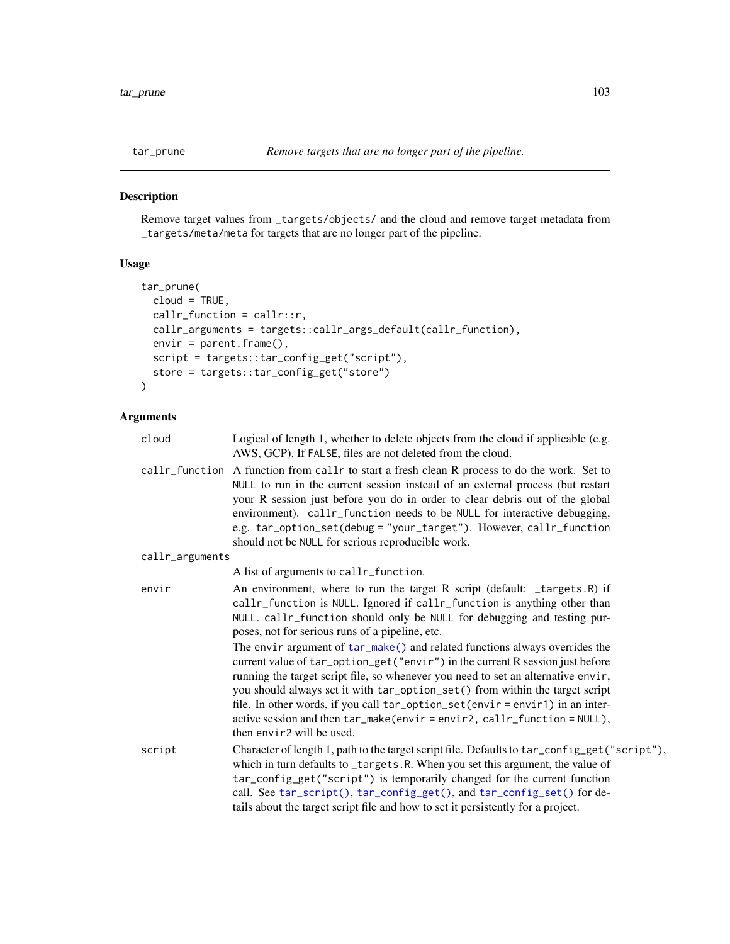# Description

Remove target values from \_targets/objects/ and the cloud and remove target metadata from \_targets/meta/meta for targets that are no longer part of the pipeline.

## Usage

```
tar_prune(
 cloud = TRUE,
 callr_function = callr::r,
 callr_arguments = targets::callr_args_default(callr_function),
 envir = parent.frame(),
 script = targets::tar_config_get("script"),
 store = targets::tar_config_get("store")
)
```

| cloud           | Logical of length 1, whether to delete objects from the cloud if applicable (e.g.<br>AWS, GCP). If FALSE, files are not deleted from the cloud.                                                                                                                                                                                                                                                                                                                                                                                                                                                                                                                                                           |
|-----------------|-----------------------------------------------------------------------------------------------------------------------------------------------------------------------------------------------------------------------------------------------------------------------------------------------------------------------------------------------------------------------------------------------------------------------------------------------------------------------------------------------------------------------------------------------------------------------------------------------------------------------------------------------------------------------------------------------------------|
|                 | callr_function A function from callr to start a fresh clean R process to do the work. Set to<br>NULL to run in the current session instead of an external process (but restart<br>your R session just before you do in order to clear debris out of the global<br>environment). callr_function needs to be NULL for interactive debugging,<br>e.g. tar_option_set(debug = "your_target"). However, callr_function<br>should not be NULL for serious reproducible work.                                                                                                                                                                                                                                    |
| callr_arguments |                                                                                                                                                                                                                                                                                                                                                                                                                                                                                                                                                                                                                                                                                                           |
|                 | A list of arguments to callr_function.                                                                                                                                                                                                                                                                                                                                                                                                                                                                                                                                                                                                                                                                    |
| envir           | An environment, where to run the target R script (default: _targets.R) if<br>callr_function is NULL. Ignored if callr_function is anything other than<br>NULL. callr_function should only be NULL for debugging and testing pur-<br>poses, not for serious runs of a pipeline, etc.<br>The envir argument of tar_make() and related functions always overrides the<br>current value of tar_option_get("envir") in the current R session just before<br>running the target script file, so whenever you need to set an alternative envir,<br>you should always set it with tar_option_set() from within the target script<br>file. In other words, if you call tar_option_set(envir = envir1) in an inter- |
|                 | active session and then tar_make(envir=envir2, callr_function=NULL),<br>then envir <sub>2</sub> will be used.                                                                                                                                                                                                                                                                                                                                                                                                                                                                                                                                                                                             |
| script          | Character of length 1, path to the target script file. Defaults to tar_config_get("script"),<br>which in turn defaults to _targets.R. When you set this argument, the value of<br>tar_config_get("script") is temporarily changed for the current function<br>call. See tar_script(), tar_config_get(), and tar_config_set() for de-<br>tails about the target script file and how to set it persistently for a project.                                                                                                                                                                                                                                                                                  |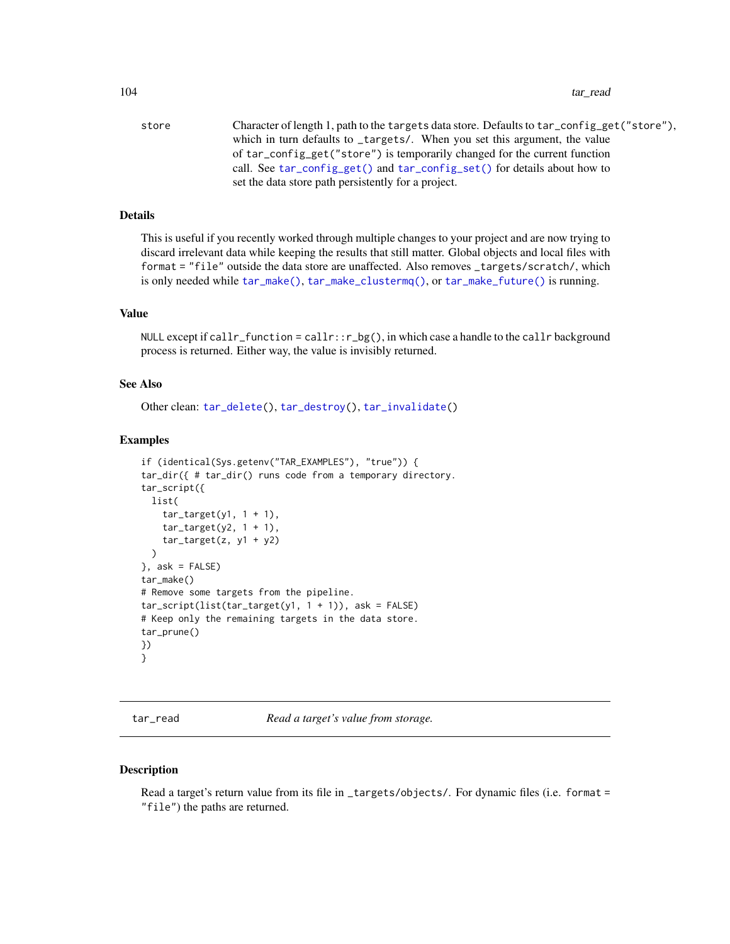store Character of length 1, path to the targets data store. Defaults to tar\_config\_get("store"), which in turn defaults to \_targets/. When you set this argument, the value of tar\_config\_get("store") is temporarily changed for the current function call. See [tar\\_config\\_get\(\)](#page-16-0) and [tar\\_config\\_set\(\)](#page-17-0) for details about how to set the data store path persistently for a project.

# Details

This is useful if you recently worked through multiple changes to your project and are now trying to discard irrelevant data while keeping the results that still matter. Global objects and local files with format = "file" outside the data store are unaffected. Also removes \_targets/scratch/, which is only needed while [tar\\_make\(\)](#page-58-0), [tar\\_make\\_clustermq\(\)](#page-60-0), or [tar\\_make\\_future\(\)](#page-63-0) is running.

## Value

NULL except if callr\_function = callr:: $r_b(g)$ , in which case a handle to the callr background process is returned. Either way, the value is invisibly returned.

### See Also

Other clean: [tar\\_delete\(](#page-25-0)), [tar\\_destroy\(](#page-28-0)), [tar\\_invalidate\(](#page-49-1))

### Examples

```
if (identical(Sys.getenv("TAR_EXAMPLES"), "true")) {
tar_dir({ # tar_dir() runs code from a temporary directory.
tar_script({
 list(
    tar\_target(y1, 1 + 1),tar\_target(y2, 1 + 1),tar\_target(z, y1 + y2))
\}, ask = FALSE)
tar make()
# Remove some targets from the pipeline.
tar\_script(list(tar\_target(y1, 1 + 1)), ask = FALSE)# Keep only the remaining targets in the data store.
tar_prune()
})
}
```
<span id="page-103-0"></span>tar\_read *Read a target's value from storage.*

#### **Description**

Read a target's return value from its file in \_targets/objects/. For dynamic files (i.e. format = "file") the paths are returned.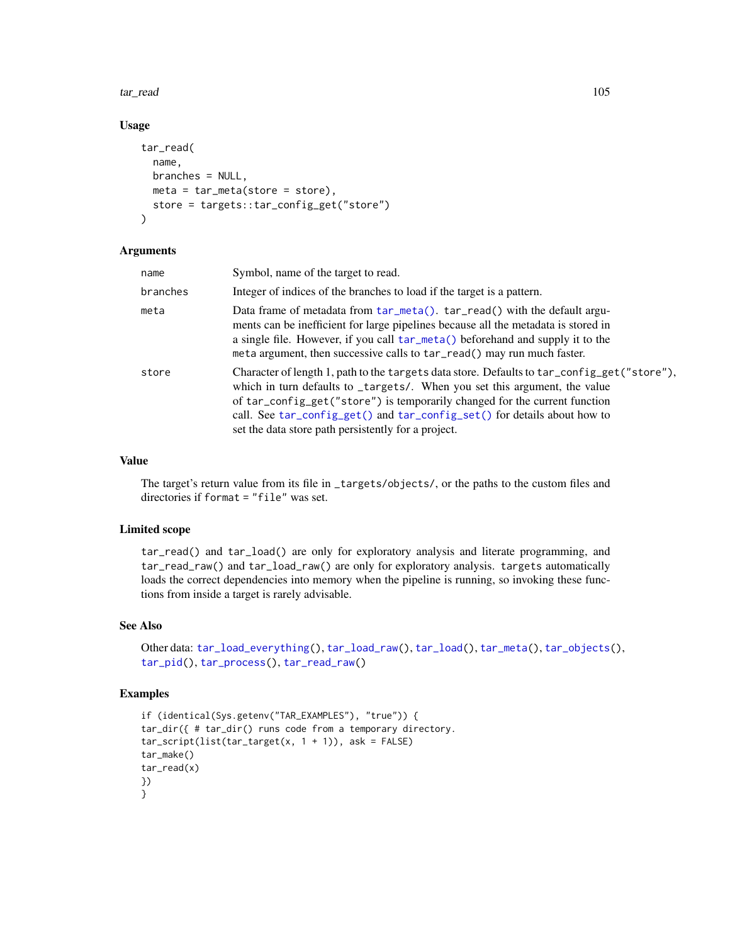### tar\_read 105

# Usage

```
tar_read(
  name,
  branches = NULL,
  meta = tar_meta(store = store),
  store = targets::tar_config_get("store")
\mathcal{L}
```
## Arguments

| name     | Symbol, name of the target to read.                                                                                                                                                                                                                                                                                                                                                        |
|----------|--------------------------------------------------------------------------------------------------------------------------------------------------------------------------------------------------------------------------------------------------------------------------------------------------------------------------------------------------------------------------------------------|
| branches | Integer of indices of the branches to load if the target is a pattern.                                                                                                                                                                                                                                                                                                                     |
| meta     | Data frame of metadata from tar_meta(). tar_read() with the default argu-<br>ments can be inefficient for large pipelines because all the metadata is stored in<br>a single file. However, if you call tar_meta() beforehand and supply it to the<br>meta argument, then successive calls to tar_read() may run much faster.                                                               |
| store    | Character of length 1, path to the targets data store. Defaults to tar_config_get("store"),<br>which in turn defaults to _targets/. When you set this argument, the value<br>of tar_config_get("store") is temporarily changed for the current function<br>call. See tar_config_get() and tar_config_set() for details about how to<br>set the data store path persistently for a project. |

# Value

The target's return value from its file in \_targets/objects/, or the paths to the custom files and directories if format = "file" was set.

## Limited scope

tar\_read() and tar\_load() are only for exploratory analysis and literate programming, and tar\_read\_raw() and tar\_load\_raw() are only for exploratory analysis. targets automatically loads the correct dependencies into memory when the pipeline is running, so invoking these functions from inside a target is rarely advisable.

# See Also

```
Other data: tar_load_everything(), tar_load_raw(), tar_load(), tar_meta(), tar_objects(),
tar_pid(), tar_process(), tar_read_raw()
```

```
if (identical(Sys.getenv("TAR_EXAMPLES"), "true")) {
tar_dir({ # tar_dir() runs code from a temporary directory.
tar\_script(list(tar\_target(x, 1 + 1)), ask = FALSE)tar_make()
tar_read(x)
})
}
```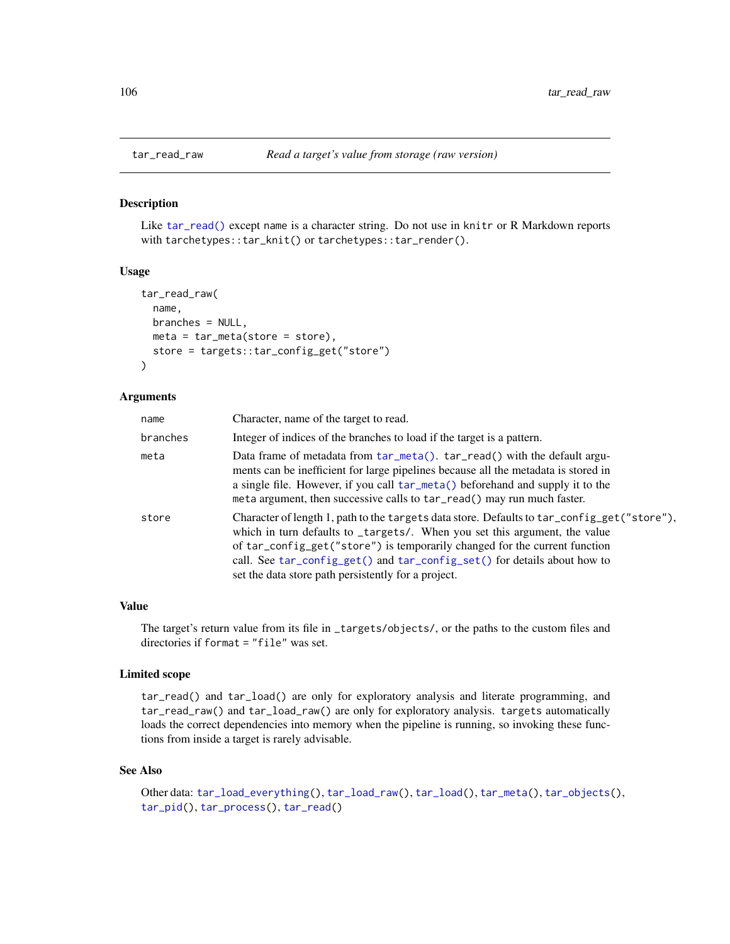<span id="page-105-0"></span>

### Description

Like [tar\\_read\(\)](#page-103-0) except name is a character string. Do not use in knitr or R Markdown reports with tarchetypes::tar\_knit() or tarchetypes::tar\_render().

#### Usage

```
tar_read_raw(
 name,
 branches = NULL,
 meta = tar_meta(store = store),store = targets::tar_config_get("store")
)
```
### Arguments

| name     | Character, name of the target to read.                                                                                                                                                                                                                                                                                                                                                     |
|----------|--------------------------------------------------------------------------------------------------------------------------------------------------------------------------------------------------------------------------------------------------------------------------------------------------------------------------------------------------------------------------------------------|
| branches | Integer of indices of the branches to load if the target is a pattern.                                                                                                                                                                                                                                                                                                                     |
| meta     | Data frame of metadata from tar_meta(). tar_read() with the default argu-<br>ments can be inefficient for large pipelines because all the metadata is stored in<br>a single file. However, if you call tar_meta() beforehand and supply it to the<br>meta argument, then successive calls to tar_read() may run much faster.                                                               |
| store    | Character of length 1, path to the targets data store. Defaults to tar_config_get("store"),<br>which in turn defaults to _targets/. When you set this argument, the value<br>of tar_config_get("store") is temporarily changed for the current function<br>call. See tar_config_get() and tar_config_set() for details about how to<br>set the data store path persistently for a project. |

### Value

The target's return value from its file in \_targets/objects/, or the paths to the custom files and directories if format = "file" was set.

### Limited scope

tar\_read() and tar\_load() are only for exploratory analysis and literate programming, and tar\_read\_raw() and tar\_load\_raw() are only for exploratory analysis. targets automatically loads the correct dependencies into memory when the pipeline is running, so invoking these functions from inside a target is rarely advisable.

### See Also

Other data: [tar\\_load\\_everything\(](#page-53-0)), [tar\\_load\\_raw\(](#page-56-0)), [tar\\_load\(](#page-52-0)), [tar\\_meta\(](#page-70-0)), [tar\\_objects\(](#page-78-0)), [tar\\_pid\(](#page-94-0)), [tar\\_process\(](#page-96-0)), [tar\\_read\(](#page-103-0))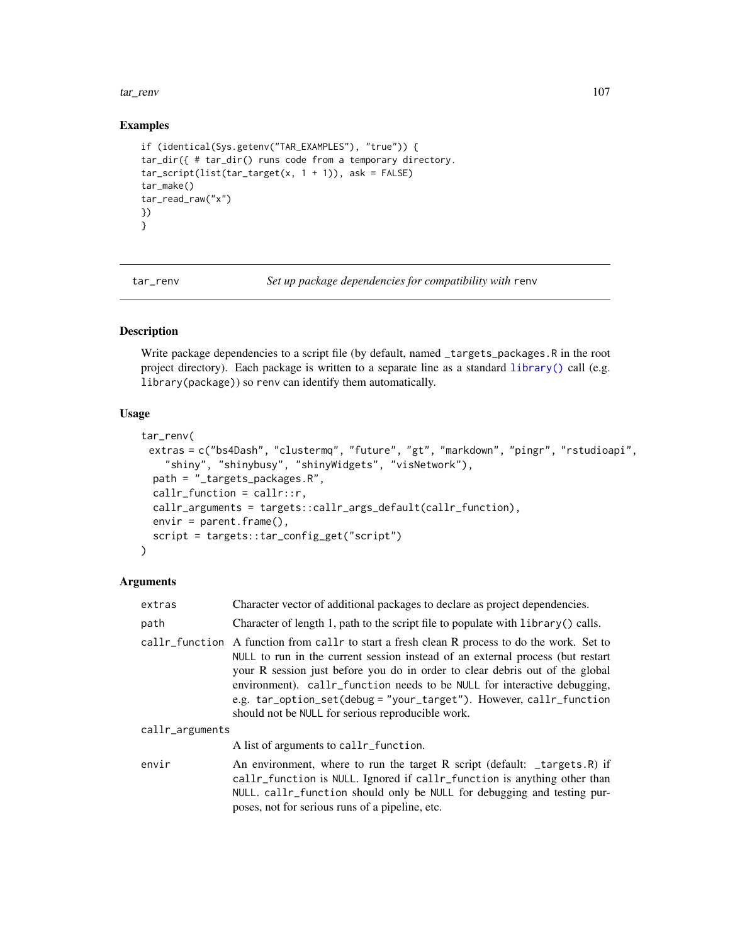tar\_renv 107

## Examples

```
if (identical(Sys.getenv("TAR_EXAMPLES"), "true")) {
tar_dir({ # tar_dir() runs code from a temporary directory.
tar\_script(list(tar\_target(x, 1 + 1)), ask = FALSE)tar_make()
tar_read_raw("x")
})
}
```
tar\_renv *Set up package dependencies for compatibility with* renv

## Description

Write package dependencies to a script file (by default, named \_targets\_packages.R in the root project directory). Each package is written to a separate line as a standard [library\(\)](#page-0-0) call (e.g. library(package)) so renv can identify them automatically.

# Usage

```
tar_renv(
 extras = c("bs4Dash", "clustermq", "future", "gt", "markdown", "pingr", "rstudioapi",
    "shiny", "shinybusy", "shinyWidgets", "visNetwork"),
  path = "_targets_packages.R",
  callr_function = callr::r,
  callr_arguments = targets::callr_args_default(callr_function),
  envir = parent.frame(),script = targets::tar_config_get("script")
)
```

| extras          | Character vector of additional packages to declare as project dependencies.                                                                                                                                                                                                                                                                                                                                                                              |  |
|-----------------|----------------------------------------------------------------------------------------------------------------------------------------------------------------------------------------------------------------------------------------------------------------------------------------------------------------------------------------------------------------------------------------------------------------------------------------------------------|--|
| path            | Character of length 1, path to the script file to populate with library () calls.                                                                                                                                                                                                                                                                                                                                                                        |  |
| callr_function  | A function from call r to start a fresh clean R process to do the work. Set to<br>NULL to run in the current session instead of an external process (but restart<br>your R session just before you do in order to clear debris out of the global<br>environment). callr_function needs to be NULL for interactive debugging,<br>e.g. tar_option_set(debug = "your_target"). However, callr_function<br>should not be NULL for serious reproducible work. |  |
| callr_arguments |                                                                                                                                                                                                                                                                                                                                                                                                                                                          |  |
|                 | A list of arguments to callr_function.                                                                                                                                                                                                                                                                                                                                                                                                                   |  |
| envir           | An environment, where to run the target R script (default: _targets.R) if<br>callr_function is NULL. Ignored if callr_function is anything other than<br>NULL. callr_function should only be NULL for debugging and testing pur-<br>poses, not for serious runs of a pipeline, etc.                                                                                                                                                                      |  |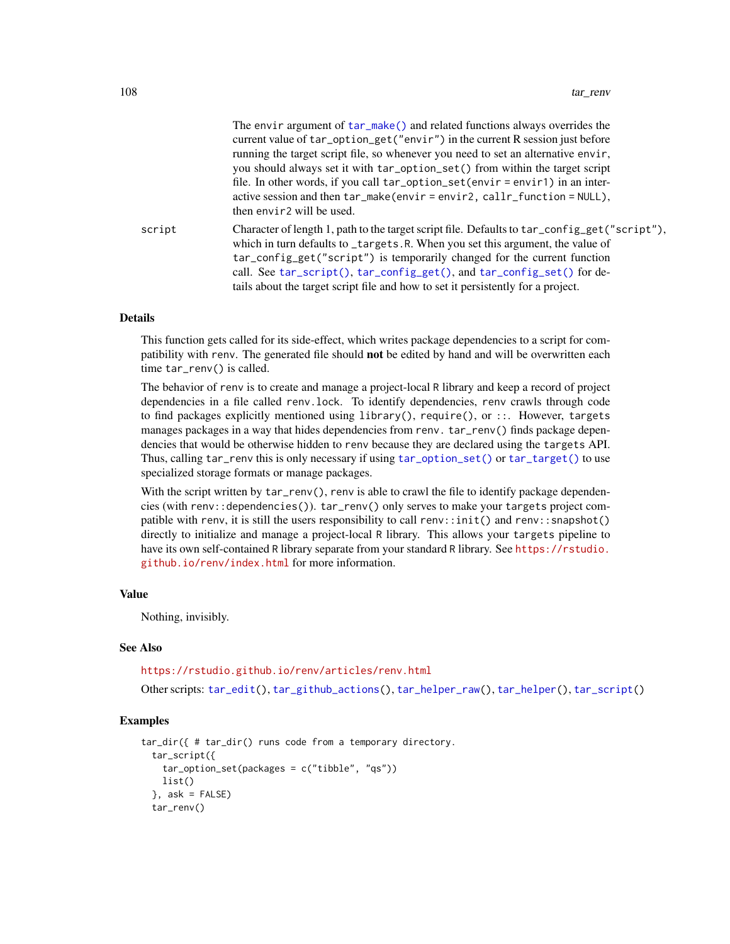|        | The environment of car imake () and related functions always overflues the<br>current value of tar_option_get("envir") in the current R session just before<br>running the target script file, so whenever you need to set an alternative envir,<br>you should always set it with tar_option_set() from within the target script<br>file. In other words, if you call $tar\_option\_set(envir = envir1)$ in an inter-<br>active session and then tar_make(envir=envir2, callr_function=NULL),<br>then envir <sub>2</sub> will be used. |
|--------|----------------------------------------------------------------------------------------------------------------------------------------------------------------------------------------------------------------------------------------------------------------------------------------------------------------------------------------------------------------------------------------------------------------------------------------------------------------------------------------------------------------------------------------|
| script | Character of length 1, path to the target script file. Defaults to tar_config_get("script"),<br>which in turn defaults to _targets.R. When you set this argument, the value of<br>tar_config_get("script") is temporarily changed for the current function<br>call. See tar_script(), tar_config_get(), and tar_config_set() for de-<br>tails about the target script file and how to set it persistently for a project.                                                                                                               |

The environment of tar make() and related functions always overrides the

### Details

This function gets called for its side-effect, which writes package dependencies to a script for compatibility with renv. The generated file should not be edited by hand and will be overwritten each time tar\_renv() is called.

The behavior of renv is to create and manage a project-local R library and keep a record of project dependencies in a file called renv.lock. To identify dependencies, renv crawls through code to find packages explicitly mentioned using library(), require(), or ::. However, targets manages packages in a way that hides dependencies from renv. tar\_renv() finds package dependencies that would be otherwise hidden to renv because they are declared using the targets API. Thus, calling tar\_renv this is only necessary if using [tar\\_option\\_set\(\)](#page-83-0) or [tar\\_target\(\)](#page-130-0) to use specialized storage formats or manage packages.

With the script written by  $tar\_renv()$ , renv is able to crawl the file to identify package dependencies (with renv::dependencies()). tar\_renv() only serves to make your targets project compatible with renv, it is still the users responsibility to call renv::init() and renv::snapshot() directly to initialize and manage a project-local R library. This allows your targets pipeline to have its own self-contained R library separate from your standard R library. See [https://rstudio.](https://rstudio.github.io/renv/index.html) [github.io/renv/index.html](https://rstudio.github.io/renv/index.html) for more information.

#### Value

Nothing, invisibly.

## See Also

<https://rstudio.github.io/renv/articles/renv.html>

Other scripts: [tar\\_edit\(](#page-30-1)), [tar\\_github\\_actions\(](#page-41-0)), [tar\\_helper\\_raw\(](#page-48-0)), [tar\\_helper\(](#page-47-0)), [tar\\_script\(](#page-121-0))

```
tar_dir({ # tar_dir() runs code from a temporary directory.
 tar_script({
    tar_option_set(packages = c("tibble", "qs"))
   list()
 }, ask = FALSE)
 tar_renv()
```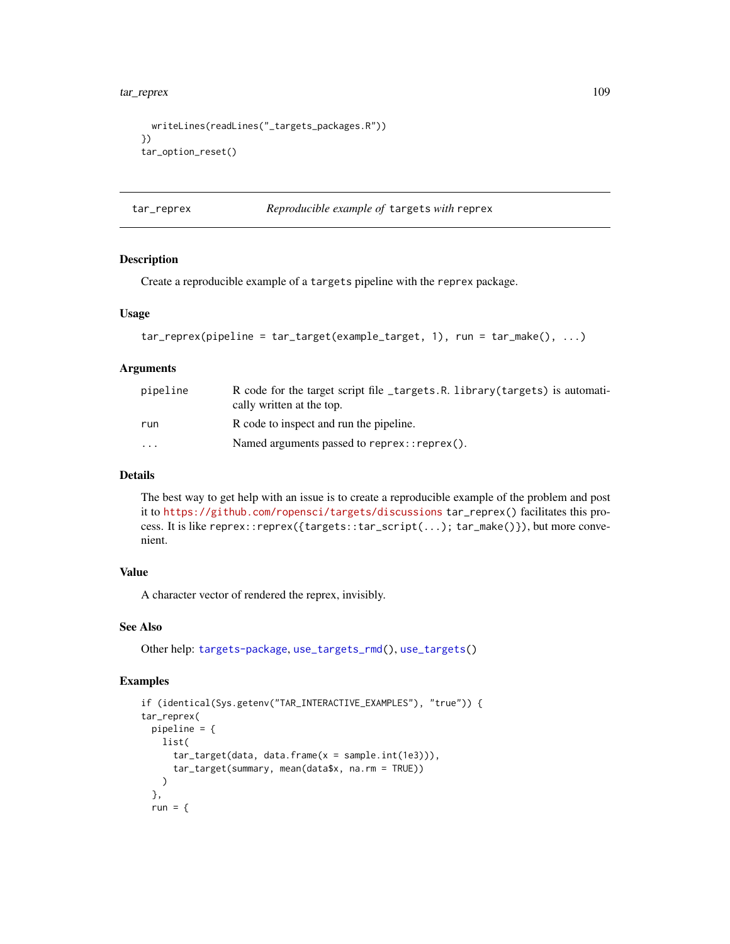```
writeLines(readLines("_targets_packages.R"))
})
tar_option_reset()
```
tar\_reprex *Reproducible example of* targets *with* reprex

## Description

Create a reproducible example of a targets pipeline with the reprex package.

# Usage

```
tar\_represent(pipeline = tar\_target(example\_target, 1), run = tar\_make(), ...)
```
## Arguments

| pipeline | R code for the target script file _targets.R. library(targets) is automati-<br>cally written at the top. |
|----------|----------------------------------------------------------------------------------------------------------|
| run      | R code to inspect and run the pipeline.                                                                  |
| $\cdots$ | Named arguments passed to $represent:represent()$ .                                                      |

#### Details

The best way to get help with an issue is to create a reproducible example of the problem and post it to <https://github.com/ropensci/targets/discussions> tar\_reprex() facilitates this process. It is like reprex::reprex({targets::tar\_script(...); tar\_make()}), but more convenient.

#### Value

A character vector of rendered the reprex, invisibly.

## See Also

Other help: [targets-package](#page-3-0), [use\\_targets\\_rmd\(](#page-161-0)), [use\\_targets\(](#page-159-0))

```
if (identical(Sys.getenv("TAR_INTERACTIVE_EXAMPLES"), "true")) {
tar_reprex(
 pipeline = {
   list(
     tar_target(data, data.frame(x = sample.int(1e3))),
     tar_target(summary, mean(data$x, na.rm = TRUE))
   )
 },
 run = \{
```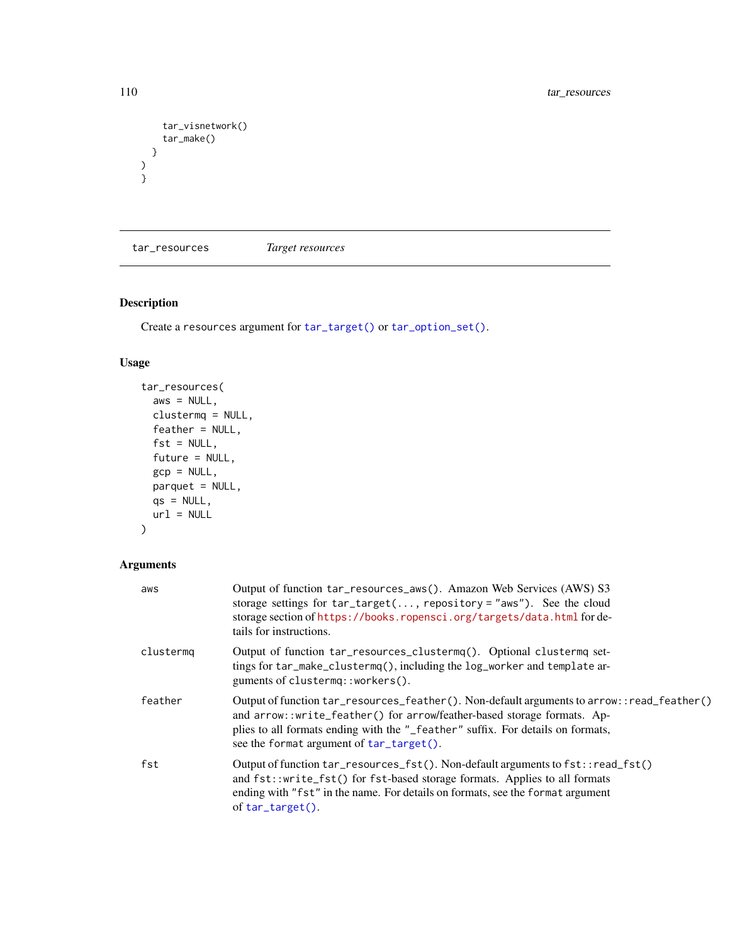```
tar_visnetwork()
   tar_make()
 }
)
}
```
<span id="page-109-0"></span>tar\_resources *Target resources*

# Description

Create a resources argument for [tar\\_target\(\)](#page-130-0) or [tar\\_option\\_set\(\)](#page-83-0).

# Usage

```
tar_resources(
 aws = NULL,clustermq = NULL,
 feather = NULL,
 fst = NULL,future = NULL,
 gcp = NULL,parquet = NULL,
 qs = NULL,url = NULL)
```
# Arguments

| aws       | Output of function tar_resources_aws(). Amazon Web Services (AWS) S3<br>storage settings for $tar\_target(, repository = "aws")$ . See the cloud<br>storage section of https://books.ropensci.org/targets/data.html for de-<br>tails for instructions.                                               |
|-----------|------------------------------------------------------------------------------------------------------------------------------------------------------------------------------------------------------------------------------------------------------------------------------------------------------|
| clustermg | Output of function tar_resources_clustermq(). Optional clustermq set-<br>tings for tar_make_clustermq(), including the log_worker and template ar-<br>guments of clustermq::workers().                                                                                                               |
| feather   | Output of function tar_resources_feather(). Non-default arguments to arrow::read_feather()<br>and arrow::write_feather() for arrow/feather-based storage formats. Ap-<br>plies to all formats ending with the "_feather" suffix. For details on formats,<br>see the format argument of tar_target(). |
| fst       | Output of function tar_resources_fst(). Non-default arguments to fst::read_fst()<br>and fst::write_fst() for fst-based storage formats. Applies to all formats<br>ending with "fst" in the name. For details on formats, see the format argument<br>of $tar\_target()$ .                             |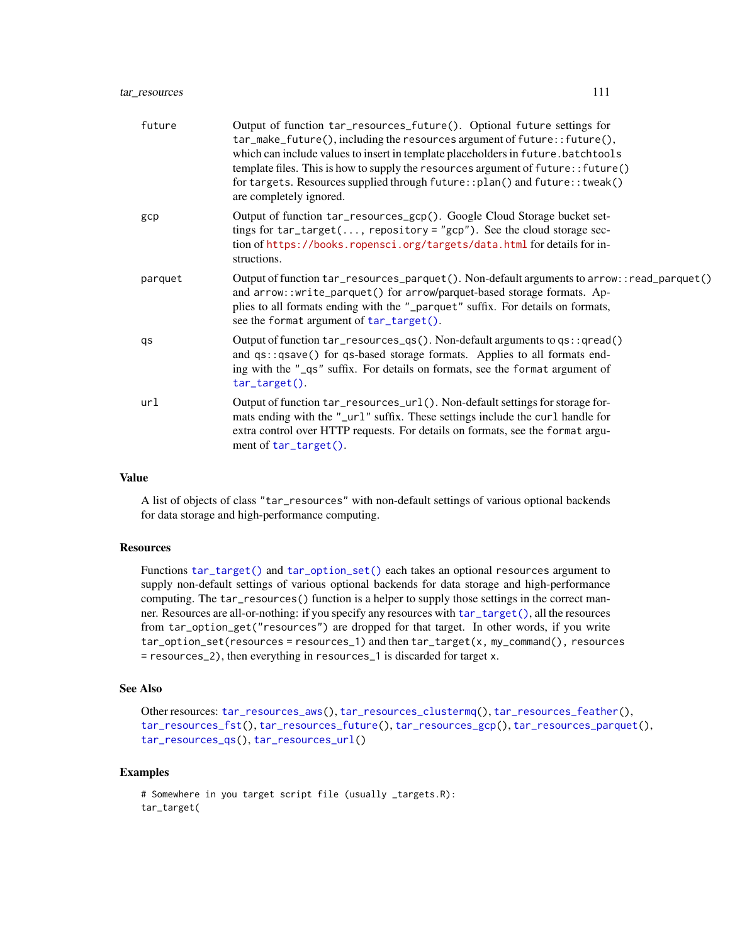| future  | Output of function tar_resources_future(). Optional future settings for<br>tar_make_future(), including the resources argument of future:: future(),<br>which can include values to insert in template placeholders in future. batchtools<br>template files. This is how to supply the resources argument of future:: future()<br>for targets. Resources supplied through future:: plan() and future:: tweak()<br>are completely ignored. |
|---------|-------------------------------------------------------------------------------------------------------------------------------------------------------------------------------------------------------------------------------------------------------------------------------------------------------------------------------------------------------------------------------------------------------------------------------------------|
| gcp     | Output of function tar_resources_gcp(). Google Cloud Storage bucket set-<br>tings for $tar\_target(, repository='gcp")$ . See the cloud storage sec-<br>tion of https://books.ropensci.org/targets/data.html for details for in-<br>structions.                                                                                                                                                                                           |
| parquet | Output of function tar_resources_parquet(). Non-default arguments to arrow::read_parquet()<br>and arrow::write_parquet() for arrow/parquet-based storage formats. Ap-<br>plies to all formats ending with the "_parquet" suffix. For details on formats,<br>see the format argument of tar_target().                                                                                                                                      |
| qs      | Output of function $tar\_resources_qs()$ . Non-default arguments to $qs$ : : qread()<br>and qs::qsave() for qs-based storage formats. Applies to all formats end-<br>ing with the "_qs" suffix. For details on formats, see the format argument of<br>tar_target().                                                                                                                                                                       |
| url     | Output of function tar_resources_url(). Non-default settings for storage for-<br>mats ending with the "_url" suffix. These settings include the curl handle for<br>extra control over HTTP requests. For details on formats, see the format argu-<br>ment of tar_target().                                                                                                                                                                |

A list of objects of class "tar\_resources" with non-default settings of various optional backends for data storage and high-performance computing.

# **Resources**

Functions [tar\\_target\(\)](#page-130-0) and [tar\\_option\\_set\(\)](#page-83-0) each takes an optional resources argument to supply non-default settings of various optional backends for data storage and high-performance computing. The tar\_resources() function is a helper to supply those settings in the correct manner. Resources are all-or-nothing: if you specify any resources with [tar\\_target\(\)](#page-130-0), all the resources from tar\_option\_get("resources") are dropped for that target. In other words, if you write tar\_option\_set(resources = resources\_1) and then tar\_target(x, my\_command(), resources = resources\_2), then everything in resources\_1 is discarded for target x.

# See Also

```
Other resources: tar_resources_aws(), tar_resources_clustermq(), tar_resources_feather(),
tar_resources_fst(), tar_resources_future(), tar_resources_gcp(), tar_resources_parquet(),
tar_resources_qs(), tar_resources_url()
```

```
# Somewhere in you target script file (usually _targets.R):
tar_target(
```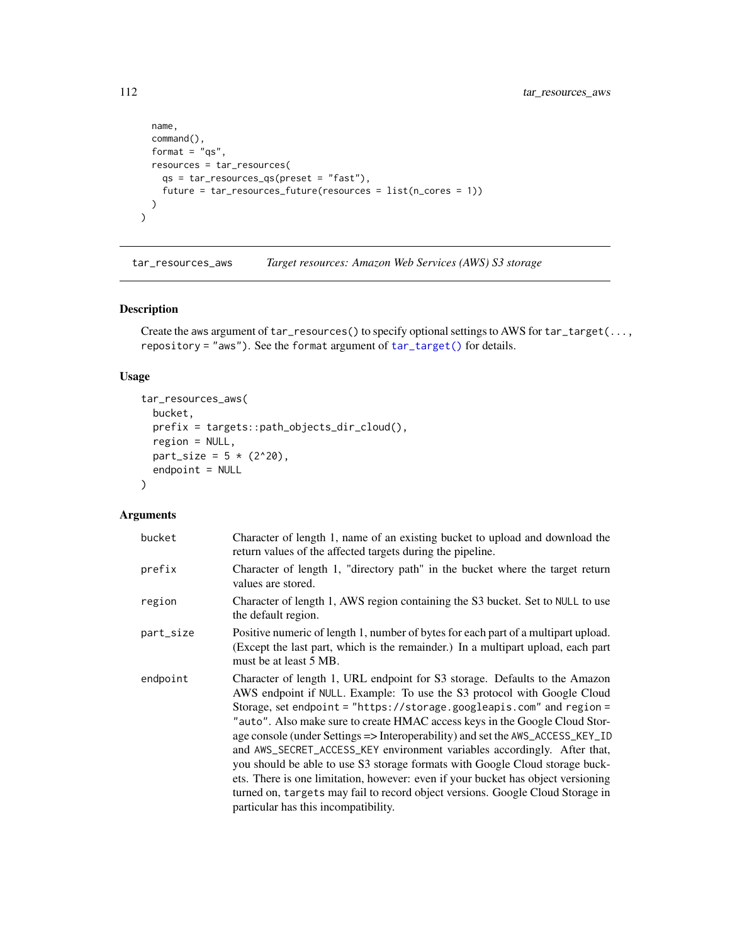```
name,
  command(),
  format = "qs",
 resources = tar_resources(
    qs = tar_resources_qs(preset = "fast"),
    future = tar_resources_future(resources = list(n_cores = 1))
  )
\mathcal{L}
```
<span id="page-111-0"></span>tar\_resources\_aws *Target resources: Amazon Web Services (AWS) S3 storage*

## Description

Create the aws argument of tar\_resources() to specify optional settings to AWS for tar\_target(..., repository = "aws"). See the format argument of [tar\\_target\(\)](#page-130-0) for details.

# Usage

```
tar_resources_aws(
 bucket,
 prefix = targets::path_objects_dir_cloud(),
 region = NULL,
 part\_size = 5 * (2^20),
 endpoint = NULL
\mathcal{L}
```
# Arguments

| bucket    | Character of length 1, name of an existing bucket to upload and download the<br>return values of the affected targets during the pipeline.                                                                                                                                                                                                                                                                                                                                                                                                                                                                                                                                                                                                                                |
|-----------|---------------------------------------------------------------------------------------------------------------------------------------------------------------------------------------------------------------------------------------------------------------------------------------------------------------------------------------------------------------------------------------------------------------------------------------------------------------------------------------------------------------------------------------------------------------------------------------------------------------------------------------------------------------------------------------------------------------------------------------------------------------------------|
| prefix    | Character of length 1, "directory path" in the bucket where the target return<br>values are stored.                                                                                                                                                                                                                                                                                                                                                                                                                                                                                                                                                                                                                                                                       |
| region    | Character of length 1, AWS region containing the S3 bucket. Set to NULL to use<br>the default region.                                                                                                                                                                                                                                                                                                                                                                                                                                                                                                                                                                                                                                                                     |
| part_size | Positive numeric of length 1, number of bytes for each part of a multipart upload.<br>(Except the last part, which is the remainder.) In a multipart upload, each part<br>must be at least 5 MB.                                                                                                                                                                                                                                                                                                                                                                                                                                                                                                                                                                          |
| endpoint  | Character of length 1, URL endpoint for S3 storage. Defaults to the Amazon<br>AWS endpoint if NULL. Example: To use the S3 protocol with Google Cloud<br>Storage, set endpoint = "https://storage.googleapis.com" and region =<br>"auto". Also make sure to create HMAC access keys in the Google Cloud Stor-<br>age console (under Settings => Interoperability) and set the AWS_ACCESS_KEY_ID<br>and AWS_SECRET_ACCESS_KEY environment variables accordingly. After that,<br>you should be able to use S3 storage formats with Google Cloud storage buck-<br>ets. There is one limitation, however: even if your bucket has object versioning<br>turned on, targets may fail to record object versions. Google Cloud Storage in<br>particular has this incompatibility. |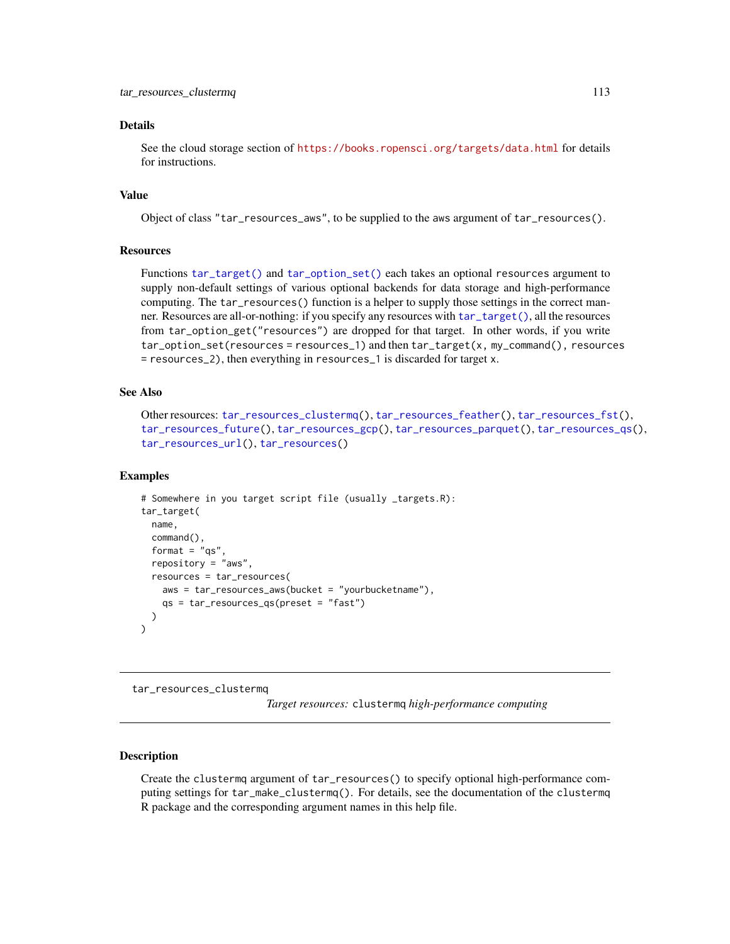#### Details

See the cloud storage section of <https://books.ropensci.org/targets/data.html> for details for instructions.

# Value

Object of class "tar\_resources\_aws", to be supplied to the aws argument of tar\_resources().

#### **Resources**

Functions [tar\\_target\(\)](#page-130-0) and [tar\\_option\\_set\(\)](#page-83-0) each takes an optional resources argument to supply non-default settings of various optional backends for data storage and high-performance computing. The tar\_resources() function is a helper to supply those settings in the correct manner. Resources are all-or-nothing: if you specify any resources with [tar\\_target\(\)](#page-130-0), all the resources from tar\_option\_get("resources") are dropped for that target. In other words, if you write tar\_option\_set(resources = resources\_1) and then tar\_target(x, my\_command(), resources = resources\_2), then everything in resources\_1 is discarded for target x.

## See Also

```
Other resources: tar_resources_clustermq(), tar_resources_feather(), tar_resources_fst(),
tar_resources_future(), tar_resources_gcp(), tar_resources_parquet(), tar_resources_qs(),
tar_resources_url(), tar_resources()
```
## Examples

```
# Somewhere in you target script file (usually _targets.R):
tar_target(
 name,
 command(),
 format = "qs"repository = "aws",
 resources = tar_resources(
    aws = tar_resources_aws(bucket = "yourbucketname"),
    qs = tar_resources_qs(preset = "fast")
 )
\lambda
```
<span id="page-112-0"></span>tar\_resources\_clustermq

*Target resources:* clustermq *high-performance computing*

#### Description

Create the clustermq argument of tar\_resources() to specify optional high-performance computing settings for tar\_make\_clustermq(). For details, see the documentation of the clustermq R package and the corresponding argument names in this help file.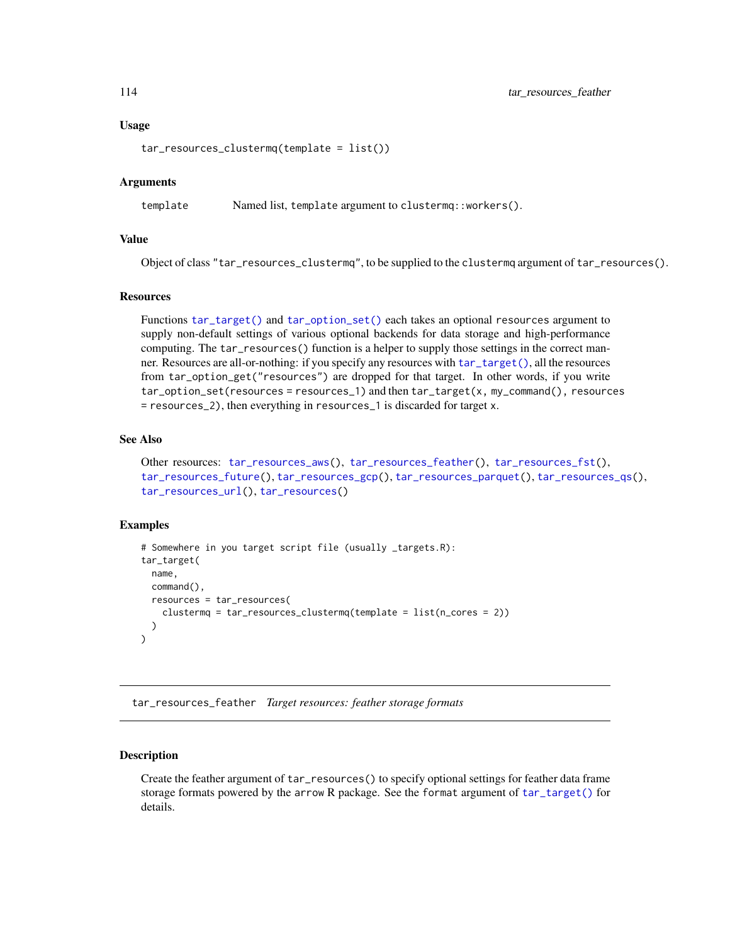#### Usage

tar\_resources\_clustermq(template = list())

## Arguments

template Named list, template argument to clustermq::workers().

## Value

Object of class "tar\_resources\_clustermq", to be supplied to the clustermq argument of tar\_resources().

#### **Resources**

Functions [tar\\_target\(\)](#page-130-0) and [tar\\_option\\_set\(\)](#page-83-0) each takes an optional resources argument to supply non-default settings of various optional backends for data storage and high-performance computing. The tar\_resources() function is a helper to supply those settings in the correct manner. Resources are all-or-nothing: if you specify any resources with [tar\\_target\(\)](#page-130-0), all the resources from tar\_option\_get("resources") are dropped for that target. In other words, if you write tar\_option\_set(resources = resources\_1) and then tar\_target(x, my\_command(), resources = resources\_2), then everything in resources\_1 is discarded for target x.

# See Also

```
Other resources: tar_resources_aws(), tar_resources_feather(), tar_resources_fst(),
tar_resources_future(), tar_resources_gcp(), tar_resources_parquet(), tar_resources_qs(),
tar_resources_url(), tar_resources()
```
## Examples

```
# Somewhere in you target script file (usually _targets.R):
tar_target(
 name,
 command(),
 resources = tar_resources(
    clustermq = tar_resources_clustermq(template = list(n_cores = 2))
 )
)
```
<span id="page-113-0"></span>tar\_resources\_feather *Target resources: feather storage formats*

## **Description**

Create the feather argument of tar\_resources() to specify optional settings for feather data frame storage formats powered by the arrow R package. See the format argument of [tar\\_target\(\)](#page-130-0) for details.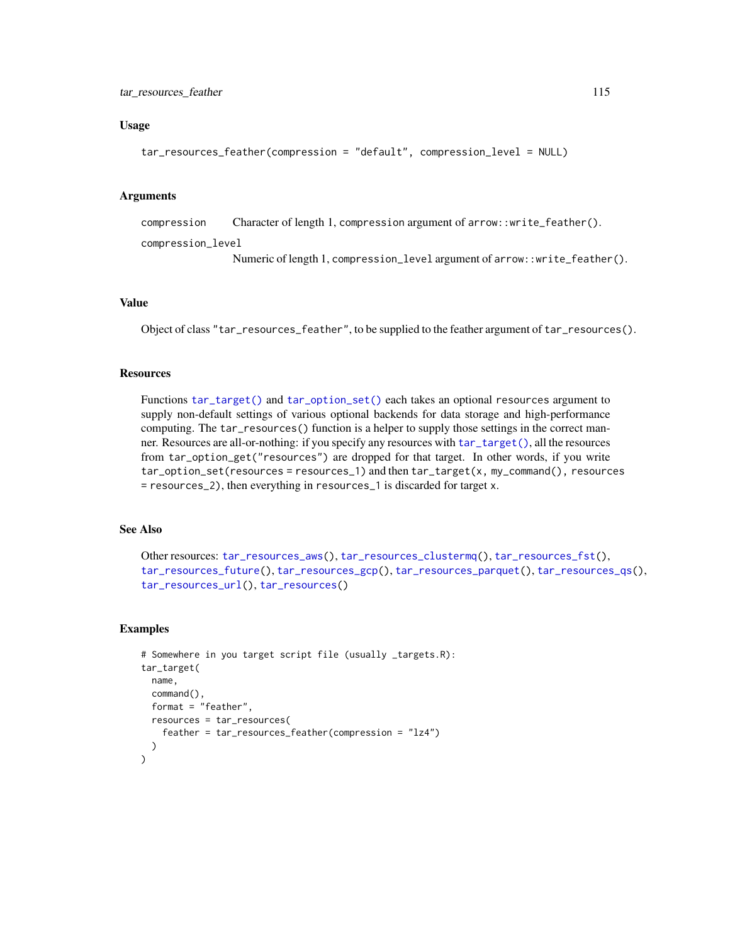## Usage

```
tar_resources_feather(compression = "default", compression_level = NULL)
```
# Arguments

compression Character of length 1, compression argument of arrow::write\_feather().

compression\_level

Numeric of length 1, compression\_level argument of arrow::write\_feather().

# Value

Object of class "tar\_resources\_feather", to be supplied to the feather argument of tar\_resources().

### **Resources**

Functions [tar\\_target\(\)](#page-130-0) and [tar\\_option\\_set\(\)](#page-83-0) each takes an optional resources argument to supply non-default settings of various optional backends for data storage and high-performance computing. The tar\_resources() function is a helper to supply those settings in the correct manner. Resources are all-or-nothing: if you specify any resources with [tar\\_target\(\)](#page-130-0), all the resources from tar\_option\_get("resources") are dropped for that target. In other words, if you write tar\_option\_set(resources = resources\_1) and then tar\_target(x, my\_command(), resources = resources\_2), then everything in resources\_1 is discarded for target x.

# See Also

```
Other resources: tar_resources_aws(), tar_resources_clustermq(), tar_resources_fst(),
tar_resources_future(), tar_resources_gcp(), tar_resources_parquet(), tar_resources_qs(),
tar_resources_url(), tar_resources()
```

```
# Somewhere in you target script file (usually _targets.R):
tar_target(
 name,
 command(),
 format = "feather",
 resources = tar_resources(
    feather = tar_resources_feather(compression = "lz4")
 )
)
```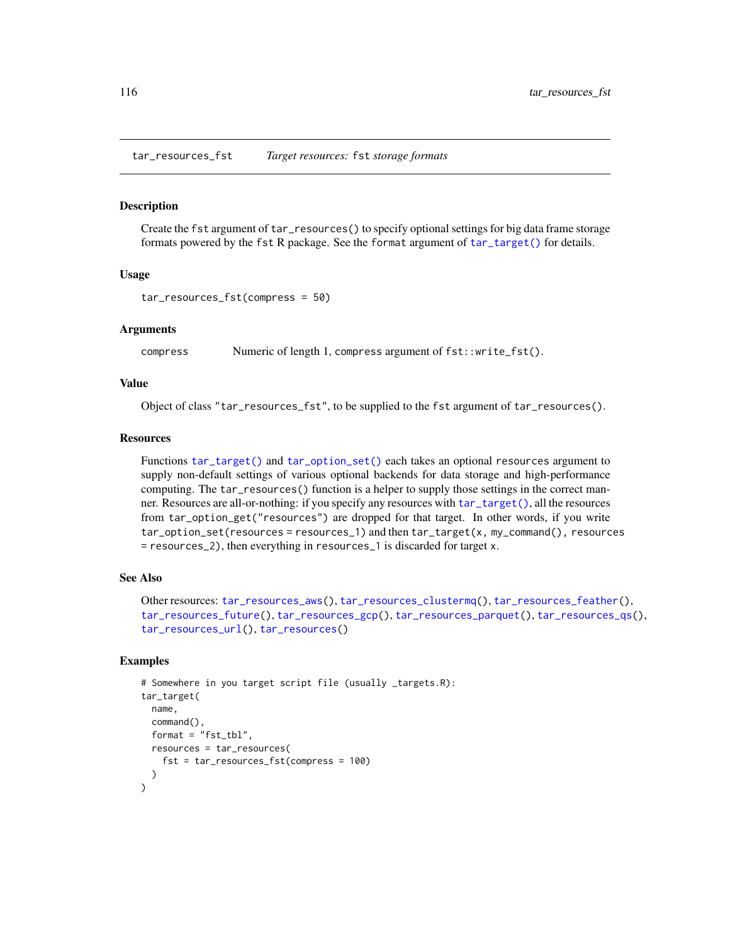<span id="page-115-0"></span>tar\_resources\_fst *Target resources:* fst *storage formats*

#### Description

Create the fst argument of tar\_resources() to specify optional settings for big data frame storage formats powered by the fst R package. See the format argument of [tar\\_target\(\)](#page-130-0) for details.

## Usage

```
tar_resources_fst(compress = 50)
```
#### Arguments

compress Numeric of length 1, compress argument of fst::write\_fst().

## Value

Object of class "tar\_resources\_fst", to be supplied to the fst argument of tar\_resources().

#### Resources

Functions [tar\\_target\(\)](#page-130-0) and [tar\\_option\\_set\(\)](#page-83-0) each takes an optional resources argument to supply non-default settings of various optional backends for data storage and high-performance computing. The tar\_resources() function is a helper to supply those settings in the correct manner. Resources are all-or-nothing: if you specify any resources with [tar\\_target\(\)](#page-130-0), all the resources from tar\_option\_get("resources") are dropped for that target. In other words, if you write tar\_option\_set(resources = resources\_1) and then tar\_target(x, my\_command(), resources = resources\_2), then everything in resources\_1 is discarded for target x.

# See Also

```
Other resources: tar_resources_aws(), tar_resources_clustermq(), tar_resources_feather(),
tar_resources_future(), tar_resources_gcp(), tar_resources_parquet(), tar_resources_qs(),
tar_resources_url(), tar_resources()
```

```
# Somewhere in you target script file (usually _targets.R):
tar_target(
 name,
 command(),
 format = "fst_tbl",resources = tar_resources(
    fst = tar_resources_fst(compress = 100)
 )
)
```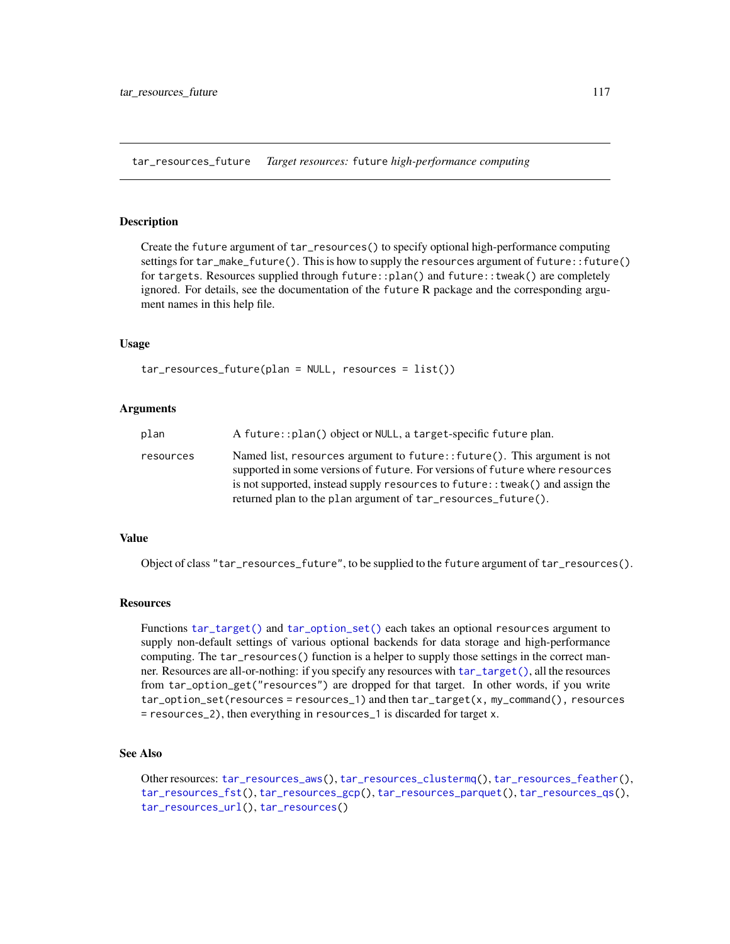<span id="page-116-0"></span>tar\_resources\_future *Target resources:* future *high-performance computing*

# Description

Create the future argument of tar\_resources() to specify optional high-performance computing settings for tar\_make\_future(). This is how to supply the resources argument of future::future() for targets. Resources supplied through future::plan() and future::tweak() are completely ignored. For details, see the documentation of the future R package and the corresponding argument names in this help file.

### Usage

```
tar_resources_future(plan = NULL, resources = list())
```
## Arguments

| A future::plan() object or NULL, a target-specific future plan.<br>plan                                                                                                                                                                                                                                                    |  |
|----------------------------------------------------------------------------------------------------------------------------------------------------------------------------------------------------------------------------------------------------------------------------------------------------------------------------|--|
| Named list, resources argument to future:: future(). This argument is not<br>resources<br>supported in some versions of future. For versions of future where resources<br>is not supported, instead supply resources to future: : tweak () and assign the<br>returned plan to the plan argument of tar_resources_future(). |  |

# Value

Object of class "tar\_resources\_future", to be supplied to the future argument of tar\_resources().

## **Resources**

Functions [tar\\_target\(\)](#page-130-0) and [tar\\_option\\_set\(\)](#page-83-0) each takes an optional resources argument to supply non-default settings of various optional backends for data storage and high-performance computing. The tar\_resources() function is a helper to supply those settings in the correct manner. Resources are all-or-nothing: if you specify any resources with [tar\\_target\(\)](#page-130-0), all the resources from tar\_option\_get("resources") are dropped for that target. In other words, if you write tar\_option\_set(resources = resources\_1) and then tar\_target(x, my\_command(), resources = resources\_2), then everything in resources\_1 is discarded for target x.

# See Also

Other resources: [tar\\_resources\\_aws\(](#page-111-0)), [tar\\_resources\\_clustermq\(](#page-112-0)), [tar\\_resources\\_feather\(](#page-113-0)), [tar\\_resources\\_fst\(](#page-115-0)), [tar\\_resources\\_gcp\(](#page-117-0)), [tar\\_resources\\_parquet\(](#page-118-0)), [tar\\_resources\\_qs\(](#page-119-0)), [tar\\_resources\\_url\(](#page-120-0)), [tar\\_resources\(](#page-109-0))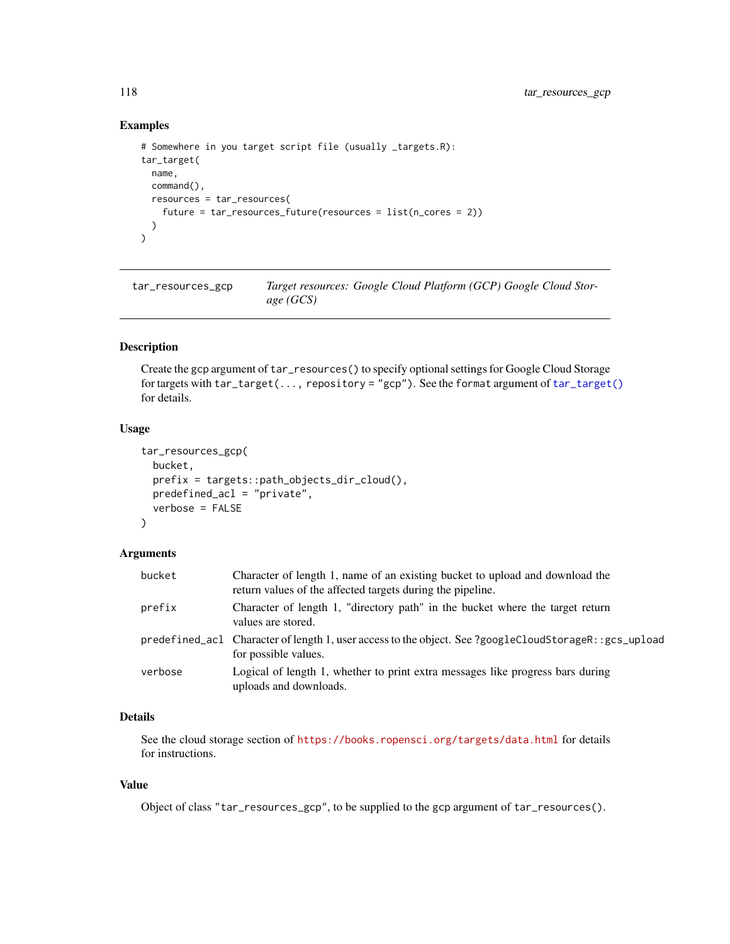# Examples

```
# Somewhere in you target script file (usually _targets.R):
tar_target(
 name,
 command(),
  resources = tar_resources(
    future = tar_resources_future(resources = list(n_cores = 2))
  )
\overline{)}
```
<span id="page-117-0"></span>tar\_resources\_gcp *Target resources: Google Cloud Platform (GCP) Google Cloud Storage (GCS)*

# Description

Create the gcp argument of tar\_resources() to specify optional settings for Google Cloud Storage for targets with tar\_target(..., repository = "gcp"). See the format argument of [tar\\_target\(\)](#page-130-0) for details.

# Usage

```
tar_resources_gcp(
 bucket,
 prefix = targets::path_objects_dir_cloud(),
 predefined_acl = "private",
 verbose = FALSE
)
```
# Arguments

| bucket  | Character of length 1, name of an existing bucket to upload and download the<br>return values of the affected targets during the pipeline. |
|---------|--------------------------------------------------------------------------------------------------------------------------------------------|
| prefix  | Character of length 1, "directory path" in the bucket where the target return<br>values are stored.                                        |
|         | predefined_acl Character of length 1, user access to the object. See ?googleCloudStorageR::gcs_upload<br>for possible values.              |
| verbose | Logical of length 1, whether to print extra messages like progress bars during<br>uploads and downloads.                                   |

## Details

See the cloud storage section of <https://books.ropensci.org/targets/data.html> for details for instructions.

# Value

Object of class "tar\_resources\_gcp", to be supplied to the gcp argument of tar\_resources().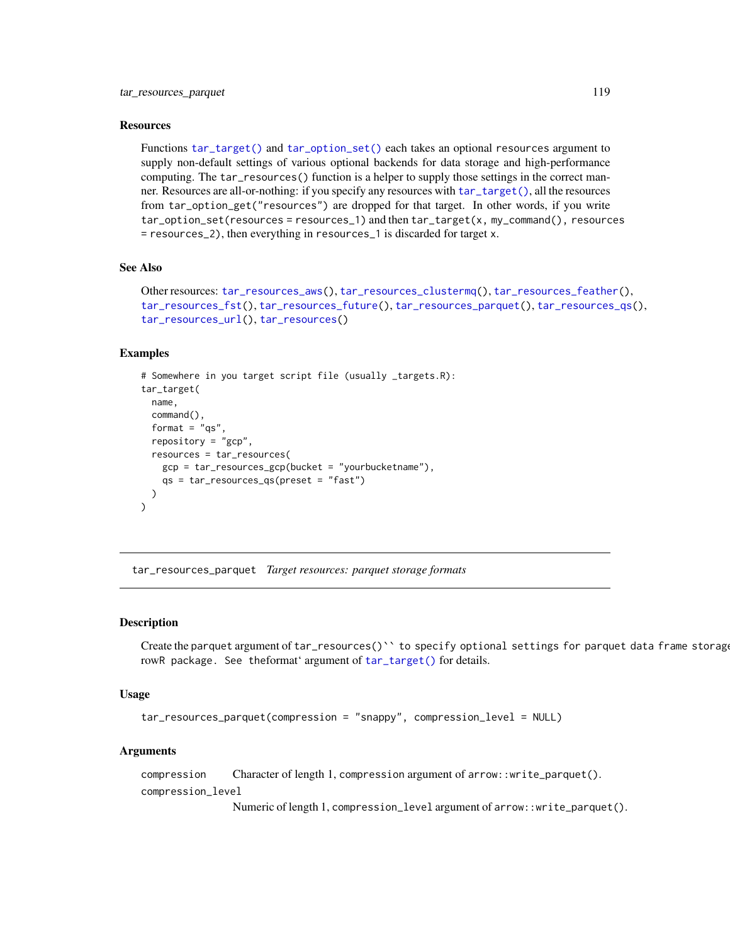## **Resources**

Functions [tar\\_target\(\)](#page-130-0) and [tar\\_option\\_set\(\)](#page-83-0) each takes an optional resources argument to supply non-default settings of various optional backends for data storage and high-performance computing. The tar\_resources() function is a helper to supply those settings in the correct manner. Resources are all-or-nothing: if you specify any resources with [tar\\_target\(\)](#page-130-0), all the resources from tar\_option\_get("resources") are dropped for that target. In other words, if you write tar\_option\_set(resources = resources\_1) and then tar\_target(x, my\_command(), resources = resources\_2), then everything in resources\_1 is discarded for target x.

# See Also

```
Other resources: tar_resources_aws(), tar_resources_clustermq(), tar_resources_feather(),
tar_resources_fst(), tar_resources_future(), tar_resources_parquet(), tar_resources_qs(),
tar_resources_url(), tar_resources()
```
## Examples

```
# Somewhere in you target script file (usually _targets.R):
tar_target(
 name,
 command(),
 format = "qs"repository = "gcp",
 resources = tar_resources(
   gcp = tar_resources_gcp(bucket = "yourbucketname"),
   qs = tar_resources_qs(preset = "fast")
 )
)
```
<span id="page-118-0"></span>tar\_resources\_parquet *Target resources: parquet storage formats*

#### Description

Create the parquet argument of tar\_resources()`` to specify optional settings for parquet data frame storage rowR package. See theformat' argument of [tar\\_target\(\)](#page-130-0) for details.

## Usage

```
tar_resources_parquet(compression = "snappy", compression_level = NULL)
```
#### Arguments

compression Character of length 1, compression argument of arrow::write\_parquet(). compression\_level

Numeric of length 1, compression\_level argument of arrow::write\_parquet().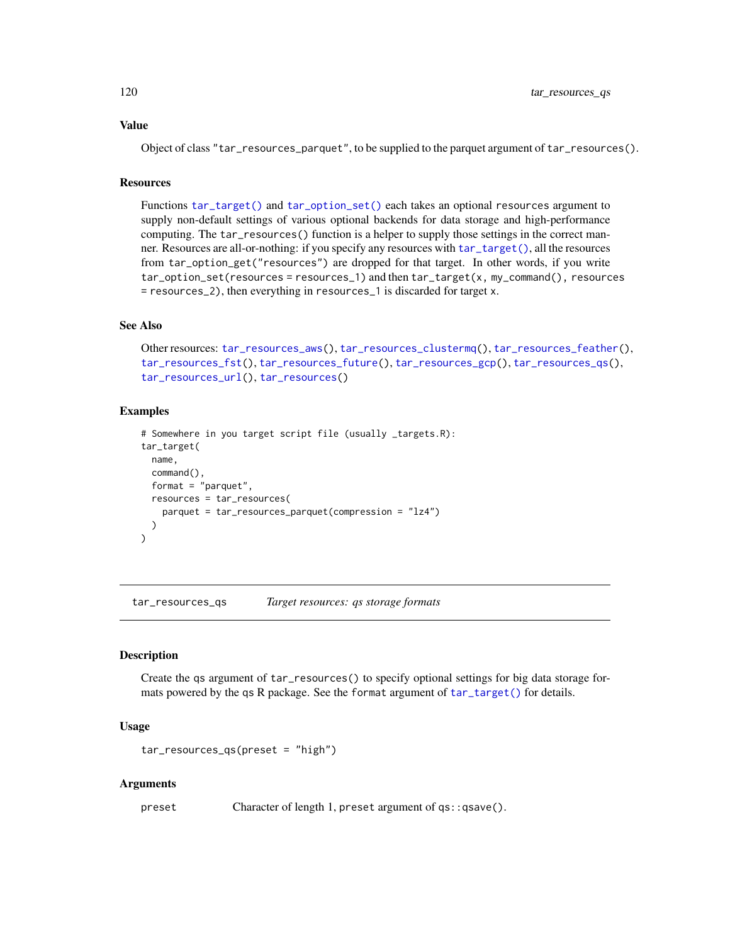Object of class "tar\_resources\_parquet", to be supplied to the parquet argument of tar\_resources().

# **Resources**

Functions [tar\\_target\(\)](#page-130-0) and [tar\\_option\\_set\(\)](#page-83-0) each takes an optional resources argument to supply non-default settings of various optional backends for data storage and high-performance computing. The tar\_resources() function is a helper to supply those settings in the correct manner. Resources are all-or-nothing: if you specify any resources with [tar\\_target\(\)](#page-130-0), all the resources from tar\_option\_get("resources") are dropped for that target. In other words, if you write tar\_option\_set(resources = resources\_1) and then tar\_target(x, my\_command(), resources = resources\_2), then everything in resources\_1 is discarded for target x.

## See Also

```
Other resources: tar_resources_aws(), tar_resources_clustermq(), tar_resources_feather(),
tar_resources_fst(), tar_resources_future(), tar_resources_gcp(), tar_resources_qs(),
tar_resources_url(), tar_resources()
```
## Examples

```
# Somewhere in you target script file (usually _targets.R):
tar_target(
 name,
 command(),
 format = "parquet",
 resources = tar_resources(
   parquet = tar_resources_parquet(compression = "lz4")
 )
)
```
<span id="page-119-0"></span>tar\_resources\_qs *Target resources: qs storage formats*

# Description

Create the qs argument of tar\_resources() to specify optional settings for big data storage formats powered by the qs R package. See the format argument of [tar\\_target\(\)](#page-130-0) for details.

## Usage

```
tar_resources_qs(preset = "high")
```
#### Arguments

preset Character of length 1, preset argument of qs::qsave().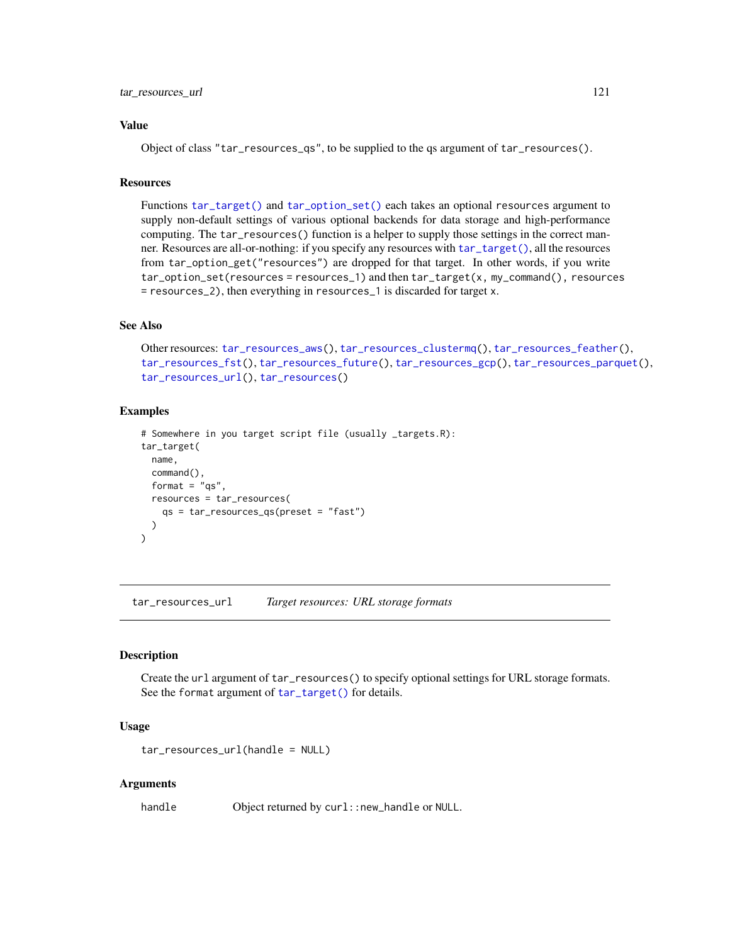Object of class "tar\_resources\_qs", to be supplied to the qs argument of tar\_resources().

# **Resources**

Functions [tar\\_target\(\)](#page-130-0) and [tar\\_option\\_set\(\)](#page-83-0) each takes an optional resources argument to supply non-default settings of various optional backends for data storage and high-performance computing. The tar\_resources() function is a helper to supply those settings in the correct manner. Resources are all-or-nothing: if you specify any resources with [tar\\_target\(\)](#page-130-0), all the resources from tar\_option\_get("resources") are dropped for that target. In other words, if you write tar\_option\_set(resources = resources\_1) and then tar\_target(x, my\_command(), resources = resources\_2), then everything in resources\_1 is discarded for target x.

## See Also

```
Other resources: tar_resources_aws(), tar_resources_clustermq(), tar_resources_feather(),
tar_resources_fst(), tar_resources_future(), tar_resources_gcp(), tar_resources_parquet(),
tar_resources_url(), tar_resources()
```
## Examples

```
# Somewhere in you target script file (usually _targets.R):
tar_target(
 name,
 command(),
 format = "qs",
 resources = tar_resources(
    qs = tar_resources_qs(preset = "fast")
 )
)
```
<span id="page-120-0"></span>tar\_resources\_url *Target resources: URL storage formats*

# Description

Create the url argument of tar\_resources() to specify optional settings for URL storage formats. See the format argument of [tar\\_target\(\)](#page-130-0) for details.

## Usage

```
tar_resources_url(handle = NULL)
```
## **Arguments**

handle Object returned by curl::new\_handle or NULL.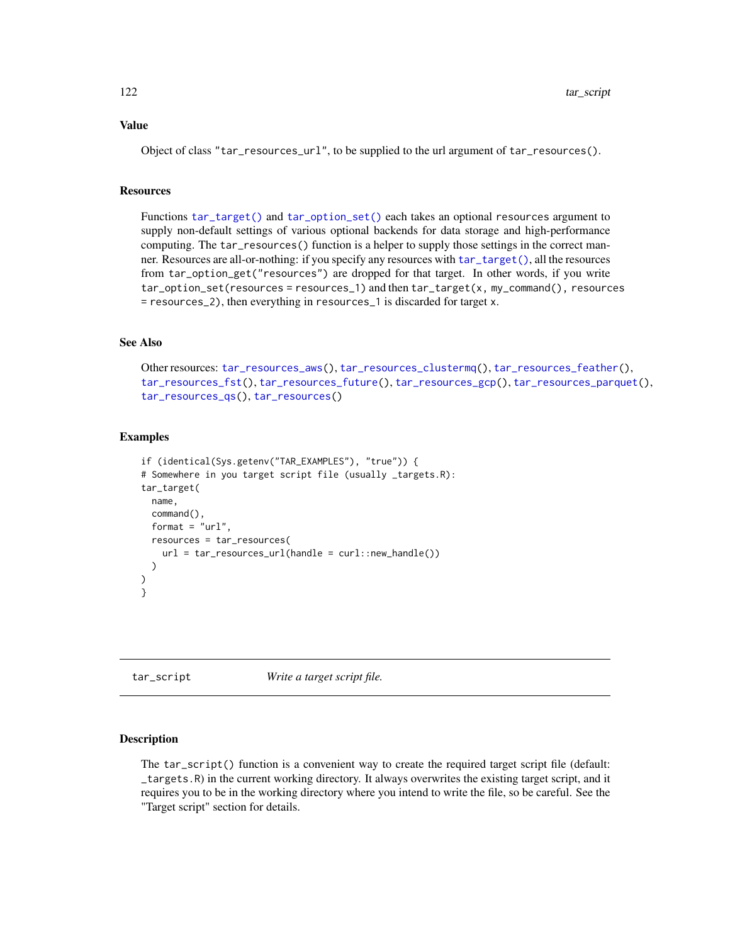Object of class "tar\_resources\_url", to be supplied to the url argument of tar\_resources().

#### **Resources**

Functions [tar\\_target\(\)](#page-130-0) and [tar\\_option\\_set\(\)](#page-83-0) each takes an optional resources argument to supply non-default settings of various optional backends for data storage and high-performance computing. The tar\_resources() function is a helper to supply those settings in the correct manner. Resources are all-or-nothing: if you specify any resources with [tar\\_target\(\)](#page-130-0), all the resources from tar\_option\_get("resources") are dropped for that target. In other words, if you write tar\_option\_set(resources = resources\_1) and then tar\_target(x, my\_command(), resources = resources\_2), then everything in resources\_1 is discarded for target x.

# See Also

Other resources: [tar\\_resources\\_aws\(](#page-111-0)), [tar\\_resources\\_clustermq\(](#page-112-0)), [tar\\_resources\\_feather\(](#page-113-0)), [tar\\_resources\\_fst\(](#page-115-0)), [tar\\_resources\\_future\(](#page-116-0)), [tar\\_resources\\_gcp\(](#page-117-0)), [tar\\_resources\\_parquet\(](#page-118-0)), [tar\\_resources\\_qs\(](#page-119-0)), [tar\\_resources\(](#page-109-0))

## Examples

```
if (identical(Sys.getenv("TAR_EXAMPLES"), "true")) {
# Somewhere in you target script file (usually _targets.R):
tar_target(
 name,
 command(),
 format = "url".
 resources = tar_resources(
   url = tar\_resources\_url(handle = curl::new\_handle()))
)
}
```
<span id="page-121-0"></span>tar\_script *Write a target script file.*

## Description

The tar\_script() function is a convenient way to create the required target script file (default: \_targets.R) in the current working directory. It always overwrites the existing target script, and it requires you to be in the working directory where you intend to write the file, so be careful. See the "Target script" section for details.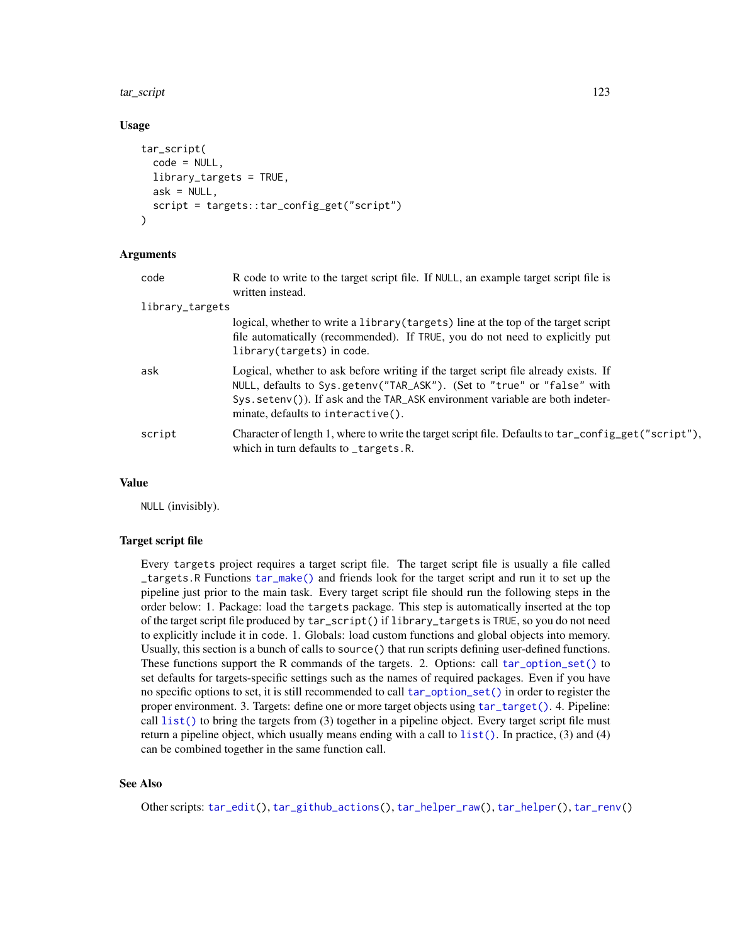#### tar\_script 123

## Usage

```
tar_script(
  code = NULL,library_targets = TRUE,
  ask = NULL,script = targets::tar_config_get("script")
)
```
## Arguments

| code            | R code to write to the target script file. If NULL, an example target script file is<br>written instead.                                                                                                                                                                                |
|-----------------|-----------------------------------------------------------------------------------------------------------------------------------------------------------------------------------------------------------------------------------------------------------------------------------------|
| library_targets |                                                                                                                                                                                                                                                                                         |
|                 | logical, whether to write a library (targets) line at the top of the target script<br>file automatically (recommended). If TRUE, you do not need to explicitly put<br>library(targets) in code.                                                                                         |
| ask             | Logical, whether to ask before writing if the target script file already exists. If<br>NULL, defaults to Sys.getenv("TAR_ASK"). (Set to "true" or "false" with<br>$Sys.setenv()$ ). If ask and the TAR_ASK environment variable are both indeter-<br>minate, defaults to interactive(). |
| script          | Character of length 1, where to write the target script file. Defaults to tar_config_get("script"),<br>which in turn defaults to _targets.R.                                                                                                                                            |

#### Value

NULL (invisibly).

#### Target script file

Every targets project requires a target script file. The target script file is usually a file called \_targets.R Functions [tar\\_make\(\)](#page-58-0) and friends look for the target script and run it to set up the pipeline just prior to the main task. Every target script file should run the following steps in the order below: 1. Package: load the targets package. This step is automatically inserted at the top of the target script file produced by tar\_script() if library\_targets is TRUE, so you do not need to explicitly include it in code. 1. Globals: load custom functions and global objects into memory. Usually, this section is a bunch of calls to source() that run scripts defining user-defined functions. These functions support the R commands of the targets. 2. Options: call [tar\\_option\\_set\(\)](#page-83-0) to set defaults for targets-specific settings such as the names of required packages. Even if you have no specific options to set, it is still recommended to call [tar\\_option\\_set\(\)](#page-83-0) in order to register the proper environment. 3. Targets: define one or more target objects using [tar\\_target\(\)](#page-130-0). 4. Pipeline: call  $list()$  to bring the targets from  $(3)$  together in a pipeline object. Every target script file must return a pipeline object, which usually means ending with a call to  $list()$ . In practice, (3) and (4) can be combined together in the same function call.

# See Also

Other scripts: [tar\\_edit\(](#page-30-0)), [tar\\_github\\_actions\(](#page-41-0)), [tar\\_helper\\_raw\(](#page-48-0)), [tar\\_helper\(](#page-47-0)), [tar\\_renv\(](#page-106-0))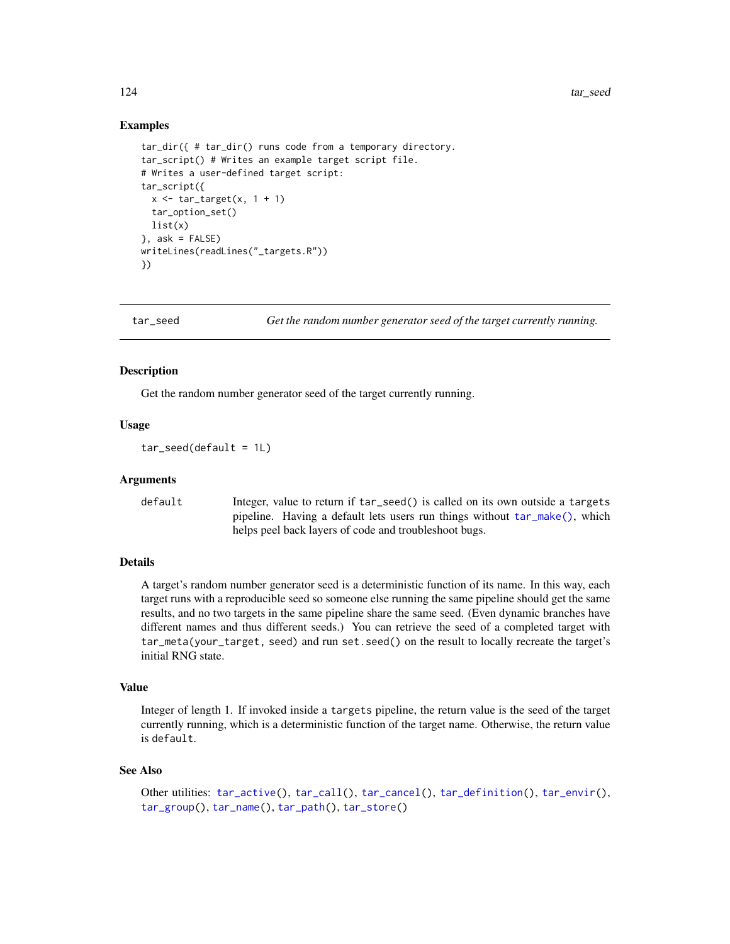124 tar\_seed tariff and the set of the second second second second second second second second second second second second second second second second second second second second second second second second second second s

## Examples

```
tar_dir({ # tar_dir() runs code from a temporary directory.
tar_script() # Writes an example target script file.
# Writes a user-defined target script:
tar_script({
 x \leftarrow \text{tar\_target}(x, 1 + 1)tar_option_set()
 list(x)
\}, ask = FALSE)
writeLines(readLines("_targets.R"))
})
```
<span id="page-123-0"></span>tar\_seed *Get the random number generator seed of the target currently running.*

## **Description**

Get the random number generator seed of the target currently running.

## Usage

 $tar\_seed(default = 1L)$ 

#### Arguments

default Integer, value to return if tar\_seed() is called on its own outside a targets pipeline. Having a default lets users run things without [tar\\_make\(\)](#page-58-0), which helps peel back layers of code and troubleshoot bugs.

# Details

A target's random number generator seed is a deterministic function of its name. In this way, each target runs with a reproducible seed so someone else running the same pipeline should get the same results, and no two targets in the same pipeline share the same seed. (Even dynamic branches have different names and thus different seeds.) You can retrieve the seed of a completed target with tar\_meta(your\_target, seed) and run set.seed() on the result to locally recreate the target's initial RNG state.

# Value

Integer of length 1. If invoked inside a targets pipeline, the return value is the seed of the target currently running, which is a deterministic function of the target name. Otherwise, the return value is default.

#### See Also

```
tar_active(tar_call(tar_cancel(tar_definition(tar_envir(),
tar_group(), tar_name(), tar_path(), tar_store()
```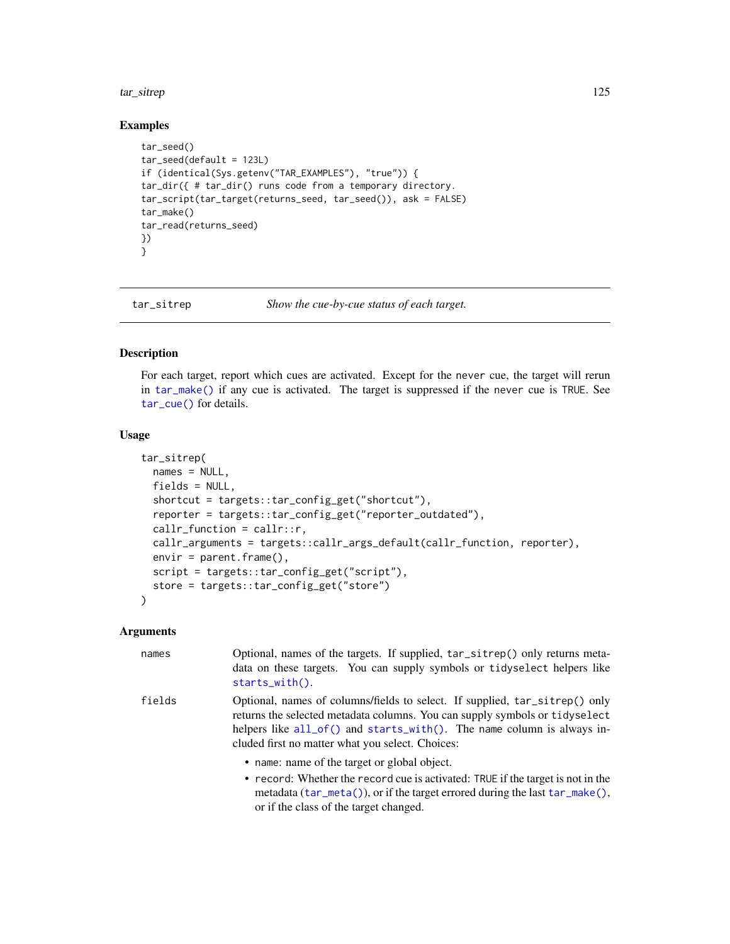#### tar\_sitrep 125

## Examples

```
tar_seed()
tar\_seed(default = 123L)if (identical(Sys.getenv("TAR_EXAMPLES"), "true")) {
tar_dir({ # tar_dir() runs code from a temporary directory.
tar_script(tar_target(returns_seed, tar_seed()), ask = FALSE)
tar_make()
tar_read(returns_seed)
})
}
```
tar\_sitrep *Show the cue-by-cue status of each target.*

# Description

For each target, report which cues are activated. Except for the never cue, the target will rerun in [tar\\_make\(\)](#page-58-0) if any cue is activated. The target is suppressed if the never cue is TRUE. See [tar\\_cue\(\)](#page-22-0) for details.

## Usage

```
tar_sitrep(
 names = NULL,fields = NULL,
 shortcut = targets::tar_config_get("shortcut"),
  reporter = targets::tar_config_get("reporter_outdated"),
 callr_function = callr::r,
 callr_arguments = targets::callr_args_default(callr_function, reporter),
 envir = parent.frame(),script = targets::tar_config_get("script"),
 store = targets::tar_config_get("store")
)
```
#### Arguments

| names  | Optional, names of the targets. If supplied, tar_sitrep() only returns meta-<br>data on these targets. You can supply symbols or tidyselect helpers like<br>$starts_with()$ .                                                                                                                  |
|--------|------------------------------------------------------------------------------------------------------------------------------------------------------------------------------------------------------------------------------------------------------------------------------------------------|
| fields | Optional, names of columns/fields to select. If supplied, tar_sitrep() only<br>returns the selected metadata columns. You can supply symbols or tidyselect<br>helpers like $all_of()$ and starts_with $()$ . The name column is always in-<br>cluded first no matter what you select. Choices: |
|        | • name: name of the target or global object.                                                                                                                                                                                                                                                   |
|        | • record: Whether the record cue is activated: TRUE if the target is not in the<br>metadata $(\tan_m \theta)$ , or if the target errored during the last $\tan_m \theta$ .                                                                                                                     |

or if the class of the target changed.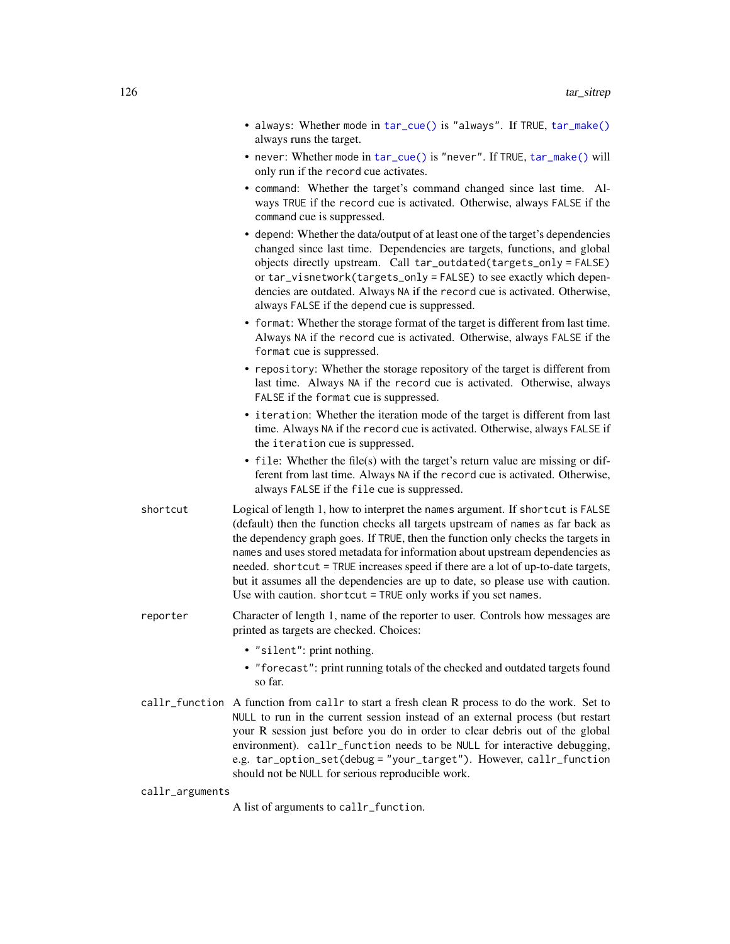|          | • always: Whether mode in tar_cue() is "always". If TRUE, tar_make()<br>always runs the target.                                                                                                                                                                                                                                                                                                                                                                                                                                                                                  |
|----------|----------------------------------------------------------------------------------------------------------------------------------------------------------------------------------------------------------------------------------------------------------------------------------------------------------------------------------------------------------------------------------------------------------------------------------------------------------------------------------------------------------------------------------------------------------------------------------|
|          | • never: Whether mode in tar_cue() is "never". If TRUE, tar_make() will<br>only run if the record cue activates.                                                                                                                                                                                                                                                                                                                                                                                                                                                                 |
|          | • command: Whether the target's command changed since last time. Al-<br>ways TRUE if the record cue is activated. Otherwise, always FALSE if the<br>command cue is suppressed.                                                                                                                                                                                                                                                                                                                                                                                                   |
|          | • depend: Whether the data/output of at least one of the target's dependencies<br>changed since last time. Dependencies are targets, functions, and global<br>objects directly upstream. Call tar_outdated(targets_only=FALSE)<br>or tar_visnetwork(targets_only = FALSE) to see exactly which depen-<br>dencies are outdated. Always NA if the record cue is activated. Otherwise,<br>always FALSE if the depend cue is suppressed.                                                                                                                                             |
|          | • format: Whether the storage format of the target is different from last time.<br>Always NA if the record cue is activated. Otherwise, always FALSE if the<br>format cue is suppressed.                                                                                                                                                                                                                                                                                                                                                                                         |
|          | • repository: Whether the storage repository of the target is different from<br>last time. Always NA if the record cue is activated. Otherwise, always<br>FALSE if the format cue is suppressed.                                                                                                                                                                                                                                                                                                                                                                                 |
|          | • iteration: Whether the iteration mode of the target is different from last<br>time. Always NA if the record cue is activated. Otherwise, always FALSE if<br>the iteration cue is suppressed.                                                                                                                                                                                                                                                                                                                                                                                   |
|          | • file: Whether the file(s) with the target's return value are missing or dif-<br>ferent from last time. Always NA if the record cue is activated. Otherwise,<br>always FALSE if the file cue is suppressed.                                                                                                                                                                                                                                                                                                                                                                     |
| shortcut | Logical of length 1, how to interpret the names argument. If shortcut is FALSE<br>(default) then the function checks all targets upstream of names as far back as<br>the dependency graph goes. If TRUE, then the function only checks the targets in<br>names and uses stored metadata for information about upstream dependencies as<br>needed. shortcut = TRUE increases speed if there are a lot of up-to-date targets,<br>but it assumes all the dependencies are up to date, so please use with caution.<br>Use with caution. shortcut = TRUE only works if you set names. |
| reporter | Character of length 1, name of the reporter to user. Controls how messages are<br>printed as targets are checked. Choices:                                                                                                                                                                                                                                                                                                                                                                                                                                                       |
|          | · "silent": print nothing.<br>• "forecast": print running totals of the checked and outdated targets found<br>so far.                                                                                                                                                                                                                                                                                                                                                                                                                                                            |
|          | callr_function A function from callr to start a fresh clean R process to do the work. Set to<br>NULL to run in the current session instead of an external process (but restart<br>your R session just before you do in order to clear debris out of the global<br>environment). callr_function needs to be NULL for interactive debugging,<br>e.g. tar_option_set(debug = "your_target"). However, callr_function<br>should not be NULL for serious reproducible work.                                                                                                           |

callr\_arguments

A list of arguments to callr\_function.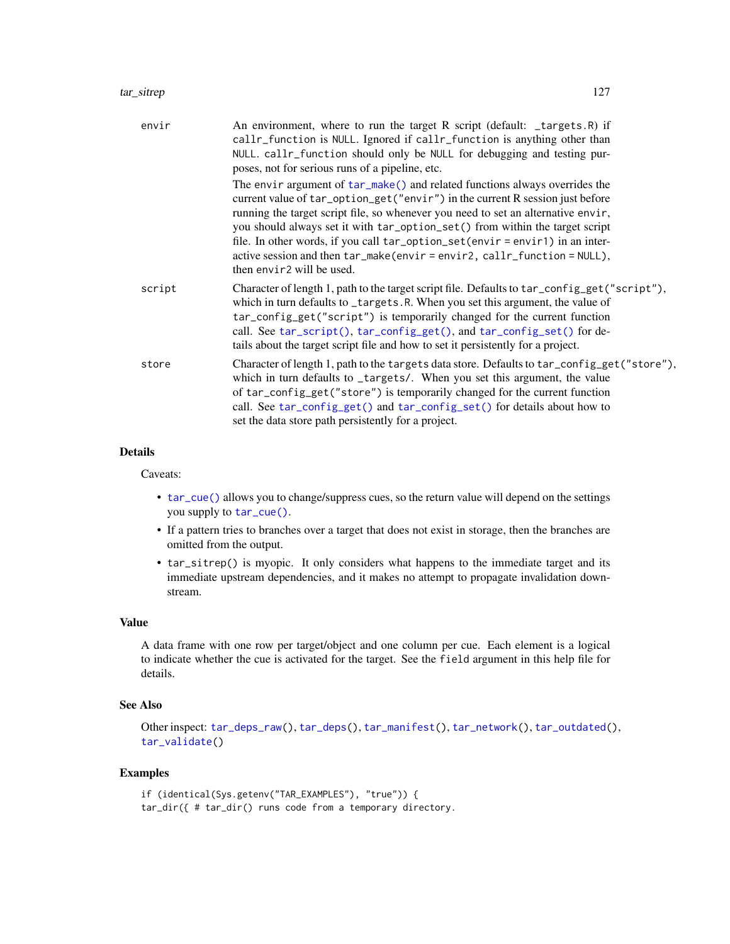#### tar\_sitrep 127

| envir  | An environment, where to run the target R script (default: _targets.R) if<br>callr_function is NULL. Ignored if callr_function is anything other than<br>NULL. callr_function should only be NULL for debugging and testing pur-<br>poses, not for serious runs of a pipeline, etc.                                                                                                                                                                                                                                       |
|--------|---------------------------------------------------------------------------------------------------------------------------------------------------------------------------------------------------------------------------------------------------------------------------------------------------------------------------------------------------------------------------------------------------------------------------------------------------------------------------------------------------------------------------|
|        | The envir argument of tar_make() and related functions always overrides the<br>current value of tar_option_get("envir") in the current R session just before<br>running the target script file, so whenever you need to set an alternative envir,<br>you should always set it with tar_option_set() from within the target script<br>file. In other words, if you call tar_option_set(envir = envir1) in an inter-<br>active session and then tar_make(envir=envir2, callr_function = NULL),<br>then envir2 will be used. |
| script | Character of length 1, path to the target script file. Defaults to tar_config_get("script"),<br>which in turn defaults to _targets.R. When you set this argument, the value of<br>tar_config_get("script") is temporarily changed for the current function<br>call. See tar_script(), tar_config_get(), and tar_config_set() for de-<br>tails about the target script file and how to set it persistently for a project.                                                                                                  |
| store  | Character of length 1, path to the targets data store. Defaults to tar_config_get("store"),<br>which in turn defaults to _targets/. When you set this argument, the value<br>of tar_config_get("store") is temporarily changed for the current function<br>call. See tar_config_get() and tar_config_set() for details about how to<br>set the data store path persistently for a project.                                                                                                                                |

# Details

Caveats:

- [tar\\_cue\(\)](#page-22-0) allows you to change/suppress cues, so the return value will depend on the settings you supply to [tar\\_cue\(\)](#page-22-0).
- If a pattern tries to branches over a target that does not exist in storage, then the branches are omitted from the output.
- tar\_sitrep() is myopic. It only considers what happens to the immediate target and its immediate upstream dependencies, and it makes no attempt to propagate invalidation downstream.

# Value

A data frame with one row per target/object and one column per cue. Each element is a logical to indicate whether the cue is activated for the target. See the field argument in this help file for details.

## See Also

```
Other inspect: tar_deps_raw(), tar_deps(), tar_manifest(), tar_network(), tar_outdated(),
tar_validate()
```

```
if (identical(Sys.getenv("TAR_EXAMPLES"), "true")) {
tar_dir({ # tar_dir() runs code from a temporary directory.
```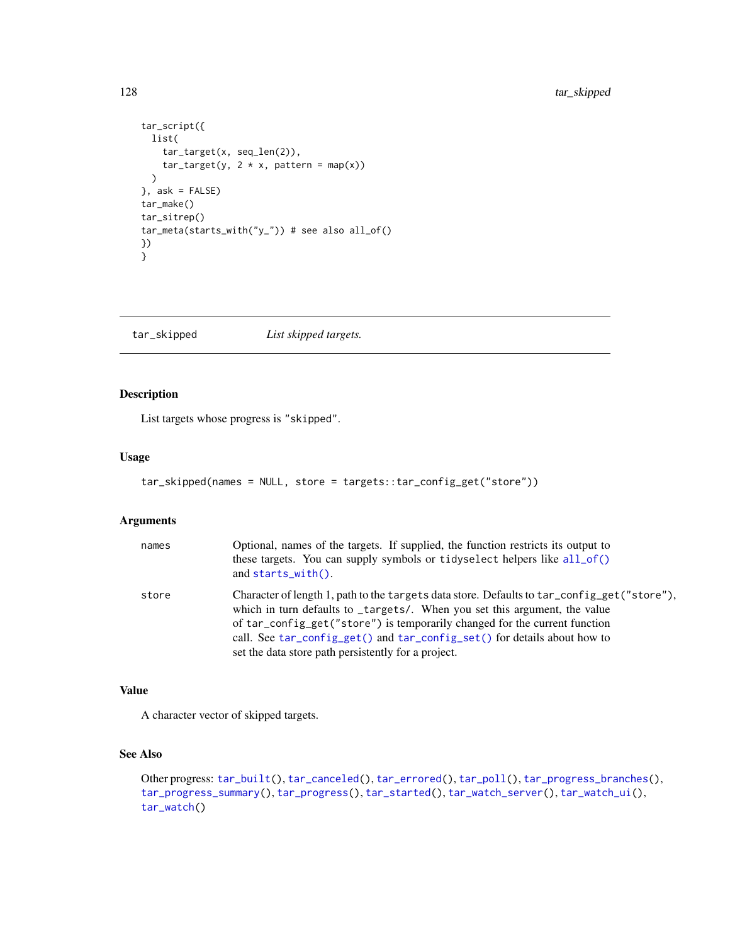```
tar_script({
 list(
    tar_target(x, seq_len(2)),
    tar\_target(y, 2 * x, pattern = map(x))\rightarrow}, ask = FALSE)
tar_make()
tar_sitrep()
tar_meta(starts_with("y_")) # see also all_of()
})
}
```
<span id="page-127-0"></span>tar\_skipped *List skipped targets.*

# Description

List targets whose progress is "skipped".

# Usage

```
tar_skipped(names = NULL, store = targets::tar_config_get("store"))
```
# Arguments

| names | Optional, names of the targets. If supplied, the function restricts its output to<br>these targets. You can supply symbols or tidyselect helpers like all_of()<br>and $starts\_with()$ .                                                                                                                                                                                                   |
|-------|--------------------------------------------------------------------------------------------------------------------------------------------------------------------------------------------------------------------------------------------------------------------------------------------------------------------------------------------------------------------------------------------|
| store | Character of length 1, path to the targets data store. Defaults to tar_config_get("store"),<br>which in turn defaults to _targets/. When you set this argument, the value<br>of tar_config_get("store") is temporarily changed for the current function<br>call. See tar_config_get() and tar_config_set() for details about how to<br>set the data store path persistently for a project. |

# Value

A character vector of skipped targets.

# See Also

```
Other progress: tar_built(), tar_canceled(), tar_errored(), tar_poll(), tar_progress_branches(),
tar_progress_summary(), tar_progress(), tar_started(), tar_watch_server(), tar_watch_ui(),
tar_watch()
```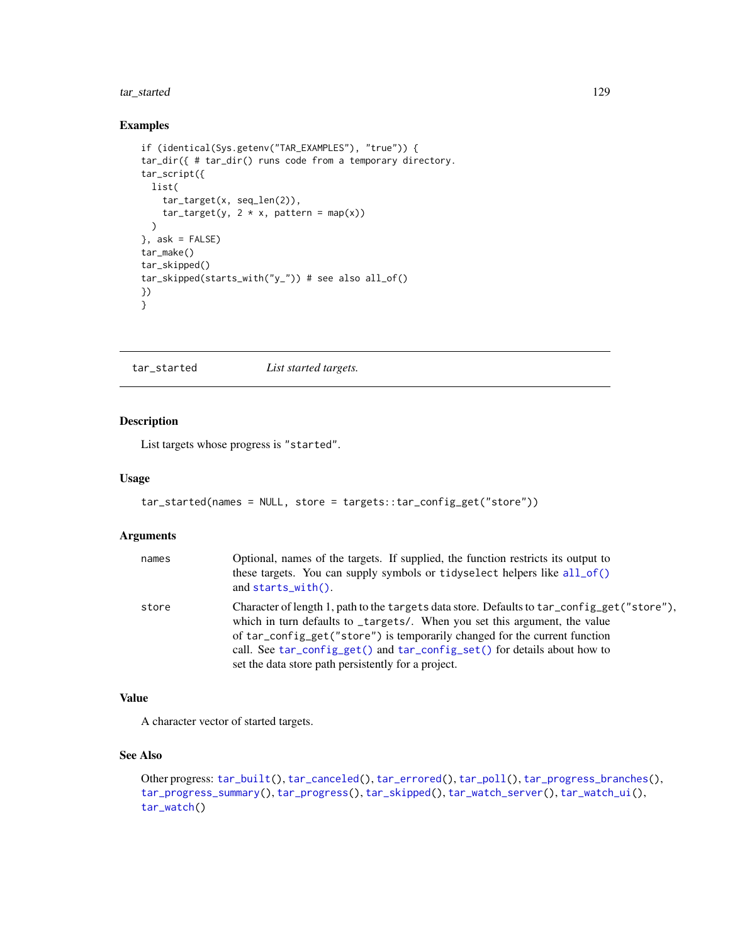# tar\_started 129

# Examples

```
if (identical(Sys.getenv("TAR_EXAMPLES"), "true")) {
tar_dir({ # tar_dir() runs code from a temporary directory.
tar_script({
 list(
   tar_target(x, seq_len(2)),
   tar\_target(y, 2 * x, pattern = map(x)))
}, ask = FALSE)
tar_make()
tar_skipped()
tar_skipped(starts_with("y_")) # see also all_of()
})
}
```
<span id="page-128-0"></span>tar\_started *List started targets.*

# Description

List targets whose progress is "started".

# Usage

```
tar_started(names = NULL, store = targets::tar_config_get("store"))
```
#### Arguments

| names | Optional, names of the targets. If supplied, the function restricts its output to<br>these targets. You can supply symbols or tidyselect helpers like all_of()<br>and $starts\_with()$ .                                                                                                                                                                                                   |
|-------|--------------------------------------------------------------------------------------------------------------------------------------------------------------------------------------------------------------------------------------------------------------------------------------------------------------------------------------------------------------------------------------------|
| store | Character of length 1, path to the targets data store. Defaults to tar_config_get("store"),<br>which in turn defaults to _targets/. When you set this argument, the value<br>of tar_config_get("store") is temporarily changed for the current function<br>call. See tar_config_get() and tar_config_set() for details about how to<br>set the data store path persistently for a project. |

#### Value

A character vector of started targets.

# See Also

```
Other progress: tar_built(), tar_canceled(), tar_errored(), tar_poll(), tar_progress_branches(),
tar_progress_summary(), tar_progress(), tar_skipped(), tar_watch_server(), tar_watch_ui(),
tar_watch()
```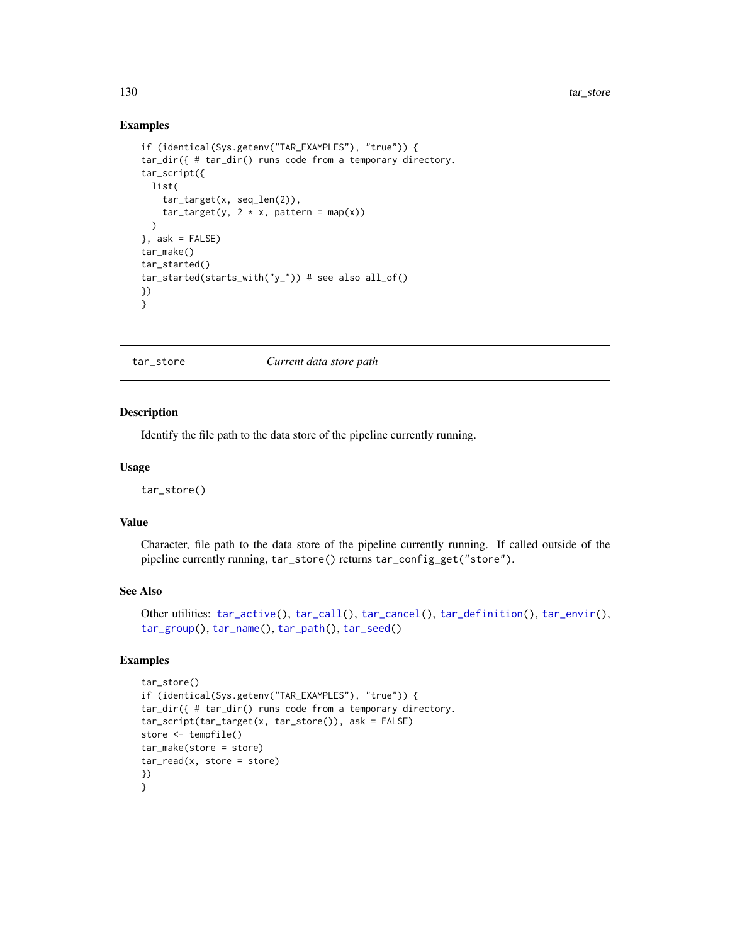## Examples

```
if (identical(Sys.getenv("TAR_EXAMPLES"), "true")) {
tar_dir({ # tar_dir() runs code from a temporary directory.
tar_script({
 list(
    tar_target(x, seq_len(2)),
    tar\_target(y, 2 * x, pattern = map(x)))
}, ask = FALSE)
tar_make()
tar_started()
tar_started(starts_with("y_")) # see also all_of()
})
}
```
<span id="page-129-0"></span>tar\_store *Current data store path*

# Description

Identify the file path to the data store of the pipeline currently running.

#### Usage

tar\_store()

## Value

Character, file path to the data store of the pipeline currently running. If called outside of the pipeline currently running, tar\_store() returns tar\_config\_get("store").

## See Also

```
Other utilities: tar_active(), tar_call(), tar_cancel(), tar_definition(), tar_envir(),
tar_group(), tar_name(), tar_path(), tar_seed()
```

```
tar_store()
if (identical(Sys.getenv("TAR_EXAMPLES"), "true")) {
tar_dir({ # tar_dir() runs code from a temporary directory.
tar_script(tar_target(x, tar_store()), ask = FALSE)
store <- tempfile()
tar_make(store = store)
tar\_read(x, store = store)})
}
```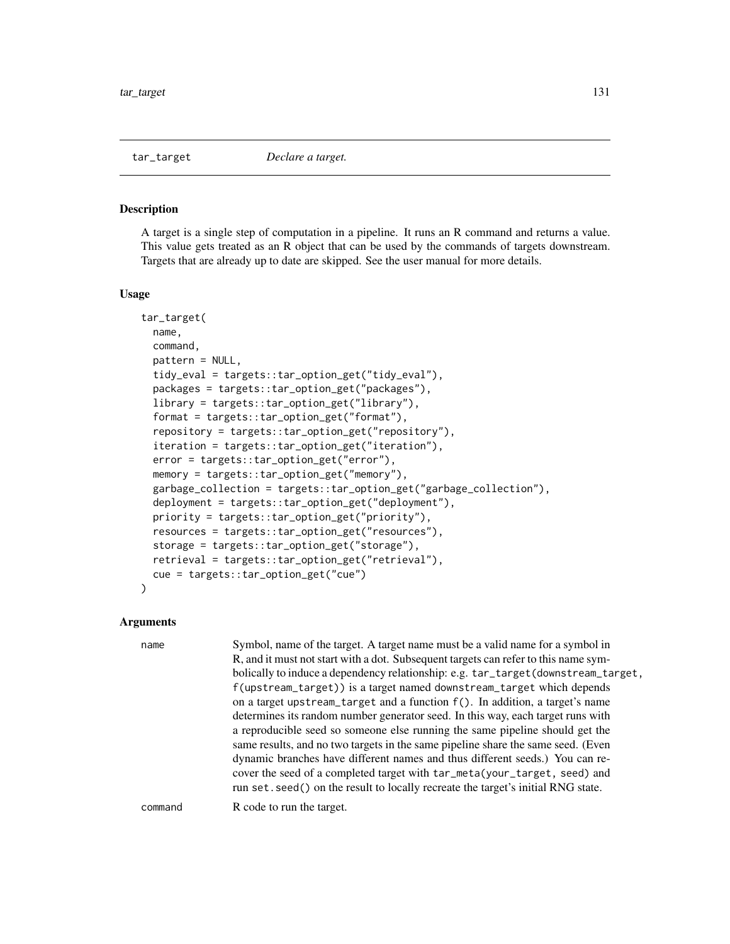<span id="page-130-0"></span>

# **Description**

A target is a single step of computation in a pipeline. It runs an R command and returns a value. This value gets treated as an R object that can be used by the commands of targets downstream. Targets that are already up to date are skipped. See the user manual for more details.

#### Usage

```
tar_target(
  name,
  command,
  pattern = NULL,
  tidy_eval = targets::tar_option_get("tidy_eval"),
  packages = targets::tar_option_get("packages"),
  library = targets::tar_option_get("library"),
  format = targets::tar_option_get("format"),
  repository = targets::tar_option_get("repository"),
  iteration = targets::tar_option_get("iteration"),
  error = targets::tar_option_get("error"),
  memory = targets::tar_option_get("memory"),
  garbage_collection = targets::tar_option_get("garbage_collection"),
  deployment = targets::tar_option_get("deployment"),
  priority = targets::tar_option_get("priority"),
  resources = targets::tar_option_get("resources"),
  storage = targets::tar_option_get("storage"),
  retrieval = targets::tar_option_get("retrieval"),
  cue = targets::tar_option_get("cue")
```
## Arguments

)

| name    | Symbol, name of the target. A target name must be a valid name for a symbol in<br>R, and it must not start with a dot. Subsequent targets can refer to this name sym-<br>bolically to induce a dependency relationship: e.g. tar_target(downstream_target,<br>f(upstream_target)) is a target named downstream_target which depends<br>on a target upstream_target and a function $f()$ . In addition, a target's name<br>determines its random number generator seed. In this way, each target runs with<br>a reproducible seed so someone else running the same pipeline should get the<br>same results, and no two targets in the same pipeline share the same seed. (Even<br>dynamic branches have different names and thus different seeds.) You can re-<br>cover the seed of a completed target with tar_meta(your_target, seed) and<br>run set. seed() on the result to locally recreate the target's initial RNG state. |
|---------|---------------------------------------------------------------------------------------------------------------------------------------------------------------------------------------------------------------------------------------------------------------------------------------------------------------------------------------------------------------------------------------------------------------------------------------------------------------------------------------------------------------------------------------------------------------------------------------------------------------------------------------------------------------------------------------------------------------------------------------------------------------------------------------------------------------------------------------------------------------------------------------------------------------------------------|
| command | R code to run the target.                                                                                                                                                                                                                                                                                                                                                                                                                                                                                                                                                                                                                                                                                                                                                                                                                                                                                                       |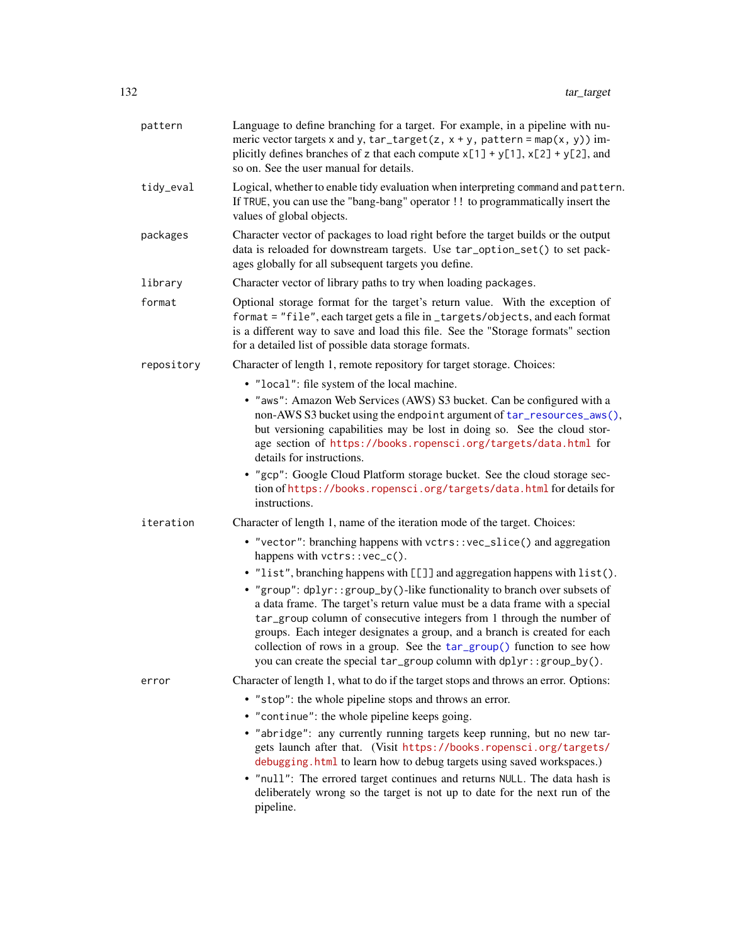| pattern    | Language to define branching for a target. For example, in a pipeline with nu-<br>meric vector targets x and y, $tar\_target(z, x + y, pattern = map(x, y))$ im-<br>plicitly defines branches of z that each compute $x[1] + y[1]$ , $x[2] + y[2]$ , and<br>so on. See the user manual for details.                                                                                                                                                                                                          |
|------------|--------------------------------------------------------------------------------------------------------------------------------------------------------------------------------------------------------------------------------------------------------------------------------------------------------------------------------------------------------------------------------------------------------------------------------------------------------------------------------------------------------------|
| tidy_eval  | Logical, whether to enable tidy evaluation when interpreting command and pattern.<br>If TRUE, you can use the "bang-bang" operator !! to programmatically insert the<br>values of global objects.                                                                                                                                                                                                                                                                                                            |
| packages   | Character vector of packages to load right before the target builds or the output<br>data is reloaded for downstream targets. Use tar_option_set() to set pack-<br>ages globally for all subsequent targets you define.                                                                                                                                                                                                                                                                                      |
| library    | Character vector of library paths to try when loading packages.                                                                                                                                                                                                                                                                                                                                                                                                                                              |
| format     | Optional storage format for the target's return value. With the exception of<br>format = "file", each target gets a file in_targets/objects, and each format<br>is a different way to save and load this file. See the "Storage formats" section<br>for a detailed list of possible data storage formats.                                                                                                                                                                                                    |
| repository | Character of length 1, remote repository for target storage. Choices:                                                                                                                                                                                                                                                                                                                                                                                                                                        |
|            | • "local": file system of the local machine.                                                                                                                                                                                                                                                                                                                                                                                                                                                                 |
|            | • "aws": Amazon Web Services (AWS) S3 bucket. Can be configured with a<br>non-AWS S3 bucket using the endpoint argument of tar_resources_aws(),<br>but versioning capabilities may be lost in doing so. See the cloud stor-<br>age section of https://books.ropensci.org/targets/data.html for<br>details for instructions.                                                                                                                                                                                  |
|            | • "gcp": Google Cloud Platform storage bucket. See the cloud storage sec-<br>tion of https://books.ropensci.org/targets/data.html for details for<br>instructions.                                                                                                                                                                                                                                                                                                                                           |
| iteration  | Character of length 1, name of the iteration mode of the target. Choices:                                                                                                                                                                                                                                                                                                                                                                                                                                    |
|            | • "vector": branching happens with vctrs:: vec_slice() and aggregation<br>happens with vctrs::vec_c().                                                                                                                                                                                                                                                                                                                                                                                                       |
|            | • "list", branching happens with [[]] and aggregation happens with list().                                                                                                                                                                                                                                                                                                                                                                                                                                   |
|            | • "group": dplyr::group_by()-like functionality to branch over subsets of<br>a data frame. The target's return value must be a data frame with a special<br>tar_group column of consecutive integers from 1 through the number of<br>groups. Each integer designates a group, and a branch is created for each<br>collection of rows in a group. See the tar_group() function to see how<br>you can create the special tar_group column with dplyr::group_by().                                              |
| error      | Character of length 1, what to do if the target stops and throws an error. Options:                                                                                                                                                                                                                                                                                                                                                                                                                          |
|            | • "stop": the whole pipeline stops and throws an error.<br>• "continue": the whole pipeline keeps going.<br>• "abridge": any currently running targets keep running, but no new tar-<br>gets launch after that. (Visit https://books.ropensci.org/targets/<br>debugging. html to learn how to debug targets using saved workspaces.)<br>. "null": The errored target continues and returns NULL. The data hash is<br>deliberately wrong so the target is not up to date for the next run of the<br>pipeline. |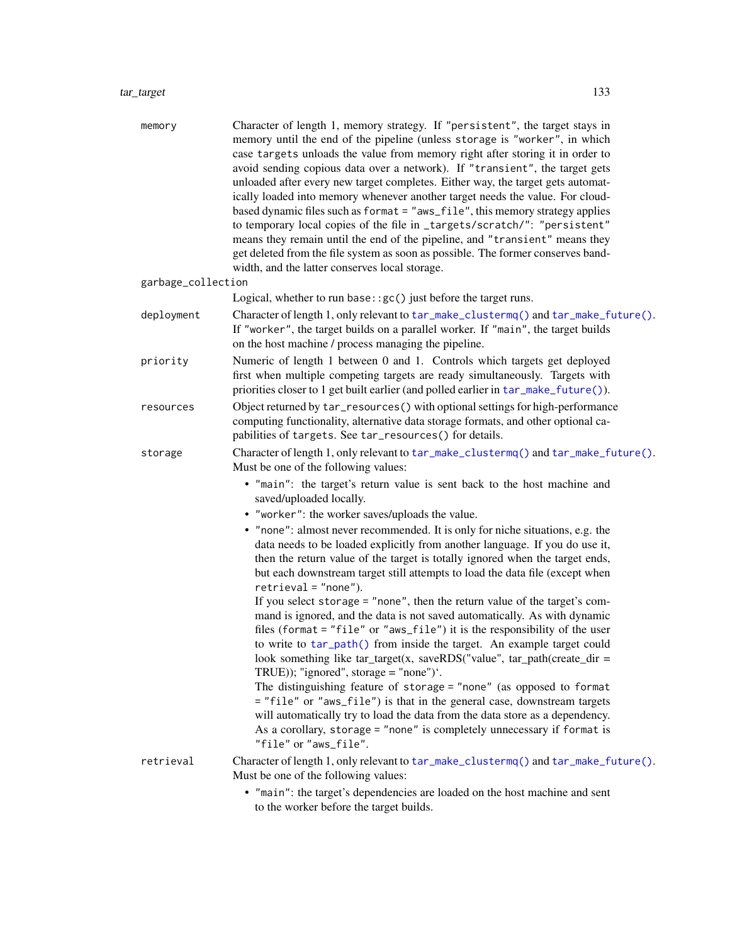#### tar\_target 133

| memory             | Character of length 1, memory strategy. If "persistent", the target stays in<br>memory until the end of the pipeline (unless storage is "worker", in which<br>case targets unloads the value from memory right after storing it in order to<br>avoid sending copious data over a network). If "transient", the target gets<br>unloaded after every new target completes. Either way, the target gets automat-<br>ically loaded into memory whenever another target needs the value. For cloud-<br>based dynamic files such as format = "aws_file", this memory strategy applies<br>to temporary local copies of the file in _targets/scratch/": "persistent"<br>means they remain until the end of the pipeline, and "transient" means they<br>get deleted from the file system as soon as possible. The former conserves band-<br>width, and the latter conserves local storage. |
|--------------------|-----------------------------------------------------------------------------------------------------------------------------------------------------------------------------------------------------------------------------------------------------------------------------------------------------------------------------------------------------------------------------------------------------------------------------------------------------------------------------------------------------------------------------------------------------------------------------------------------------------------------------------------------------------------------------------------------------------------------------------------------------------------------------------------------------------------------------------------------------------------------------------|
| garbage_collection |                                                                                                                                                                                                                                                                                                                                                                                                                                                                                                                                                                                                                                                                                                                                                                                                                                                                                   |
|                    | Logical, whether to run base: $:gc()$ just before the target runs.                                                                                                                                                                                                                                                                                                                                                                                                                                                                                                                                                                                                                                                                                                                                                                                                                |
| deployment         | Character of length 1, only relevant to tar_make_clustermq() and tar_make_future().<br>If "worker", the target builds on a parallel worker. If "main", the target builds<br>on the host machine / process managing the pipeline.                                                                                                                                                                                                                                                                                                                                                                                                                                                                                                                                                                                                                                                  |
| priority           | Numeric of length 1 between 0 and 1. Controls which targets get deployed<br>first when multiple competing targets are ready simultaneously. Targets with<br>priorities closer to 1 get built earlier (and polled earlier in tar_make_future()).                                                                                                                                                                                                                                                                                                                                                                                                                                                                                                                                                                                                                                   |
| resources          | Object returned by tar_resources() with optional settings for high-performance<br>computing functionality, alternative data storage formats, and other optional ca-<br>pabilities of targets. See tar_resources() for details.                                                                                                                                                                                                                                                                                                                                                                                                                                                                                                                                                                                                                                                    |
| storage            | Character of length 1, only relevant to tar_make_clustermq() and tar_make_future().<br>Must be one of the following values:                                                                                                                                                                                                                                                                                                                                                                                                                                                                                                                                                                                                                                                                                                                                                       |
|                    | • "main": the target's return value is sent back to the host machine and<br>saved/uploaded locally.                                                                                                                                                                                                                                                                                                                                                                                                                                                                                                                                                                                                                                                                                                                                                                               |
|                    | • "worker": the worker saves/uploads the value.                                                                                                                                                                                                                                                                                                                                                                                                                                                                                                                                                                                                                                                                                                                                                                                                                                   |
|                    | • "none": almost never recommended. It is only for niche situations, e.g. the<br>data needs to be loaded explicitly from another language. If you do use it,<br>then the return value of the target is totally ignored when the target ends,<br>but each downstream target still attempts to load the data file (except when<br>$retrieval = "none").$                                                                                                                                                                                                                                                                                                                                                                                                                                                                                                                            |
|                    | If you select storage = $"$ none", then the return value of the target's com-<br>mand is ignored, and the data is not saved automatically. As with dynamic<br>files (format = "file" or "aws_file") it is the responsibility of the user<br>to write to tar_path() from inside the target. An example target could<br>look something like $tar\_target(x, saveRDS("value", tar\_path(created\_dir =$<br>TRUE)); "ignored", storage = "none")'.                                                                                                                                                                                                                                                                                                                                                                                                                                    |
|                    | The distinguishing feature of storage = "none" (as opposed to format<br>= "file" or "aws_file") is that in the general case, downstream targets<br>will automatically try to load the data from the data store as a dependency.<br>As a corollary, storage = "none" is completely unnecessary if format is<br>"file" or "aws_file".                                                                                                                                                                                                                                                                                                                                                                                                                                                                                                                                               |
| retrieval          | Character of length 1, only relevant to tar_make_clustermq() and tar_make_future().<br>Must be one of the following values:                                                                                                                                                                                                                                                                                                                                                                                                                                                                                                                                                                                                                                                                                                                                                       |
|                    | • "main": the target's dependencies are loaded on the host machine and sent                                                                                                                                                                                                                                                                                                                                                                                                                                                                                                                                                                                                                                                                                                                                                                                                       |

• "main": the target's dependencies are loaded on the host machine and sent to the worker before the target builds.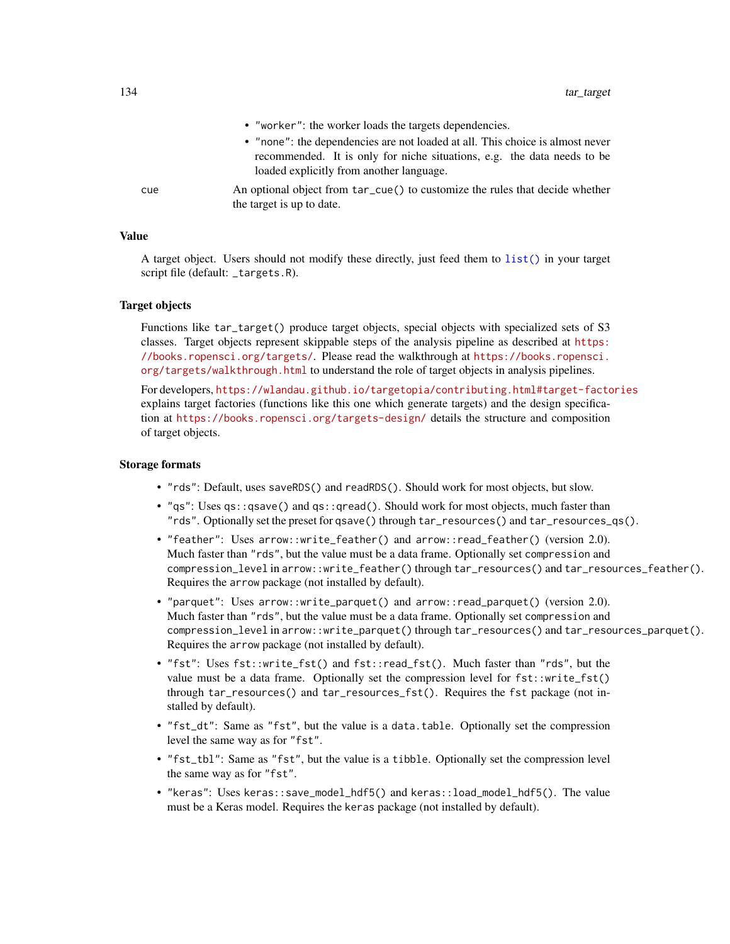- "worker": the worker loads the targets dependencies.
- "none": the dependencies are not loaded at all. This choice is almost never recommended. It is only for niche situations, e.g. the data needs to be loaded explicitly from another language.
- cue An optional object from tar\_cue() to customize the rules that decide whether the target is up to date.

A target object. Users should not modify these directly, just feed them to [list\(\)](#page-0-0) in your target script file (default: \_targets.R).

## Target objects

Functions like tar\_target() produce target objects, special objects with specialized sets of S3 classes. Target objects represent skippable steps of the analysis pipeline as described at [https:](https://books.ropensci.org/targets/) [//books.ropensci.org/targets/](https://books.ropensci.org/targets/). Please read the walkthrough at [https://books.ropensci.](https://books.ropensci.org/targets/walkthrough.html) [org/targets/walkthrough.html](https://books.ropensci.org/targets/walkthrough.html) to understand the role of target objects in analysis pipelines.

For developers, <https://wlandau.github.io/targetopia/contributing.html#target-factories> explains target factories (functions like this one which generate targets) and the design specification at <https://books.ropensci.org/targets-design/> details the structure and composition of target objects.

#### Storage formats

- "rds": Default, uses saveRDS() and readRDS(). Should work for most objects, but slow.
- "qs": Uses qs::qsave() and qs::qread(). Should work for most objects, much faster than "rds". Optionally set the preset for qsave() through tar\_resources() and tar\_resources\_qs().
- "feather": Uses arrow::write\_feather() and arrow::read\_feather() (version 2.0). Much faster than "rds", but the value must be a data frame. Optionally set compression and compression\_level in arrow::write\_feather() through tar\_resources() and tar\_resources\_feather(). Requires the arrow package (not installed by default).
- "parquet": Uses arrow::write\_parquet() and arrow::read\_parquet() (version 2.0). Much faster than "rds", but the value must be a data frame. Optionally set compression and compression\_level in arrow::write\_parquet() through tar\_resources() and tar\_resources\_parquet(). Requires the arrow package (not installed by default).
- "fst": Uses fst::write\_fst() and fst::read\_fst(). Much faster than "rds", but the value must be a data frame. Optionally set the compression level for  $fst$ : write\_fst() through tar\_resources() and tar\_resources\_fst(). Requires the fst package (not installed by default).
- "fst\_dt": Same as "fst", but the value is a data.table. Optionally set the compression level the same way as for "fst".
- "fst\_tbl": Same as "fst", but the value is a tibble. Optionally set the compression level the same way as for "fst".
- "keras": Uses keras::save\_model\_hdf5() and keras::load\_model\_hdf5(). The value must be a Keras model. Requires the keras package (not installed by default).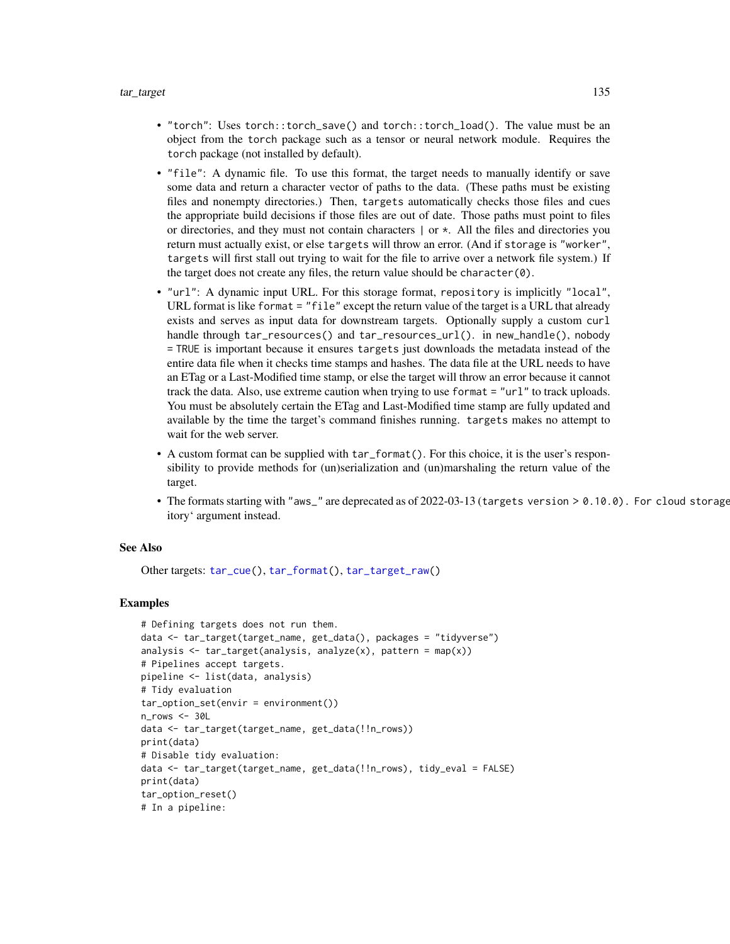- "torch": Uses torch::torch\_save() and torch::torch\_load(). The value must be an object from the torch package such as a tensor or neural network module. Requires the torch package (not installed by default).
- "file": A dynamic file. To use this format, the target needs to manually identify or save some data and return a character vector of paths to the data. (These paths must be existing files and nonempty directories.) Then, targets automatically checks those files and cues the appropriate build decisions if those files are out of date. Those paths must point to files or directories, and they must not contain characters  $\vert$  or  $\star$ . All the files and directories you return must actually exist, or else targets will throw an error. (And if storage is "worker", targets will first stall out trying to wait for the file to arrive over a network file system.) If the target does not create any files, the return value should be character(0).
- "url": A dynamic input URL. For this storage format, repository is implicitly "local", URL format is like format = "file" except the return value of the target is a URL that already exists and serves as input data for downstream targets. Optionally supply a custom curl handle through tar\_resources() and tar\_resources\_url(). in new\_handle(), nobody = TRUE is important because it ensures targets just downloads the metadata instead of the entire data file when it checks time stamps and hashes. The data file at the URL needs to have an ETag or a Last-Modified time stamp, or else the target will throw an error because it cannot track the data. Also, use extreme caution when trying to use format = "url" to track uploads. You must be absolutely certain the ETag and Last-Modified time stamp are fully updated and available by the time the target's command finishes running. targets makes no attempt to wait for the web server.
- A custom format can be supplied with tar\_format(). For this choice, it is the user's responsibility to provide methods for (un)serialization and (un)marshaling the return value of the target.
- The formats starting with "aws\_" are deprecated as of  $2022-03-13$  (targets version  $> 0.10.0$ ). For cloud storage itory' argument instead.

#### See Also

Other targets: [tar\\_cue\(](#page-22-0)), [tar\\_format\(](#page-39-0)), [tar\\_target\\_raw\(](#page-135-0))

```
# Defining targets does not run them.
data <- tar_target(target_name, get_data(), packages = "tidyverse")
analysis \leq tar_target(analysis, analyze(x), pattern = map(x))
# Pipelines accept targets.
pipeline <- list(data, analysis)
# Tidy evaluation
tar_option_set(envir = environment())
n_{rows} < -30Ldata <- tar_target(target_name, get_data(!!n_rows))
print(data)
# Disable tidy evaluation:
data <- tar_target(target_name, get_data(!!n_rows), tidy_eval = FALSE)
print(data)
tar_option_reset()
# In a pipeline:
```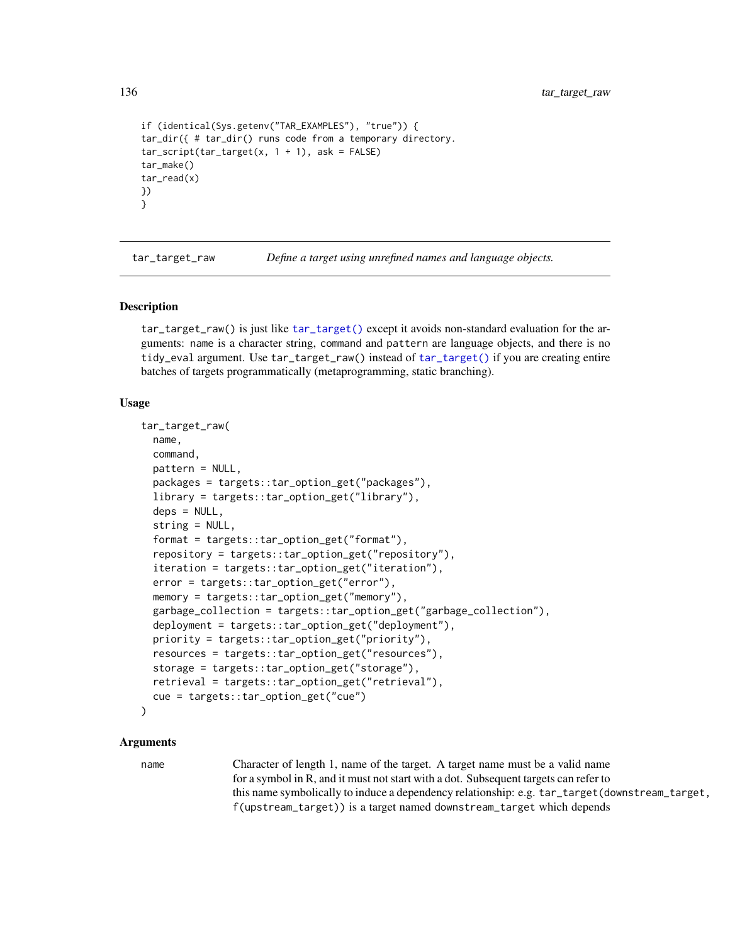136 tar\_target\_raw

```
if (identical(Sys.getenv("TAR_EXAMPLES"), "true")) {
tar_dir({ # tar_dir() runs code from a temporary directory.
tar\_script(tar\_target(x, 1 + 1), ask = FALSE)tar_make()
tar_read(x)
})
}
```
<span id="page-135-0"></span>tar\_target\_raw *Define a target using unrefined names and language objects.*

#### Description

tar\_target\_raw() is just like [tar\\_target\(\)](#page-130-0) except it avoids non-standard evaluation for the arguments: name is a character string, command and pattern are language objects, and there is no tidy\_eval argument. Use tar\_target\_raw() instead of [tar\\_target\(\)](#page-130-0) if you are creating entire batches of targets programmatically (metaprogramming, static branching).

#### Usage

```
tar_target_raw(
  name,
  command,
 pattern = NULL,
  packages = targets::tar_option_get("packages"),
  library = targets::tar_option_get("library"),
  deps = NULL,
  string = NULL,
  format = targets::tar_option_get("format"),
  repository = targets::tar_option_get("repository"),
  iteration = targets::tar_option_get("iteration"),
  error = targets::tar_option_get("error"),
  memory = targets::tar_option_get("memory"),
  garbage_collection = targets::tar_option_get("garbage_collection"),
  deployment = targets::tar_option_get("deployment"),
  priority = targets::tar_option_get("priority"),
  resources = targets::tar_option_get("resources"),
  storage = targets::tar_option_get("storage"),
  retrieval = targets::tar_option_get("retrieval"),
  cue = targets::tar_option_get("cue")
)
```
#### Arguments

name Character of length 1, name of the target. A target name must be a valid name for a symbol in R, and it must not start with a dot. Subsequent targets can refer to this name symbolically to induce a dependency relationship: e.g. tar\_target(downstream\_target, f(upstream\_target)) is a target named downstream\_target which depends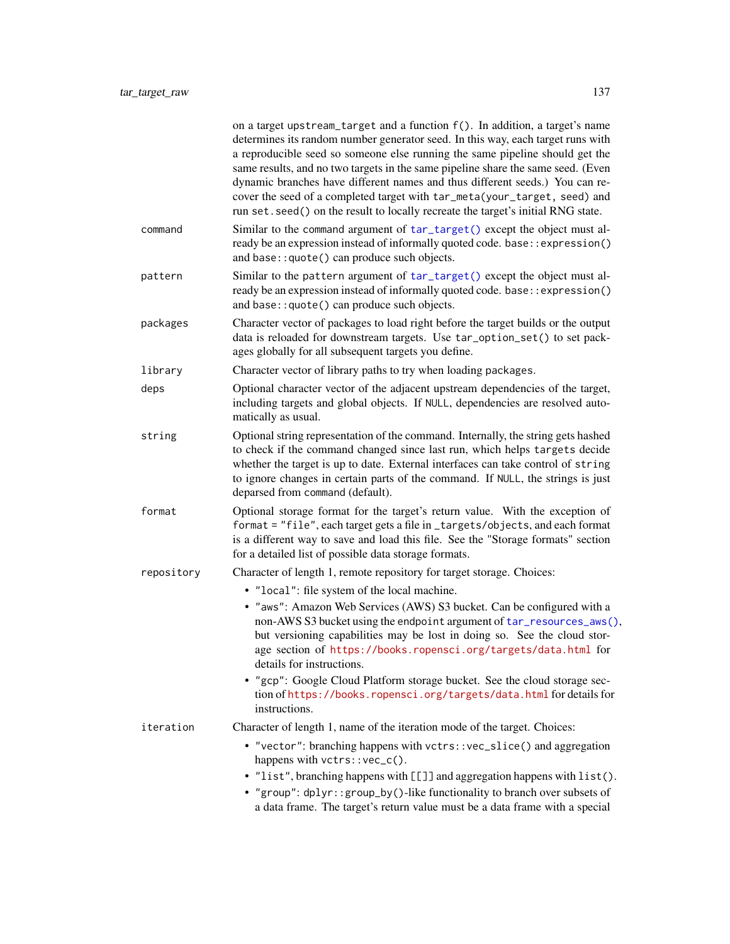|            | on a target upstream_target and a function f(). In addition, a target's name<br>determines its random number generator seed. In this way, each target runs with<br>a reproducible seed so someone else running the same pipeline should get the<br>same results, and no two targets in the same pipeline share the same seed. (Even<br>dynamic branches have different names and thus different seeds.) You can re-<br>cover the seed of a completed target with tar_meta(your_target, seed) and<br>run set. seed() on the result to locally recreate the target's initial RNG state. |
|------------|---------------------------------------------------------------------------------------------------------------------------------------------------------------------------------------------------------------------------------------------------------------------------------------------------------------------------------------------------------------------------------------------------------------------------------------------------------------------------------------------------------------------------------------------------------------------------------------|
| command    | Similar to the command argument of tar_target() except the object must al-<br>ready be an expression instead of informally quoted code. base:: expression()<br>and base:: quote() can produce such objects.                                                                                                                                                                                                                                                                                                                                                                           |
| pattern    | Similar to the pattern argument of tar_target() except the object must al-<br>ready be an expression instead of informally quoted code. base:: expression()<br>and base:: quote() can produce such objects.                                                                                                                                                                                                                                                                                                                                                                           |
| packages   | Character vector of packages to load right before the target builds or the output<br>data is reloaded for downstream targets. Use tar_option_set() to set pack-<br>ages globally for all subsequent targets you define.                                                                                                                                                                                                                                                                                                                                                               |
| library    | Character vector of library paths to try when loading packages.                                                                                                                                                                                                                                                                                                                                                                                                                                                                                                                       |
| deps       | Optional character vector of the adjacent upstream dependencies of the target,<br>including targets and global objects. If NULL, dependencies are resolved auto-<br>matically as usual.                                                                                                                                                                                                                                                                                                                                                                                               |
| string     | Optional string representation of the command. Internally, the string gets hashed<br>to check if the command changed since last run, which helps targets decide<br>whether the target is up to date. External interfaces can take control of string<br>to ignore changes in certain parts of the command. If NULL, the strings is just<br>deparsed from command (default).                                                                                                                                                                                                            |
| format     | Optional storage format for the target's return value. With the exception of<br>format = "file", each target gets a file in_targets/objects, and each format<br>is a different way to save and load this file. See the "Storage formats" section<br>for a detailed list of possible data storage formats.                                                                                                                                                                                                                                                                             |
| repository | Character of length 1, remote repository for target storage. Choices:                                                                                                                                                                                                                                                                                                                                                                                                                                                                                                                 |
|            | • "local": file system of the local machine.                                                                                                                                                                                                                                                                                                                                                                                                                                                                                                                                          |
|            | • "aws": Amazon Web Services (AWS) S3 bucket. Can be configured with a<br>non-AWS S3 bucket using the endpoint argument of tar_resources_aws(),<br>but versioning capabilities may be lost in doing so. See the cloud stor-<br>age section of https://books.ropensci.org/targets/data.html for<br>details for instructions.                                                                                                                                                                                                                                                           |
|            | • "gcp": Google Cloud Platform storage bucket. See the cloud storage sec-<br>tion of https://books.ropensci.org/targets/data.html for details for<br>instructions.                                                                                                                                                                                                                                                                                                                                                                                                                    |
| iteration  | Character of length 1, name of the iteration mode of the target. Choices:                                                                                                                                                                                                                                                                                                                                                                                                                                                                                                             |
|            | • "vector": branching happens with vctrs:: vec_slice() and aggregation<br>happens with vctrs::vec_c().                                                                                                                                                                                                                                                                                                                                                                                                                                                                                |
|            | • "list", branching happens with [[]] and aggregation happens with list().<br>• "group": dplyr::group_by()-like functionality to branch over subsets of<br>a data frame. The target's return value must be a data frame with a special                                                                                                                                                                                                                                                                                                                                                |
|            |                                                                                                                                                                                                                                                                                                                                                                                                                                                                                                                                                                                       |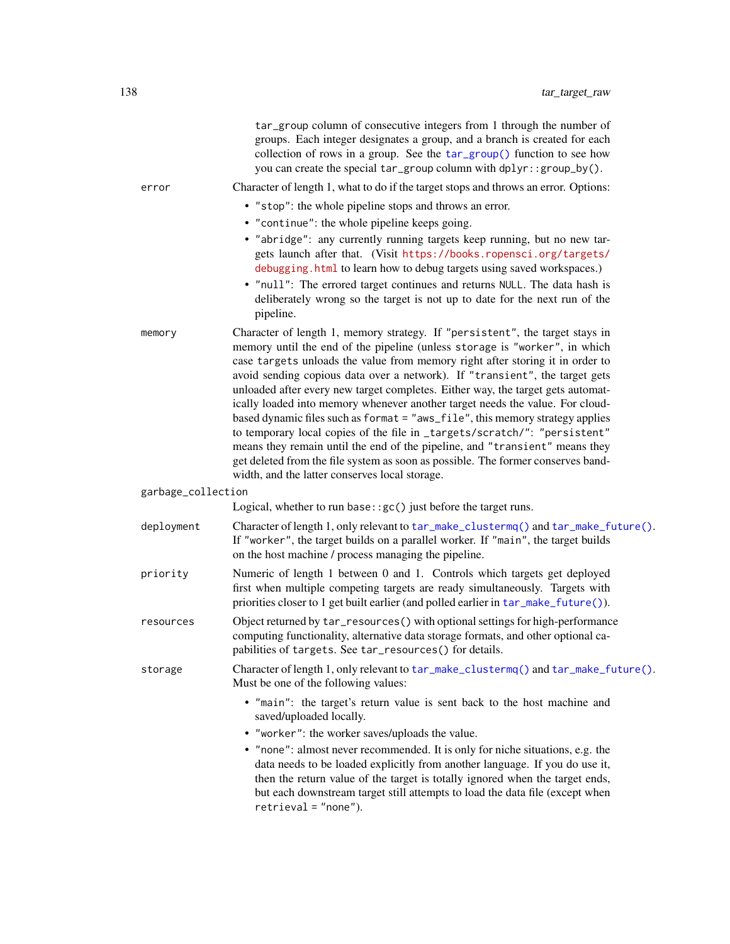|                    | tar_group column of consecutive integers from 1 through the number of<br>groups. Each integer designates a group, and a branch is created for each<br>collection of rows in a group. See the tar_group() function to see how<br>you can create the special tar_group column with dplyr::group_by().                                                                                                                                                                                                                                                                                                                                                                                                                                                                                                                                                                               |
|--------------------|-----------------------------------------------------------------------------------------------------------------------------------------------------------------------------------------------------------------------------------------------------------------------------------------------------------------------------------------------------------------------------------------------------------------------------------------------------------------------------------------------------------------------------------------------------------------------------------------------------------------------------------------------------------------------------------------------------------------------------------------------------------------------------------------------------------------------------------------------------------------------------------|
| error              | Character of length 1, what to do if the target stops and throws an error. Options:                                                                                                                                                                                                                                                                                                                                                                                                                                                                                                                                                                                                                                                                                                                                                                                               |
|                    | • "stop": the whole pipeline stops and throws an error.                                                                                                                                                                                                                                                                                                                                                                                                                                                                                                                                                                                                                                                                                                                                                                                                                           |
|                    | • "continue": the whole pipeline keeps going.                                                                                                                                                                                                                                                                                                                                                                                                                                                                                                                                                                                                                                                                                                                                                                                                                                     |
|                    | • "abridge": any currently running targets keep running, but no new tar-<br>gets launch after that. (Visit https://books.ropensci.org/targets/<br>debugging. html to learn how to debug targets using saved workspaces.)<br>. "null": The errored target continues and returns NULL. The data hash is<br>deliberately wrong so the target is not up to date for the next run of the<br>pipeline.                                                                                                                                                                                                                                                                                                                                                                                                                                                                                  |
| memory             | Character of length 1, memory strategy. If "persistent", the target stays in<br>memory until the end of the pipeline (unless storage is "worker", in which<br>case targets unloads the value from memory right after storing it in order to<br>avoid sending copious data over a network). If "transient", the target gets<br>unloaded after every new target completes. Either way, the target gets automat-<br>ically loaded into memory whenever another target needs the value. For cloud-<br>based dynamic files such as format = "aws_file", this memory strategy applies<br>to temporary local copies of the file in _targets/scratch/": "persistent"<br>means they remain until the end of the pipeline, and "transient" means they<br>get deleted from the file system as soon as possible. The former conserves band-<br>width, and the latter conserves local storage. |
| garbage_collection |                                                                                                                                                                                                                                                                                                                                                                                                                                                                                                                                                                                                                                                                                                                                                                                                                                                                                   |
|                    | Logical, whether to run base: : $gc()$ just before the target runs.                                                                                                                                                                                                                                                                                                                                                                                                                                                                                                                                                                                                                                                                                                                                                                                                               |
| deployment         | Character of length 1, only relevant to tar_make_clustermq() and tar_make_future().<br>If "worker", the target builds on a parallel worker. If "main", the target builds<br>on the host machine / process managing the pipeline.                                                                                                                                                                                                                                                                                                                                                                                                                                                                                                                                                                                                                                                  |
| priority           | Numeric of length 1 between 0 and 1. Controls which targets get deployed<br>first when multiple competing targets are ready simultaneously. Targets with<br>priorities closer to 1 get built earlier (and polled earlier in tar_make_future()).                                                                                                                                                                                                                                                                                                                                                                                                                                                                                                                                                                                                                                   |
| resources          | Object returned by tar_resources() with optional settings for high-performance<br>computing functionality, alternative data storage formats, and other optional ca-<br>pabilities of targets. See tar_resources() for details.                                                                                                                                                                                                                                                                                                                                                                                                                                                                                                                                                                                                                                                    |
| storage            | Character of length 1, only relevant to tar_make_clustermq() and tar_make_future().<br>Must be one of the following values:                                                                                                                                                                                                                                                                                                                                                                                                                                                                                                                                                                                                                                                                                                                                                       |
|                    | • "main": the target's return value is sent back to the host machine and<br>saved/uploaded locally.<br>• "worker": the worker saves/uploads the value.<br>• "none": almost never recommended. It is only for niche situations, e.g. the<br>data needs to be loaded explicitly from another language. If you do use it,<br>then the return value of the target is totally ignored when the target ends,<br>but each downstream target still attempts to load the data file (except when<br>$retrieval = "none").$                                                                                                                                                                                                                                                                                                                                                                  |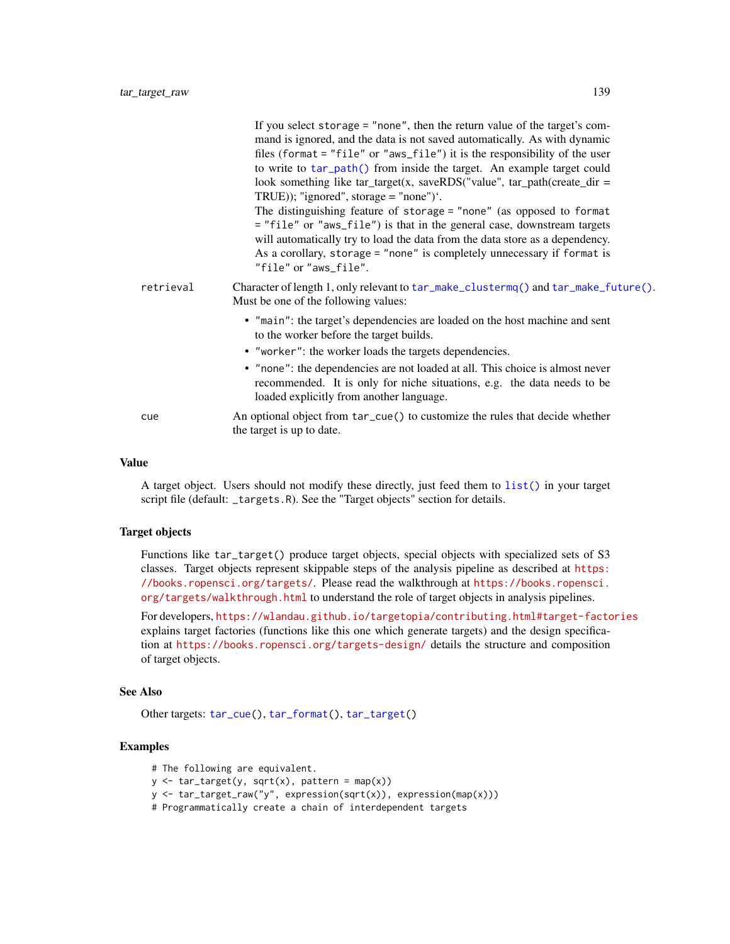| retrieval<br>Character of length 1, only relevant to $tar\_make\_clustermq()$ and $tar\_make\_future()$ .<br>Must be one of the following values:<br>• "main": the target's dependencies are loaded on the host machine and sent<br>to the worker before the target builds.<br>• "worker": the worker loads the targets dependencies.<br>• "none": the dependencies are not loaded at all. This choice is almost never<br>recommended. It is only for niche situations, e.g. the data needs to be<br>loaded explicitly from another language.<br>An optional object from tar_cue() to customize the rules that decide whether<br>cue<br>the target is up to date. | If you select storage $=$ "none", then the return value of the target's com-<br>mand is ignored, and the data is not saved automatically. As with dynamic<br>files (format $=$ "file" or "aws_file") it is the responsibility of the user<br>to write to tar_path() from inside the target. An example target could<br>look something like $tar\_target(x, saveRDS("value", tar\_path(created\_dir =$<br>TRUE)); "ignored", storage = "none") $\dot{ }$ .<br>The distinguishing feature of storage = "none" (as opposed to format<br>= "file" or "aws_file") is that in the general case, downstream targets<br>will automatically try to load the data from the data store as a dependency.<br>As a corollary, storage = "none" is completely unnecessary if format is<br>"file" or "aws_file". |
|-------------------------------------------------------------------------------------------------------------------------------------------------------------------------------------------------------------------------------------------------------------------------------------------------------------------------------------------------------------------------------------------------------------------------------------------------------------------------------------------------------------------------------------------------------------------------------------------------------------------------------------------------------------------|--------------------------------------------------------------------------------------------------------------------------------------------------------------------------------------------------------------------------------------------------------------------------------------------------------------------------------------------------------------------------------------------------------------------------------------------------------------------------------------------------------------------------------------------------------------------------------------------------------------------------------------------------------------------------------------------------------------------------------------------------------------------------------------------------|
|                                                                                                                                                                                                                                                                                                                                                                                                                                                                                                                                                                                                                                                                   |                                                                                                                                                                                                                                                                                                                                                                                                                                                                                                                                                                                                                                                                                                                                                                                                  |
|                                                                                                                                                                                                                                                                                                                                                                                                                                                                                                                                                                                                                                                                   |                                                                                                                                                                                                                                                                                                                                                                                                                                                                                                                                                                                                                                                                                                                                                                                                  |
|                                                                                                                                                                                                                                                                                                                                                                                                                                                                                                                                                                                                                                                                   |                                                                                                                                                                                                                                                                                                                                                                                                                                                                                                                                                                                                                                                                                                                                                                                                  |
|                                                                                                                                                                                                                                                                                                                                                                                                                                                                                                                                                                                                                                                                   |                                                                                                                                                                                                                                                                                                                                                                                                                                                                                                                                                                                                                                                                                                                                                                                                  |
|                                                                                                                                                                                                                                                                                                                                                                                                                                                                                                                                                                                                                                                                   |                                                                                                                                                                                                                                                                                                                                                                                                                                                                                                                                                                                                                                                                                                                                                                                                  |

A target object. Users should not modify these directly, just feed them to [list\(\)](#page-0-0) in your target script file (default: \_targets.R). See the "Target objects" section for details.

# Target objects

Functions like tar\_target() produce target objects, special objects with specialized sets of S3 classes. Target objects represent skippable steps of the analysis pipeline as described at [https:](https://books.ropensci.org/targets/) [//books.ropensci.org/targets/](https://books.ropensci.org/targets/). Please read the walkthrough at [https://books.ropensci.](https://books.ropensci.org/targets/walkthrough.html) [org/targets/walkthrough.html](https://books.ropensci.org/targets/walkthrough.html) to understand the role of target objects in analysis pipelines.

For developers, <https://wlandau.github.io/targetopia/contributing.html#target-factories> explains target factories (functions like this one which generate targets) and the design specification at <https://books.ropensci.org/targets-design/> details the structure and composition of target objects.

## See Also

Other targets: [tar\\_cue\(](#page-22-0)), [tar\\_format\(](#page-39-0)), [tar\\_target\(](#page-130-0))

```
# The following are equivalent.
y \le -\tan\theta(x), \text{sqrt}(x), \text{pattern} = \text{map}(x)y <- tar_target_raw("y", expression(sqrt(x)), expression(map(x)))
# Programmatically create a chain of interdependent targets
```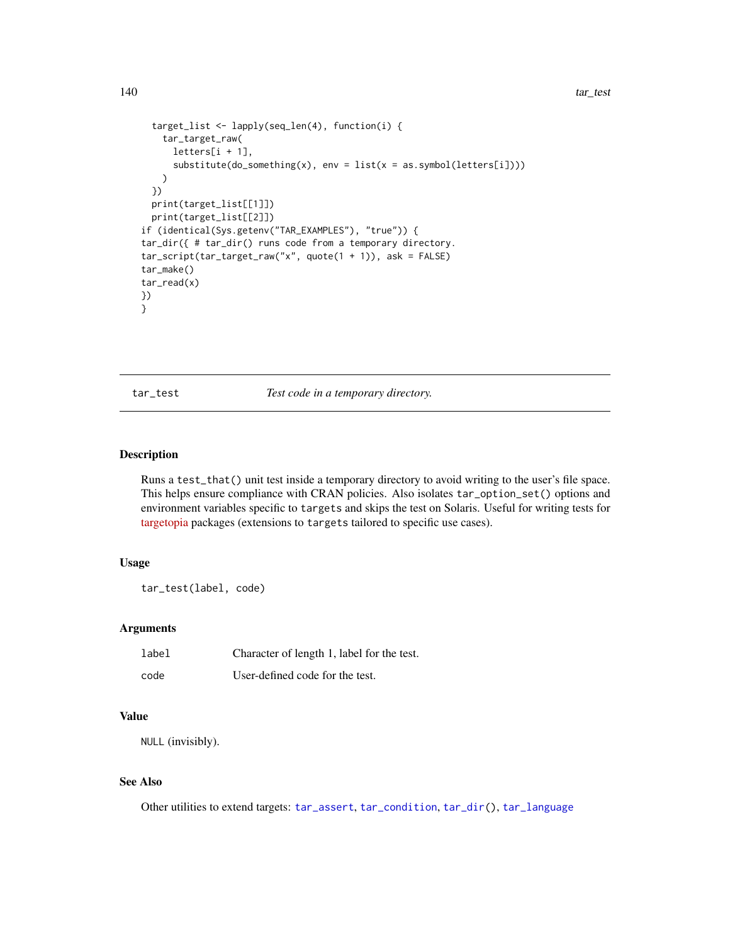```
target_list <- lapply(seq_len(4), function(i) {
   tar_target_raw(
     letters[i + 1],
     substitute(do_something(x), env = list(x = as.symbol(leftters[i]))))
 })
 print(target_list[[1]])
 print(target_list[[2]])
if (identical(Sys.getenv("TAR_EXAMPLES"), "true")) {
tar_dir({ # tar_dir() runs code from a temporary directory.
tar_script(tar_target_raw("x", quote(1 + 1)), ask = FALSE)
tar_make()
tar_read(x)
})
}
```
tar\_test *Test code in a temporary directory.*

# Description

Runs a test\_that() unit test inside a temporary directory to avoid writing to the user's file space. This helps ensure compliance with CRAN policies. Also isolates tar\_option\_set() options and environment variables specific to targets and skips the test on Solaris. Useful for writing tests for [targetopia](https://wlandau.github.io/targetopia/) packages (extensions to targets tailored to specific use cases).

# Usage

```
tar_test(label, code)
```
# Arguments

| label | Character of length 1, label for the test. |
|-------|--------------------------------------------|
| code  | User-defined code for the test.            |

# Value

NULL (invisibly).

# See Also

Other utilities to extend targets: [tar\\_assert](#page-5-0), [tar\\_condition](#page-15-0), [tar\\_dir\(](#page-29-0)), [tar\\_language](#page-51-0)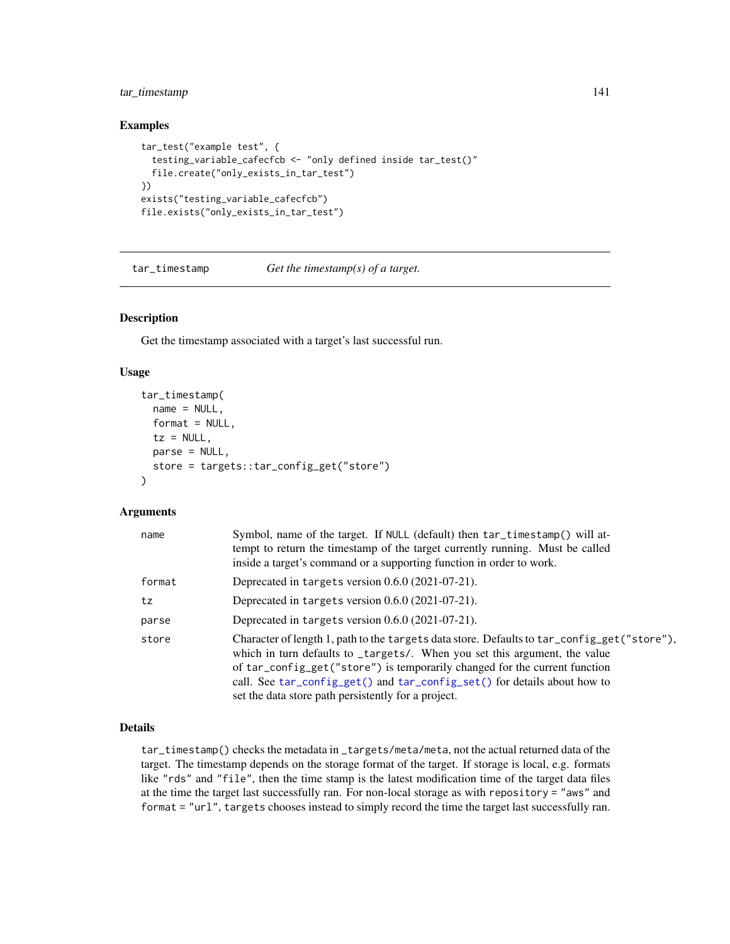# tar\_timestamp 141

## Examples

```
tar_test("example test", {
 testing_variable_cafecfcb <- "only defined inside tar_test()"
 file.create("only_exists_in_tar_test")
})
exists("testing_variable_cafecfcb")
file.exists("only_exists_in_tar_test")
```
<span id="page-140-0"></span>tar\_timestamp *Get the timestamp(s) of a target.*

#### Description

Get the timestamp associated with a target's last successful run.

# Usage

```
tar_timestamp(
 name = NULL,format = NULL,tz = NULL,parse = NULL,
  store = targets::tar_config_get("store")
\lambda
```
# Arguments

| name   | Symbol, name of the target. If NULL (default) then tar_timestamp() will at-<br>tempt to return the timestamp of the target currently running. Must be called<br>inside a target's command or a supporting function in order to work.                                                                                                                                                       |
|--------|--------------------------------------------------------------------------------------------------------------------------------------------------------------------------------------------------------------------------------------------------------------------------------------------------------------------------------------------------------------------------------------------|
| format | Deprecated in targets version 0.6.0 (2021-07-21).                                                                                                                                                                                                                                                                                                                                          |
| tz     | Deprecated in targets version $0.6.0$ (2021-07-21).                                                                                                                                                                                                                                                                                                                                        |
| parse  | Deprecated in targets version $0.6.0$ (2021-07-21).                                                                                                                                                                                                                                                                                                                                        |
| store  | Character of length 1, path to the targets data store. Defaults to tar_config_get("store"),<br>which in turn defaults to _targets/. When you set this argument, the value<br>of tar_config_get("store") is temporarily changed for the current function<br>call. See tar_config_get() and tar_config_set() for details about how to<br>set the data store path persistently for a project. |

# Details

tar\_timestamp() checks the metadata in \_targets/meta/meta, not the actual returned data of the target. The timestamp depends on the storage format of the target. If storage is local, e.g. formats like "rds" and "file", then the time stamp is the latest modification time of the target data files at the time the target last successfully ran. For non-local storage as with repository = "aws" and format = "url", targets chooses instead to simply record the time the target last successfully ran.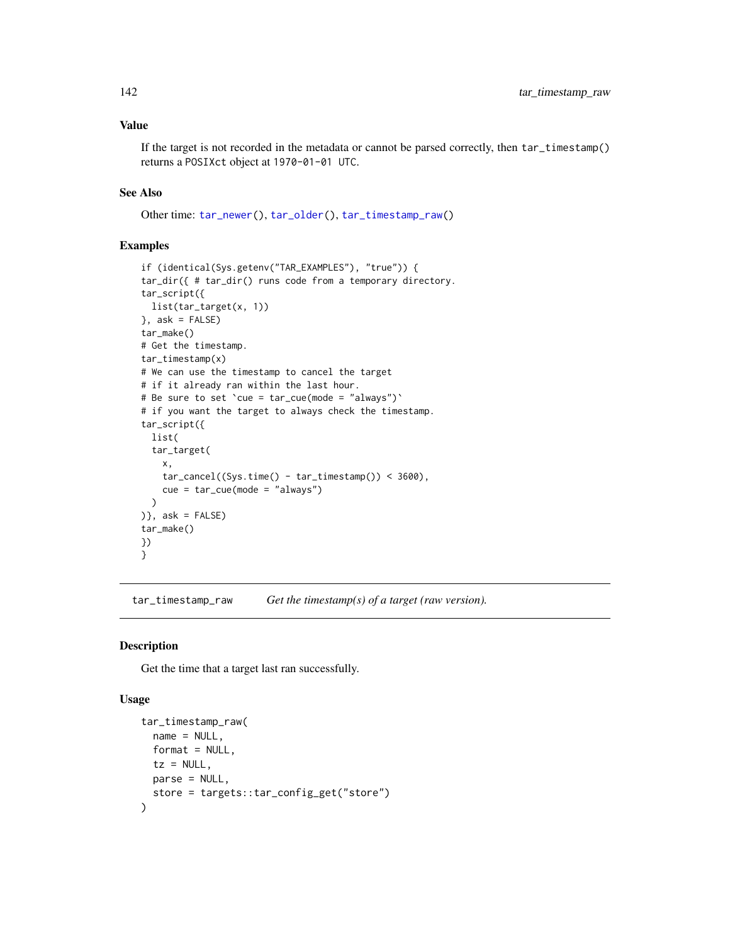If the target is not recorded in the metadata or cannot be parsed correctly, then tar\_timestamp() returns a POSIXct object at 1970-01-01 UTC.

# See Also

Other time: [tar\\_newer\(](#page-76-0)), [tar\\_older\(](#page-79-0)), [tar\\_timestamp\\_raw\(](#page-141-0))

# Examples

```
if (identical(Sys.getenv("TAR_EXAMPLES"), "true")) {
tar_dir({ # tar_dir() runs code from a temporary directory.
tar_script({
  list(tar_target(x, 1))
}, ask = FALSE)
tar_make()
# Get the timestamp.
tar_timestamp(x)
# We can use the timestamp to cancel the target
# if it already ran within the last hour.
# Be sure to set `cue = tar_cue(mode = "always")`
# if you want the target to always check the timestamp.
tar_script({
  list(
  tar_target(
   x,
    tar_cancel((Sys.time() - tar_timestamp()) < 3600),
   cue = tar_cue(mode = "always")
  )
)}, ask = FALSE)
tar_make()
})
}
```
<span id="page-141-0"></span>tar\_timestamp\_raw *Get the timestamp(s) of a target (raw version).*

# Description

Get the time that a target last ran successfully.

#### Usage

```
tar_timestamp_raw(
 name = NULL,format = NULL,tz = NULL,parse = NULL,
 store = targets::tar_config_get("store")
)
```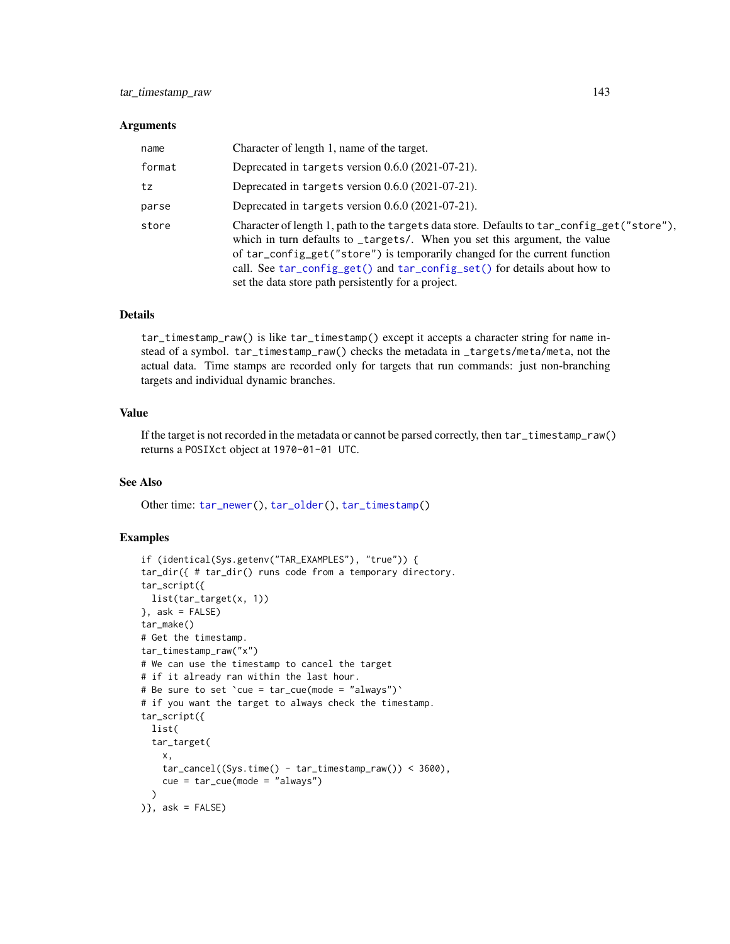#### **Arguments**

| name   | Character of length 1, name of the target.                                                                                                                                                                                                                                                                                                                                                 |
|--------|--------------------------------------------------------------------------------------------------------------------------------------------------------------------------------------------------------------------------------------------------------------------------------------------------------------------------------------------------------------------------------------------|
| format | Deprecated in targets version $0.6.0$ (2021-07-21).                                                                                                                                                                                                                                                                                                                                        |
| tz     | Deprecated in targets version 0.6.0 (2021-07-21).                                                                                                                                                                                                                                                                                                                                          |
| parse  | Deprecated in targets version 0.6.0 (2021-07-21).                                                                                                                                                                                                                                                                                                                                          |
| store  | Character of length 1, path to the targets data store. Defaults to tar_config_get("store"),<br>which in turn defaults to _targets/. When you set this argument, the value<br>of tar_config_get("store") is temporarily changed for the current function<br>call. See tar_config_get() and tar_config_set() for details about how to<br>set the data store path persistently for a project. |

## Details

tar\_timestamp\_raw() is like tar\_timestamp() except it accepts a character string for name instead of a symbol. tar\_timestamp\_raw() checks the metadata in \_targets/meta/meta, not the actual data. Time stamps are recorded only for targets that run commands: just non-branching targets and individual dynamic branches.

# Value

If the target is not recorded in the metadata or cannot be parsed correctly, then tar\_timestamp\_raw() returns a POSIXct object at 1970-01-01 UTC.

# See Also

Other time: [tar\\_newer\(](#page-76-0)), [tar\\_older\(](#page-79-0)), [tar\\_timestamp\(](#page-140-0))

```
if (identical(Sys.getenv("TAR_EXAMPLES"), "true")) {
tar_dir({ # tar_dir() runs code from a temporary directory.
tar_script({
 list(tar_target(x, 1))
}, ask = FALSE)
tar_make()
# Get the timestamp.
tar_timestamp_raw("x")
# We can use the timestamp to cancel the target
# if it already ran within the last hour.
# Be sure to set `cue = tar_cue(mode = "always")`
# if you want the target to always check the timestamp.
tar_script({
  list(
  tar_target(
   x,
    tar\_cancel((Sys.time() - tar_timestamp_raw()) < 3600),cue = tar_cue(mode = "always")
  \lambda)}, ask = FALSE)
```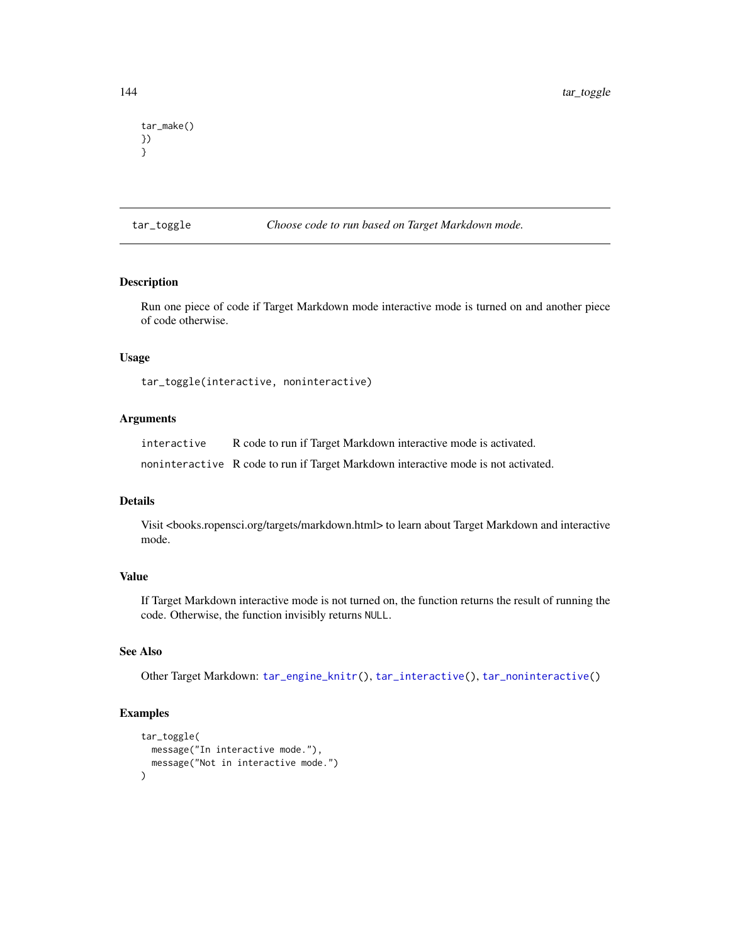```
tar_make()
})
}
```
tar\_toggle *Choose code to run based on Target Markdown mode.*

# Description

Run one piece of code if Target Markdown mode interactive mode is turned on and another piece of code otherwise.

#### Usage

tar\_toggle(interactive, noninteractive)

# Arguments

interactive R code to run if Target Markdown interactive mode is activated.

noninteractive R code to run if Target Markdown interactive mode is not activated.

# Details

Visit <br/>books.ropensci.org/targets/markdown.html> to learn about Target Markdown and interactive mode.

# Value

If Target Markdown interactive mode is not turned on, the function returns the result of running the code. Otherwise, the function invisibly returns NULL.

# See Also

Other Target Markdown: [tar\\_engine\\_knitr\(](#page-30-1)), [tar\\_interactive\(](#page-49-0)), [tar\\_noninteractive\(](#page-78-0))

```
tar_toggle(
 message("In interactive mode."),
 message("Not in interactive mode.")
)
```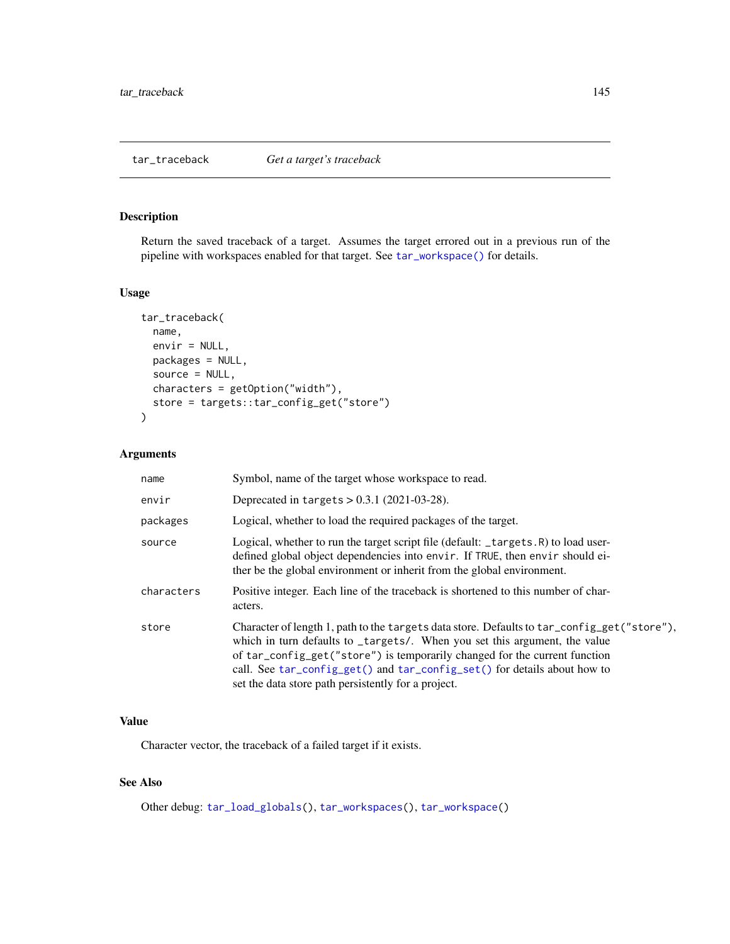# <span id="page-144-1"></span><span id="page-144-0"></span>Description

Return the saved traceback of a target. Assumes the target errored out in a previous run of the pipeline with workspaces enabled for that target. See [tar\\_workspace\(\)](#page-156-0) for details.

#### Usage

```
tar_traceback(
 name,
  envir = NULL,packages = NULL,
  source = NULL,characters = getOption("width"),
  store = targets::tar_config_get("store")
\mathcal{L}
```
# Arguments

| name       | Symbol, name of the target whose workspace to read.                                                                                                                                                                                                                                                                                                                                        |
|------------|--------------------------------------------------------------------------------------------------------------------------------------------------------------------------------------------------------------------------------------------------------------------------------------------------------------------------------------------------------------------------------------------|
| envir      | Deprecated in targets $> 0.3.1$ (2021-03-28).                                                                                                                                                                                                                                                                                                                                              |
| packages   | Logical, whether to load the required packages of the target.                                                                                                                                                                                                                                                                                                                              |
| source     | Logical, whether to run the target script file (default: _targets.R) to load user-<br>defined global object dependencies into envir. If TRUE, then envir should ei-<br>ther be the global environment or inherit from the global environment.                                                                                                                                              |
| characters | Positive integer. Each line of the traceback is shortened to this number of char-<br>acters.                                                                                                                                                                                                                                                                                               |
| store      | Character of length 1, path to the targets data store. Defaults to tar_config_get("store"),<br>which in turn defaults to _targets/. When you set this argument, the value<br>of tar_config_get("store") is temporarily changed for the current function<br>call. See tar_config_get() and tar_config_set() for details about how to<br>set the data store path persistently for a project. |

# Value

Character vector, the traceback of a failed target if it exists.

# See Also

Other debug: [tar\\_load\\_globals\(](#page-55-0)), [tar\\_workspaces\(](#page-158-0)), [tar\\_workspace\(](#page-156-0))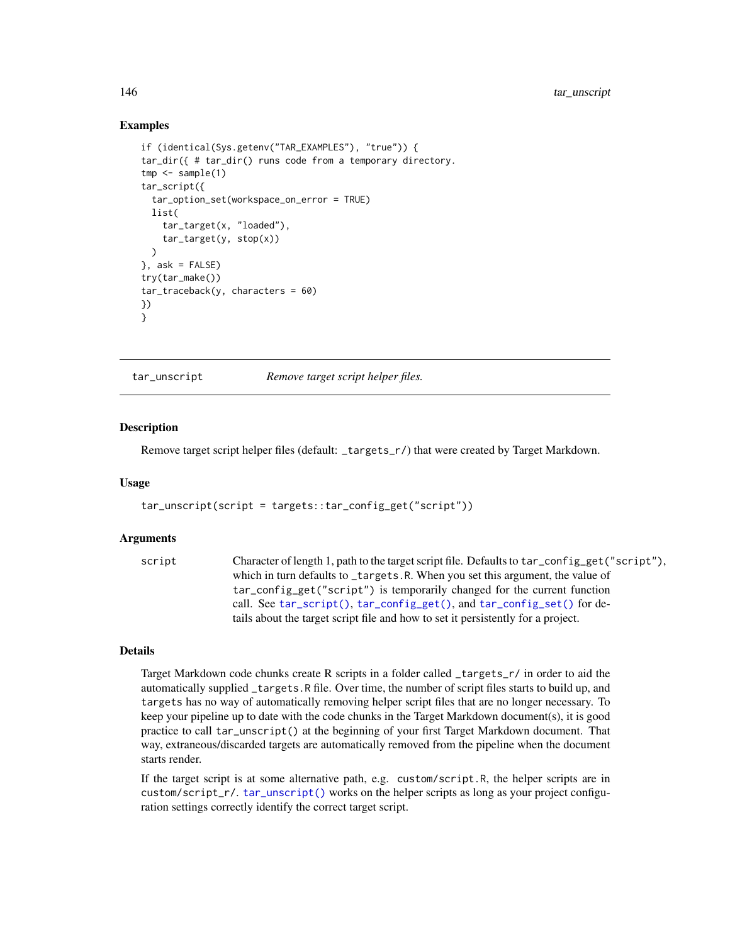#### Examples

```
if (identical(Sys.getenv("TAR_EXAMPLES"), "true")) {
tar_dir({ # tar_dir() runs code from a temporary directory.
tmp < - sample(1)tar_script({
  tar_option_set(workspace_on_error = TRUE)
  list(
    tar_target(x, "loaded"),
    tar_target(y, stop(x))
  \lambda}, ask = FALSE)
try(tar_make())
tar\_traceback(y, characters = 60)})
}
```
<span id="page-145-0"></span>

tar\_unscript *Remove target script helper files.*

#### **Description**

Remove target script helper files (default: \_targets\_r/) that were created by Target Markdown.

#### Usage

```
tar_unscript(script = targets::tar_config_get("script"))
```
#### Arguments

```
script Character of length 1, path to the target script file. Defaults to tar_config_get("script"),
                  which in turn defaults to _targets.R. When you set this argument, the value of
                  tar_config_get("script") is temporarily changed for the current function
                  call. See tar_script(), tar_config_get(), and tar_config_set() for de-
                  tails about the target script file and how to set it persistently for a project.
```
#### Details

Target Markdown code chunks create R scripts in a folder called \_targets\_r/ in order to aid the automatically supplied \_targets.R file. Over time, the number of script files starts to build up, and targets has no way of automatically removing helper script files that are no longer necessary. To keep your pipeline up to date with the code chunks in the Target Markdown document(s), it is good practice to call tar\_unscript() at the beginning of your first Target Markdown document. That way, extraneous/discarded targets are automatically removed from the pipeline when the document starts render.

If the target script is at some alternative path, e.g. custom/script.R, the helper scripts are in custom/script\_r/. [tar\\_unscript\(\)](#page-145-0) works on the helper scripts as long as your project configuration settings correctly identify the correct target script.

<span id="page-145-1"></span>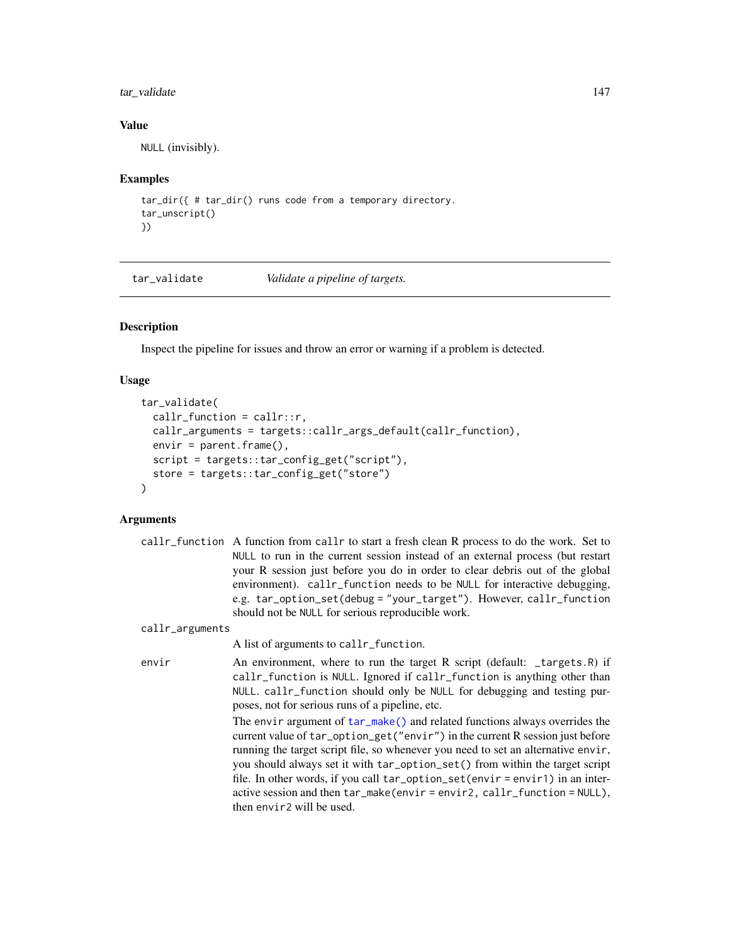# <span id="page-146-0"></span>tar\_validate 147

# Value

NULL (invisibly).

# Examples

```
tar_dir({ # tar_dir() runs code from a temporary directory.
tar_unscript()
})
```
tar\_validate *Validate a pipeline of targets.*

# Description

Inspect the pipeline for issues and throw an error or warning if a problem is detected.

# Usage

```
tar_validate(
 callr_function = callr::r,
 callr_arguments = targets::callr_args_default(callr_function),
 envir = parent.frame(),
  script = targets::tar_config_get("script"),
  store = targets::tar_config_get("store")
\mathcal{L}
```

|                 | callr_function A function from callr to start a fresh clean R process to do the work. Set to<br>NULL to run in the current session instead of an external process (but restart<br>your R session just before you do in order to clear debris out of the global<br>environment). callr_function needs to be NULL for interactive debugging,<br>e.g. tar_option_set(debug = "your_target"). However, callr_function<br>should not be NULL for serious reproducible work.                                                           |
|-----------------|----------------------------------------------------------------------------------------------------------------------------------------------------------------------------------------------------------------------------------------------------------------------------------------------------------------------------------------------------------------------------------------------------------------------------------------------------------------------------------------------------------------------------------|
| callr_arguments |                                                                                                                                                                                                                                                                                                                                                                                                                                                                                                                                  |
|                 | A list of arguments to callr_function.                                                                                                                                                                                                                                                                                                                                                                                                                                                                                           |
| envir           | An environment, where to run the target R script (default: _targets.R) if<br>callr_function is NULL. Ignored if callr_function is anything other than<br>NULL. callr_function should only be NULL for debugging and testing pur-<br>poses, not for serious runs of a pipeline, etc.                                                                                                                                                                                                                                              |
|                 | The envir argument of $tar_make()$ and related functions always overrides the<br>current value of tar_option_get("envir") in the current R session just before<br>running the target script file, so whenever you need to set an alternative envir,<br>you should always set it with tar_option_set() from within the target script<br>file. In other words, if you call tar_option_set(envir = envir1) in an inter-<br>active session and then $tar\_make(envir = envir2, callr_function = NULL),$<br>then envir2 will be used. |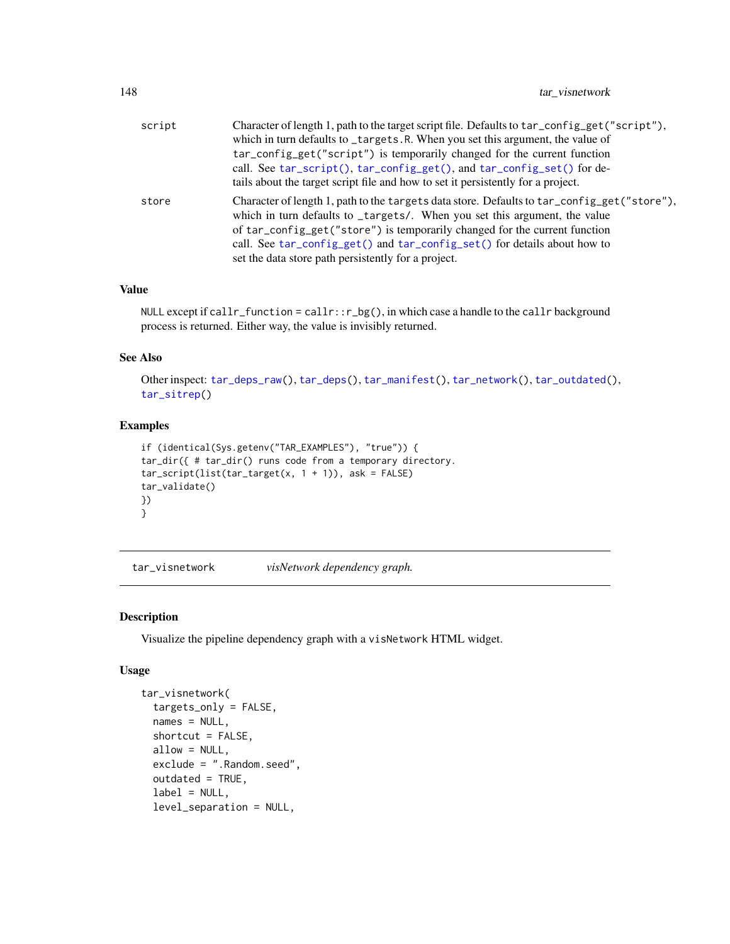<span id="page-147-1"></span>

| script | Character of length 1, path to the target script file. Defaults to tar_config_get("script"),<br>which in turn defaults to _targets.R. When you set this argument, the value of                                                                                                                                                      |
|--------|-------------------------------------------------------------------------------------------------------------------------------------------------------------------------------------------------------------------------------------------------------------------------------------------------------------------------------------|
|        | tar_config_get("script") is temporarily changed for the current function<br>call. See tar_script(), tar_config_get(), and tar_config_set() for de-<br>tails about the target script file and how to set it persistently for a project.                                                                                              |
| store  | Character of length 1, path to the targets data store. Defaults to tar_config_get("store"),<br>which in turn defaults to _targets/. When you set this argument, the value<br>of tar_config_get("store") is temporarily changed for the current function<br>call. See tar_config_get() and tar_config_set() for details about how to |
|        | set the data store path persistently for a project.                                                                                                                                                                                                                                                                                 |

# Value

NULL except if callr\_function = callr::r\_bg(), in which case a handle to the callr background process is returned. Either way, the value is invisibly returned.

#### See Also

Other inspect: [tar\\_deps\\_raw\(](#page-27-0)), [tar\\_deps\(](#page-26-0)), [tar\\_manifest\(](#page-65-0)), [tar\\_network\(](#page-74-0)), [tar\\_outdated\(](#page-89-0)), [tar\\_sitrep\(](#page-124-0))

# Examples

```
if (identical(Sys.getenv("TAR_EXAMPLES"), "true")) {
tar_dir({ # tar_dir() runs code from a temporary directory.
tar\_script(list(tar\_target(x, 1 + 1)), ask = FALSE)tar_validate()
})
}
```
<span id="page-147-0"></span>tar\_visnetwork *visNetwork dependency graph.*

# Description

Visualize the pipeline dependency graph with a visNetwork HTML widget.

#### Usage

```
tar_visnetwork(
  targets_only = FALSE,
  names = NULL,
  shortcut = FALSE,
  allow = NULL,
  exclude = ".Random.seed",
  outdated = TRUE,
  label = NULL,level_separation = NULL,
```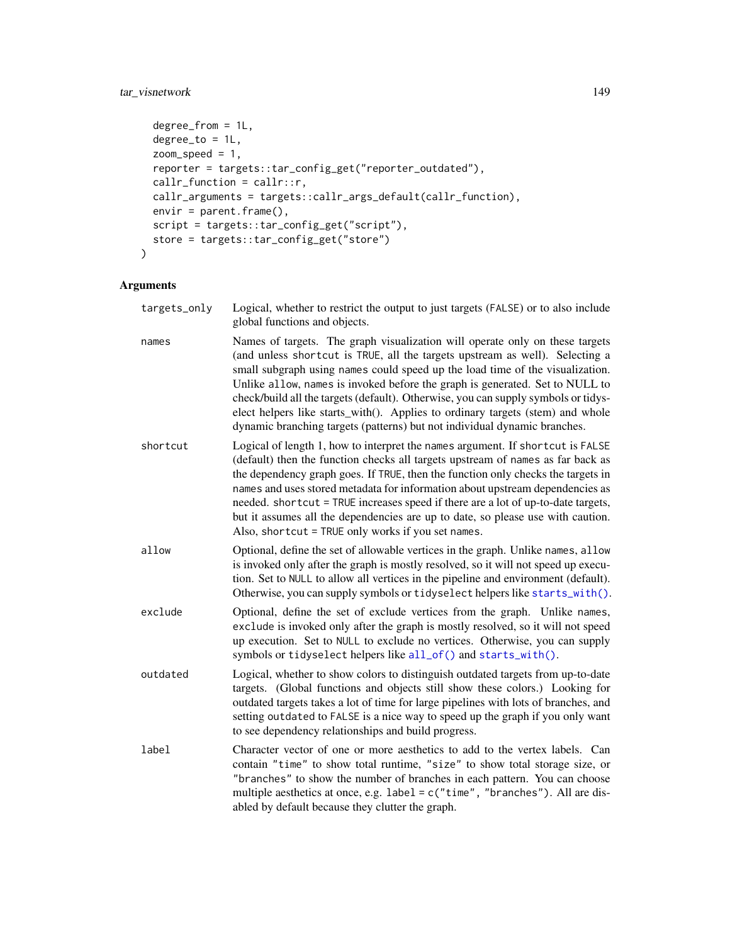# <span id="page-148-0"></span>tar\_visnetwork 149

```
degree_from = 1L,
 degree_to = 1L,
 zoom\_speed = 1,reporter = targets::tar_config_get("reporter_outdated"),
  callr_function = callr::r,
 callr_arguments = targets::callr_args_default(callr_function),
 envir = parent.frame(),script = targets::tar_config_get("script"),
 store = targets::tar_config_get("store")
\mathcal{L}
```

| targets_only | Logical, whether to restrict the output to just targets (FALSE) or to also include<br>global functions and objects.                                                                                                                                                                                                                                                                                                                                                                                                                                                                |
|--------------|------------------------------------------------------------------------------------------------------------------------------------------------------------------------------------------------------------------------------------------------------------------------------------------------------------------------------------------------------------------------------------------------------------------------------------------------------------------------------------------------------------------------------------------------------------------------------------|
| names        | Names of targets. The graph visualization will operate only on these targets<br>(and unless shortcut is TRUE, all the targets upstream as well). Selecting a<br>small subgraph using names could speed up the load time of the visualization.<br>Unlike allow, names is invoked before the graph is generated. Set to NULL to<br>check/build all the targets (default). Otherwise, you can supply symbols or tidys-<br>elect helpers like starts_with(). Applies to ordinary targets (stem) and whole<br>dynamic branching targets (patterns) but not individual dynamic branches. |
| shortcut     | Logical of length 1, how to interpret the names argument. If shortcut is FALSE<br>(default) then the function checks all targets upstream of names as far back as<br>the dependency graph goes. If TRUE, then the function only checks the targets in<br>names and uses stored metadata for information about upstream dependencies as<br>needed. shortcut = TRUE increases speed if there are a lot of up-to-date targets,<br>but it assumes all the dependencies are up to date, so please use with caution.<br>Also, shortcut = TRUE only works if you set names.               |
| allow        | Optional, define the set of allowable vertices in the graph. Unlike names, allow<br>is invoked only after the graph is mostly resolved, so it will not speed up execu-<br>tion. Set to NULL to allow all vertices in the pipeline and environment (default).<br>Otherwise, you can supply symbols or tidyselect helpers like starts_with().                                                                                                                                                                                                                                        |
| exclude      | Optional, define the set of exclude vertices from the graph. Unlike names,<br>exclude is invoked only after the graph is mostly resolved, so it will not speed<br>up execution. Set to NULL to exclude no vertices. Otherwise, you can supply<br>symbols or tidyselect helpers like all_of() and starts_with().                                                                                                                                                                                                                                                                    |
| outdated     | Logical, whether to show colors to distinguish outdated targets from up-to-date<br>targets. (Global functions and objects still show these colors.) Looking for<br>outdated targets takes a lot of time for large pipelines with lots of branches, and<br>setting outdated to FALSE is a nice way to speed up the graph if you only want<br>to see dependency relationships and build progress.                                                                                                                                                                                    |
| label        | Character vector of one or more aesthetics to add to the vertex labels. Can<br>contain "time" to show total runtime, "size" to show total storage size, or<br>"branches" to show the number of branches in each pattern. You can choose<br>multiple aesthetics at once, e.g. label = c("time", "branches"). All are dis-<br>abled by default because they clutter the graph.                                                                                                                                                                                                       |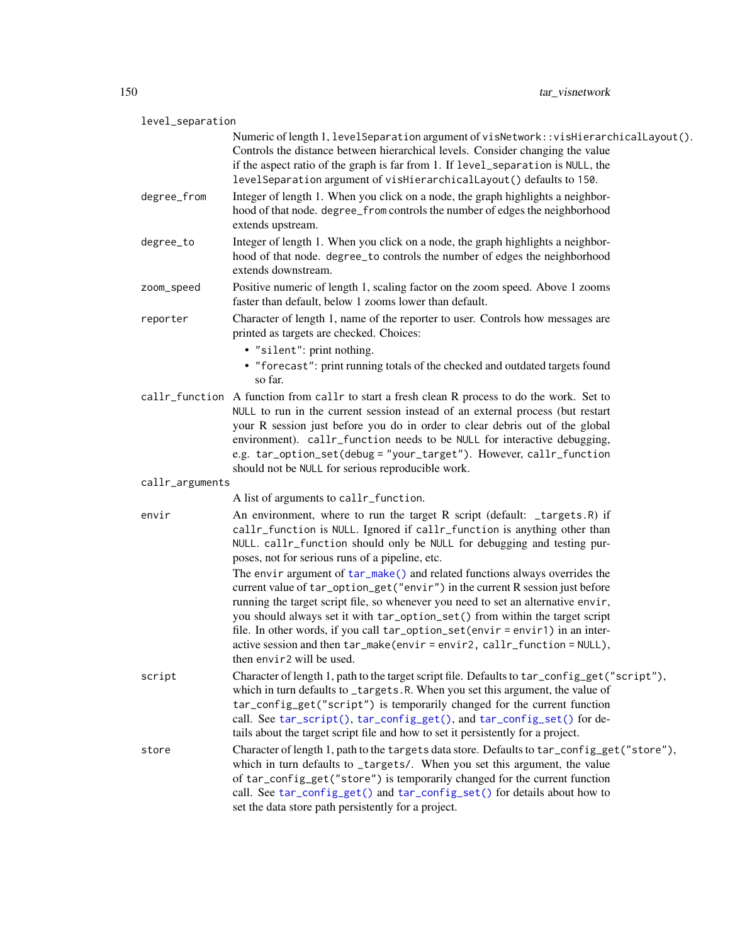<span id="page-149-0"></span>

| level_separation |                                                                                                                                                                                                                                                                                                                                                                                                                                                                                                                                                                                                                                                                                                                                                                                                                |
|------------------|----------------------------------------------------------------------------------------------------------------------------------------------------------------------------------------------------------------------------------------------------------------------------------------------------------------------------------------------------------------------------------------------------------------------------------------------------------------------------------------------------------------------------------------------------------------------------------------------------------------------------------------------------------------------------------------------------------------------------------------------------------------------------------------------------------------|
|                  | Numeric of length 1, level Separation argument of visNetwork:: visHierarchicalLayout().<br>Controls the distance between hierarchical levels. Consider changing the value<br>if the aspect ratio of the graph is far from 1. If level_separation is NULL, the<br>levelSeparation argument of visHierarchicalLayout() defaults to 150.                                                                                                                                                                                                                                                                                                                                                                                                                                                                          |
| degree_from      | Integer of length 1. When you click on a node, the graph highlights a neighbor-<br>hood of that node. degree_from controls the number of edges the neighborhood<br>extends upstream.                                                                                                                                                                                                                                                                                                                                                                                                                                                                                                                                                                                                                           |
| degree_to        | Integer of length 1. When you click on a node, the graph highlights a neighbor-<br>hood of that node. degree_to controls the number of edges the neighborhood<br>extends downstream.                                                                                                                                                                                                                                                                                                                                                                                                                                                                                                                                                                                                                           |
| zoom_speed       | Positive numeric of length 1, scaling factor on the zoom speed. Above 1 zooms<br>faster than default, below 1 zooms lower than default.                                                                                                                                                                                                                                                                                                                                                                                                                                                                                                                                                                                                                                                                        |
| reporter         | Character of length 1, name of the reporter to user. Controls how messages are<br>printed as targets are checked. Choices:                                                                                                                                                                                                                                                                                                                                                                                                                                                                                                                                                                                                                                                                                     |
|                  | • "silent": print nothing.<br>• "forecast": print running totals of the checked and outdated targets found<br>so far.                                                                                                                                                                                                                                                                                                                                                                                                                                                                                                                                                                                                                                                                                          |
|                  | callr_function A function from callr to start a fresh clean R process to do the work. Set to<br>NULL to run in the current session instead of an external process (but restart<br>your R session just before you do in order to clear debris out of the global<br>environment). callr_function needs to be NULL for interactive debugging,<br>e.g. tar_option_set(debug = "your_target"). However, callr_function<br>should not be NULL for serious reproducible work.                                                                                                                                                                                                                                                                                                                                         |
| callr_arguments  |                                                                                                                                                                                                                                                                                                                                                                                                                                                                                                                                                                                                                                                                                                                                                                                                                |
|                  | A list of arguments to callr_function.                                                                                                                                                                                                                                                                                                                                                                                                                                                                                                                                                                                                                                                                                                                                                                         |
| envir            | An environment, where to run the target R script (default: _targets.R) if<br>callr_function is NULL. Ignored if callr_function is anything other than<br>NULL. callr_function should only be NULL for debugging and testing pur-<br>poses, not for serious runs of a pipeline, etc.<br>The envir argument of tar_make() and related functions always overrides the<br>current value of tar_option_get("envir") in the current R session just before<br>running the target script file, so whenever you need to set an alternative envir,<br>you should always set it with tar_option_set() from within the target script<br>file. In other words, if you call tar_option_set(envir = envir1) in an inter-<br>active session and then tar_make(envir=envir2, callr_function=NULL),<br>then envir2 will be used. |
| script           | Character of length 1, path to the target script file. Defaults to tar_config_get("script"),<br>which in turn defaults to _targets.R. When you set this argument, the value of<br>tar_config_get("script") is temporarily changed for the current function<br>call. See tar_script(), tar_config_get(), and tar_config_set() for de-<br>tails about the target script file and how to set it persistently for a project.                                                                                                                                                                                                                                                                                                                                                                                       |
| store            | Character of length 1, path to the targets data store. Defaults to tar_config_get("store"),<br>which in turn defaults to _targets/. When you set this argument, the value<br>of tar_config_get("store") is temporarily changed for the current function<br>call. See tar_config_get() and tar_config_set() for details about how to<br>set the data store path persistently for a project.                                                                                                                                                                                                                                                                                                                                                                                                                     |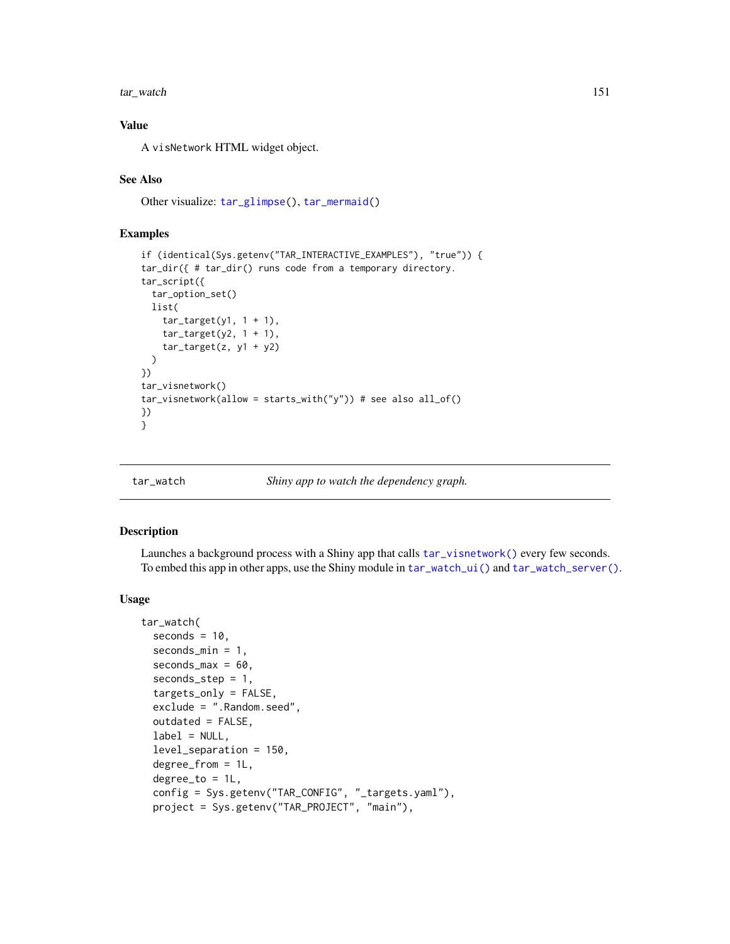<span id="page-150-1"></span>tar\_watch 151

# Value

A visNetwork HTML widget object.

#### See Also

Other visualize: [tar\\_glimpse\(](#page-43-0)), [tar\\_mermaid\(](#page-67-0))

#### Examples

```
if (identical(Sys.getenv("TAR_INTERACTIVE_EXAMPLES"), "true")) {
tar_dir({ # tar_dir() runs code from a temporary directory.
tar_script({
 tar_option_set()
 list(
   tar\_target(y1, 1 + 1),tar\_target(y2, 1 + 1),tar\_target(z, y1 + y2))
})
tar_visnetwork()
tar_visnetwork(allow = starts_with("y")) # see also all_of()
})
}
```
<span id="page-150-0"></span>tar\_watch *Shiny app to watch the dependency graph.*

#### Description

Launches a background process with a Shiny app that calls [tar\\_visnetwork\(\)](#page-147-0) every few seconds. To embed this app in other apps, use the Shiny module in [tar\\_watch\\_ui\(\)](#page-155-0) and [tar\\_watch\\_server\(\)](#page-153-0).

#### Usage

```
tar_watch(
  seconds = 10,
  seconds_min = 1,
  seconds\_max = 60,seconds_step = 1,
  targets_only = FALSE,
  exclude = ".Random.seed",
  outdated = FALSE,
  label = NULL,
  level_separation = 150,
  degree_from = 1L,
  degree_to = 1L,
  config = Sys.getenv("TAR_CONFIG", "_targets.yaml"),
  project = Sys.getenv("TAR_PROJECT", "main"),
```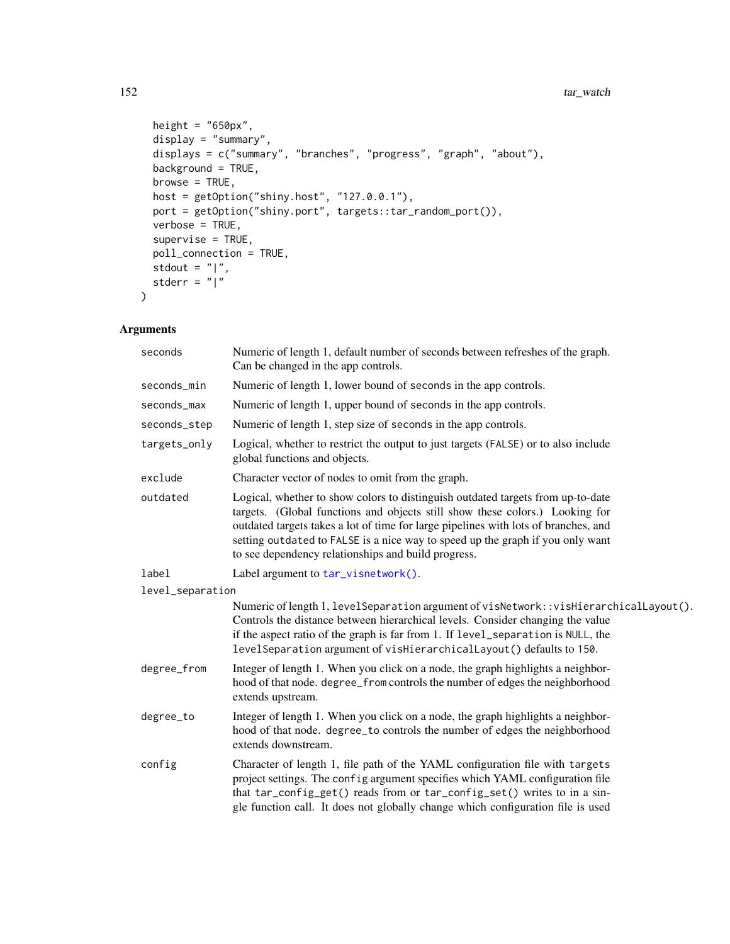#### 152 tar watch

```
height = "650px",
  display = "summary",
 displays = c("summary", "branches", "progress", "graph", "about"),
 background = TRUE,
 browse = TRUE,
 host = getOption("shiny.host", "127.0.0.1"),
 port = getOption("shiny.port", targets::tar_random_port()),
 verbose = TRUE,
  supervise = TRUE,
 poll_connection = TRUE,
  stdout = "|",stderr = "|"
\mathcal{L}
```

| seconds          | Numeric of length 1, default number of seconds between refreshes of the graph.<br>Can be changed in the app controls.                                                                                                                                                                                                                                                                           |
|------------------|-------------------------------------------------------------------------------------------------------------------------------------------------------------------------------------------------------------------------------------------------------------------------------------------------------------------------------------------------------------------------------------------------|
| seconds_min      | Numeric of length 1, lower bound of seconds in the app controls.                                                                                                                                                                                                                                                                                                                                |
| seconds_max      | Numeric of length 1, upper bound of seconds in the app controls.                                                                                                                                                                                                                                                                                                                                |
| seconds_step     | Numeric of length 1, step size of seconds in the app controls.                                                                                                                                                                                                                                                                                                                                  |
| targets_only     | Logical, whether to restrict the output to just targets (FALSE) or to also include<br>global functions and objects.                                                                                                                                                                                                                                                                             |
| exclude          | Character vector of nodes to omit from the graph.                                                                                                                                                                                                                                                                                                                                               |
| outdated         | Logical, whether to show colors to distinguish outdated targets from up-to-date<br>targets. (Global functions and objects still show these colors.) Looking for<br>outdated targets takes a lot of time for large pipelines with lots of branches, and<br>setting outdated to FALSE is a nice way to speed up the graph if you only want<br>to see dependency relationships and build progress. |
| label            | Label argument to tar_visnetwork().                                                                                                                                                                                                                                                                                                                                                             |
| level_separation |                                                                                                                                                                                                                                                                                                                                                                                                 |
|                  | Numeric of length 1, level Separation argument of visNetwork: : visHierarchicalLayout().<br>Controls the distance between hierarchical levels. Consider changing the value<br>if the aspect ratio of the graph is far from 1. If level_separation is NULL, the<br>levelSeparation argument of visHierarchicalLayout() defaults to 150.                                                          |
| degree_from      | Integer of length 1. When you click on a node, the graph highlights a neighbor-<br>hood of that node. degree_from controls the number of edges the neighborhood<br>extends upstream.                                                                                                                                                                                                            |
| degree_to        | Integer of length 1. When you click on a node, the graph highlights a neighbor-<br>hood of that node. degree_to controls the number of edges the neighborhood<br>extends downstream.                                                                                                                                                                                                            |
| config           | Character of length 1, file path of the YAML configuration file with targets<br>project settings. The config argument specifies which YAML configuration file<br>that tar_config_get() reads from or tar_config_set() writes to in a sin-<br>gle function call. It does not globally change which configuration file is used                                                                    |

<span id="page-151-0"></span>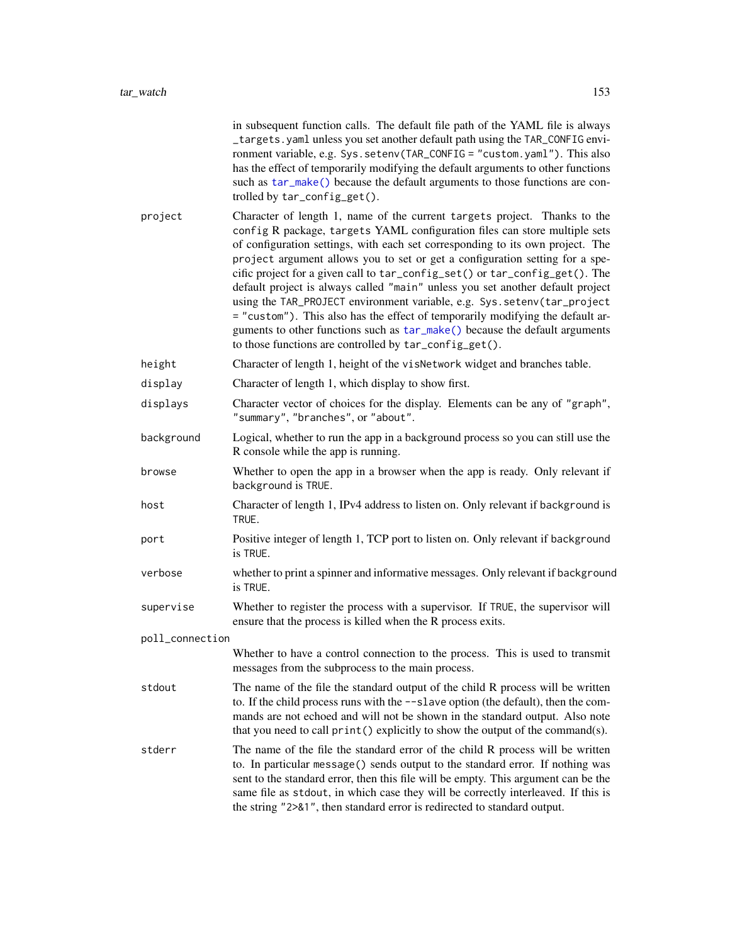<span id="page-152-0"></span>

|                 | in subsequent function calls. The default file path of the YAML file is always<br>_targets.yaml unless you set another default path using the TAR_CONFIG envi-<br>ronment variable, e.g. Sys. setenv(TAR_CONFIG = "custom. yaml"). This also<br>has the effect of temporarily modifying the default arguments to other functions<br>such as tar_make() because the default arguments to those functions are con-<br>trolled by tar_config_get().                                                                                                                                                                                                                                                                                                                                                 |
|-----------------|--------------------------------------------------------------------------------------------------------------------------------------------------------------------------------------------------------------------------------------------------------------------------------------------------------------------------------------------------------------------------------------------------------------------------------------------------------------------------------------------------------------------------------------------------------------------------------------------------------------------------------------------------------------------------------------------------------------------------------------------------------------------------------------------------|
| project         | Character of length 1, name of the current targets project. Thanks to the<br>config R package, targets YAML configuration files can store multiple sets<br>of configuration settings, with each set corresponding to its own project. The<br>project argument allows you to set or get a configuration setting for a spe-<br>cific project for a given call to tar_config_set() or tar_config_get(). The<br>default project is always called "main" unless you set another default project<br>using the TAR_PROJECT environment variable, e.g. Sys.setenv(tar_project<br>= "custom"). This also has the effect of temporarily modifying the default ar-<br>guments to other functions such as tar_make() because the default arguments<br>to those functions are controlled by tar_config_get(). |
| height          | Character of length 1, height of the visNetwork widget and branches table.                                                                                                                                                                                                                                                                                                                                                                                                                                                                                                                                                                                                                                                                                                                       |
| display         | Character of length 1, which display to show first.                                                                                                                                                                                                                                                                                                                                                                                                                                                                                                                                                                                                                                                                                                                                              |
| displays        | Character vector of choices for the display. Elements can be any of "graph",<br>"summary", "branches", or "about".                                                                                                                                                                                                                                                                                                                                                                                                                                                                                                                                                                                                                                                                               |
| background      | Logical, whether to run the app in a background process so you can still use the<br>R console while the app is running.                                                                                                                                                                                                                                                                                                                                                                                                                                                                                                                                                                                                                                                                          |
| browse          | Whether to open the app in a browser when the app is ready. Only relevant if<br>background is TRUE.                                                                                                                                                                                                                                                                                                                                                                                                                                                                                                                                                                                                                                                                                              |
| host            | Character of length 1, IPv4 address to listen on. Only relevant if background is<br>TRUE.                                                                                                                                                                                                                                                                                                                                                                                                                                                                                                                                                                                                                                                                                                        |
| port            | Positive integer of length 1, TCP port to listen on. Only relevant if background<br>is TRUE.                                                                                                                                                                                                                                                                                                                                                                                                                                                                                                                                                                                                                                                                                                     |
| verbose         | whether to print a spinner and informative messages. Only relevant if background<br>is TRUE.                                                                                                                                                                                                                                                                                                                                                                                                                                                                                                                                                                                                                                                                                                     |
| supervise       | Whether to register the process with a supervisor. If TRUE, the supervisor will<br>ensure that the process is killed when the R process exits.                                                                                                                                                                                                                                                                                                                                                                                                                                                                                                                                                                                                                                                   |
| poll_connection |                                                                                                                                                                                                                                                                                                                                                                                                                                                                                                                                                                                                                                                                                                                                                                                                  |
|                 | Whether to have a control connection to the process. This is used to transmit<br>messages from the subprocess to the main process.                                                                                                                                                                                                                                                                                                                                                                                                                                                                                                                                                                                                                                                               |
| stdout          | The name of the file the standard output of the child R process will be written<br>to. If the child process runs with the --slave option (the default), then the com-<br>mands are not echoed and will not be shown in the standard output. Also note<br>that you need to call print () explicitly to show the output of the command(s).                                                                                                                                                                                                                                                                                                                                                                                                                                                         |
| stderr          | The name of the file the standard error of the child R process will be written<br>to. In particular message() sends output to the standard error. If nothing was<br>sent to the standard error, then this file will be empty. This argument can be the<br>same file as stdout, in which case they will be correctly interleaved. If this is<br>the string "2>&1", then standard error is redirected to standard output.                                                                                                                                                                                                                                                                                                                                                                          |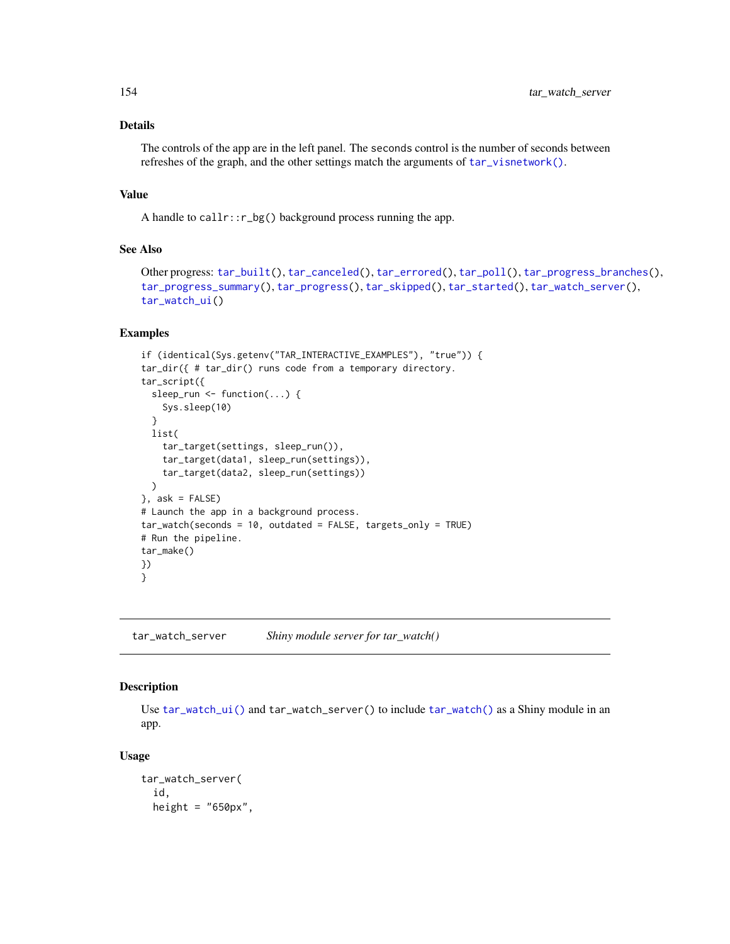# Details

The controls of the app are in the left panel. The seconds control is the number of seconds between refreshes of the graph, and the other settings match the arguments of [tar\\_visnetwork\(\)](#page-147-0).

#### Value

A handle to callr::r\_bg() background process running the app.

# See Also

```
Other progress: tar_built(), tar_canceled(), tar_errored(), tar_poll(), tar_progress_branches(),
tar_progress_summary(), tar_progress(), tar_skipped(), tar_started(), tar_watch_server(),
tar_watch_ui()
```
#### Examples

```
if (identical(Sys.getenv("TAR_INTERACTIVE_EXAMPLES"), "true")) {
tar_dir({ # tar_dir() runs code from a temporary directory.
tar_script({
 sleep_run <- function(...) {
   Sys.sleep(10)
 }
 list(
    tar_target(settings, sleep_run()),
    tar_target(data1, sleep_run(settings)),
    tar_target(data2, sleep_run(settings))
 )
}, ask = FALSE)
# Launch the app in a background process.
tar_watch(seconds = 10, outdated = FALSE, targets_only = TRUE)
# Run the pipeline.
tar_make()
})
}
```
<span id="page-153-0"></span>tar\_watch\_server *Shiny module server for tar\_watch()*

#### Description

Use [tar\\_watch\\_ui\(\)](#page-155-0) and tar\_watch\_server() to include [tar\\_watch\(\)](#page-150-0) as a Shiny module in an app.

#### Usage

```
tar_watch_server(
  id,
  height = "650px",
```
<span id="page-153-1"></span>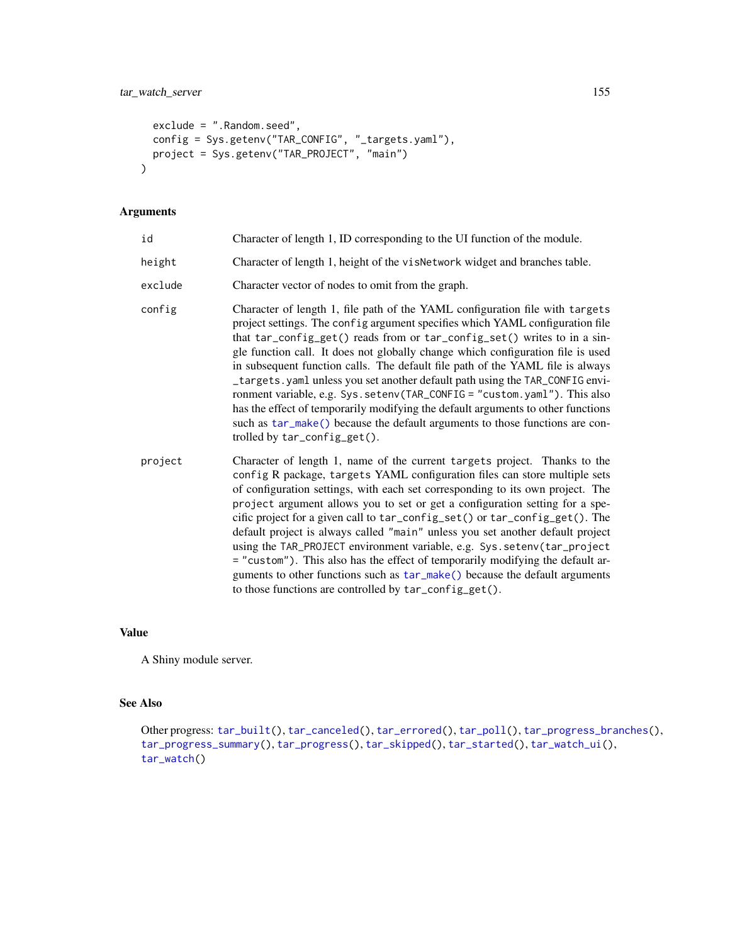```
exclude = ".Random.seed",
 config = Sys.getenv("TAR_CONFIG", "_targets.yaml"),
 project = Sys.getenv("TAR_PROJECT", "main")
\mathcal{L}
```
#### Arguments

| id      | Character of length 1, ID corresponding to the UI function of the module.                                                                                                                                                                                                                                                                                                                                                                                                                                                                                                                                                                                                                                                                                                                           |
|---------|-----------------------------------------------------------------------------------------------------------------------------------------------------------------------------------------------------------------------------------------------------------------------------------------------------------------------------------------------------------------------------------------------------------------------------------------------------------------------------------------------------------------------------------------------------------------------------------------------------------------------------------------------------------------------------------------------------------------------------------------------------------------------------------------------------|
| height  | Character of length 1, height of the visNetwork widget and branches table.                                                                                                                                                                                                                                                                                                                                                                                                                                                                                                                                                                                                                                                                                                                          |
| exclude | Character vector of nodes to omit from the graph.                                                                                                                                                                                                                                                                                                                                                                                                                                                                                                                                                                                                                                                                                                                                                   |
| config  | Character of length 1, file path of the YAML configuration file with targets<br>project settings. The config argument specifies which YAML configuration file<br>that tar_config_get() reads from or tar_config_set() writes to in a sin-<br>gle function call. It does not globally change which configuration file is used<br>in subsequent function calls. The default file path of the YAML file is always<br>_targets.yaml unless you set another default path using the TAR_CONFIG envi-<br>ronment variable, e.g. Sys. setenv(TAR_CONFIG = "custom. yaml"). This also<br>has the effect of temporarily modifying the default arguments to other functions<br>such as tar_make() because the default arguments to those functions are con-<br>trolled by $tar\_config\_get()$ .               |
| project | Character of length 1, name of the current targets project. Thanks to the<br>config R package, targets YAML configuration files can store multiple sets<br>of configuration settings, with each set corresponding to its own project. The<br>project argument allows you to set or get a configuration setting for a spe-<br>cific project for a given call to tar_config_set() or tar_config_get(). The<br>default project is always called "main" unless you set another default project<br>using the TAR_PROJECT environment variable, e.g. Sys.setenv(tar_project<br>= "custom"). This also has the effect of temporarily modifying the default ar-<br>guments to other functions such as $tar\_make()$ because the default arguments<br>to those functions are controlled by tar_config_get(). |

# Value

A Shiny module server.

# See Also

```
Other progress: tar_built(), tar_canceled(), tar_errored(), tar_poll(), tar_progress_branches(),
tar_progress_summary(), tar_progress(), tar_skipped(), tar_started(), tar_watch_ui(),
tar_watch()
```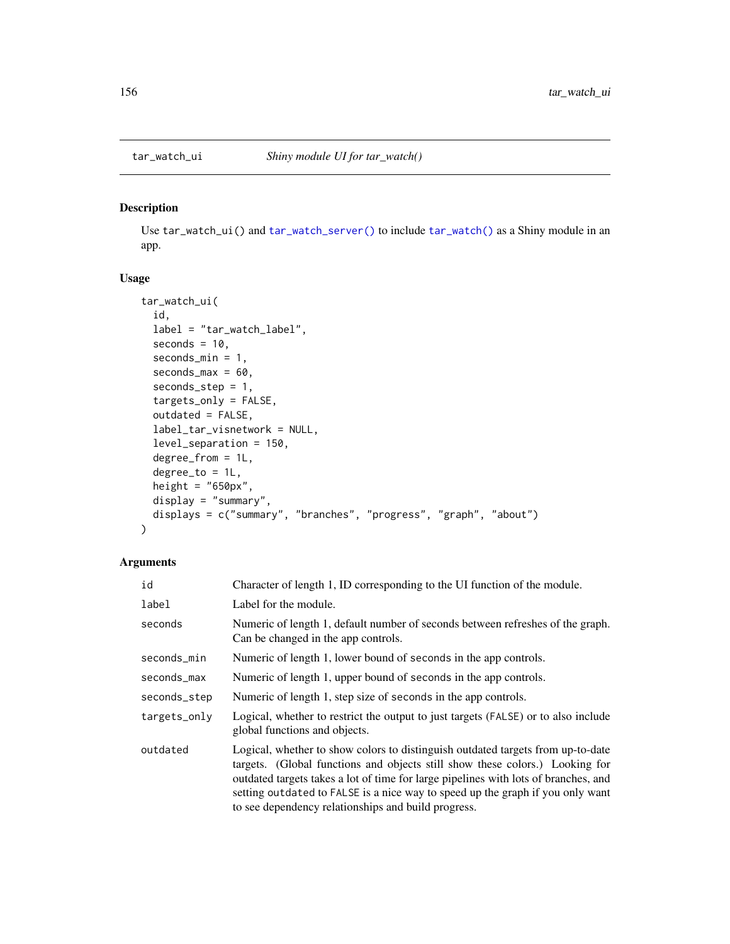<span id="page-155-1"></span><span id="page-155-0"></span>

# Description

Use tar\_watch\_ui() and [tar\\_watch\\_server\(\)](#page-153-0) to include [tar\\_watch\(\)](#page-150-0) as a Shiny module in an app.

#### Usage

```
tar_watch_ui(
  id,
 label = "tar_watch_label",
 seconds = 10,
  seconds_min = 1,
  seconds\_max = 60,seconds_step = 1,
  targets_only = FALSE,
  outdated = FALSE,
  label_tar_visnetwork = NULL,
  level_separation = 150,
  degree_from = 1L,
  degree_to = 1L,
 height = "650px",
 display = "summary",
 displays = c("summary", "branches", "progress", "graph", "about")
)
```

| id           | Character of length 1, ID corresponding to the UI function of the module.                                                                                                                                                                                                                                                                                                                       |
|--------------|-------------------------------------------------------------------------------------------------------------------------------------------------------------------------------------------------------------------------------------------------------------------------------------------------------------------------------------------------------------------------------------------------|
| label        | Label for the module.                                                                                                                                                                                                                                                                                                                                                                           |
| seconds      | Numeric of length 1, default number of seconds between refreshes of the graph.<br>Can be changed in the app controls.                                                                                                                                                                                                                                                                           |
| seconds_min  | Numeric of length 1, lower bound of seconds in the app controls.                                                                                                                                                                                                                                                                                                                                |
| seconds_max  | Numeric of length 1, upper bound of seconds in the app controls.                                                                                                                                                                                                                                                                                                                                |
| seconds_step | Numeric of length 1, step size of seconds in the app controls.                                                                                                                                                                                                                                                                                                                                  |
| targets_only | Logical, whether to restrict the output to just targets (FALSE) or to also include<br>global functions and objects.                                                                                                                                                                                                                                                                             |
| outdated     | Logical, whether to show colors to distinguish outdated targets from up-to-date<br>targets. (Global functions and objects still show these colors.) Looking for<br>outdated targets takes a lot of time for large pipelines with lots of branches, and<br>setting outdated to FALSE is a nice way to speed up the graph if you only want<br>to see dependency relationships and build progress. |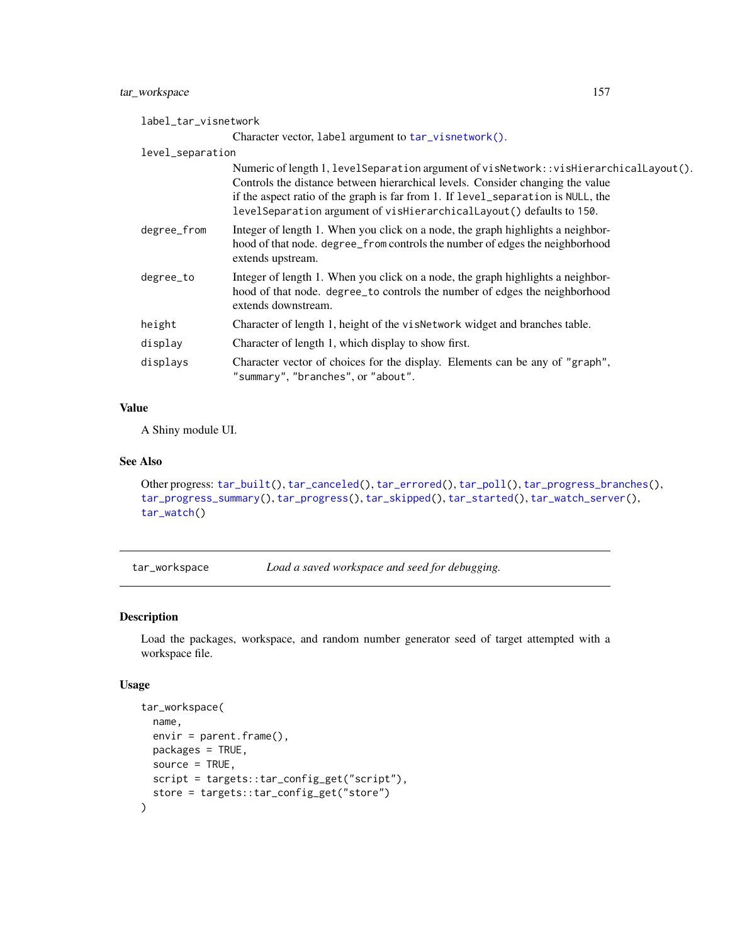# <span id="page-156-1"></span>tar\_workspace 157

| label_tar_visnetwork |                                                                                                                                                                                                                                                                                                                                       |
|----------------------|---------------------------------------------------------------------------------------------------------------------------------------------------------------------------------------------------------------------------------------------------------------------------------------------------------------------------------------|
|                      | Character vector, label argument to tar_visnetwork().                                                                                                                                                                                                                                                                                 |
| level_separation     |                                                                                                                                                                                                                                                                                                                                       |
|                      | Numeric of length 1, levelSeparation argument of visNetwork: : visHierarchicalLayout().<br>Controls the distance between hierarchical levels. Consider changing the value<br>if the aspect ratio of the graph is far from 1. If level_separation is NULL, the<br>levelSeparation argument of visHierarchicalLayout() defaults to 150. |
| degree_from          | Integer of length 1. When you click on a node, the graph highlights a neighbor-<br>hood of that node. degree_from controls the number of edges the neighborhood<br>extends upstream.                                                                                                                                                  |
| degree_to            | Integer of length 1. When you click on a node, the graph highlights a neighbor-<br>hood of that node. degree_to controls the number of edges the neighborhood<br>extends downstream.                                                                                                                                                  |
| height               | Character of length 1, height of the vis<br>Network widget and branches table.                                                                                                                                                                                                                                                        |
| display              | Character of length 1, which display to show first.                                                                                                                                                                                                                                                                                   |
| displays             | Character vector of choices for the display. Elements can be any of "graph",<br>"summary", "branches", or "about".                                                                                                                                                                                                                    |

# Value

A Shiny module UI.

# See Also

```
Other progress: tar_built(), tar_canceled(), tar_errored(), tar_poll(), tar_progress_branches(),
tar_progress_summary(), tar_progress(), tar_skipped(), tar_started(), tar_watch_server(),
tar_watch()
```
<span id="page-156-0"></span>tar\_workspace *Load a saved workspace and seed for debugging.*

# Description

Load the packages, workspace, and random number generator seed of target attempted with a workspace file.

#### Usage

```
tar_workspace(
 name,
 envir = parent.frame(),packages = TRUE,
 source = TRUE,
 script = targets::tar_config_get("script"),
 store = targets::tar_config_get("store")
)
```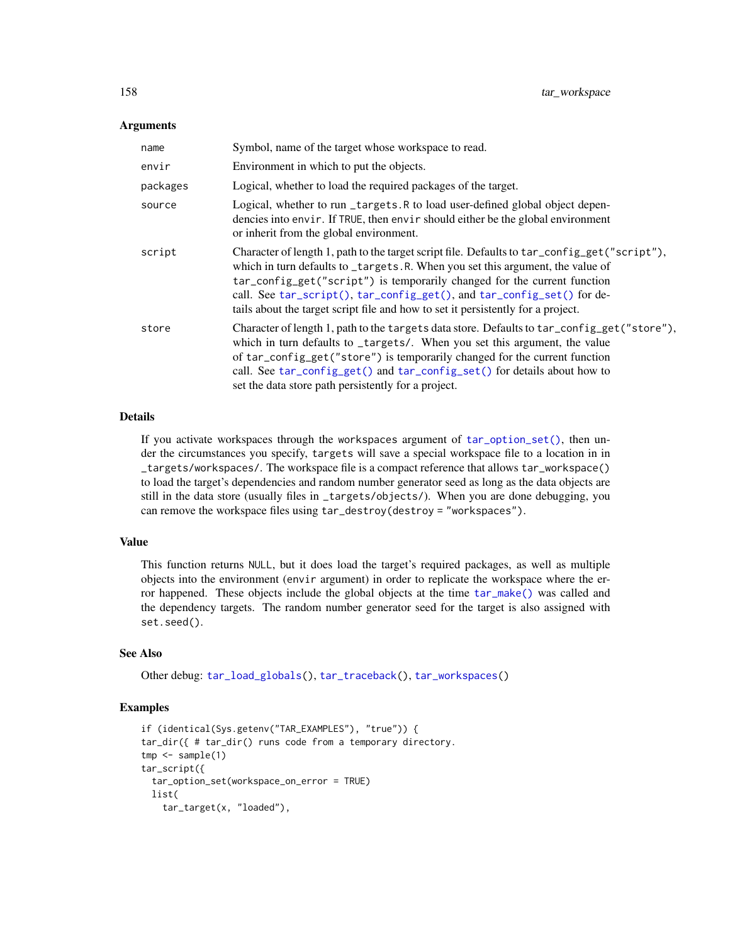#### <span id="page-157-0"></span>**Arguments**

| name     | Symbol, name of the target whose workspace to read.                                                                                                                                                                                                                                                                                                                                                                      |
|----------|--------------------------------------------------------------------------------------------------------------------------------------------------------------------------------------------------------------------------------------------------------------------------------------------------------------------------------------------------------------------------------------------------------------------------|
| envir    | Environment in which to put the objects.                                                                                                                                                                                                                                                                                                                                                                                 |
| packages | Logical, whether to load the required packages of the target.                                                                                                                                                                                                                                                                                                                                                            |
| source   | Logical, whether to run _targets.R to load user-defined global object depen-<br>dencies into envir. If TRUE, then envir should either be the global environment<br>or inherit from the global environment.                                                                                                                                                                                                               |
| script   | Character of length 1, path to the target script file. Defaults to tar_config_get("script"),<br>which in turn defaults to _targets.R. When you set this argument, the value of<br>tar_config_get("script") is temporarily changed for the current function<br>call. See tar_script(), tar_config_get(), and tar_config_set() for de-<br>tails about the target script file and how to set it persistently for a project. |
| store    | Character of length 1, path to the targets data store. Defaults to tar_config_get("store"),<br>which in turn defaults to _targets/. When you set this argument, the value<br>of tar_config_get("store") is temporarily changed for the current function<br>call. See tar_config_get() and tar_config_set() for details about how to<br>set the data store path persistently for a project.                               |

#### Details

If you activate workspaces through the workspaces argument of [tar\\_option\\_set\(\)](#page-83-0), then under the circumstances you specify, targets will save a special workspace file to a location in in \_targets/workspaces/. The workspace file is a compact reference that allows tar\_workspace() to load the target's dependencies and random number generator seed as long as the data objects are still in the data store (usually files in \_targets/objects/). When you are done debugging, you can remove the workspace files using tar\_destroy(destroy = "workspaces").

#### Value

This function returns NULL, but it does load the target's required packages, as well as multiple objects into the environment (envir argument) in order to replicate the workspace where the error happened. These objects include the global objects at the time [tar\\_make\(\)](#page-58-0) was called and the dependency targets. The random number generator seed for the target is also assigned with set.seed().

#### See Also

Other debug: [tar\\_load\\_globals\(](#page-55-0)), [tar\\_traceback\(](#page-144-0)), [tar\\_workspaces\(](#page-158-0))

#### Examples

```
if (identical(Sys.getenv("TAR_EXAMPLES"), "true")) {
tar_dir({ # tar_dir() runs code from a temporary directory.
tmp < - sample(1)tar_script({
 tar_option_set(workspace_on_error = TRUE)
 list(
   tar_target(x, "loaded"),
```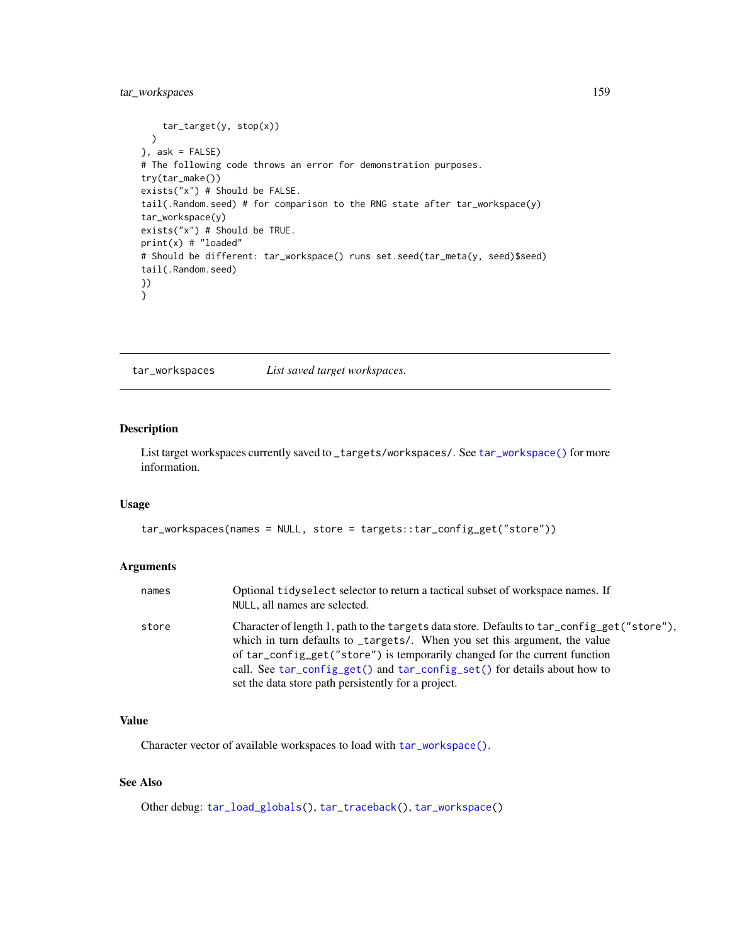# <span id="page-158-1"></span>tar\_workspaces 159

```
tar_target(y, stop(x))
 )
}, ask = FALSE)
# The following code throws an error for demonstration purposes.
try(tar_make())
exists("x") # Should be FALSE.
tail(.Random.seed) # for comparison to the RNG state after tar_workspace(y)
tar_workspace(y)
exists("x") # Should be TRUE.
print(x) # "loaded"
# Should be different: tar_workspace() runs set.seed(tar_meta(y, seed)$seed)
tail(.Random.seed)
})
}
```
<span id="page-158-0"></span>tar\_workspaces *List saved target workspaces.*

# Description

List target workspaces currently saved to \_targets/workspaces/. See [tar\\_workspace\(\)](#page-156-0) for more information.

# Usage

```
tar_workspaces(names = NULL, store = targets::tar_config_get("store"))
```
#### Arguments

| names | Optional tidyselect selector to return a tactical subset of workspace names. If<br>NULL, all names are selected.                                                                                                                                                                                                                                                                           |
|-------|--------------------------------------------------------------------------------------------------------------------------------------------------------------------------------------------------------------------------------------------------------------------------------------------------------------------------------------------------------------------------------------------|
| store | Character of length 1, path to the targets data store. Defaults to tar_config_get("store"),<br>which in turn defaults to _targets/. When you set this argument, the value<br>of tar_config_get("store") is temporarily changed for the current function<br>call. See tar_config_get() and tar_config_set() for details about how to<br>set the data store path persistently for a project. |

# Value

Character vector of available workspaces to load with [tar\\_workspace\(\)](#page-156-0).

# See Also

Other debug: [tar\\_load\\_globals\(](#page-55-0)), [tar\\_traceback\(](#page-144-0)), [tar\\_workspace\(](#page-156-0))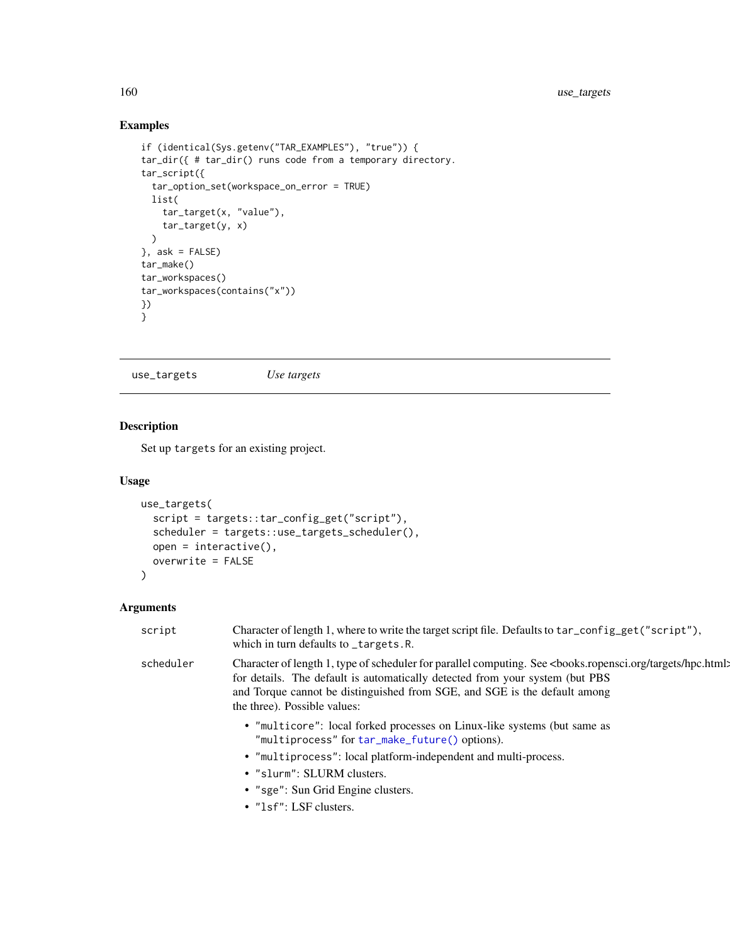# Examples

```
if (identical(Sys.getenv("TAR_EXAMPLES"), "true")) {
tar_dir({ # tar_dir() runs code from a temporary directory.
tar_script({
  tar_option_set(workspace_on_error = TRUE)
  list(
    tar_target(x, "value"),
    tar_target(y, x)
  )
}, ask = FALSE)
tar_make()
tar_workspaces()
tar_workspaces(contains("x"))
})
}
```
<span id="page-159-0"></span>use\_targets *Use targets*

# Description

Set up targets for an existing project.

#### Usage

```
use_targets(
  script = targets::tar_config_get("script"),
  scheduler = targets::use_targets_scheduler(),
  open = interactive(),
 overwrite = FALSE
)
```

| script    | Character of length 1, where to write the target script file. Defaults to tar_config_get("script"),<br>which in turn defaults to _targets.R.                                                                                                                                                                                          |
|-----------|---------------------------------------------------------------------------------------------------------------------------------------------------------------------------------------------------------------------------------------------------------------------------------------------------------------------------------------|
| scheduler | Character of length 1, type of scheduler for parallel computing. See <books.ropensci.org hpc.html:<br="" targets="">for details. The default is automatically detected from your system (but PBS)<br/>and Torque cannot be distinguished from SGE, and SGE is the default among<br/>the three). Possible values:</books.ropensci.org> |
|           | • "multicore": local forked processes on Linux-like systems (but same as<br>"multiprocess" for tar_make_future() options).<br>• "multiprocess": local platform-independent and multi-process.<br>• "slurm": SLURM clusters.<br>• "sge": Sun Grid Engine clusters.                                                                     |
|           | $\bullet$ "1sf": LSF clusters.                                                                                                                                                                                                                                                                                                        |

<span id="page-159-1"></span>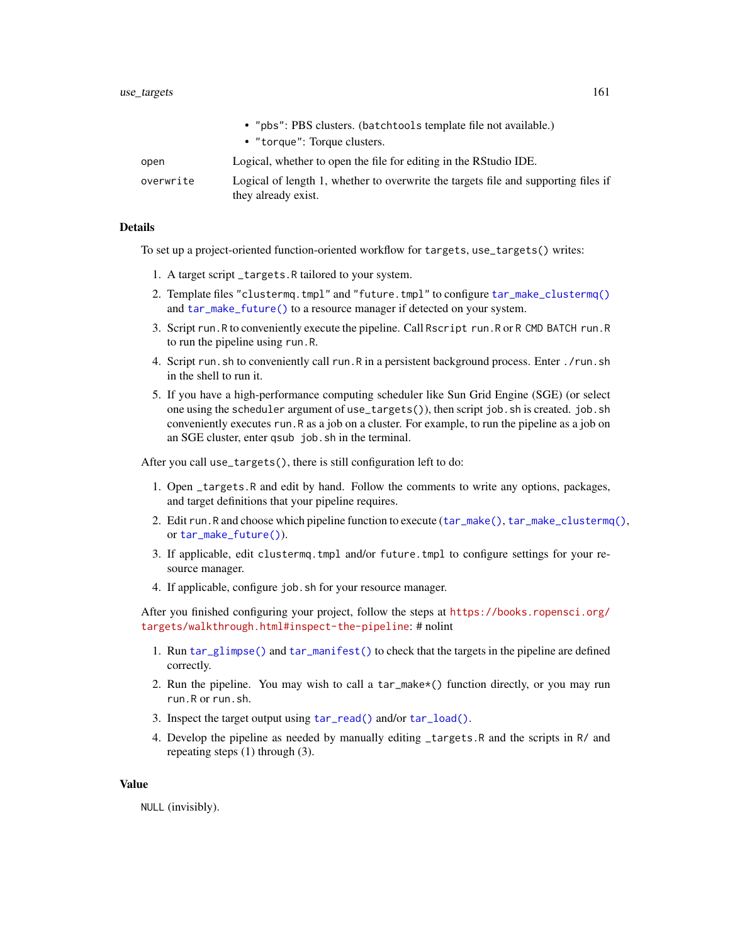<span id="page-160-0"></span>

|           | • "pbs": PBS clusters. (batchtools template file not available.)                                          |
|-----------|-----------------------------------------------------------------------------------------------------------|
|           | • "torque": Torque clusters.                                                                              |
| open      | Logical, whether to open the file for editing in the RStudio IDE.                                         |
| overwrite | Logical of length 1, whether to overwrite the targets file and supporting files if<br>they already exist. |

#### Details

To set up a project-oriented function-oriented workflow for targets, use\_targets() writes:

- 1. A target script \_targets.R tailored to your system.
- 2. Template files "clustermq.tmpl" and "future.tmpl" to configure [tar\\_make\\_clustermq\(\)](#page-60-0) and [tar\\_make\\_future\(\)](#page-63-0) to a resource manager if detected on your system.
- 3. Script run.R to conveniently execute the pipeline. Call Rscript run.R or R CMD BATCH run.R to run the pipeline using run.R.
- 4. Script run.sh to conveniently call run.R in a persistent background process. Enter ./run.sh in the shell to run it.
- 5. If you have a high-performance computing scheduler like Sun Grid Engine (SGE) (or select one using the scheduler argument of use\_targets()), then script job.sh is created. job.sh conveniently executes run.R as a job on a cluster. For example, to run the pipeline as a job on an SGE cluster, enter qsub job.sh in the terminal.

After you call use\_targets(), there is still configuration left to do:

- 1. Open \_targets.R and edit by hand. Follow the comments to write any options, packages, and target definitions that your pipeline requires.
- 2. Edit run.R and choose which pipeline function to execute ([tar\\_make\(\)](#page-58-0), [tar\\_make\\_clustermq\(\)](#page-60-0), or [tar\\_make\\_future\(\)](#page-63-0)).
- 3. If applicable, edit clustermq.tmpl and/or future.tmpl to configure settings for your resource manager.
- 4. If applicable, configure job.sh for your resource manager.

After you finished configuring your project, follow the steps at [https://books.ropensci.org/](https://books.ropensci.org/targets/walkthrough.html#inspect-the-pipeline) [targets/walkthrough.html#inspect-the-pipeline](https://books.ropensci.org/targets/walkthrough.html#inspect-the-pipeline): # nolint

- 1. Run [tar\\_glimpse\(\)](#page-43-0) and [tar\\_manifest\(\)](#page-65-0) to check that the targets in the pipeline are defined correctly.
- 2. Run the pipeline. You may wish to call a tar\_make\*() function directly, or you may run run.R or run.sh.
- 3. Inspect the target output using [tar\\_read\(\)](#page-103-0) and/or [tar\\_load\(\)](#page-52-0).
- 4. Develop the pipeline as needed by manually editing \_targets.R and the scripts in R/ and repeating steps (1) through (3).

#### Value

NULL (invisibly).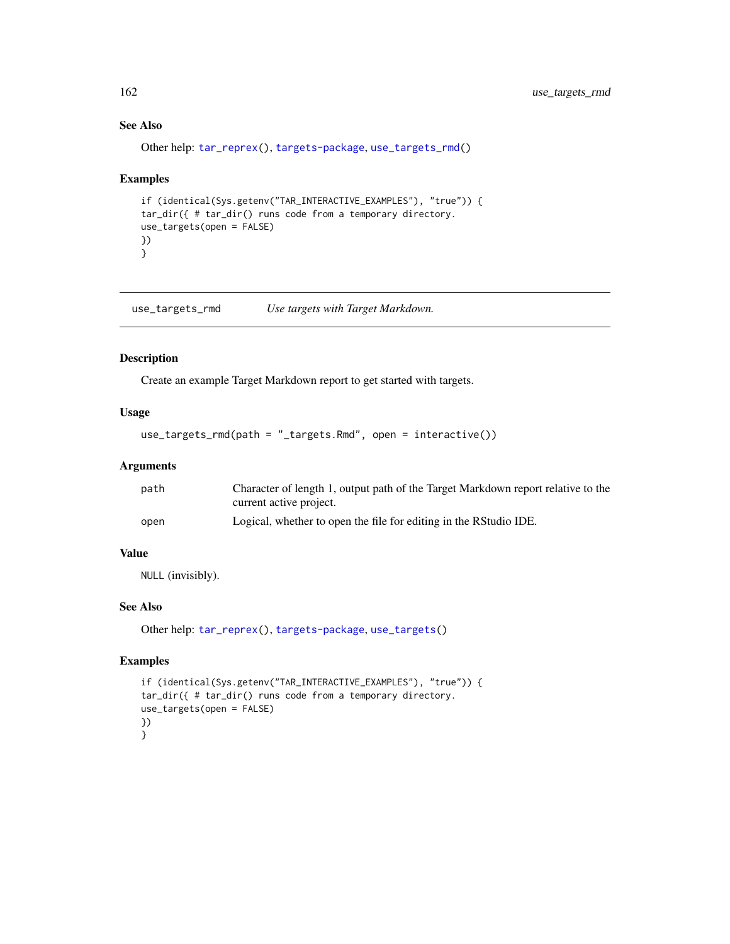# See Also

Other help: [tar\\_reprex\(](#page-108-0)), [targets-package](#page-3-0), [use\\_targets\\_rmd\(](#page-161-0))

#### Examples

```
if (identical(Sys.getenv("TAR_INTERACTIVE_EXAMPLES"), "true")) {
tar_dir({ # tar_dir() runs code from a temporary directory.
use_targets(open = FALSE)
})
}
```
<span id="page-161-0"></span>use\_targets\_rmd *Use targets with Target Markdown.*

#### Description

Create an example Target Markdown report to get started with targets.

# Usage

use\_targets\_rmd(path = "\_targets.Rmd", open = interactive())

# Arguments

| path | Character of length 1, output path of the Target Markdown report relative to the |
|------|----------------------------------------------------------------------------------|
|      | current active project.                                                          |
| open | Logical, whether to open the file for editing in the RStudio IDE.                |

## Value

NULL (invisibly).

#### See Also

Other help: [tar\\_reprex\(](#page-108-0)), [targets-package](#page-3-0), [use\\_targets\(](#page-159-0))

# Examples

```
if (identical(Sys.getenv("TAR_INTERACTIVE_EXAMPLES"), "true")) {
tar_dir({ # tar_dir() runs code from a temporary directory.
use_targets(open = FALSE)
})
}
```
<span id="page-161-1"></span>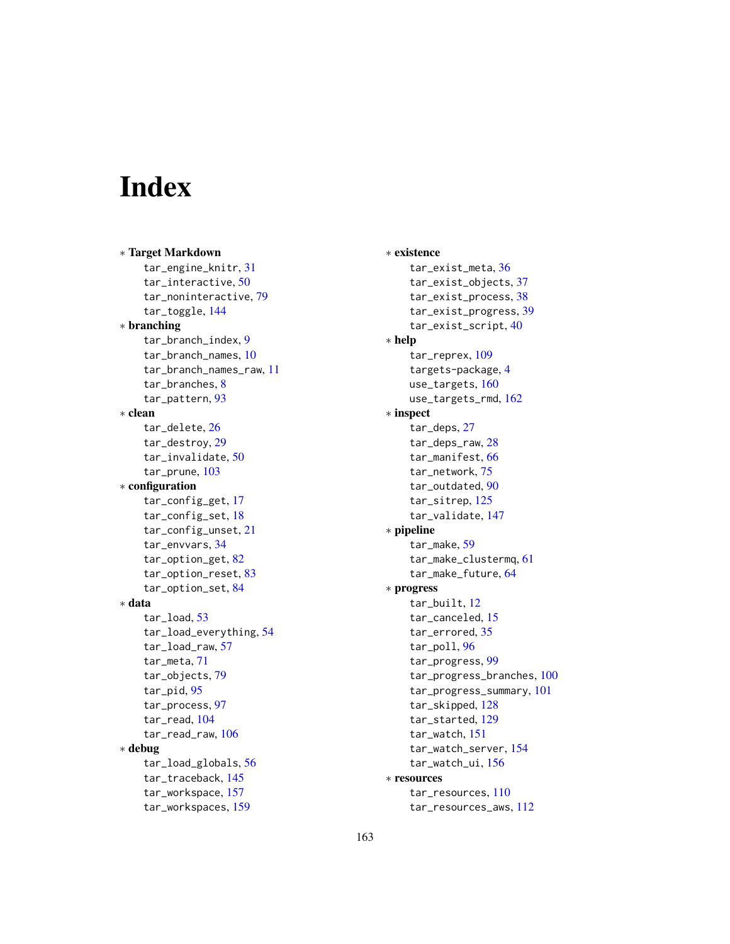# Index

∗ Target Markdown tar\_engine\_knitr, [31](#page-30-0) tar\_interactive, [50](#page-49-0) tar\_noninteractive, [79](#page-78-0) tar\_toggle, [144](#page-143-0) ∗ branching tar\_branch\_index, [9](#page-8-0) tar\_branch\_names, [10](#page-9-0) tar\_branch\_names\_raw, [11](#page-10-0) tar\_branches, [8](#page-7-0) tar\_pattern, [93](#page-92-0) ∗ clean tar delete. [26](#page-25-0) tar\_destroy, [29](#page-28-0) tar\_invalidate, [50](#page-49-0) tar\_prune, [103](#page-102-0) ∗ configuration tar\_config\_get, [17](#page-16-1) tar\_config\_set, [18](#page-17-1) tar\_config\_unset, [21](#page-20-0) tar\_envvars, [34](#page-33-0) tar\_option\_get, [82](#page-81-0) tar\_option\_reset, [83](#page-82-0) tar\_option\_set, [84](#page-83-1) ∗ data tar\_load, [53](#page-52-1) tar\_load\_everything, [54](#page-53-0) tar\_load\_raw, [57](#page-56-0) tar\_meta, [71](#page-70-0) tar\_objects, [79](#page-78-0) tar\_pid, [95](#page-94-0) tar\_process, [97](#page-96-0) tar\_read, [104](#page-103-1) tar\_read\_raw, [106](#page-105-0) ∗ debug tar\_load\_globals, [56](#page-55-1) tar\_traceback, [145](#page-144-1) tar\_workspace, [157](#page-156-1) tar\_workspaces, [159](#page-158-1)

∗ existence tar\_exist\_meta, [36](#page-35-0) tar\_exist\_objects, [37](#page-36-0) tar\_exist\_process, [38](#page-37-0) tar\_exist\_progress, [39](#page-38-0) tar\_exist\_script, [40](#page-39-0) ∗ help tar\_reprex, [109](#page-108-1) targets-package, [4](#page-3-1) use\_targets, [160](#page-159-1) use\_targets\_rmd, [162](#page-161-1) ∗ inspect tar\_deps, [27](#page-26-1) tar\_deps\_raw, [28](#page-27-1) tar\_manifest, [66](#page-65-1) tar\_network, [75](#page-74-1) tar\_outdated, [90](#page-89-1) tar\_sitrep, [125](#page-124-1) tar\_validate, [147](#page-146-0) ∗ pipeline tar\_make, [59](#page-58-1) tar\_make\_clustermq, [61](#page-60-1) tar\_make\_future, [64](#page-63-1) ∗ progress tar\_built, [12](#page-11-1) tar\_canceled, [15](#page-14-1) tar\_errored, [35](#page-34-1) tar\_poll, [96](#page-95-1) tar\_progress, [99](#page-98-1) tar\_progress\_branches, [100](#page-99-1) tar\_progress\_summary, [101](#page-100-1) tar\_skipped, [128](#page-127-1) tar\_started, [129](#page-128-1) tar\_watch, [151](#page-150-1) tar\_watch\_server, [154](#page-153-1) tar\_watch\_ui, [156](#page-155-1) ∗ resources tar\_resources, [110](#page-109-0) tar\_resources\_aws, [112](#page-111-0)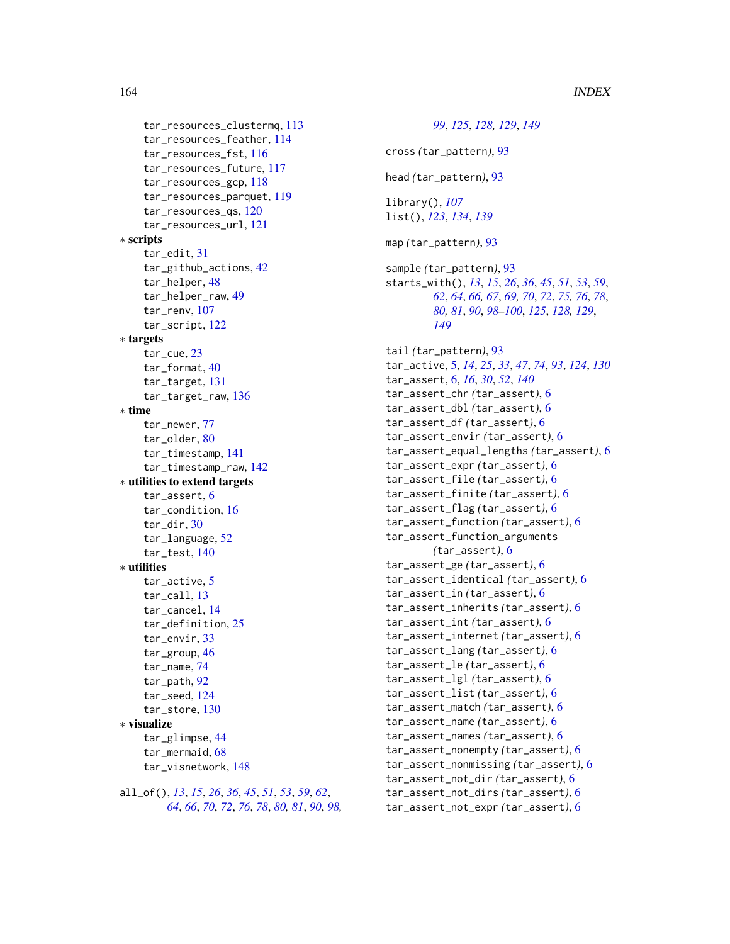164 INDEX

tar\_resources\_clustermq, [113](#page-112-0) tar\_resources\_feather, [114](#page-113-0) tar\_resources\_fst, [116](#page-115-0) tar\_resources\_future, [117](#page-116-0) tar\_resources\_gcp, [118](#page-117-0) tar\_resources\_parquet, [119](#page-118-0) tar\_resources\_qs, [120](#page-119-0) tar\_resources\_url, [121](#page-120-0) ∗ scripts tar\_edit, [31](#page-30-0) tar\_github\_actions, [42](#page-41-0) tar\_helper, [48](#page-47-0) tar\_helper\_raw, [49](#page-48-0) tar\_renv, [107](#page-106-0) tar\_script, [122](#page-121-1) ∗ targets tar\_cue, [23](#page-22-0) tar\_format, [40](#page-39-0) tar\_target, [131](#page-130-0) tar\_target\_raw, [136](#page-135-0) ∗ time tar\_newer, [77](#page-76-0) tar\_older, [80](#page-79-0) tar\_timestamp, [141](#page-140-0) tar\_timestamp\_raw, [142](#page-141-0) ∗ utilities to extend targets tar\_assert, [6](#page-5-0) tar\_condition, [16](#page-15-0) tar\_dir, [30](#page-29-0) tar\_language, [52](#page-51-0) tar\_test, [140](#page-139-0) ∗ utilities tar\_active, [5](#page-4-0) tar\_call, [13](#page-12-0) tar\_cancel, [14](#page-13-0) tar\_definition, [25](#page-24-0) tar\_envir, [33](#page-32-0) tar\_group, [46](#page-45-0) tar\_name, [74](#page-73-0) tar\_path, [92](#page-91-0) tar\_seed, [124](#page-123-0) tar\_store, [130](#page-129-0) ∗ visualize tar\_glimpse, [44](#page-43-1) tar\_mermaid, [68](#page-67-1) tar\_visnetwork, [148](#page-147-1) all\_of(), *[13](#page-12-0)*, *[15](#page-14-1)*, *[26](#page-25-0)*, *[36](#page-35-0)*, *[45](#page-44-0)*, *[51](#page-50-0)*, *[53](#page-52-1)*, *[59](#page-58-1)*, *[62](#page-61-0)*, *[64](#page-63-1)*, *[66](#page-65-1)*, *[70](#page-69-0)*, *[72](#page-71-0)*, *[76](#page-75-0)*, *[78](#page-77-0)*, *[80,](#page-79-0) [81](#page-80-0)*, *[90](#page-89-1)*, *[98,](#page-97-0)*

*[99](#page-98-1)*, *[125](#page-124-1)*, *[128,](#page-127-1) [129](#page-128-1)*, *[149](#page-148-0)* cross *(*tar\_pattern*)*, [93](#page-92-0) head *(*tar\_pattern*)*, [93](#page-92-0) library(), *[107](#page-106-0)* list(), *[123](#page-122-0)*, *[134](#page-133-0)*, *[139](#page-138-0)* map *(*tar\_pattern*)*, [93](#page-92-0) sample *(*tar\_pattern*)*, [93](#page-92-0) starts\_with(), *[13](#page-12-0)*, *[15](#page-14-1)*, *[26](#page-25-0)*, *[36](#page-35-0)*, *[45](#page-44-0)*, *[51](#page-50-0)*, *[53](#page-52-1)*, *[59](#page-58-1)*, *[62](#page-61-0)*, *[64](#page-63-1)*, *[66,](#page-65-1) [67](#page-66-0)*, *[69,](#page-68-0) [70](#page-69-0)*, *[72](#page-71-0)*, *[75,](#page-74-1) [76](#page-75-0)*, *[78](#page-77-0)*, *[80,](#page-79-0) [81](#page-80-0)*, *[90](#page-89-1)*, *[98](#page-97-0)[–100](#page-99-1)*, *[125](#page-124-1)*, *[128,](#page-127-1) [129](#page-128-1)*, *[149](#page-148-0)* tail *(*tar\_pattern*)*, [93](#page-92-0) tar\_active, [5,](#page-4-0) *[14](#page-13-0)*, *[25](#page-24-0)*, *[33](#page-32-0)*, *[47](#page-46-0)*, *[74](#page-73-0)*, *[93](#page-92-0)*, *[124](#page-123-0)*, *[130](#page-129-0)* tar\_assert, [6,](#page-5-0) *[16](#page-15-0)*, *[30](#page-29-0)*, *[52](#page-51-0)*, *[140](#page-139-0)* tar\_assert\_chr *(*tar\_assert*)*, [6](#page-5-0) tar\_assert\_dbl *(*tar\_assert*)*, [6](#page-5-0) tar\_assert\_df *(*tar\_assert*)*, [6](#page-5-0) tar\_assert\_envir *(*tar\_assert*)*, [6](#page-5-0) tar\_assert\_equal\_lengths *(*tar\_assert*)*, [6](#page-5-0) tar\_assert\_expr *(*tar\_assert*)*, [6](#page-5-0) tar\_assert\_file *(*tar\_assert*)*, [6](#page-5-0) tar\_assert\_finite *(*tar\_assert*)*, [6](#page-5-0) tar\_assert\_flag *(*tar\_assert*)*, [6](#page-5-0) tar\_assert\_function *(*tar\_assert*)*, [6](#page-5-0) tar\_assert\_function\_arguments *(*tar\_assert*)*, [6](#page-5-0) tar\_assert\_ge *(*tar\_assert*)*, [6](#page-5-0) tar\_assert\_identical *(*tar\_assert*)*, [6](#page-5-0) tar\_assert\_in *(*tar\_assert*)*, [6](#page-5-0) tar\_assert\_inherits *(*tar\_assert*)*, [6](#page-5-0) tar\_assert\_int *(*tar\_assert*)*, [6](#page-5-0) tar\_assert\_internet *(*tar\_assert*)*, [6](#page-5-0) tar\_assert\_lang *(*tar\_assert*)*, [6](#page-5-0) tar\_assert\_le *(*tar\_assert*)*, [6](#page-5-0) tar\_assert\_lgl *(*tar\_assert*)*, [6](#page-5-0) tar\_assert\_list *(*tar\_assert*)*, [6](#page-5-0) tar\_assert\_match *(*tar\_assert*)*, [6](#page-5-0) tar\_assert\_name *(*tar\_assert*)*, [6](#page-5-0) tar\_assert\_names *(*tar\_assert*)*, [6](#page-5-0) tar\_assert\_nonempty *(*tar\_assert*)*, [6](#page-5-0) tar\_assert\_nonmissing *(*tar\_assert*)*, [6](#page-5-0) tar\_assert\_not\_dir *(*tar\_assert*)*, [6](#page-5-0) tar\_assert\_not\_dirs *(*tar\_assert*)*, [6](#page-5-0) tar\_assert\_not\_expr *(*tar\_assert*)*, [6](#page-5-0)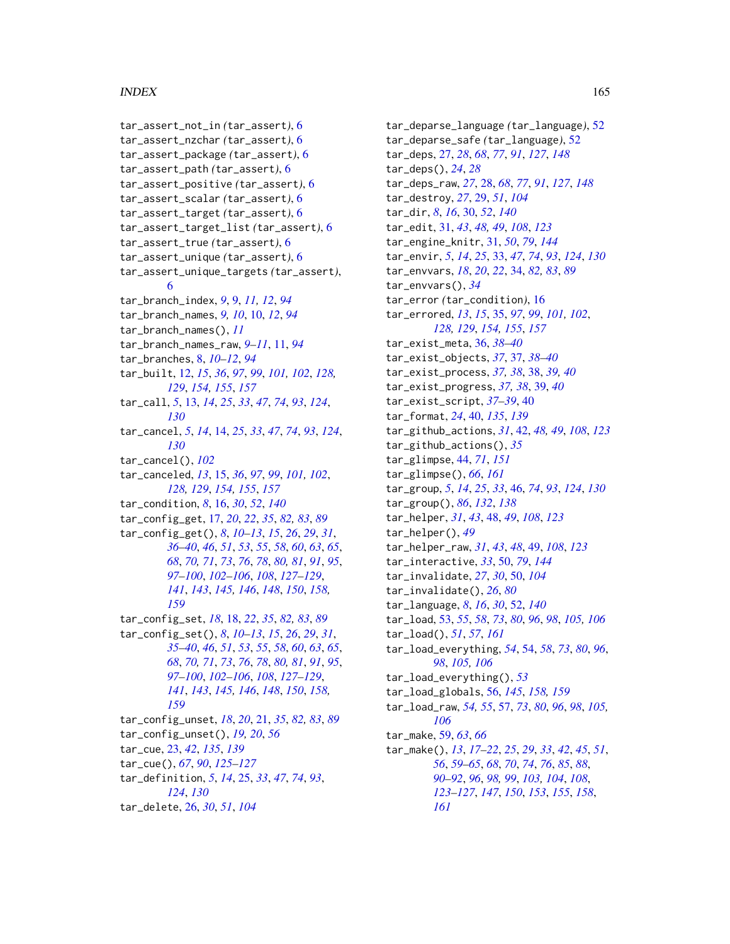#### INDEX 165

tar\_assert\_not\_in *(*tar\_assert*)*, [6](#page-5-0) tar\_assert\_nzchar *(*tar\_assert*)*, [6](#page-5-0) tar\_assert\_package *(*tar\_assert*)*, [6](#page-5-0) tar\_assert\_path *(*tar\_assert*)*, [6](#page-5-0) tar\_assert\_positive *(*tar\_assert*)*, [6](#page-5-0) tar\_assert\_scalar *(*tar\_assert*)*, [6](#page-5-0) tar\_assert\_target *(*tar\_assert*)*, [6](#page-5-0) tar\_assert\_target\_list *(*tar\_assert*)*, [6](#page-5-0) tar\_assert\_true *(*tar\_assert*)*, [6](#page-5-0) tar\_assert\_unique *(*tar\_assert*)*, [6](#page-5-0) tar\_assert\_unique\_targets *(*tar\_assert*)*, [6](#page-5-0) tar\_branch\_index, *[9](#page-8-0)*, [9,](#page-8-0) *[11,](#page-10-0) [12](#page-11-1)*, *[94](#page-93-0)* tar\_branch\_names, *[9,](#page-8-0) [10](#page-9-0)*, [10,](#page-9-0) *[12](#page-11-1)*, *[94](#page-93-0)* tar\_branch\_names(), *[11](#page-10-0)* tar\_branch\_names\_raw, *[9–](#page-8-0)[11](#page-10-0)*, [11,](#page-10-0) *[94](#page-93-0)* tar\_branches, [8,](#page-7-0) *[10](#page-9-0)[–12](#page-11-1)*, *[94](#page-93-0)* tar\_built, [12,](#page-11-1) *[15](#page-14-1)*, *[36](#page-35-0)*, *[97](#page-96-0)*, *[99](#page-98-1)*, *[101,](#page-100-1) [102](#page-101-0)*, *[128,](#page-127-1) [129](#page-128-1)*, *[154,](#page-153-1) [155](#page-154-0)*, *[157](#page-156-1)* tar\_call, *[5](#page-4-0)*, [13,](#page-12-0) *[14](#page-13-0)*, *[25](#page-24-0)*, *[33](#page-32-0)*, *[47](#page-46-0)*, *[74](#page-73-0)*, *[93](#page-92-0)*, *[124](#page-123-0)*, *[130](#page-129-0)* tar\_cancel, *[5](#page-4-0)*, *[14](#page-13-0)*, [14,](#page-13-0) *[25](#page-24-0)*, *[33](#page-32-0)*, *[47](#page-46-0)*, *[74](#page-73-0)*, *[93](#page-92-0)*, *[124](#page-123-0)*, *[130](#page-129-0)* tar\_cancel(), *[102](#page-101-0)* tar\_canceled, *[13](#page-12-0)*, [15,](#page-14-1) *[36](#page-35-0)*, *[97](#page-96-0)*, *[99](#page-98-1)*, *[101,](#page-100-1) [102](#page-101-0)*, *[128,](#page-127-1) [129](#page-128-1)*, *[154,](#page-153-1) [155](#page-154-0)*, *[157](#page-156-1)* tar\_condition, *[8](#page-7-0)*, [16,](#page-15-0) *[30](#page-29-0)*, *[52](#page-51-0)*, *[140](#page-139-0)* tar\_config\_get, [17,](#page-16-1) *[20](#page-19-0)*, *[22](#page-21-0)*, *[35](#page-34-1)*, *[82,](#page-81-0) [83](#page-82-0)*, *[89](#page-88-0)* tar\_config\_get(), *[8](#page-7-0)*, *[10–](#page-9-0)[13](#page-12-0)*, *[15](#page-14-1)*, *[26](#page-25-0)*, *[29](#page-28-0)*, *[31](#page-30-0)*, *[36](#page-35-0)[–40](#page-39-0)*, *[46](#page-45-0)*, *[51](#page-50-0)*, *[53](#page-52-1)*, *[55](#page-54-0)*, *[58](#page-57-0)*, *[60](#page-59-0)*, *[63](#page-62-0)*, *[65](#page-64-0)*, *[68](#page-67-1)*, *[70,](#page-69-0) [71](#page-70-0)*, *[73](#page-72-0)*, *[76](#page-75-0)*, *[78](#page-77-0)*, *[80,](#page-79-0) [81](#page-80-0)*, *[91](#page-90-0)*, *[95](#page-94-0)*, *[97](#page-96-0)[–100](#page-99-1)*, *[102](#page-101-0)[–106](#page-105-0)*, *[108](#page-107-0)*, *[127–](#page-126-0)[129](#page-128-1)*, *[141](#page-140-0)*, *[143](#page-142-0)*, *[145,](#page-144-1) [146](#page-145-1)*, *[148](#page-147-1)*, *[150](#page-149-0)*, *[158,](#page-157-0) [159](#page-158-1)* tar\_config\_set, *[18](#page-17-1)*, [18,](#page-17-1) *[22](#page-21-0)*, *[35](#page-34-1)*, *[82,](#page-81-0) [83](#page-82-0)*, *[89](#page-88-0)* tar\_config\_set(), *[8](#page-7-0)*, *[10–](#page-9-0)[13](#page-12-0)*, *[15](#page-14-1)*, *[26](#page-25-0)*, *[29](#page-28-0)*, *[31](#page-30-0)*, *[35](#page-34-1)[–40](#page-39-0)*, *[46](#page-45-0)*, *[51](#page-50-0)*, *[53](#page-52-1)*, *[55](#page-54-0)*, *[58](#page-57-0)*, *[60](#page-59-0)*, *[63](#page-62-0)*, *[65](#page-64-0)*, *[68](#page-67-1)*, *[70,](#page-69-0) [71](#page-70-0)*, *[73](#page-72-0)*, *[76](#page-75-0)*, *[78](#page-77-0)*, *[80,](#page-79-0) [81](#page-80-0)*, *[91](#page-90-0)*, *[95](#page-94-0)*, *[97](#page-96-0)[–100](#page-99-1)*, *[102](#page-101-0)[–106](#page-105-0)*, *[108](#page-107-0)*, *[127–](#page-126-0)[129](#page-128-1)*, *[141](#page-140-0)*, *[143](#page-142-0)*, *[145,](#page-144-1) [146](#page-145-1)*, *[148](#page-147-1)*, *[150](#page-149-0)*, *[158,](#page-157-0) [159](#page-158-1)* tar\_config\_unset, *[18](#page-17-1)*, *[20](#page-19-0)*, [21,](#page-20-0) *[35](#page-34-1)*, *[82,](#page-81-0) [83](#page-82-0)*, *[89](#page-88-0)* tar\_config\_unset(), *[19,](#page-18-0) [20](#page-19-0)*, *[56](#page-55-1)* tar\_cue, [23,](#page-22-0) *[42](#page-41-0)*, *[135](#page-134-0)*, *[139](#page-138-0)* tar\_cue(), *[67](#page-66-0)*, *[90](#page-89-1)*, *[125–](#page-124-1)[127](#page-126-0)* tar\_definition, *[5](#page-4-0)*, *[14](#page-13-0)*, [25,](#page-24-0) *[33](#page-32-0)*, *[47](#page-46-0)*, *[74](#page-73-0)*, *[93](#page-92-0)*, *[124](#page-123-0)*, *[130](#page-129-0)* tar\_delete, [26,](#page-25-0) *[30](#page-29-0)*, *[51](#page-50-0)*, *[104](#page-103-1)*

tar\_deparse\_language *(*tar\_language*)*, [52](#page-51-0) tar\_deparse\_safe *(*tar\_language*)*, [52](#page-51-0) tar\_deps, [27,](#page-26-1) *[28](#page-27-1)*, *[68](#page-67-1)*, *[77](#page-76-0)*, *[91](#page-90-0)*, *[127](#page-126-0)*, *[148](#page-147-1)* tar\_deps(), *[24](#page-23-0)*, *[28](#page-27-1)* tar\_deps\_raw, *[27](#page-26-1)*, [28,](#page-27-1) *[68](#page-67-1)*, *[77](#page-76-0)*, *[91](#page-90-0)*, *[127](#page-126-0)*, *[148](#page-147-1)* tar\_destroy, *[27](#page-26-1)*, [29,](#page-28-0) *[51](#page-50-0)*, *[104](#page-103-1)* tar\_dir, *[8](#page-7-0)*, *[16](#page-15-0)*, [30,](#page-29-0) *[52](#page-51-0)*, *[140](#page-139-0)* tar\_edit, [31,](#page-30-0) *[43](#page-42-0)*, *[48,](#page-47-0) [49](#page-48-0)*, *[108](#page-107-0)*, *[123](#page-122-0)* tar\_engine\_knitr, [31,](#page-30-0) *[50](#page-49-0)*, *[79](#page-78-0)*, *[144](#page-143-0)* tar\_envir, *[5](#page-4-0)*, *[14](#page-13-0)*, *[25](#page-24-0)*, [33,](#page-32-0) *[47](#page-46-0)*, *[74](#page-73-0)*, *[93](#page-92-0)*, *[124](#page-123-0)*, *[130](#page-129-0)* tar\_envvars, *[18](#page-17-1)*, *[20](#page-19-0)*, *[22](#page-21-0)*, [34,](#page-33-0) *[82,](#page-81-0) [83](#page-82-0)*, *[89](#page-88-0)* tar\_envvars(), *[34](#page-33-0)* tar\_error *(*tar\_condition*)*, [16](#page-15-0) tar\_errored, *[13](#page-12-0)*, *[15](#page-14-1)*, [35,](#page-34-1) *[97](#page-96-0)*, *[99](#page-98-1)*, *[101,](#page-100-1) [102](#page-101-0)*, *[128,](#page-127-1) [129](#page-128-1)*, *[154,](#page-153-1) [155](#page-154-0)*, *[157](#page-156-1)* tar\_exist\_meta, [36,](#page-35-0) *[38](#page-37-0)[–40](#page-39-0)* tar\_exist\_objects, *[37](#page-36-0)*, [37,](#page-36-0) *[38](#page-37-0)[–40](#page-39-0)* tar\_exist\_process, *[37,](#page-36-0) [38](#page-37-0)*, [38,](#page-37-0) *[39,](#page-38-0) [40](#page-39-0)* tar\_exist\_progress, *[37,](#page-36-0) [38](#page-37-0)*, [39,](#page-38-0) *[40](#page-39-0)* tar\_exist\_script, *[37](#page-36-0)[–39](#page-38-0)*, [40](#page-39-0) tar\_format, *[24](#page-23-0)*, [40,](#page-39-0) *[135](#page-134-0)*, *[139](#page-138-0)* tar\_github\_actions, *[31](#page-30-0)*, [42,](#page-41-0) *[48,](#page-47-0) [49](#page-48-0)*, *[108](#page-107-0)*, *[123](#page-122-0)* tar\_github\_actions(), *[35](#page-34-1)* tar\_glimpse, [44,](#page-43-1) *[71](#page-70-0)*, *[151](#page-150-1)* tar\_glimpse(), *[66](#page-65-1)*, *[161](#page-160-0)* tar\_group, *[5](#page-4-0)*, *[14](#page-13-0)*, *[25](#page-24-0)*, *[33](#page-32-0)*, [46,](#page-45-0) *[74](#page-73-0)*, *[93](#page-92-0)*, *[124](#page-123-0)*, *[130](#page-129-0)* tar\_group(), *[86](#page-85-0)*, *[132](#page-131-0)*, *[138](#page-137-0)* tar\_helper, *[31](#page-30-0)*, *[43](#page-42-0)*, [48,](#page-47-0) *[49](#page-48-0)*, *[108](#page-107-0)*, *[123](#page-122-0)* tar\_helper(), *[49](#page-48-0)* tar\_helper\_raw, *[31](#page-30-0)*, *[43](#page-42-0)*, *[48](#page-47-0)*, [49,](#page-48-0) *[108](#page-107-0)*, *[123](#page-122-0)* tar\_interactive, *[33](#page-32-0)*, [50,](#page-49-0) *[79](#page-78-0)*, *[144](#page-143-0)* tar\_invalidate, *[27](#page-26-1)*, *[30](#page-29-0)*, [50,](#page-49-0) *[104](#page-103-1)* tar\_invalidate(), *[26](#page-25-0)*, *[80](#page-79-0)* tar\_language, *[8](#page-7-0)*, *[16](#page-15-0)*, *[30](#page-29-0)*, [52,](#page-51-0) *[140](#page-139-0)* tar\_load, [53,](#page-52-1) *[55](#page-54-0)*, *[58](#page-57-0)*, *[73](#page-72-0)*, *[80](#page-79-0)*, *[96](#page-95-1)*, *[98](#page-97-0)*, *[105,](#page-104-0) [106](#page-105-0)* tar\_load(), *[51](#page-50-0)*, *[57](#page-56-0)*, *[161](#page-160-0)* tar\_load\_everything, *[54](#page-53-0)*, [54,](#page-53-0) *[58](#page-57-0)*, *[73](#page-72-0)*, *[80](#page-79-0)*, *[96](#page-95-1)*, *[98](#page-97-0)*, *[105,](#page-104-0) [106](#page-105-0)* tar\_load\_everything(), *[53](#page-52-1)* tar\_load\_globals, [56,](#page-55-1) *[145](#page-144-1)*, *[158,](#page-157-0) [159](#page-158-1)* tar\_load\_raw, *[54,](#page-53-0) [55](#page-54-0)*, [57,](#page-56-0) *[73](#page-72-0)*, *[80](#page-79-0)*, *[96](#page-95-1)*, *[98](#page-97-0)*, *[105,](#page-104-0) [106](#page-105-0)* tar\_make, [59,](#page-58-1) *[63](#page-62-0)*, *[66](#page-65-1)* tar\_make(), *[13](#page-12-0)*, *[17](#page-16-1)[–22](#page-21-0)*, *[25](#page-24-0)*, *[29](#page-28-0)*, *[33](#page-32-0)*, *[42](#page-41-0)*, *[45](#page-44-0)*, *[51](#page-50-0)*, *[56](#page-55-1)*, *[59](#page-58-1)[–65](#page-64-0)*, *[68](#page-67-1)*, *[70](#page-69-0)*, *[74](#page-73-0)*, *[76](#page-75-0)*, *[85](#page-84-0)*, *[88](#page-87-0)*, *[90](#page-89-1)[–92](#page-91-0)*, *[96](#page-95-1)*, *[98,](#page-97-0) [99](#page-98-1)*, *[103,](#page-102-0) [104](#page-103-1)*, *[108](#page-107-0)*, *[123](#page-122-0)[–127](#page-126-0)*, *[147](#page-146-0)*, *[150](#page-149-0)*, *[153](#page-152-0)*, *[155](#page-154-0)*, *[158](#page-157-0)*, *[161](#page-160-0)*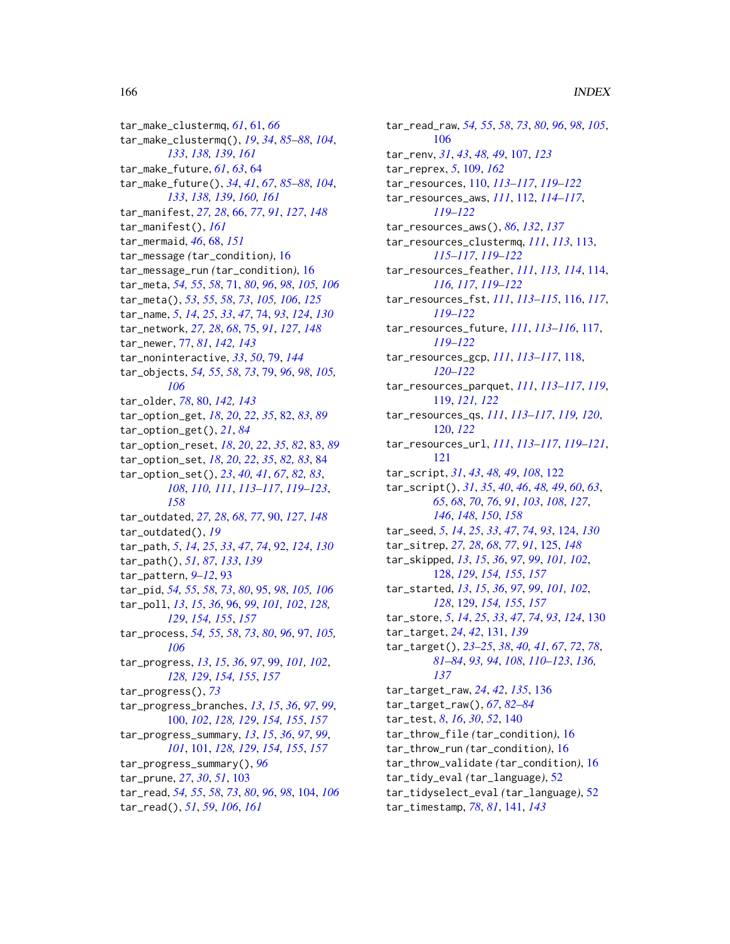tar\_make\_clustermq, *[61](#page-60-1)*, [61,](#page-60-1) *[66](#page-65-1)* tar\_make\_clustermq(), *[19](#page-18-0)*, *[34](#page-33-0)*, *[85–](#page-84-0)[88](#page-87-0)*, *[104](#page-103-1)*, *[133](#page-132-0)*, *[138,](#page-137-0) [139](#page-138-0)*, *[161](#page-160-0)* tar\_make\_future, *[61](#page-60-1)*, *[63](#page-62-0)*, [64](#page-63-1) tar\_make\_future(), *[34](#page-33-0)*, *[41](#page-40-0)*, *[67](#page-66-0)*, *[85–](#page-84-0)[88](#page-87-0)*, *[104](#page-103-1)*, *[133](#page-132-0)*, *[138,](#page-137-0) [139](#page-138-0)*, *[160,](#page-159-1) [161](#page-160-0)* tar\_manifest, *[27,](#page-26-1) [28](#page-27-1)*, [66,](#page-65-1) *[77](#page-76-0)*, *[91](#page-90-0)*, *[127](#page-126-0)*, *[148](#page-147-1)* tar\_manifest(), *[161](#page-160-0)* tar\_mermaid, *[46](#page-45-0)*, [68,](#page-67-1) *[151](#page-150-1)* tar\_message *(*tar\_condition*)*, [16](#page-15-0) tar\_message\_run *(*tar\_condition*)*, [16](#page-15-0) tar\_meta, *[54,](#page-53-0) [55](#page-54-0)*, *[58](#page-57-0)*, [71,](#page-70-0) *[80](#page-79-0)*, *[96](#page-95-1)*, *[98](#page-97-0)*, *[105,](#page-104-0) [106](#page-105-0)* tar\_meta(), *[53](#page-52-1)*, *[55](#page-54-0)*, *[58](#page-57-0)*, *[73](#page-72-0)*, *[105,](#page-104-0) [106](#page-105-0)*, *[125](#page-124-1)* tar\_name, *[5](#page-4-0)*, *[14](#page-13-0)*, *[25](#page-24-0)*, *[33](#page-32-0)*, *[47](#page-46-0)*, [74,](#page-73-0) *[93](#page-92-0)*, *[124](#page-123-0)*, *[130](#page-129-0)* tar\_network, *[27,](#page-26-1) [28](#page-27-1)*, *[68](#page-67-1)*, [75,](#page-74-1) *[91](#page-90-0)*, *[127](#page-126-0)*, *[148](#page-147-1)* tar\_newer, [77,](#page-76-0) *[81](#page-80-0)*, *[142,](#page-141-0) [143](#page-142-0)* tar\_noninteractive, *[33](#page-32-0)*, *[50](#page-49-0)*, [79,](#page-78-0) *[144](#page-143-0)* tar\_objects, *[54,](#page-53-0) [55](#page-54-0)*, *[58](#page-57-0)*, *[73](#page-72-0)*, [79,](#page-78-0) *[96](#page-95-1)*, *[98](#page-97-0)*, *[105,](#page-104-0) [106](#page-105-0)* tar\_older, *[78](#page-77-0)*, [80,](#page-79-0) *[142,](#page-141-0) [143](#page-142-0)* tar\_option\_get, *[18](#page-17-1)*, *[20](#page-19-0)*, *[22](#page-21-0)*, *[35](#page-34-1)*, [82,](#page-81-0) *[83](#page-82-0)*, *[89](#page-88-0)* tar\_option\_get(), *[21](#page-20-0)*, *[84](#page-83-1)* tar\_option\_reset, *[18](#page-17-1)*, *[20](#page-19-0)*, *[22](#page-21-0)*, *[35](#page-34-1)*, *[82](#page-81-0)*, [83,](#page-82-0) *[89](#page-88-0)* tar\_option\_set, *[18](#page-17-1)*, *[20](#page-19-0)*, *[22](#page-21-0)*, *[35](#page-34-1)*, *[82,](#page-81-0) [83](#page-82-0)*, [84](#page-83-1) tar\_option\_set(), *[23](#page-22-0)*, *[40,](#page-39-0) [41](#page-40-0)*, *[67](#page-66-0)*, *[82,](#page-81-0) [83](#page-82-0)*, *[108](#page-107-0)*, *[110,](#page-109-0) [111](#page-110-0)*, *[113–](#page-112-0)[117](#page-116-0)*, *[119–](#page-118-0)[123](#page-122-0)*, *[158](#page-157-0)* tar\_outdated, *[27,](#page-26-1) [28](#page-27-1)*, *[68](#page-67-1)*, *[77](#page-76-0)*, [90,](#page-89-1) *[127](#page-126-0)*, *[148](#page-147-1)* tar\_outdated(), *[19](#page-18-0)* tar\_path, *[5](#page-4-0)*, *[14](#page-13-0)*, *[25](#page-24-0)*, *[33](#page-32-0)*, *[47](#page-46-0)*, *[74](#page-73-0)*, [92,](#page-91-0) *[124](#page-123-0)*, *[130](#page-129-0)* tar\_path(), *[51](#page-50-0)*, *[87](#page-86-0)*, *[133](#page-132-0)*, *[139](#page-138-0)* tar\_pattern, *[9](#page-8-0)[–12](#page-11-1)*, [93](#page-92-0) tar\_pid, *[54,](#page-53-0) [55](#page-54-0)*, *[58](#page-57-0)*, *[73](#page-72-0)*, *[80](#page-79-0)*, [95,](#page-94-0) *[98](#page-97-0)*, *[105,](#page-104-0) [106](#page-105-0)* tar\_poll, *[13](#page-12-0)*, *[15](#page-14-1)*, *[36](#page-35-0)*, [96,](#page-95-1) *[99](#page-98-1)*, *[101,](#page-100-1) [102](#page-101-0)*, *[128,](#page-127-1) [129](#page-128-1)*, *[154,](#page-153-1) [155](#page-154-0)*, *[157](#page-156-1)* tar\_process, *[54,](#page-53-0) [55](#page-54-0)*, *[58](#page-57-0)*, *[73](#page-72-0)*, *[80](#page-79-0)*, *[96](#page-95-1)*, [97,](#page-96-0) *[105,](#page-104-0) [106](#page-105-0)* tar\_progress, *[13](#page-12-0)*, *[15](#page-14-1)*, *[36](#page-35-0)*, *[97](#page-96-0)*, [99,](#page-98-1) *[101,](#page-100-1) [102](#page-101-0)*, *[128,](#page-127-1) [129](#page-128-1)*, *[154,](#page-153-1) [155](#page-154-0)*, *[157](#page-156-1)* tar\_progress(), *[73](#page-72-0)* tar\_progress\_branches, *[13](#page-12-0)*, *[15](#page-14-1)*, *[36](#page-35-0)*, *[97](#page-96-0)*, *[99](#page-98-1)*, [100,](#page-99-1) *[102](#page-101-0)*, *[128,](#page-127-1) [129](#page-128-1)*, *[154,](#page-153-1) [155](#page-154-0)*, *[157](#page-156-1)* tar\_progress\_summary, *[13](#page-12-0)*, *[15](#page-14-1)*, *[36](#page-35-0)*, *[97](#page-96-0)*, *[99](#page-98-1)*, *[101](#page-100-1)*, [101,](#page-100-1) *[128,](#page-127-1) [129](#page-128-1)*, *[154,](#page-153-1) [155](#page-154-0)*, *[157](#page-156-1)* tar\_progress\_summary(), *[96](#page-95-1)* tar\_prune, *[27](#page-26-1)*, *[30](#page-29-0)*, *[51](#page-50-0)*, [103](#page-102-0) tar\_read, *[54,](#page-53-0) [55](#page-54-0)*, *[58](#page-57-0)*, *[73](#page-72-0)*, *[80](#page-79-0)*, *[96](#page-95-1)*, *[98](#page-97-0)*, [104,](#page-103-1) *[106](#page-105-0)* tar\_read(), *[51](#page-50-0)*, *[59](#page-58-1)*, *[106](#page-105-0)*, *[161](#page-160-0)*

tar\_read\_raw, *[54,](#page-53-0) [55](#page-54-0)*, *[58](#page-57-0)*, *[73](#page-72-0)*, *[80](#page-79-0)*, *[96](#page-95-1)*, *[98](#page-97-0)*, *[105](#page-104-0)*, [106](#page-105-0) tar\_renv, *[31](#page-30-0)*, *[43](#page-42-0)*, *[48,](#page-47-0) [49](#page-48-0)*, [107,](#page-106-0) *[123](#page-122-0)* tar\_reprex, *[5](#page-4-0)*, [109,](#page-108-1) *[162](#page-161-1)* tar\_resources, [110,](#page-109-0) *[113](#page-112-0)[–117](#page-116-0)*, *[119](#page-118-0)[–122](#page-121-1)* tar\_resources\_aws, *[111](#page-110-0)*, [112,](#page-111-0) *[114](#page-113-0)[–117](#page-116-0)*, *[119](#page-118-0)[–122](#page-121-1)* tar\_resources\_aws(), *[86](#page-85-0)*, *[132](#page-131-0)*, *[137](#page-136-0)* tar\_resources\_clustermq, *[111](#page-110-0)*, *[113](#page-112-0)*, [113,](#page-112-0) *[115](#page-114-0)[–117](#page-116-0)*, *[119](#page-118-0)[–122](#page-121-1)* tar\_resources\_feather, *[111](#page-110-0)*, *[113,](#page-112-0) [114](#page-113-0)*, [114,](#page-113-0) *[116,](#page-115-0) [117](#page-116-0)*, *[119](#page-118-0)[–122](#page-121-1)* tar\_resources\_fst, *[111](#page-110-0)*, *[113](#page-112-0)[–115](#page-114-0)*, [116,](#page-115-0) *[117](#page-116-0)*, *[119](#page-118-0)[–122](#page-121-1)* tar\_resources\_future, *[111](#page-110-0)*, *[113](#page-112-0)[–116](#page-115-0)*, [117,](#page-116-0) *[119](#page-118-0)[–122](#page-121-1)* tar\_resources\_gcp, *[111](#page-110-0)*, *[113](#page-112-0)[–117](#page-116-0)*, [118,](#page-117-0) *[120](#page-119-0)[–122](#page-121-1)* tar\_resources\_parquet, *[111](#page-110-0)*, *[113](#page-112-0)[–117](#page-116-0)*, *[119](#page-118-0)*, [119,](#page-118-0) *[121,](#page-120-0) [122](#page-121-1)* tar\_resources\_qs, *[111](#page-110-0)*, *[113](#page-112-0)[–117](#page-116-0)*, *[119,](#page-118-0) [120](#page-119-0)*, [120,](#page-119-0) *[122](#page-121-1)* tar\_resources\_url, *[111](#page-110-0)*, *[113](#page-112-0)[–117](#page-116-0)*, *[119](#page-118-0)[–121](#page-120-0)*, [121](#page-120-0) tar\_script, *[31](#page-30-0)*, *[43](#page-42-0)*, *[48,](#page-47-0) [49](#page-48-0)*, *[108](#page-107-0)*, [122](#page-121-1) tar\_script(), *[31](#page-30-0)*, *[35](#page-34-1)*, *[40](#page-39-0)*, *[46](#page-45-0)*, *[48,](#page-47-0) [49](#page-48-0)*, *[60](#page-59-0)*, *[63](#page-62-0)*, *[65](#page-64-0)*, *[68](#page-67-1)*, *[70](#page-69-0)*, *[76](#page-75-0)*, *[91](#page-90-0)*, *[103](#page-102-0)*, *[108](#page-107-0)*, *[127](#page-126-0)*, *[146](#page-145-1)*, *[148](#page-147-1)*, *[150](#page-149-0)*, *[158](#page-157-0)* tar\_seed, *[5](#page-4-0)*, *[14](#page-13-0)*, *[25](#page-24-0)*, *[33](#page-32-0)*, *[47](#page-46-0)*, *[74](#page-73-0)*, *[93](#page-92-0)*, [124,](#page-123-0) *[130](#page-129-0)* tar\_sitrep, *[27,](#page-26-1) [28](#page-27-1)*, *[68](#page-67-1)*, *[77](#page-76-0)*, *[91](#page-90-0)*, [125,](#page-124-1) *[148](#page-147-1)* tar\_skipped, *[13](#page-12-0)*, *[15](#page-14-1)*, *[36](#page-35-0)*, *[97](#page-96-0)*, *[99](#page-98-1)*, *[101,](#page-100-1) [102](#page-101-0)*, [128,](#page-127-1) *[129](#page-128-1)*, *[154,](#page-153-1) [155](#page-154-0)*, *[157](#page-156-1)* tar\_started, *[13](#page-12-0)*, *[15](#page-14-1)*, *[36](#page-35-0)*, *[97](#page-96-0)*, *[99](#page-98-1)*, *[101,](#page-100-1) [102](#page-101-0)*, *[128](#page-127-1)*, [129,](#page-128-1) *[154,](#page-153-1) [155](#page-154-0)*, *[157](#page-156-1)* tar\_store, *[5](#page-4-0)*, *[14](#page-13-0)*, *[25](#page-24-0)*, *[33](#page-32-0)*, *[47](#page-46-0)*, *[74](#page-73-0)*, *[93](#page-92-0)*, *[124](#page-123-0)*, [130](#page-129-0) tar\_target, *[24](#page-23-0)*, *[42](#page-41-0)*, [131,](#page-130-0) *[139](#page-138-0)* tar\_target(), *[23](#page-22-0)[–25](#page-24-0)*, *[38](#page-37-0)*, *[40,](#page-39-0) [41](#page-40-0)*, *[67](#page-66-0)*, *[72](#page-71-0)*, *[78](#page-77-0)*, *[81](#page-80-0)[–84](#page-83-1)*, *[93,](#page-92-0) [94](#page-93-0)*, *[108](#page-107-0)*, *[110](#page-109-0)[–123](#page-122-0)*, *[136,](#page-135-0) [137](#page-136-0)* tar\_target\_raw, *[24](#page-23-0)*, *[42](#page-41-0)*, *[135](#page-134-0)*, [136](#page-135-0) tar\_target\_raw(), *[67](#page-66-0)*, *[82](#page-81-0)[–84](#page-83-1)* tar\_test, *[8](#page-7-0)*, *[16](#page-15-0)*, *[30](#page-29-0)*, *[52](#page-51-0)*, [140](#page-139-0) tar\_throw\_file *(*tar\_condition*)*, [16](#page-15-0) tar\_throw\_run *(*tar\_condition*)*, [16](#page-15-0) tar\_throw\_validate *(*tar\_condition*)*, [16](#page-15-0) tar\_tidy\_eval *(*tar\_language*)*, [52](#page-51-0) tar\_tidyselect\_eval *(*tar\_language*)*, [52](#page-51-0) tar\_timestamp, *[78](#page-77-0)*, *[81](#page-80-0)*, [141,](#page-140-0) *[143](#page-142-0)*